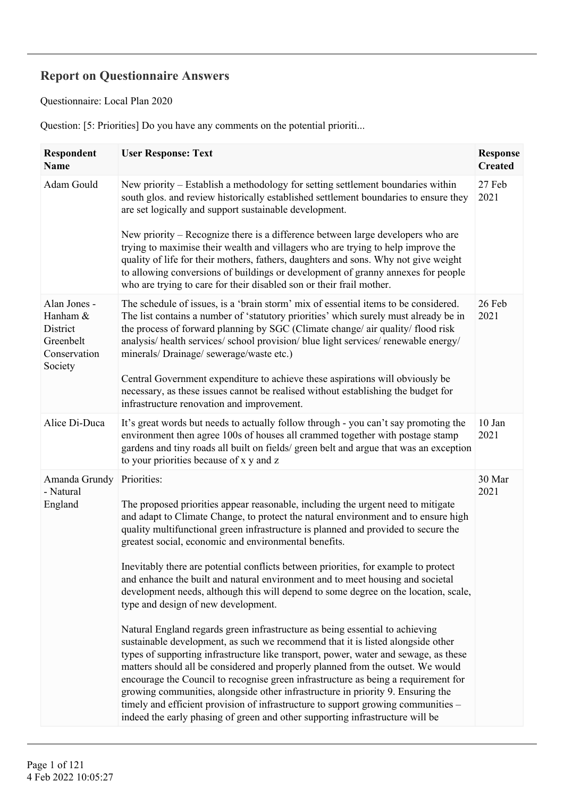## **Report on Questionnaire Answers**

Questionnaire: Local Plan 2020

Question: [5: Priorities] Do you have any comments on the potential prioriti...

| <b>Respondent</b><br>Name                                                    | <b>User Response: Text</b>                                                                                                                                                                                                                                                                                                                                                                                                                                                                                                                                                                                                                                                                | <b>Response</b><br><b>Created</b> |
|------------------------------------------------------------------------------|-------------------------------------------------------------------------------------------------------------------------------------------------------------------------------------------------------------------------------------------------------------------------------------------------------------------------------------------------------------------------------------------------------------------------------------------------------------------------------------------------------------------------------------------------------------------------------------------------------------------------------------------------------------------------------------------|-----------------------------------|
| Adam Gould                                                                   | New priority – Establish a methodology for setting settlement boundaries within<br>south glos. and review historically established settlement boundaries to ensure they<br>are set logically and support sustainable development.                                                                                                                                                                                                                                                                                                                                                                                                                                                         | 27 Feb<br>2021                    |
|                                                                              | New priority – Recognize there is a difference between large developers who are<br>trying to maximise their wealth and villagers who are trying to help improve the<br>quality of life for their mothers, fathers, daughters and sons. Why not give weight<br>to allowing conversions of buildings or development of granny annexes for people<br>who are trying to care for their disabled son or their frail mother.                                                                                                                                                                                                                                                                    |                                   |
| Alan Jones -<br>Hanham &<br>District<br>Greenbelt<br>Conservation<br>Society | The schedule of issues, is a 'brain storm' mix of essential items to be considered.<br>The list contains a number of 'statutory priorities' which surely must already be in<br>the process of forward planning by SGC (Climate change/ air quality/ flood risk<br>analysis/ health services/ school provision/ blue light services/ renewable energy/<br>minerals/Drainage/sewerage/waste etc.)                                                                                                                                                                                                                                                                                           | 26 Feb<br>2021                    |
|                                                                              | Central Government expenditure to achieve these aspirations will obviously be<br>necessary, as these issues cannot be realised without establishing the budget for<br>infrastructure renovation and improvement.                                                                                                                                                                                                                                                                                                                                                                                                                                                                          |                                   |
| Alice Di-Duca                                                                | It's great words but needs to actually follow through - you can't say promoting the<br>environment then agree 100s of houses all crammed together with postage stamp<br>gardens and tiny roads all built on fields/ green belt and argue that was an exception<br>to your priorities because of x y and z                                                                                                                                                                                                                                                                                                                                                                                 | 10 Jan<br>2021                    |
| Amanda Grundy<br>- Natural                                                   | Priorities:                                                                                                                                                                                                                                                                                                                                                                                                                                                                                                                                                                                                                                                                               | 30 Mar<br>2021                    |
| England                                                                      | The proposed priorities appear reasonable, including the urgent need to mitigate<br>and adapt to Climate Change, to protect the natural environment and to ensure high<br>quality multifunctional green infrastructure is planned and provided to secure the<br>greatest social, economic and environmental benefits.                                                                                                                                                                                                                                                                                                                                                                     |                                   |
|                                                                              | Inevitably there are potential conflicts between priorities, for example to protect<br>and enhance the built and natural environment and to meet housing and societal<br>development needs, although this will depend to some degree on the location, scale,<br>type and design of new development.                                                                                                                                                                                                                                                                                                                                                                                       |                                   |
|                                                                              | Natural England regards green infrastructure as being essential to achieving<br>sustainable development, as such we recommend that it is listed alongside other<br>types of supporting infrastructure like transport, power, water and sewage, as these<br>matters should all be considered and properly planned from the outset. We would<br>encourage the Council to recognise green infrastructure as being a requirement for<br>growing communities, alongside other infrastructure in priority 9. Ensuring the<br>timely and efficient provision of infrastructure to support growing communities -<br>indeed the early phasing of green and other supporting infrastructure will be |                                   |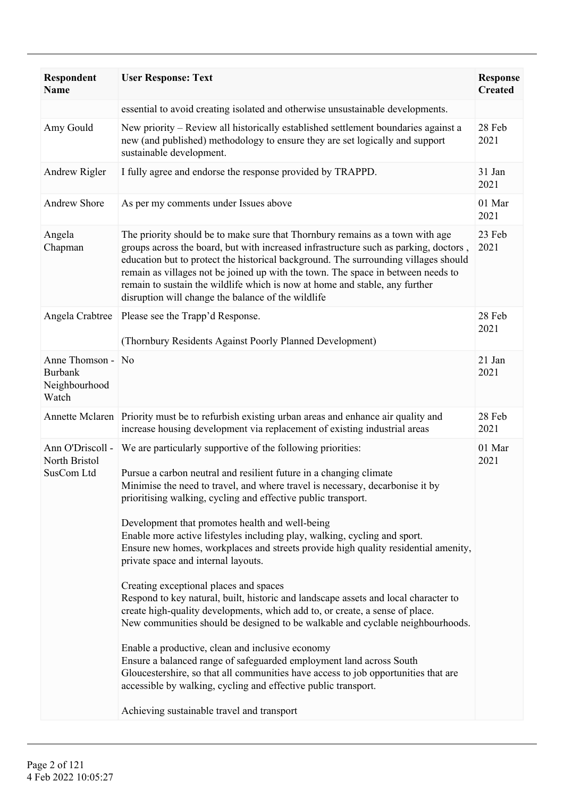| Respondent<br><b>Name</b>                                     | <b>User Response: Text</b>                                                                                                                                                                                                                                                                                                                                                                                                                                                                                                                                                                                                                                                                                                                                                                                                                                                                                                                                                                                                                                                                                                                                                           | <b>Response</b><br><b>Created</b> |
|---------------------------------------------------------------|--------------------------------------------------------------------------------------------------------------------------------------------------------------------------------------------------------------------------------------------------------------------------------------------------------------------------------------------------------------------------------------------------------------------------------------------------------------------------------------------------------------------------------------------------------------------------------------------------------------------------------------------------------------------------------------------------------------------------------------------------------------------------------------------------------------------------------------------------------------------------------------------------------------------------------------------------------------------------------------------------------------------------------------------------------------------------------------------------------------------------------------------------------------------------------------|-----------------------------------|
|                                                               | essential to avoid creating isolated and otherwise unsustainable developments.                                                                                                                                                                                                                                                                                                                                                                                                                                                                                                                                                                                                                                                                                                                                                                                                                                                                                                                                                                                                                                                                                                       |                                   |
| Amy Gould                                                     | New priority – Review all historically established settlement boundaries against a<br>new (and published) methodology to ensure they are set logically and support<br>sustainable development.                                                                                                                                                                                                                                                                                                                                                                                                                                                                                                                                                                                                                                                                                                                                                                                                                                                                                                                                                                                       | 28 Feb<br>2021                    |
| Andrew Rigler                                                 | I fully agree and endorse the response provided by TRAPPD.                                                                                                                                                                                                                                                                                                                                                                                                                                                                                                                                                                                                                                                                                                                                                                                                                                                                                                                                                                                                                                                                                                                           | 31 Jan<br>2021                    |
| <b>Andrew Shore</b>                                           | As per my comments under Issues above                                                                                                                                                                                                                                                                                                                                                                                                                                                                                                                                                                                                                                                                                                                                                                                                                                                                                                                                                                                                                                                                                                                                                | 01 Mar<br>2021                    |
| Angela<br>Chapman                                             | The priority should be to make sure that Thornbury remains as a town with age<br>groups across the board, but with increased infrastructure such as parking, doctors,<br>education but to protect the historical background. The surrounding villages should<br>remain as villages not be joined up with the town. The space in between needs to<br>remain to sustain the wildlife which is now at home and stable, any further<br>disruption will change the balance of the wildlife                                                                                                                                                                                                                                                                                                                                                                                                                                                                                                                                                                                                                                                                                                | 23 Feb<br>2021                    |
| Angela Crabtree                                               | Please see the Trapp'd Response.<br>(Thornbury Residents Against Poorly Planned Development)                                                                                                                                                                                                                                                                                                                                                                                                                                                                                                                                                                                                                                                                                                                                                                                                                                                                                                                                                                                                                                                                                         | 28 Feb<br>2021                    |
| Anne Thomson - No<br><b>Burbank</b><br>Neighbourhood<br>Watch |                                                                                                                                                                                                                                                                                                                                                                                                                                                                                                                                                                                                                                                                                                                                                                                                                                                                                                                                                                                                                                                                                                                                                                                      | 21 Jan<br>2021                    |
|                                                               | Annette Mclaren Priority must be to refurbish existing urban areas and enhance air quality and<br>increase housing development via replacement of existing industrial areas                                                                                                                                                                                                                                                                                                                                                                                                                                                                                                                                                                                                                                                                                                                                                                                                                                                                                                                                                                                                          | 28 Feb<br>2021                    |
| Ann O'Driscoll -<br>North Bristol<br>SusCom Ltd               | We are particularly supportive of the following priorities:<br>Pursue a carbon neutral and resilient future in a changing climate<br>Minimise the need to travel, and where travel is necessary, decarbonise it by<br>prioritising walking, cycling and effective public transport.<br>Development that promotes health and well-being<br>Enable more active lifestyles including play, walking, cycling and sport.<br>Ensure new homes, workplaces and streets provide high quality residential amenity,<br>private space and internal layouts.<br>Creating exceptional places and spaces<br>Respond to key natural, built, historic and landscape assets and local character to<br>create high-quality developments, which add to, or create, a sense of place.<br>New communities should be designed to be walkable and cyclable neighbourhoods.<br>Enable a productive, clean and inclusive economy<br>Ensure a balanced range of safeguarded employment land across South<br>Gloucestershire, so that all communities have access to job opportunities that are<br>accessible by walking, cycling and effective public transport.<br>Achieving sustainable travel and transport | 01 Mar<br>2021                    |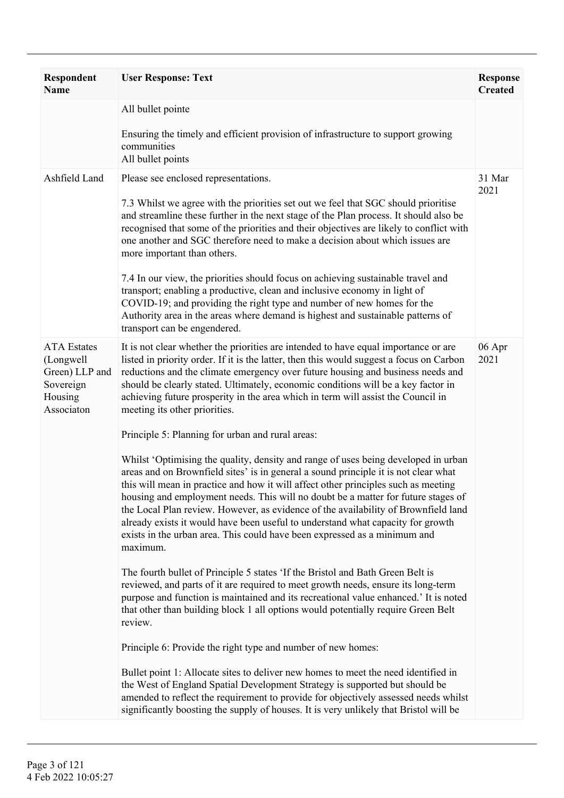| <b>Respondent</b><br><b>Name</b>                                                        | <b>User Response: Text</b>                                                                                                                                                                                                                                                                                                                                                                                                                                                                                                                                                                                             | <b>Response</b><br><b>Created</b> |
|-----------------------------------------------------------------------------------------|------------------------------------------------------------------------------------------------------------------------------------------------------------------------------------------------------------------------------------------------------------------------------------------------------------------------------------------------------------------------------------------------------------------------------------------------------------------------------------------------------------------------------------------------------------------------------------------------------------------------|-----------------------------------|
|                                                                                         | All bullet pointe                                                                                                                                                                                                                                                                                                                                                                                                                                                                                                                                                                                                      |                                   |
|                                                                                         | Ensuring the timely and efficient provision of infrastructure to support growing<br>communities<br>All bullet points                                                                                                                                                                                                                                                                                                                                                                                                                                                                                                   |                                   |
| Ashfield Land                                                                           | Please see enclosed representations.                                                                                                                                                                                                                                                                                                                                                                                                                                                                                                                                                                                   | 31 Mar<br>2021                    |
|                                                                                         | 7.3 Whilst we agree with the priorities set out we feel that SGC should prioritise<br>and streamline these further in the next stage of the Plan process. It should also be<br>recognised that some of the priorities and their objectives are likely to conflict with<br>one another and SGC therefore need to make a decision about which issues are<br>more important than others.                                                                                                                                                                                                                                  |                                   |
|                                                                                         | 7.4 In our view, the priorities should focus on achieving sustainable travel and<br>transport; enabling a productive, clean and inclusive economy in light of<br>COVID-19; and providing the right type and number of new homes for the<br>Authority area in the areas where demand is highest and sustainable patterns of<br>transport can be engendered.                                                                                                                                                                                                                                                             |                                   |
| <b>ATA</b> Estates<br>(Longwell<br>Green) LLP and<br>Sovereign<br>Housing<br>Associaton | It is not clear whether the priorities are intended to have equal importance or are<br>listed in priority order. If it is the latter, then this would suggest a focus on Carbon<br>reductions and the climate emergency over future housing and business needs and<br>should be clearly stated. Ultimately, economic conditions will be a key factor in<br>achieving future prosperity in the area which in term will assist the Council in<br>meeting its other priorities.                                                                                                                                           | 06 Apr<br>2021                    |
|                                                                                         | Principle 5: Planning for urban and rural areas:                                                                                                                                                                                                                                                                                                                                                                                                                                                                                                                                                                       |                                   |
|                                                                                         | Whilst 'Optimising the quality, density and range of uses being developed in urban<br>areas and on Brownfield sites' is in general a sound principle it is not clear what<br>this will mean in practice and how it will affect other principles such as meeting<br>housing and employment needs. This will no doubt be a matter for future stages of<br>the Local Plan review. However, as evidence of the availability of Brownfield land<br>already exists it would have been useful to understand what capacity for growth<br>exists in the urban area. This could have been expressed as a minimum and<br>maximum. |                                   |
|                                                                                         | The fourth bullet of Principle 5 states 'If the Bristol and Bath Green Belt is<br>reviewed, and parts of it are required to meet growth needs, ensure its long-term<br>purpose and function is maintained and its recreational value enhanced.' It is noted<br>that other than building block 1 all options would potentially require Green Belt<br>review.                                                                                                                                                                                                                                                            |                                   |
|                                                                                         | Principle 6: Provide the right type and number of new homes:                                                                                                                                                                                                                                                                                                                                                                                                                                                                                                                                                           |                                   |
|                                                                                         | Bullet point 1: Allocate sites to deliver new homes to meet the need identified in<br>the West of England Spatial Development Strategy is supported but should be<br>amended to reflect the requirement to provide for objectively assessed needs whilst<br>significantly boosting the supply of houses. It is very unlikely that Bristol will be                                                                                                                                                                                                                                                                      |                                   |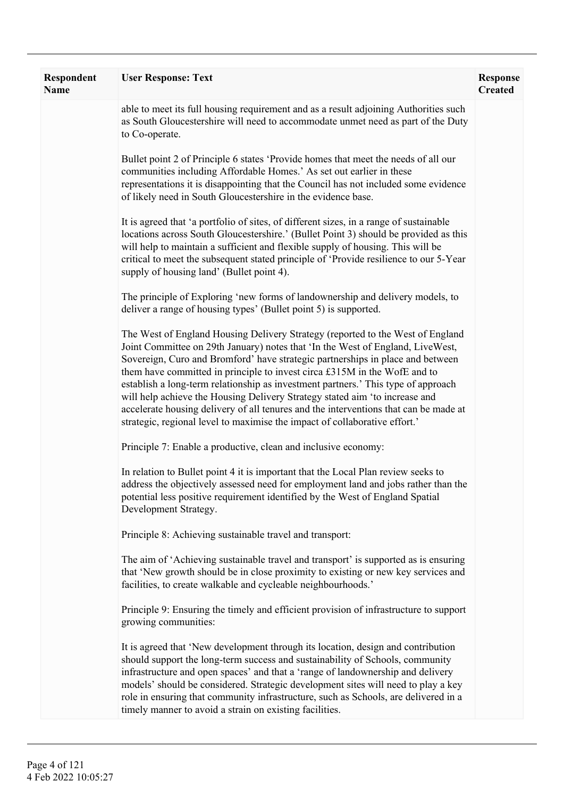| Respondent<br><b>Name</b> | <b>User Response: Text</b>                                                                                                                                                                                                                                                                                                                                                                                                                                                                                                                                                                                                                                                | <b>Response</b><br><b>Created</b> |
|---------------------------|---------------------------------------------------------------------------------------------------------------------------------------------------------------------------------------------------------------------------------------------------------------------------------------------------------------------------------------------------------------------------------------------------------------------------------------------------------------------------------------------------------------------------------------------------------------------------------------------------------------------------------------------------------------------------|-----------------------------------|
|                           | able to meet its full housing requirement and as a result adjoining Authorities such<br>as South Gloucestershire will need to accommodate unmet need as part of the Duty<br>to Co-operate.                                                                                                                                                                                                                                                                                                                                                                                                                                                                                |                                   |
|                           | Bullet point 2 of Principle 6 states 'Provide homes that meet the needs of all our<br>communities including Affordable Homes.' As set out earlier in these<br>representations it is disappointing that the Council has not included some evidence<br>of likely need in South Gloucestershire in the evidence base.                                                                                                                                                                                                                                                                                                                                                        |                                   |
|                           | It is agreed that 'a portfolio of sites, of different sizes, in a range of sustainable<br>locations across South Gloucestershire.' (Bullet Point 3) should be provided as this<br>will help to maintain a sufficient and flexible supply of housing. This will be<br>critical to meet the subsequent stated principle of 'Provide resilience to our 5-Year<br>supply of housing land' (Bullet point 4).                                                                                                                                                                                                                                                                   |                                   |
|                           | The principle of Exploring 'new forms of landownership and delivery models, to<br>deliver a range of housing types' (Bullet point 5) is supported.                                                                                                                                                                                                                                                                                                                                                                                                                                                                                                                        |                                   |
|                           | The West of England Housing Delivery Strategy (reported to the West of England<br>Joint Committee on 29th January) notes that 'In the West of England, LiveWest,<br>Sovereign, Curo and Bromford' have strategic partnerships in place and between<br>them have committed in principle to invest circa £315M in the WofE and to<br>establish a long-term relationship as investment partners.' This type of approach<br>will help achieve the Housing Delivery Strategy stated aim 'to increase and<br>accelerate housing delivery of all tenures and the interventions that can be made at<br>strategic, regional level to maximise the impact of collaborative effort.' |                                   |
|                           | Principle 7: Enable a productive, clean and inclusive economy:                                                                                                                                                                                                                                                                                                                                                                                                                                                                                                                                                                                                            |                                   |
|                           | In relation to Bullet point 4 it is important that the Local Plan review seeks to<br>address the objectively assessed need for employment land and jobs rather than the<br>potential less positive requirement identified by the West of England Spatial<br>Development Strategy.                                                                                                                                                                                                                                                                                                                                                                                         |                                   |
|                           | Principle 8: Achieving sustainable travel and transport:                                                                                                                                                                                                                                                                                                                                                                                                                                                                                                                                                                                                                  |                                   |
|                           | The aim of 'Achieving sustainable travel and transport' is supported as is ensuring<br>that 'New growth should be in close proximity to existing or new key services and<br>facilities, to create walkable and cycleable neighbourhoods.'                                                                                                                                                                                                                                                                                                                                                                                                                                 |                                   |
|                           | Principle 9: Ensuring the timely and efficient provision of infrastructure to support<br>growing communities:                                                                                                                                                                                                                                                                                                                                                                                                                                                                                                                                                             |                                   |
|                           | It is agreed that 'New development through its location, design and contribution<br>should support the long-term success and sustainability of Schools, community<br>infrastructure and open spaces' and that a 'range of landownership and delivery<br>models' should be considered. Strategic development sites will need to play a key<br>role in ensuring that community infrastructure, such as Schools, are delivered in a<br>timely manner to avoid a strain on existing facilities.                                                                                                                                                                               |                                   |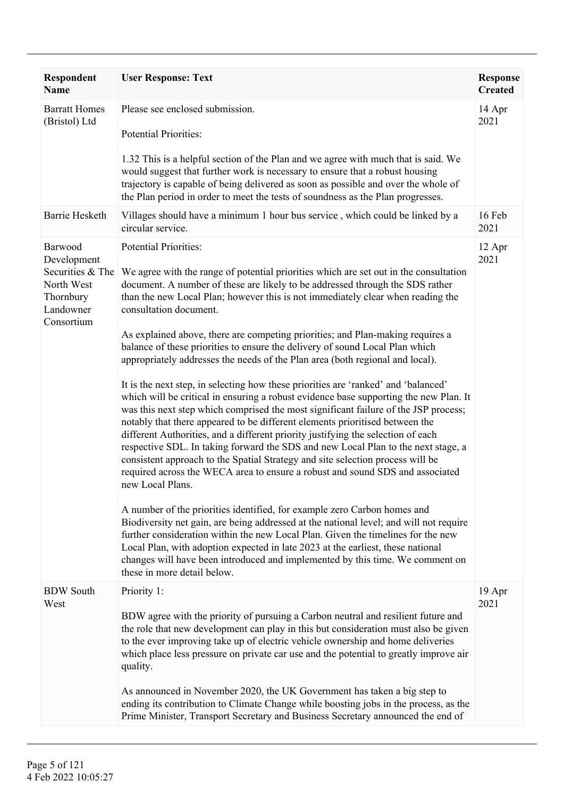| Respondent<br>Name                                                                               | <b>User Response: Text</b>                                                                                                                                                                                                                                                                                                                                                                                                                                                                                                                                                                                                                                                                                                                                                                                                                                                                                                                                                                                                                                                                                                                                                                                                                                                                                                                                                                                                                                                                                                                                                                                                                                                                                                                         | <b>Response</b><br><b>Created</b> |
|--------------------------------------------------------------------------------------------------|----------------------------------------------------------------------------------------------------------------------------------------------------------------------------------------------------------------------------------------------------------------------------------------------------------------------------------------------------------------------------------------------------------------------------------------------------------------------------------------------------------------------------------------------------------------------------------------------------------------------------------------------------------------------------------------------------------------------------------------------------------------------------------------------------------------------------------------------------------------------------------------------------------------------------------------------------------------------------------------------------------------------------------------------------------------------------------------------------------------------------------------------------------------------------------------------------------------------------------------------------------------------------------------------------------------------------------------------------------------------------------------------------------------------------------------------------------------------------------------------------------------------------------------------------------------------------------------------------------------------------------------------------------------------------------------------------------------------------------------------------|-----------------------------------|
| <b>Barratt Homes</b><br>(Bristol) Ltd                                                            | Please see enclosed submission.<br><b>Potential Priorities:</b><br>1.32 This is a helpful section of the Plan and we agree with much that is said. We<br>would suggest that further work is necessary to ensure that a robust housing<br>trajectory is capable of being delivered as soon as possible and over the whole of<br>the Plan period in order to meet the tests of soundness as the Plan progresses.                                                                                                                                                                                                                                                                                                                                                                                                                                                                                                                                                                                                                                                                                                                                                                                                                                                                                                                                                                                                                                                                                                                                                                                                                                                                                                                                     | 14 Apr<br>2021                    |
| <b>Barrie Hesketh</b>                                                                            | Villages should have a minimum 1 hour bus service, which could be linked by a<br>circular service.                                                                                                                                                                                                                                                                                                                                                                                                                                                                                                                                                                                                                                                                                                                                                                                                                                                                                                                                                                                                                                                                                                                                                                                                                                                                                                                                                                                                                                                                                                                                                                                                                                                 | 16 Feb<br>2021                    |
| Barwood<br>Development<br>Securities & The<br>North West<br>Thornbury<br>Landowner<br>Consortium | Potential Priorities:<br>We agree with the range of potential priorities which are set out in the consultation<br>document. A number of these are likely to be addressed through the SDS rather<br>than the new Local Plan; however this is not immediately clear when reading the<br>consultation document.<br>As explained above, there are competing priorities; and Plan-making requires a<br>balance of these priorities to ensure the delivery of sound Local Plan which<br>appropriately addresses the needs of the Plan area (both regional and local).<br>It is the next step, in selecting how these priorities are 'ranked' and 'balanced'<br>which will be critical in ensuring a robust evidence base supporting the new Plan. It<br>was this next step which comprised the most significant failure of the JSP process;<br>notably that there appeared to be different elements prioritised between the<br>different Authorities, and a different priority justifying the selection of each<br>respective SDL. In taking forward the SDS and new Local Plan to the next stage, a<br>consistent approach to the Spatial Strategy and site selection process will be<br>required across the WECA area to ensure a robust and sound SDS and associated<br>new Local Plans.<br>A number of the priorities identified, for example zero Carbon homes and<br>Biodiversity net gain, are being addressed at the national level; and will not require<br>further consideration within the new Local Plan. Given the timelines for the new<br>Local Plan, with adoption expected in late 2023 at the earliest, these national<br>changes will have been introduced and implemented by this time. We comment on<br>these in more detail below. | 12 Apr<br>2021                    |
| <b>BDW</b> South<br>West                                                                         | Priority 1:<br>BDW agree with the priority of pursuing a Carbon neutral and resilient future and<br>the role that new development can play in this but consideration must also be given<br>to the ever improving take up of electric vehicle ownership and home deliveries<br>which place less pressure on private car use and the potential to greatly improve air<br>quality.<br>As announced in November 2020, the UK Government has taken a big step to<br>ending its contribution to Climate Change while boosting jobs in the process, as the<br>Prime Minister, Transport Secretary and Business Secretary announced the end of                                                                                                                                                                                                                                                                                                                                                                                                                                                                                                                                                                                                                                                                                                                                                                                                                                                                                                                                                                                                                                                                                                             | 19 Apr<br>2021                    |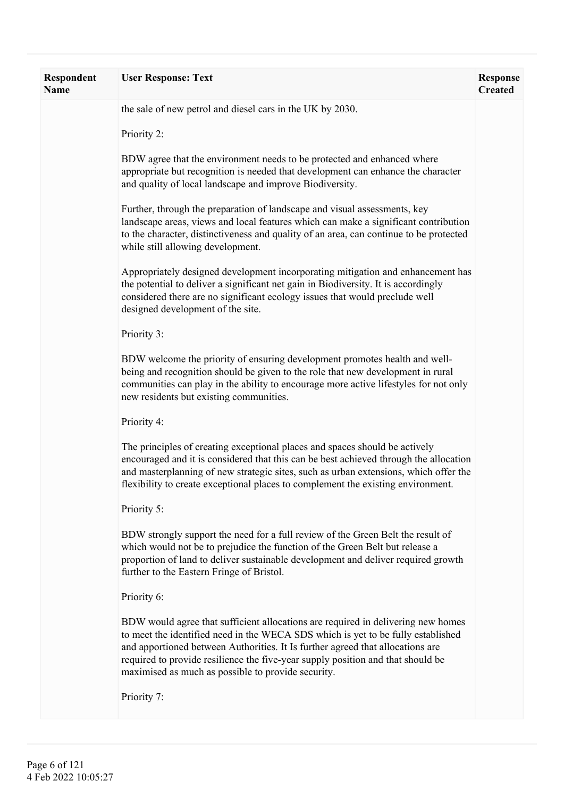| <b>Respondent</b><br><b>Name</b> | <b>User Response: Text</b>                                                                                                                                                                                                                                                                                                                                                                      | <b>Response</b><br><b>Created</b> |
|----------------------------------|-------------------------------------------------------------------------------------------------------------------------------------------------------------------------------------------------------------------------------------------------------------------------------------------------------------------------------------------------------------------------------------------------|-----------------------------------|
|                                  | the sale of new petrol and diesel cars in the UK by 2030.                                                                                                                                                                                                                                                                                                                                       |                                   |
|                                  | Priority 2:                                                                                                                                                                                                                                                                                                                                                                                     |                                   |
|                                  | BDW agree that the environment needs to be protected and enhanced where<br>appropriate but recognition is needed that development can enhance the character<br>and quality of local landscape and improve Biodiversity.                                                                                                                                                                         |                                   |
|                                  | Further, through the preparation of landscape and visual assessments, key<br>landscape areas, views and local features which can make a significant contribution<br>to the character, distinctiveness and quality of an area, can continue to be protected<br>while still allowing development.                                                                                                 |                                   |
|                                  | Appropriately designed development incorporating mitigation and enhancement has<br>the potential to deliver a significant net gain in Biodiversity. It is accordingly<br>considered there are no significant ecology issues that would preclude well<br>designed development of the site.                                                                                                       |                                   |
|                                  | Priority 3:                                                                                                                                                                                                                                                                                                                                                                                     |                                   |
|                                  | BDW welcome the priority of ensuring development promotes health and well-<br>being and recognition should be given to the role that new development in rural<br>communities can play in the ability to encourage more active lifestyles for not only<br>new residents but existing communities.                                                                                                |                                   |
|                                  | Priority 4:                                                                                                                                                                                                                                                                                                                                                                                     |                                   |
|                                  | The principles of creating exceptional places and spaces should be actively<br>encouraged and it is considered that this can be best achieved through the allocation<br>and masterplanning of new strategic sites, such as urban extensions, which offer the<br>flexibility to create exceptional places to complement the existing environment.                                                |                                   |
|                                  | Priority 5:                                                                                                                                                                                                                                                                                                                                                                                     |                                   |
|                                  | BDW strongly support the need for a full review of the Green Belt the result of<br>which would not be to prejudice the function of the Green Belt but release a<br>proportion of land to deliver sustainable development and deliver required growth<br>further to the Eastern Fringe of Bristol.                                                                                               |                                   |
|                                  | Priority 6:                                                                                                                                                                                                                                                                                                                                                                                     |                                   |
|                                  | BDW would agree that sufficient allocations are required in delivering new homes<br>to meet the identified need in the WECA SDS which is yet to be fully established<br>and apportioned between Authorities. It Is further agreed that allocations are<br>required to provide resilience the five-year supply position and that should be<br>maximised as much as possible to provide security. |                                   |
|                                  | Priority 7:                                                                                                                                                                                                                                                                                                                                                                                     |                                   |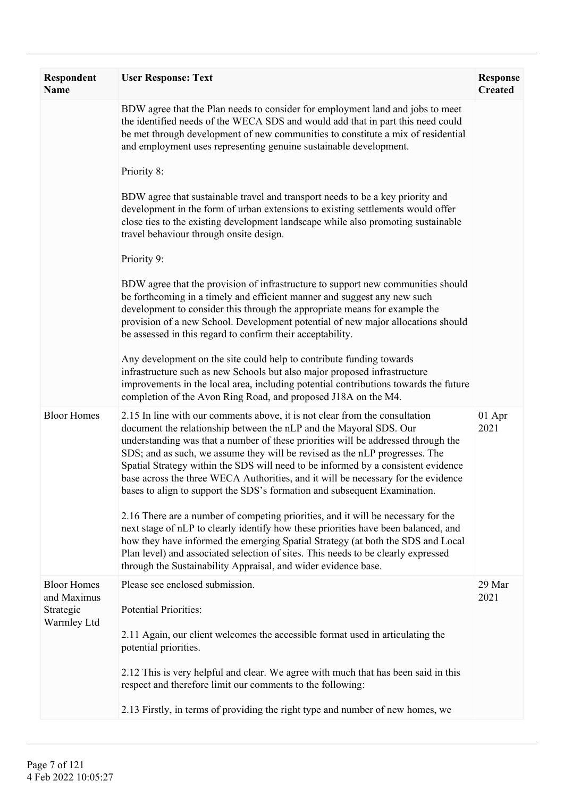| <b>Respondent</b><br><b>Name</b>               | <b>User Response: Text</b>                                                                                                                                                                                                                                                                                                                                                                                                                                                                                                                                                   | <b>Response</b><br><b>Created</b> |
|------------------------------------------------|------------------------------------------------------------------------------------------------------------------------------------------------------------------------------------------------------------------------------------------------------------------------------------------------------------------------------------------------------------------------------------------------------------------------------------------------------------------------------------------------------------------------------------------------------------------------------|-----------------------------------|
|                                                | BDW agree that the Plan needs to consider for employment land and jobs to meet<br>the identified needs of the WECA SDS and would add that in part this need could<br>be met through development of new communities to constitute a mix of residential<br>and employment uses representing genuine sustainable development.                                                                                                                                                                                                                                                   |                                   |
|                                                | Priority 8:                                                                                                                                                                                                                                                                                                                                                                                                                                                                                                                                                                  |                                   |
|                                                | BDW agree that sustainable travel and transport needs to be a key priority and<br>development in the form of urban extensions to existing settlements would offer<br>close ties to the existing development landscape while also promoting sustainable<br>travel behaviour through onsite design.                                                                                                                                                                                                                                                                            |                                   |
|                                                | Priority 9:                                                                                                                                                                                                                                                                                                                                                                                                                                                                                                                                                                  |                                   |
|                                                | BDW agree that the provision of infrastructure to support new communities should<br>be forthcoming in a timely and efficient manner and suggest any new such<br>development to consider this through the appropriate means for example the<br>provision of a new School. Development potential of new major allocations should<br>be assessed in this regard to confirm their acceptability.                                                                                                                                                                                 |                                   |
|                                                | Any development on the site could help to contribute funding towards<br>infrastructure such as new Schools but also major proposed infrastructure<br>improvements in the local area, including potential contributions towards the future<br>completion of the Avon Ring Road, and proposed J18A on the M4.                                                                                                                                                                                                                                                                  |                                   |
| <b>Bloor Homes</b>                             | 2.15 In line with our comments above, it is not clear from the consultation<br>document the relationship between the nLP and the Mayoral SDS. Our<br>understanding was that a number of these priorities will be addressed through the<br>SDS; and as such, we assume they will be revised as the nLP progresses. The<br>Spatial Strategy within the SDS will need to be informed by a consistent evidence<br>base across the three WECA Authorities, and it will be necessary for the evidence<br>bases to align to support the SDS's formation and subsequent Examination. | 01 Apr<br>2021                    |
|                                                | 2.16 There are a number of competing priorities, and it will be necessary for the<br>next stage of nLP to clearly identify how these priorities have been balanced, and<br>how they have informed the emerging Spatial Strategy (at both the SDS and Local<br>Plan level) and associated selection of sites. This needs to be clearly expressed<br>through the Sustainability Appraisal, and wider evidence base.                                                                                                                                                            |                                   |
| <b>Bloor Homes</b><br>and Maximus<br>Strategic | Please see enclosed submission.<br><b>Potential Priorities:</b>                                                                                                                                                                                                                                                                                                                                                                                                                                                                                                              | 29 Mar<br>2021                    |
| Warmley Ltd                                    | 2.11 Again, our client welcomes the accessible format used in articulating the<br>potential priorities.                                                                                                                                                                                                                                                                                                                                                                                                                                                                      |                                   |
|                                                | 2.12 This is very helpful and clear. We agree with much that has been said in this<br>respect and therefore limit our comments to the following:                                                                                                                                                                                                                                                                                                                                                                                                                             |                                   |
|                                                | 2.13 Firstly, in terms of providing the right type and number of new homes, we                                                                                                                                                                                                                                                                                                                                                                                                                                                                                               |                                   |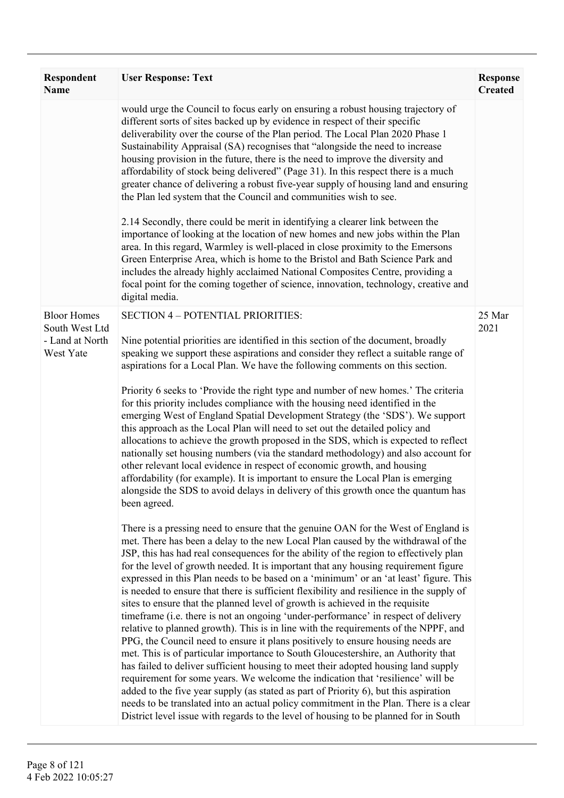| <b>Respondent</b><br><b>Name</b>                                     | <b>User Response: Text</b>                                                                                                                                                                                                                                                                                                                                                                                                                                                                                                                                                                                                                                                                                                                                                                                                                                                                                                                                                                                                                                                                                                                                                                                                                                                                                                                                                                                                           | <b>Response</b><br><b>Created</b> |
|----------------------------------------------------------------------|--------------------------------------------------------------------------------------------------------------------------------------------------------------------------------------------------------------------------------------------------------------------------------------------------------------------------------------------------------------------------------------------------------------------------------------------------------------------------------------------------------------------------------------------------------------------------------------------------------------------------------------------------------------------------------------------------------------------------------------------------------------------------------------------------------------------------------------------------------------------------------------------------------------------------------------------------------------------------------------------------------------------------------------------------------------------------------------------------------------------------------------------------------------------------------------------------------------------------------------------------------------------------------------------------------------------------------------------------------------------------------------------------------------------------------------|-----------------------------------|
|                                                                      | would urge the Council to focus early on ensuring a robust housing trajectory of<br>different sorts of sites backed up by evidence in respect of their specific<br>deliverability over the course of the Plan period. The Local Plan 2020 Phase 1<br>Sustainability Appraisal (SA) recognises that "alongside the need to increase<br>housing provision in the future, there is the need to improve the diversity and<br>affordability of stock being delivered" (Page 31). In this respect there is a much<br>greater chance of delivering a robust five-year supply of housing land and ensuring<br>the Plan led system that the Council and communities wish to see.<br>2.14 Secondly, there could be merit in identifying a clearer link between the<br>importance of looking at the location of new homes and new jobs within the Plan<br>area. In this regard, Warmley is well-placed in close proximity to the Emersons<br>Green Enterprise Area, which is home to the Bristol and Bath Science Park and<br>includes the already highly acclaimed National Composites Centre, providing a<br>focal point for the coming together of science, innovation, technology, creative and<br>digital media.                                                                                                                                                                                                                           |                                   |
| <b>Bloor Homes</b><br>South West Ltd<br>- Land at North<br>West Yate | <b>SECTION 4 - POTENTIAL PRIORITIES:</b><br>Nine potential priorities are identified in this section of the document, broadly<br>speaking we support these aspirations and consider they reflect a suitable range of<br>aspirations for a Local Plan. We have the following comments on this section.<br>Priority 6 seeks to 'Provide the right type and number of new homes.' The criteria<br>for this priority includes compliance with the housing need identified in the<br>emerging West of England Spatial Development Strategy (the 'SDS'). We support<br>this approach as the Local Plan will need to set out the detailed policy and<br>allocations to achieve the growth proposed in the SDS, which is expected to reflect<br>nationally set housing numbers (via the standard methodology) and also account for<br>other relevant local evidence in respect of economic growth, and housing<br>affordability (for example). It is important to ensure the Local Plan is emerging<br>alongside the SDS to avoid delays in delivery of this growth once the quantum has<br>been agreed.                                                                                                                                                                                                                                                                                                                                     | 25 Mar<br>2021                    |
|                                                                      | There is a pressing need to ensure that the genuine OAN for the West of England is<br>met. There has been a delay to the new Local Plan caused by the withdrawal of the<br>JSP, this has had real consequences for the ability of the region to effectively plan<br>for the level of growth needed. It is important that any housing requirement figure<br>expressed in this Plan needs to be based on a 'minimum' or an 'at least' figure. This<br>is needed to ensure that there is sufficient flexibility and resilience in the supply of<br>sites to ensure that the planned level of growth is achieved in the requisite<br>timeframe (i.e. there is not an ongoing 'under-performance' in respect of delivery<br>relative to planned growth). This is in line with the requirements of the NPPF, and<br>PPG, the Council need to ensure it plans positively to ensure housing needs are<br>met. This is of particular importance to South Gloucestershire, an Authority that<br>has failed to deliver sufficient housing to meet their adopted housing land supply<br>requirement for some years. We welcome the indication that 'resilience' will be<br>added to the five year supply (as stated as part of Priority 6), but this aspiration<br>needs to be translated into an actual policy commitment in the Plan. There is a clear<br>District level issue with regards to the level of housing to be planned for in South |                                   |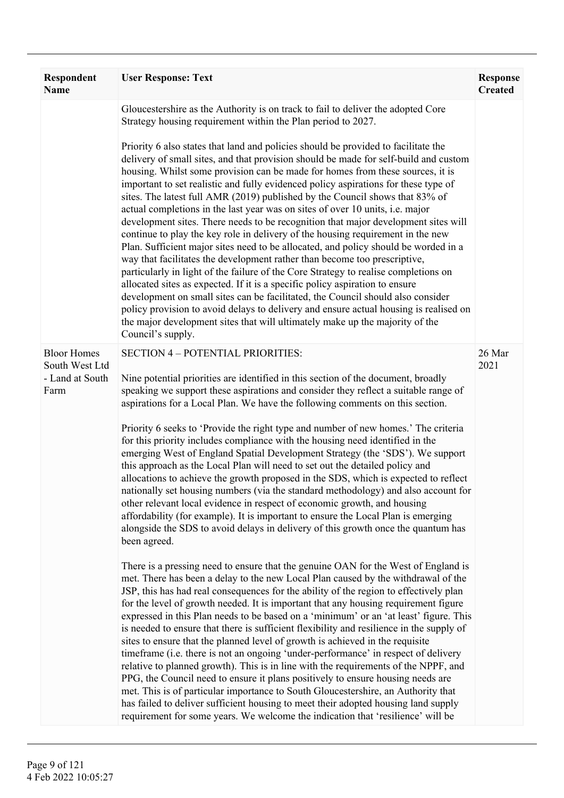| <b>Respondent</b><br><b>Name</b>                                | <b>User Response: Text</b>                                                                                                                                                                                                                                                                                                                                                                                                                                                                                                                                                                                                                                                                                                                                                                                                                                                                                                                                                                                                                                                                                                                                                                                                                                                                                                                                                                                                                                                                                                                                                                                                                                                                                                                                                                                                                                                                                                                                                                                                                                                                                                                                                                        | <b>Response</b><br><b>Created</b> |
|-----------------------------------------------------------------|---------------------------------------------------------------------------------------------------------------------------------------------------------------------------------------------------------------------------------------------------------------------------------------------------------------------------------------------------------------------------------------------------------------------------------------------------------------------------------------------------------------------------------------------------------------------------------------------------------------------------------------------------------------------------------------------------------------------------------------------------------------------------------------------------------------------------------------------------------------------------------------------------------------------------------------------------------------------------------------------------------------------------------------------------------------------------------------------------------------------------------------------------------------------------------------------------------------------------------------------------------------------------------------------------------------------------------------------------------------------------------------------------------------------------------------------------------------------------------------------------------------------------------------------------------------------------------------------------------------------------------------------------------------------------------------------------------------------------------------------------------------------------------------------------------------------------------------------------------------------------------------------------------------------------------------------------------------------------------------------------------------------------------------------------------------------------------------------------------------------------------------------------------------------------------------------------|-----------------------------------|
|                                                                 | Gloucestershire as the Authority is on track to fail to deliver the adopted Core<br>Strategy housing requirement within the Plan period to 2027.<br>Priority 6 also states that land and policies should be provided to facilitate the<br>delivery of small sites, and that provision should be made for self-build and custom<br>housing. Whilst some provision can be made for homes from these sources, it is<br>important to set realistic and fully evidenced policy aspirations for these type of<br>sites. The latest full AMR (2019) published by the Council shows that 83% of<br>actual completions in the last year was on sites of over 10 units, i.e. major<br>development sites. There needs to be recognition that major development sites will<br>continue to play the key role in delivery of the housing requirement in the new<br>Plan. Sufficient major sites need to be allocated, and policy should be worded in a<br>way that facilitates the development rather than become too prescriptive,<br>particularly in light of the failure of the Core Strategy to realise completions on<br>allocated sites as expected. If it is a specific policy aspiration to ensure<br>development on small sites can be facilitated, the Council should also consider<br>policy provision to avoid delays to delivery and ensure actual housing is realised on<br>the major development sites that will ultimately make up the majority of the                                                                                                                                                                                                                                                                                                                                                                                                                                                                                                                                                                                                                                                                                                                                          |                                   |
| <b>Bloor Homes</b><br>South West Ltd<br>- Land at South<br>Farm | Council's supply.<br><b>SECTION 4 - POTENTIAL PRIORITIES:</b><br>Nine potential priorities are identified in this section of the document, broadly<br>speaking we support these aspirations and consider they reflect a suitable range of<br>aspirations for a Local Plan. We have the following comments on this section.<br>Priority 6 seeks to 'Provide the right type and number of new homes.' The criteria<br>for this priority includes compliance with the housing need identified in the<br>emerging West of England Spatial Development Strategy (the 'SDS'). We support<br>this approach as the Local Plan will need to set out the detailed policy and<br>allocations to achieve the growth proposed in the SDS, which is expected to reflect<br>nationally set housing numbers (via the standard methodology) and also account for<br>other relevant local evidence in respect of economic growth, and housing<br>affordability (for example). It is important to ensure the Local Plan is emerging<br>alongside the SDS to avoid delays in delivery of this growth once the quantum has<br>been agreed.<br>There is a pressing need to ensure that the genuine OAN for the West of England is<br>met. There has been a delay to the new Local Plan caused by the withdrawal of the<br>JSP, this has had real consequences for the ability of the region to effectively plan<br>for the level of growth needed. It is important that any housing requirement figure<br>expressed in this Plan needs to be based on a 'minimum' or an 'at least' figure. This<br>is needed to ensure that there is sufficient flexibility and resilience in the supply of<br>sites to ensure that the planned level of growth is achieved in the requisite<br>timeframe (i.e. there is not an ongoing 'under-performance' in respect of delivery<br>relative to planned growth). This is in line with the requirements of the NPPF, and<br>PPG, the Council need to ensure it plans positively to ensure housing needs are<br>met. This is of particular importance to South Gloucestershire, an Authority that<br>has failed to deliver sufficient housing to meet their adopted housing land supply | 26 Mar<br>2021                    |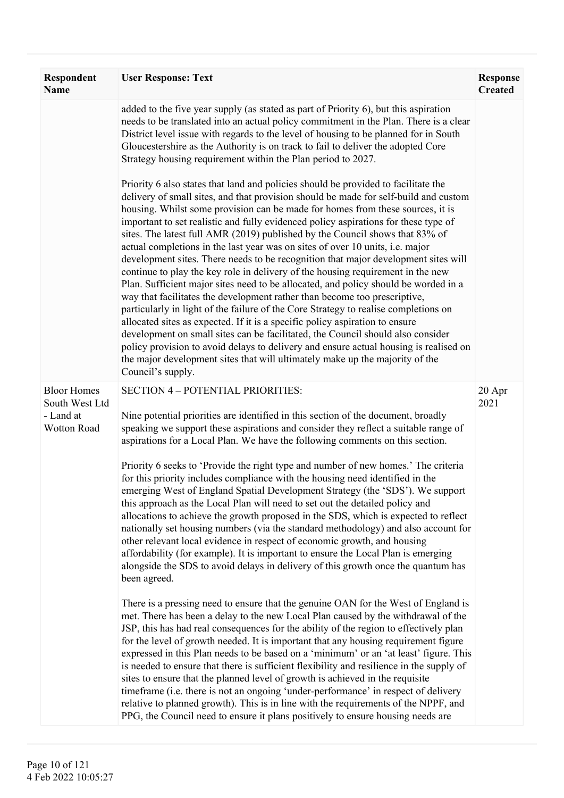| Respondent<br><b>Name</b>                                        | <b>User Response: Text</b>                                                                                                                                                                                                                                                                                                                                                                                                                                                                                                                                                                                                                                                                                                                                                                                                                                                                                                                                                                                                                                                                                                                                                                                                                                                                                                                                                                                                                                                                                                                                                                                                                                                                                                                                                                                                                                                                                                                                                                        | <b>Response</b><br><b>Created</b> |
|------------------------------------------------------------------|---------------------------------------------------------------------------------------------------------------------------------------------------------------------------------------------------------------------------------------------------------------------------------------------------------------------------------------------------------------------------------------------------------------------------------------------------------------------------------------------------------------------------------------------------------------------------------------------------------------------------------------------------------------------------------------------------------------------------------------------------------------------------------------------------------------------------------------------------------------------------------------------------------------------------------------------------------------------------------------------------------------------------------------------------------------------------------------------------------------------------------------------------------------------------------------------------------------------------------------------------------------------------------------------------------------------------------------------------------------------------------------------------------------------------------------------------------------------------------------------------------------------------------------------------------------------------------------------------------------------------------------------------------------------------------------------------------------------------------------------------------------------------------------------------------------------------------------------------------------------------------------------------------------------------------------------------------------------------------------------------|-----------------------------------|
|                                                                  | added to the five year supply (as stated as part of Priority 6), but this aspiration<br>needs to be translated into an actual policy commitment in the Plan. There is a clear<br>District level issue with regards to the level of housing to be planned for in South<br>Gloucestershire as the Authority is on track to fail to deliver the adopted Core<br>Strategy housing requirement within the Plan period to 2027.<br>Priority 6 also states that land and policies should be provided to facilitate the<br>delivery of small sites, and that provision should be made for self-build and custom<br>housing. Whilst some provision can be made for homes from these sources, it is<br>important to set realistic and fully evidenced policy aspirations for these type of<br>sites. The latest full AMR (2019) published by the Council shows that 83% of<br>actual completions in the last year was on sites of over 10 units, i.e. major<br>development sites. There needs to be recognition that major development sites will<br>continue to play the key role in delivery of the housing requirement in the new<br>Plan. Sufficient major sites need to be allocated, and policy should be worded in a<br>way that facilitates the development rather than become too prescriptive,<br>particularly in light of the failure of the Core Strategy to realise completions on<br>allocated sites as expected. If it is a specific policy aspiration to ensure<br>development on small sites can be facilitated, the Council should also consider<br>policy provision to avoid delays to delivery and ensure actual housing is realised on<br>the major development sites that will ultimately make up the majority of the<br>Council's supply.                                                                                                                                                                                                                                            |                                   |
| <b>Bloor Homes</b><br>South West Ltd<br>- Land at<br>Wotton Road | <b>SECTION 4 - POTENTIAL PRIORITIES:</b><br>Nine potential priorities are identified in this section of the document, broadly<br>speaking we support these aspirations and consider they reflect a suitable range of<br>aspirations for a Local Plan. We have the following comments on this section.<br>Priority 6 seeks to 'Provide the right type and number of new homes.' The criteria<br>for this priority includes compliance with the housing need identified in the<br>emerging West of England Spatial Development Strategy (the 'SDS'). We support<br>this approach as the Local Plan will need to set out the detailed policy and<br>allocations to achieve the growth proposed in the SDS, which is expected to reflect<br>nationally set housing numbers (via the standard methodology) and also account for<br>other relevant local evidence in respect of economic growth, and housing<br>affordability (for example). It is important to ensure the Local Plan is emerging<br>alongside the SDS to avoid delays in delivery of this growth once the quantum has<br>been agreed.<br>There is a pressing need to ensure that the genuine OAN for the West of England is<br>met. There has been a delay to the new Local Plan caused by the withdrawal of the<br>JSP, this has had real consequences for the ability of the region to effectively plan<br>for the level of growth needed. It is important that any housing requirement figure<br>expressed in this Plan needs to be based on a 'minimum' or an 'at least' figure. This<br>is needed to ensure that there is sufficient flexibility and resilience in the supply of<br>sites to ensure that the planned level of growth is achieved in the requisite<br>timeframe (i.e. there is not an ongoing 'under-performance' in respect of delivery<br>relative to planned growth). This is in line with the requirements of the NPPF, and<br>PPG, the Council need to ensure it plans positively to ensure housing needs are | 20 Apr<br>2021                    |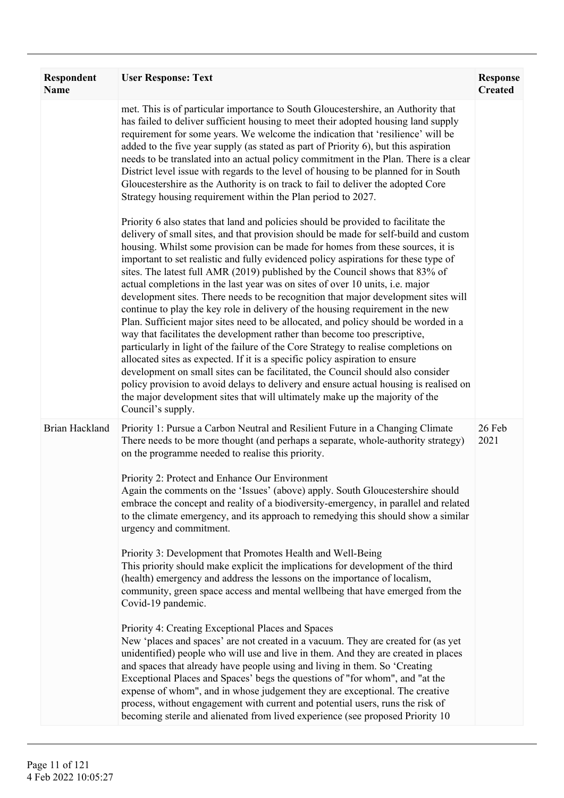| <b>Respondent</b><br>Name | <b>User Response: Text</b>                                                                                                                                                                                                                                                                                                                                                                                                                                                                                                                                                                                                                                                                                                                                                                                                                                                                                                                                                                                                                                                                                                                                                                                                                                                                                                                                                                                                                                                                                                                                                                                                                                                                                                                                                                                                                                                                                                                                                                                                  | <b>Response</b><br><b>Created</b> |
|---------------------------|-----------------------------------------------------------------------------------------------------------------------------------------------------------------------------------------------------------------------------------------------------------------------------------------------------------------------------------------------------------------------------------------------------------------------------------------------------------------------------------------------------------------------------------------------------------------------------------------------------------------------------------------------------------------------------------------------------------------------------------------------------------------------------------------------------------------------------------------------------------------------------------------------------------------------------------------------------------------------------------------------------------------------------------------------------------------------------------------------------------------------------------------------------------------------------------------------------------------------------------------------------------------------------------------------------------------------------------------------------------------------------------------------------------------------------------------------------------------------------------------------------------------------------------------------------------------------------------------------------------------------------------------------------------------------------------------------------------------------------------------------------------------------------------------------------------------------------------------------------------------------------------------------------------------------------------------------------------------------------------------------------------------------------|-----------------------------------|
|                           | met. This is of particular importance to South Gloucestershire, an Authority that<br>has failed to deliver sufficient housing to meet their adopted housing land supply<br>requirement for some years. We welcome the indication that 'resilience' will be<br>added to the five year supply (as stated as part of Priority 6), but this aspiration<br>needs to be translated into an actual policy commitment in the Plan. There is a clear<br>District level issue with regards to the level of housing to be planned for in South<br>Gloucestershire as the Authority is on track to fail to deliver the adopted Core<br>Strategy housing requirement within the Plan period to 2027.<br>Priority 6 also states that land and policies should be provided to facilitate the<br>delivery of small sites, and that provision should be made for self-build and custom<br>housing. Whilst some provision can be made for homes from these sources, it is<br>important to set realistic and fully evidenced policy aspirations for these type of<br>sites. The latest full AMR (2019) published by the Council shows that 83% of<br>actual completions in the last year was on sites of over 10 units, <i>i.e.</i> major<br>development sites. There needs to be recognition that major development sites will<br>continue to play the key role in delivery of the housing requirement in the new<br>Plan. Sufficient major sites need to be allocated, and policy should be worded in a<br>way that facilitates the development rather than become too prescriptive,<br>particularly in light of the failure of the Core Strategy to realise completions on<br>allocated sites as expected. If it is a specific policy aspiration to ensure<br>development on small sites can be facilitated, the Council should also consider<br>policy provision to avoid delays to delivery and ensure actual housing is realised on<br>the major development sites that will ultimately make up the majority of the<br>Council's supply. |                                   |
| Brian Hackland            | Priority 1: Pursue a Carbon Neutral and Resilient Future in a Changing Climate<br>There needs to be more thought (and perhaps a separate, whole-authority strategy)<br>on the programme needed to realise this priority.<br>Priority 2: Protect and Enhance Our Environment<br>Again the comments on the 'Issues' (above) apply. South Gloucestershire should<br>embrace the concept and reality of a biodiversity-emergency, in parallel and related<br>to the climate emergency, and its approach to remedying this should show a similar<br>urgency and commitment.<br>Priority 3: Development that Promotes Health and Well-Being<br>This priority should make explicit the implications for development of the third<br>(health) emergency and address the lessons on the importance of localism,<br>community, green space access and mental wellbeing that have emerged from the<br>Covid-19 pandemic.<br>Priority 4: Creating Exceptional Places and Spaces<br>New 'places and spaces' are not created in a vacuum. They are created for (as yet<br>unidentified) people who will use and live in them. And they are created in places<br>and spaces that already have people using and living in them. So 'Creating<br>Exceptional Places and Spaces' begs the questions of "for whom", and "at the<br>expense of whom", and in whose judgement they are exceptional. The creative<br>process, without engagement with current and potential users, runs the risk of<br>becoming sterile and alienated from lived experience (see proposed Priority 10                                                                                                                                                                                                                                                                                                                                                                                                                                                             | 26 Feb<br>2021                    |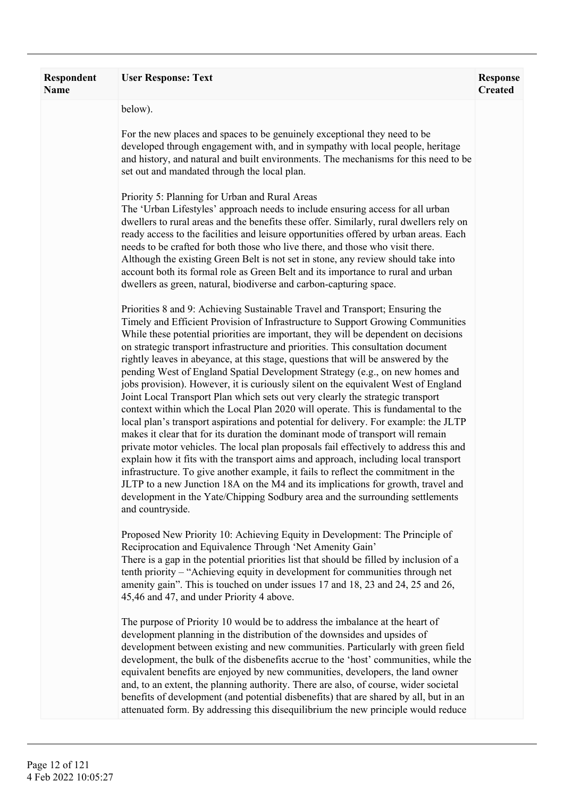| <b>Respondent</b><br>Name | <b>User Response: Text</b>                                                                                                                                                                                                                                                                                                                                                                                                                                                                                                                                                                                                                                                                                                                                                                                                                                                                                                                                                                                                                                                                                                                                                                                                                                                                                                                                                                                             | <b>Response</b><br><b>Created</b> |
|---------------------------|------------------------------------------------------------------------------------------------------------------------------------------------------------------------------------------------------------------------------------------------------------------------------------------------------------------------------------------------------------------------------------------------------------------------------------------------------------------------------------------------------------------------------------------------------------------------------------------------------------------------------------------------------------------------------------------------------------------------------------------------------------------------------------------------------------------------------------------------------------------------------------------------------------------------------------------------------------------------------------------------------------------------------------------------------------------------------------------------------------------------------------------------------------------------------------------------------------------------------------------------------------------------------------------------------------------------------------------------------------------------------------------------------------------------|-----------------------------------|
|                           | below).                                                                                                                                                                                                                                                                                                                                                                                                                                                                                                                                                                                                                                                                                                                                                                                                                                                                                                                                                                                                                                                                                                                                                                                                                                                                                                                                                                                                                |                                   |
|                           | For the new places and spaces to be genuinely exceptional they need to be<br>developed through engagement with, and in sympathy with local people, heritage<br>and history, and natural and built environments. The mechanisms for this need to be<br>set out and mandated through the local plan.                                                                                                                                                                                                                                                                                                                                                                                                                                                                                                                                                                                                                                                                                                                                                                                                                                                                                                                                                                                                                                                                                                                     |                                   |
|                           | Priority 5: Planning for Urban and Rural Areas<br>The 'Urban Lifestyles' approach needs to include ensuring access for all urban<br>dwellers to rural areas and the benefits these offer. Similarly, rural dwellers rely on<br>ready access to the facilities and leisure opportunities offered by urban areas. Each<br>needs to be crafted for both those who live there, and those who visit there.<br>Although the existing Green Belt is not set in stone, any review should take into<br>account both its formal role as Green Belt and its importance to rural and urban<br>dwellers as green, natural, biodiverse and carbon-capturing space.                                                                                                                                                                                                                                                                                                                                                                                                                                                                                                                                                                                                                                                                                                                                                                   |                                   |
|                           | Priorities 8 and 9: Achieving Sustainable Travel and Transport; Ensuring the<br>Timely and Efficient Provision of Infrastructure to Support Growing Communities<br>While these potential priorities are important, they will be dependent on decisions<br>on strategic transport infrastructure and priorities. This consultation document<br>rightly leaves in abeyance, at this stage, questions that will be answered by the<br>pending West of England Spatial Development Strategy (e.g., on new homes and<br>jobs provision). However, it is curiously silent on the equivalent West of England<br>Joint Local Transport Plan which sets out very clearly the strategic transport<br>context within which the Local Plan 2020 will operate. This is fundamental to the<br>local plan's transport aspirations and potential for delivery. For example: the JLTP<br>makes it clear that for its duration the dominant mode of transport will remain<br>private motor vehicles. The local plan proposals fail effectively to address this and<br>explain how it fits with the transport aims and approach, including local transport<br>infrastructure. To give another example, it fails to reflect the commitment in the<br>JLTP to a new Junction 18A on the M4 and its implications for growth, travel and<br>development in the Yate/Chipping Sodbury area and the surrounding settlements<br>and countryside. |                                   |
|                           | Proposed New Priority 10: Achieving Equity in Development: The Principle of<br>Reciprocation and Equivalence Through 'Net Amenity Gain'<br>There is a gap in the potential priorities list that should be filled by inclusion of a<br>tenth priority – "Achieving equity in development for communities through net<br>amenity gain". This is touched on under issues 17 and 18, 23 and 24, 25 and 26,<br>45,46 and 47, and under Priority 4 above.                                                                                                                                                                                                                                                                                                                                                                                                                                                                                                                                                                                                                                                                                                                                                                                                                                                                                                                                                                    |                                   |
|                           | The purpose of Priority 10 would be to address the imbalance at the heart of<br>development planning in the distribution of the downsides and upsides of<br>development between existing and new communities. Particularly with green field<br>development, the bulk of the disbenefits accrue to the 'host' communities, while the<br>equivalent benefits are enjoyed by new communities, developers, the land owner<br>and, to an extent, the planning authority. There are also, of course, wider societal<br>benefits of development (and potential disbenefits) that are shared by all, but in an<br>attenuated form. By addressing this disequilibrium the new principle would reduce                                                                                                                                                                                                                                                                                                                                                                                                                                                                                                                                                                                                                                                                                                                            |                                   |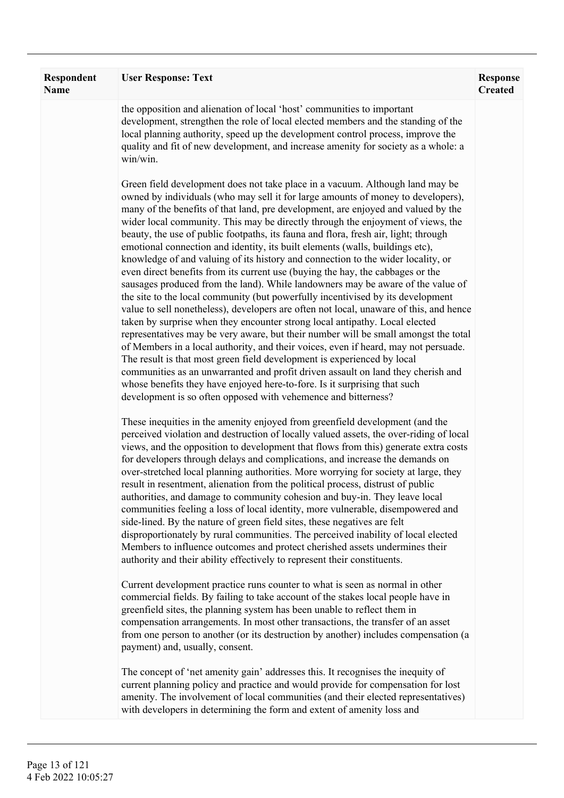| Respondent<br>Name | <b>User Response: Text</b>                                                                                                                                                                                                                                                                                                                                                                                                                                                                                                                                                                                                                                                                                                                                                                                                                                                                                                                                                                                                                                                                                                                                                                                                                                                                                                                                                                                                                                                                                                         | <b>Response</b><br><b>Created</b> |
|--------------------|------------------------------------------------------------------------------------------------------------------------------------------------------------------------------------------------------------------------------------------------------------------------------------------------------------------------------------------------------------------------------------------------------------------------------------------------------------------------------------------------------------------------------------------------------------------------------------------------------------------------------------------------------------------------------------------------------------------------------------------------------------------------------------------------------------------------------------------------------------------------------------------------------------------------------------------------------------------------------------------------------------------------------------------------------------------------------------------------------------------------------------------------------------------------------------------------------------------------------------------------------------------------------------------------------------------------------------------------------------------------------------------------------------------------------------------------------------------------------------------------------------------------------------|-----------------------------------|
|                    | the opposition and alienation of local 'host' communities to important<br>development, strengthen the role of local elected members and the standing of the<br>local planning authority, speed up the development control process, improve the<br>quality and fit of new development, and increase amenity for society as a whole: a<br>win/win.                                                                                                                                                                                                                                                                                                                                                                                                                                                                                                                                                                                                                                                                                                                                                                                                                                                                                                                                                                                                                                                                                                                                                                                   |                                   |
|                    | Green field development does not take place in a vacuum. Although land may be<br>owned by individuals (who may sell it for large amounts of money to developers),<br>many of the benefits of that land, pre development, are enjoyed and valued by the<br>wider local community. This may be directly through the enjoyment of views, the<br>beauty, the use of public footpaths, its fauna and flora, fresh air, light; through<br>emotional connection and identity, its built elements (walls, buildings etc),<br>knowledge of and valuing of its history and connection to the wider locality, or<br>even direct benefits from its current use (buying the hay, the cabbages or the<br>sausages produced from the land). While landowners may be aware of the value of<br>the site to the local community (but powerfully incentivised by its development<br>value to sell nonetheless), developers are often not local, unaware of this, and hence<br>taken by surprise when they encounter strong local antipathy. Local elected<br>representatives may be very aware, but their number will be small amongst the total<br>of Members in a local authority, and their voices, even if heard, may not persuade.<br>The result is that most green field development is experienced by local<br>communities as an unwarranted and profit driven assault on land they cherish and<br>whose benefits they have enjoyed here-to-fore. Is it surprising that such<br>development is so often opposed with vehemence and bitterness? |                                   |
|                    | These inequities in the amenity enjoyed from greenfield development (and the<br>perceived violation and destruction of locally valued assets, the over-riding of local<br>views, and the opposition to development that flows from this) generate extra costs<br>for developers through delays and complications, and increase the demands on<br>over-stretched local planning authorities. More worrying for society at large, they<br>result in resentment, alienation from the political process, distrust of public<br>authorities, and damage to community cohesion and buy-in. They leave local<br>communities feeling a loss of local identity, more vulnerable, disempowered and<br>side-lined. By the nature of green field sites, these negatives are felt<br>disproportionately by rural communities. The perceived inability of local elected<br>Members to influence outcomes and protect cherished assets undermines their<br>authority and their ability effectively to represent their constituents.                                                                                                                                                                                                                                                                                                                                                                                                                                                                                                               |                                   |
|                    | Current development practice runs counter to what is seen as normal in other<br>commercial fields. By failing to take account of the stakes local people have in<br>greenfield sites, the planning system has been unable to reflect them in<br>compensation arrangements. In most other transactions, the transfer of an asset<br>from one person to another (or its destruction by another) includes compensation (a<br>payment) and, usually, consent.                                                                                                                                                                                                                                                                                                                                                                                                                                                                                                                                                                                                                                                                                                                                                                                                                                                                                                                                                                                                                                                                          |                                   |
|                    | The concept of 'net amenity gain' addresses this. It recognises the inequity of<br>current planning policy and practice and would provide for compensation for lost<br>amenity. The involvement of local communities (and their elected representatives)<br>with developers in determining the form and extent of amenity loss and                                                                                                                                                                                                                                                                                                                                                                                                                                                                                                                                                                                                                                                                                                                                                                                                                                                                                                                                                                                                                                                                                                                                                                                                 |                                   |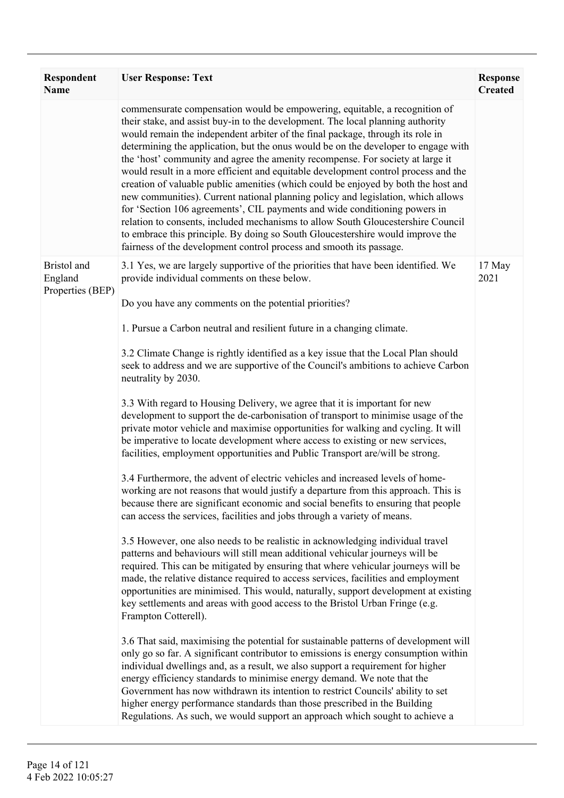| <b>Respondent</b><br><b>Name</b>           | <b>User Response: Text</b>                                                                                                                                                                                                                                                                                                                                                                                                                                                                                                                                                                                                                                                                                                                                                                                                                                                                                                                                                                                         | <b>Response</b><br><b>Created</b> |
|--------------------------------------------|--------------------------------------------------------------------------------------------------------------------------------------------------------------------------------------------------------------------------------------------------------------------------------------------------------------------------------------------------------------------------------------------------------------------------------------------------------------------------------------------------------------------------------------------------------------------------------------------------------------------------------------------------------------------------------------------------------------------------------------------------------------------------------------------------------------------------------------------------------------------------------------------------------------------------------------------------------------------------------------------------------------------|-----------------------------------|
|                                            | commensurate compensation would be empowering, equitable, a recognition of<br>their stake, and assist buy-in to the development. The local planning authority<br>would remain the independent arbiter of the final package, through its role in<br>determining the application, but the onus would be on the developer to engage with<br>the 'host' community and agree the amenity recompense. For society at large it<br>would result in a more efficient and equitable development control process and the<br>creation of valuable public amenities (which could be enjoyed by both the host and<br>new communities). Current national planning policy and legislation, which allows<br>for 'Section 106 agreements', CIL payments and wide conditioning powers in<br>relation to consents, included mechanisms to allow South Gloucestershire Council<br>to embrace this principle. By doing so South Gloucestershire would improve the<br>fairness of the development control process and smooth its passage. |                                   |
| Bristol and<br>England<br>Properties (BEP) | 3.1 Yes, we are largely supportive of the priorities that have been identified. We<br>provide individual comments on these below.<br>Do you have any comments on the potential priorities?                                                                                                                                                                                                                                                                                                                                                                                                                                                                                                                                                                                                                                                                                                                                                                                                                         | 17 May<br>2021                    |
|                                            | 1. Pursue a Carbon neutral and resilient future in a changing climate.                                                                                                                                                                                                                                                                                                                                                                                                                                                                                                                                                                                                                                                                                                                                                                                                                                                                                                                                             |                                   |
|                                            | 3.2 Climate Change is rightly identified as a key issue that the Local Plan should<br>seek to address and we are supportive of the Council's ambitions to achieve Carbon<br>neutrality by 2030.                                                                                                                                                                                                                                                                                                                                                                                                                                                                                                                                                                                                                                                                                                                                                                                                                    |                                   |
|                                            | 3.3 With regard to Housing Delivery, we agree that it is important for new<br>development to support the de-carbonisation of transport to minimise usage of the<br>private motor vehicle and maximise opportunities for walking and cycling. It will<br>be imperative to locate development where access to existing or new services,<br>facilities, employment opportunities and Public Transport are/will be strong.                                                                                                                                                                                                                                                                                                                                                                                                                                                                                                                                                                                             |                                   |
|                                            | 3.4 Furthermore, the advent of electric vehicles and increased levels of home-<br>working are not reasons that would justify a departure from this approach. This is<br>because there are significant economic and social benefits to ensuring that people<br>can access the services, facilities and jobs through a variety of means.                                                                                                                                                                                                                                                                                                                                                                                                                                                                                                                                                                                                                                                                             |                                   |
|                                            | 3.5 However, one also needs to be realistic in acknowledging individual travel<br>patterns and behaviours will still mean additional vehicular journeys will be<br>required. This can be mitigated by ensuring that where vehicular journeys will be<br>made, the relative distance required to access services, facilities and employment<br>opportunities are minimised. This would, naturally, support development at existing<br>key settlements and areas with good access to the Bristol Urban Fringe (e.g.<br>Frampton Cotterell).                                                                                                                                                                                                                                                                                                                                                                                                                                                                          |                                   |
|                                            | 3.6 That said, maximising the potential for sustainable patterns of development will<br>only go so far. A significant contributor to emissions is energy consumption within<br>individual dwellings and, as a result, we also support a requirement for higher<br>energy efficiency standards to minimise energy demand. We note that the<br>Government has now withdrawn its intention to restrict Councils' ability to set<br>higher energy performance standards than those prescribed in the Building<br>Regulations. As such, we would support an approach which sought to achieve a                                                                                                                                                                                                                                                                                                                                                                                                                          |                                   |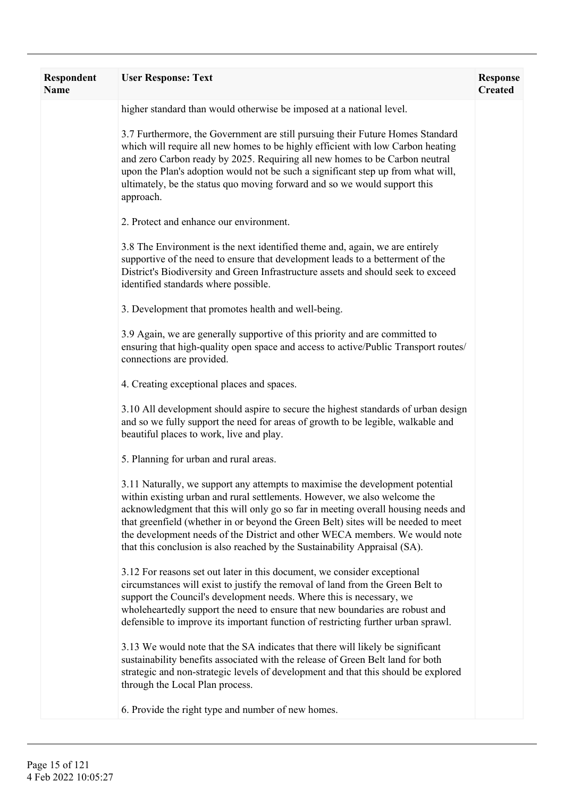| <b>Respondent</b><br><b>Name</b> | <b>User Response: Text</b>                                                                                                                                                                                                                                                                                                                                                                                                                                                                         | <b>Response</b><br><b>Created</b> |
|----------------------------------|----------------------------------------------------------------------------------------------------------------------------------------------------------------------------------------------------------------------------------------------------------------------------------------------------------------------------------------------------------------------------------------------------------------------------------------------------------------------------------------------------|-----------------------------------|
|                                  | higher standard than would otherwise be imposed at a national level.                                                                                                                                                                                                                                                                                                                                                                                                                               |                                   |
|                                  | 3.7 Furthermore, the Government are still pursuing their Future Homes Standard<br>which will require all new homes to be highly efficient with low Carbon heating<br>and zero Carbon ready by 2025. Requiring all new homes to be Carbon neutral<br>upon the Plan's adoption would not be such a significant step up from what will,<br>ultimately, be the status quo moving forward and so we would support this<br>approach.                                                                     |                                   |
|                                  | 2. Protect and enhance our environment.                                                                                                                                                                                                                                                                                                                                                                                                                                                            |                                   |
|                                  | 3.8 The Environment is the next identified theme and, again, we are entirely<br>supportive of the need to ensure that development leads to a betterment of the<br>District's Biodiversity and Green Infrastructure assets and should seek to exceed<br>identified standards where possible.                                                                                                                                                                                                        |                                   |
|                                  | 3. Development that promotes health and well-being.                                                                                                                                                                                                                                                                                                                                                                                                                                                |                                   |
|                                  | 3.9 Again, we are generally supportive of this priority and are committed to<br>ensuring that high-quality open space and access to active/Public Transport routes/<br>connections are provided.                                                                                                                                                                                                                                                                                                   |                                   |
|                                  | 4. Creating exceptional places and spaces.                                                                                                                                                                                                                                                                                                                                                                                                                                                         |                                   |
|                                  | 3.10 All development should aspire to secure the highest standards of urban design<br>and so we fully support the need for areas of growth to be legible, walkable and<br>beautiful places to work, live and play.                                                                                                                                                                                                                                                                                 |                                   |
|                                  | 5. Planning for urban and rural areas.                                                                                                                                                                                                                                                                                                                                                                                                                                                             |                                   |
|                                  | 3.11 Naturally, we support any attempts to maximise the development potential<br>within existing urban and rural settlements. However, we also welcome the<br>acknowledgment that this will only go so far in meeting overall housing needs and<br>that greenfield (whether in or beyond the Green Belt) sites will be needed to meet<br>the development needs of the District and other WECA members. We would note<br>that this conclusion is also reached by the Sustainability Appraisal (SA). |                                   |
|                                  | 3.12 For reasons set out later in this document, we consider exceptional<br>circumstances will exist to justify the removal of land from the Green Belt to<br>support the Council's development needs. Where this is necessary, we<br>wholeheartedly support the need to ensure that new boundaries are robust and<br>defensible to improve its important function of restricting further urban sprawl.                                                                                            |                                   |
|                                  | 3.13 We would note that the SA indicates that there will likely be significant<br>sustainability benefits associated with the release of Green Belt land for both<br>strategic and non-strategic levels of development and that this should be explored<br>through the Local Plan process.                                                                                                                                                                                                         |                                   |
|                                  | 6. Provide the right type and number of new homes.                                                                                                                                                                                                                                                                                                                                                                                                                                                 |                                   |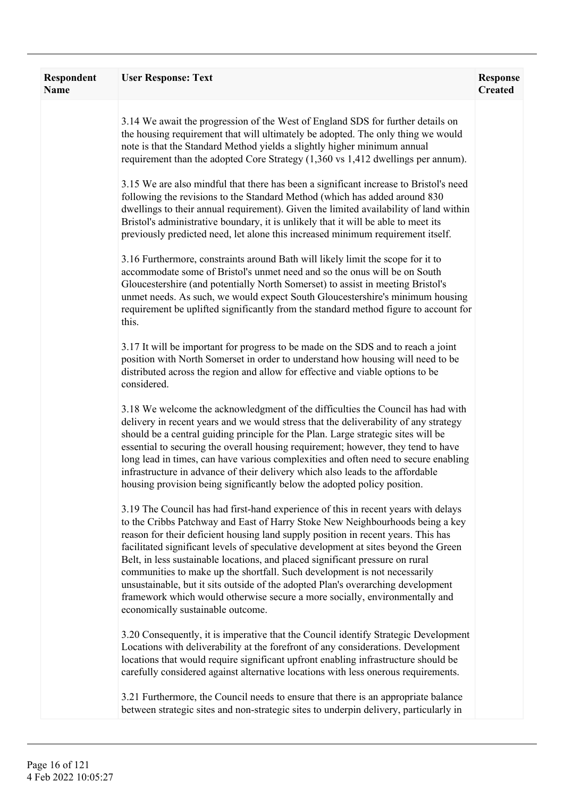| Respondent<br><b>Name</b> | <b>User Response: Text</b>                                                                                                                                                                                                                                                                                                                                                                                                                                                                                                                                                                                                                                                                                            | <b>Response</b><br><b>Created</b> |
|---------------------------|-----------------------------------------------------------------------------------------------------------------------------------------------------------------------------------------------------------------------------------------------------------------------------------------------------------------------------------------------------------------------------------------------------------------------------------------------------------------------------------------------------------------------------------------------------------------------------------------------------------------------------------------------------------------------------------------------------------------------|-----------------------------------|
|                           | 3.14 We await the progression of the West of England SDS for further details on<br>the housing requirement that will ultimately be adopted. The only thing we would<br>note is that the Standard Method yields a slightly higher minimum annual<br>requirement than the adopted Core Strategy (1,360 vs 1,412 dwellings per annum).                                                                                                                                                                                                                                                                                                                                                                                   |                                   |
|                           | 3.15 We are also mindful that there has been a significant increase to Bristol's need<br>following the revisions to the Standard Method (which has added around 830<br>dwellings to their annual requirement). Given the limited availability of land within<br>Bristol's administrative boundary, it is unlikely that it will be able to meet its<br>previously predicted need, let alone this increased minimum requirement itself.                                                                                                                                                                                                                                                                                 |                                   |
|                           | 3.16 Furthermore, constraints around Bath will likely limit the scope for it to<br>accommodate some of Bristol's unmet need and so the onus will be on South<br>Gloucestershire (and potentially North Somerset) to assist in meeting Bristol's<br>unmet needs. As such, we would expect South Gloucestershire's minimum housing<br>requirement be uplifted significantly from the standard method figure to account for<br>this.                                                                                                                                                                                                                                                                                     |                                   |
|                           | 3.17 It will be important for progress to be made on the SDS and to reach a joint<br>position with North Somerset in order to understand how housing will need to be<br>distributed across the region and allow for effective and viable options to be<br>considered.                                                                                                                                                                                                                                                                                                                                                                                                                                                 |                                   |
|                           | 3.18 We welcome the acknowledgment of the difficulties the Council has had with<br>delivery in recent years and we would stress that the deliverability of any strategy<br>should be a central guiding principle for the Plan. Large strategic sites will be<br>essential to securing the overall housing requirement; however, they tend to have<br>long lead in times, can have various complexities and often need to secure enabling<br>infrastructure in advance of their delivery which also leads to the affordable<br>housing provision being significantly below the adopted policy position.                                                                                                                |                                   |
|                           | 3.19 The Council has had first-hand experience of this in recent years with delays<br>to the Cribbs Patchway and East of Harry Stoke New Neighbourhoods being a key<br>reason for their deficient housing land supply position in recent years. This has<br>facilitated significant levels of speculative development at sites beyond the Green<br>Belt, in less sustainable locations, and placed significant pressure on rural<br>communities to make up the shortfall. Such development is not necessarily<br>unsustainable, but it sits outside of the adopted Plan's overarching development<br>framework which would otherwise secure a more socially, environmentally and<br>economically sustainable outcome. |                                   |
|                           | 3.20 Consequently, it is imperative that the Council identify Strategic Development<br>Locations with deliverability at the forefront of any considerations. Development<br>locations that would require significant upfront enabling infrastructure should be<br>carefully considered against alternative locations with less onerous requirements.                                                                                                                                                                                                                                                                                                                                                                  |                                   |
|                           | 3.21 Furthermore, the Council needs to ensure that there is an appropriate balance<br>between strategic sites and non-strategic sites to underpin delivery, particularly in                                                                                                                                                                                                                                                                                                                                                                                                                                                                                                                                           |                                   |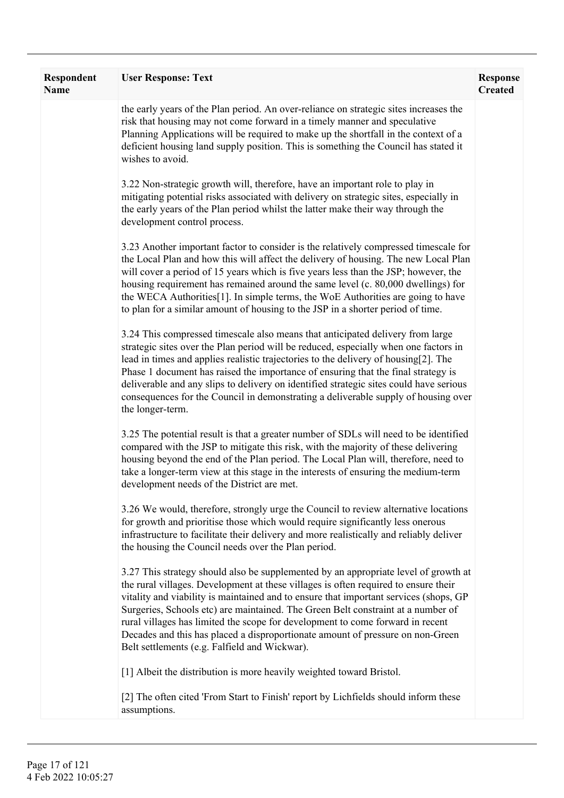| <b>Respondent</b><br>Name | <b>User Response: Text</b>                                                                                                                                                                                                                                                                                                                                                                                                                                                                                                                                                   | <b>Response</b><br><b>Created</b> |
|---------------------------|------------------------------------------------------------------------------------------------------------------------------------------------------------------------------------------------------------------------------------------------------------------------------------------------------------------------------------------------------------------------------------------------------------------------------------------------------------------------------------------------------------------------------------------------------------------------------|-----------------------------------|
|                           | the early years of the Plan period. An over-reliance on strategic sites increases the<br>risk that housing may not come forward in a timely manner and speculative<br>Planning Applications will be required to make up the shortfall in the context of a<br>deficient housing land supply position. This is something the Council has stated it<br>wishes to avoid.                                                                                                                                                                                                         |                                   |
|                           | 3.22 Non-strategic growth will, therefore, have an important role to play in<br>mitigating potential risks associated with delivery on strategic sites, especially in<br>the early years of the Plan period whilst the latter make their way through the<br>development control process.                                                                                                                                                                                                                                                                                     |                                   |
|                           | 3.23 Another important factor to consider is the relatively compressed timescale for<br>the Local Plan and how this will affect the delivery of housing. The new Local Plan<br>will cover a period of 15 years which is five years less than the JSP; however, the<br>housing requirement has remained around the same level (c. 80,000 dwellings) for<br>the WECA Authorities <sup>[1]</sup> . In simple terms, the WoE Authorities are going to have<br>to plan for a similar amount of housing to the JSP in a shorter period of time.                                    |                                   |
|                           | 3.24 This compressed timescale also means that anticipated delivery from large<br>strategic sites over the Plan period will be reduced, especially when one factors in<br>lead in times and applies realistic trajectories to the delivery of housing[2]. The<br>Phase 1 document has raised the importance of ensuring that the final strategy is<br>deliverable and any slips to delivery on identified strategic sites could have serious<br>consequences for the Council in demonstrating a deliverable supply of housing over<br>the longer-term.                       |                                   |
|                           | 3.25 The potential result is that a greater number of SDLs will need to be identified<br>compared with the JSP to mitigate this risk, with the majority of these delivering<br>housing beyond the end of the Plan period. The Local Plan will, therefore, need to<br>take a longer-term view at this stage in the interests of ensuring the medium-term<br>development needs of the District are met.                                                                                                                                                                        |                                   |
|                           | 3.26 We would, therefore, strongly urge the Council to review alternative locations<br>for growth and prioritise those which would require significantly less onerous<br>infrastructure to facilitate their delivery and more realistically and reliably deliver<br>the housing the Council needs over the Plan period.                                                                                                                                                                                                                                                      |                                   |
|                           | 3.27 This strategy should also be supplemented by an appropriate level of growth at<br>the rural villages. Development at these villages is often required to ensure their<br>vitality and viability is maintained and to ensure that important services (shops, GP<br>Surgeries, Schools etc) are maintained. The Green Belt constraint at a number of<br>rural villages has limited the scope for development to come forward in recent<br>Decades and this has placed a disproportionate amount of pressure on non-Green<br>Belt settlements (e.g. Falfield and Wickwar). |                                   |
|                           | [1] Albeit the distribution is more heavily weighted toward Bristol.                                                                                                                                                                                                                                                                                                                                                                                                                                                                                                         |                                   |
|                           | [2] The often cited 'From Start to Finish' report by Lichfields should inform these<br>assumptions.                                                                                                                                                                                                                                                                                                                                                                                                                                                                          |                                   |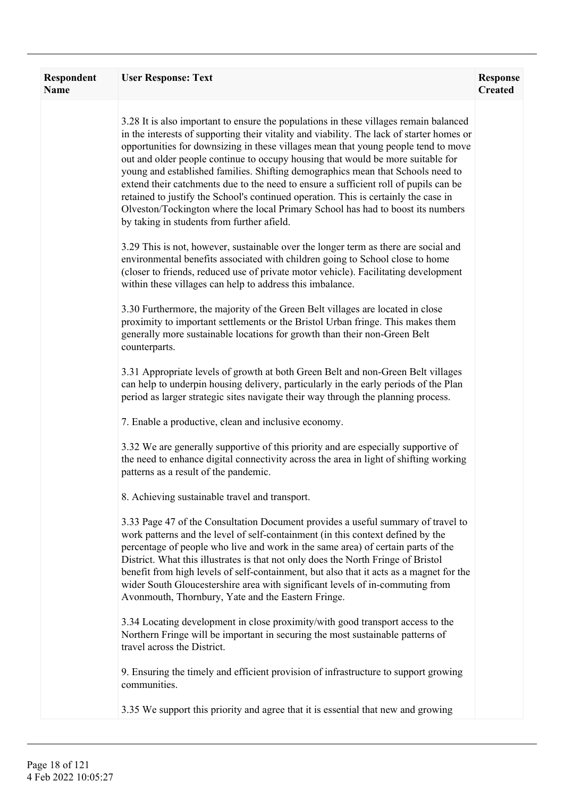| <b>Respondent</b><br>Name | <b>User Response: Text</b>                                                                                                                                                                                                                                                                                                                                                                                                                                                                                                                                                                                                                                                                                                                                     | <b>Response</b><br><b>Created</b> |
|---------------------------|----------------------------------------------------------------------------------------------------------------------------------------------------------------------------------------------------------------------------------------------------------------------------------------------------------------------------------------------------------------------------------------------------------------------------------------------------------------------------------------------------------------------------------------------------------------------------------------------------------------------------------------------------------------------------------------------------------------------------------------------------------------|-----------------------------------|
|                           | 3.28 It is also important to ensure the populations in these villages remain balanced<br>in the interests of supporting their vitality and viability. The lack of starter homes or<br>opportunities for downsizing in these villages mean that young people tend to move<br>out and older people continue to occupy housing that would be more suitable for<br>young and established families. Shifting demographics mean that Schools need to<br>extend their catchments due to the need to ensure a sufficient roll of pupils can be<br>retained to justify the School's continued operation. This is certainly the case in<br>Olveston/Tockington where the local Primary School has had to boost its numbers<br>by taking in students from further afield. |                                   |
|                           | 3.29 This is not, however, sustainable over the longer term as there are social and<br>environmental benefits associated with children going to School close to home<br>(closer to friends, reduced use of private motor vehicle). Facilitating development<br>within these villages can help to address this imbalance.                                                                                                                                                                                                                                                                                                                                                                                                                                       |                                   |
|                           | 3.30 Furthermore, the majority of the Green Belt villages are located in close<br>proximity to important settlements or the Bristol Urban fringe. This makes them<br>generally more sustainable locations for growth than their non-Green Belt<br>counterparts.                                                                                                                                                                                                                                                                                                                                                                                                                                                                                                |                                   |
|                           | 3.31 Appropriate levels of growth at both Green Belt and non-Green Belt villages<br>can help to underpin housing delivery, particularly in the early periods of the Plan<br>period as larger strategic sites navigate their way through the planning process.                                                                                                                                                                                                                                                                                                                                                                                                                                                                                                  |                                   |
|                           | 7. Enable a productive, clean and inclusive economy.                                                                                                                                                                                                                                                                                                                                                                                                                                                                                                                                                                                                                                                                                                           |                                   |
|                           | 3.32 We are generally supportive of this priority and are especially supportive of<br>the need to enhance digital connectivity across the area in light of shifting working<br>patterns as a result of the pandemic.                                                                                                                                                                                                                                                                                                                                                                                                                                                                                                                                           |                                   |
|                           | 8. Achieving sustainable travel and transport.                                                                                                                                                                                                                                                                                                                                                                                                                                                                                                                                                                                                                                                                                                                 |                                   |
|                           | 3.33 Page 47 of the Consultation Document provides a useful summary of travel to<br>work patterns and the level of self-containment (in this context defined by the<br>percentage of people who live and work in the same area) of certain parts of the<br>District. What this illustrates is that not only does the North Fringe of Bristol<br>benefit from high levels of self-containment, but also that it acts as a magnet for the<br>wider South Gloucestershire area with significant levels of in-commuting from<br>Avonmouth, Thornbury, Yate and the Eastern Fringe.                                                                                                                                                                                 |                                   |
|                           | 3.34 Locating development in close proximity/with good transport access to the<br>Northern Fringe will be important in securing the most sustainable patterns of<br>travel across the District.                                                                                                                                                                                                                                                                                                                                                                                                                                                                                                                                                                |                                   |
|                           | 9. Ensuring the timely and efficient provision of infrastructure to support growing<br>communities.                                                                                                                                                                                                                                                                                                                                                                                                                                                                                                                                                                                                                                                            |                                   |
|                           | 3.35 We support this priority and agree that it is essential that new and growing                                                                                                                                                                                                                                                                                                                                                                                                                                                                                                                                                                                                                                                                              |                                   |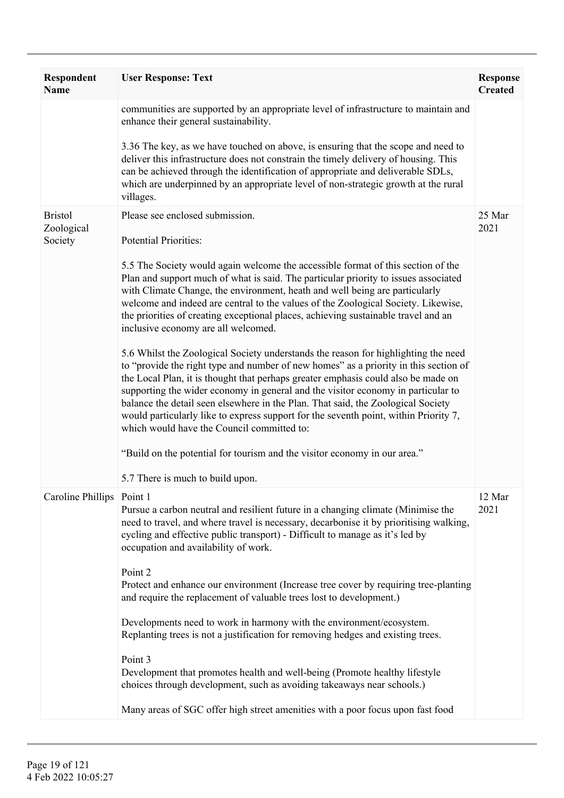| <b>Respondent</b><br><b>Name</b> | <b>User Response: Text</b>                                                                                                                                                                                                                                                                                                                                                                                                                                                                                                                                                    | <b>Response</b><br><b>Created</b> |
|----------------------------------|-------------------------------------------------------------------------------------------------------------------------------------------------------------------------------------------------------------------------------------------------------------------------------------------------------------------------------------------------------------------------------------------------------------------------------------------------------------------------------------------------------------------------------------------------------------------------------|-----------------------------------|
|                                  | communities are supported by an appropriate level of infrastructure to maintain and<br>enhance their general sustainability.                                                                                                                                                                                                                                                                                                                                                                                                                                                  |                                   |
|                                  | 3.36 The key, as we have touched on above, is ensuring that the scope and need to<br>deliver this infrastructure does not constrain the timely delivery of housing. This<br>can be achieved through the identification of appropriate and deliverable SDLs,<br>which are underpinned by an appropriate level of non-strategic growth at the rural<br>villages.                                                                                                                                                                                                                |                                   |
| <b>Bristol</b><br>Zoological     | Please see enclosed submission.                                                                                                                                                                                                                                                                                                                                                                                                                                                                                                                                               | 25 Mar<br>2021                    |
| Society                          | <b>Potential Priorities:</b>                                                                                                                                                                                                                                                                                                                                                                                                                                                                                                                                                  |                                   |
|                                  | 5.5 The Society would again welcome the accessible format of this section of the<br>Plan and support much of what is said. The particular priority to issues associated<br>with Climate Change, the environment, heath and well being are particularly<br>welcome and indeed are central to the values of the Zoological Society. Likewise,<br>the priorities of creating exceptional places, achieving sustainable travel and an<br>inclusive economy are all welcomed.                                                                                                      |                                   |
|                                  | 5.6 Whilst the Zoological Society understands the reason for highlighting the need<br>to "provide the right type and number of new homes" as a priority in this section of<br>the Local Plan, it is thought that perhaps greater emphasis could also be made on<br>supporting the wider economy in general and the visitor economy in particular to<br>balance the detail seen elsewhere in the Plan. That said, the Zoological Society<br>would particularly like to express support for the seventh point, within Priority 7,<br>which would have the Council committed to: |                                   |
|                                  | "Build on the potential for tourism and the visitor economy in our area."                                                                                                                                                                                                                                                                                                                                                                                                                                                                                                     |                                   |
|                                  | 5.7 There is much to build upon.                                                                                                                                                                                                                                                                                                                                                                                                                                                                                                                                              |                                   |
| Caroline Phillips   Point 1      | Pursue a carbon neutral and resilient future in a changing climate (Minimise the<br>need to travel, and where travel is necessary, decarbonise it by prioritising walking,<br>cycling and effective public transport) - Difficult to manage as it's led by<br>occupation and availability of work.                                                                                                                                                                                                                                                                            | 12 Mar<br>2021                    |
|                                  | Point 2<br>Protect and enhance our environment (Increase tree cover by requiring tree-planting<br>and require the replacement of valuable trees lost to development.)                                                                                                                                                                                                                                                                                                                                                                                                         |                                   |
|                                  | Developments need to work in harmony with the environment/ecosystem.<br>Replanting trees is not a justification for removing hedges and existing trees.                                                                                                                                                                                                                                                                                                                                                                                                                       |                                   |
|                                  | Point 3<br>Development that promotes health and well-being (Promote healthy lifestyle<br>choices through development, such as avoiding takeaways near schools.)                                                                                                                                                                                                                                                                                                                                                                                                               |                                   |
|                                  | Many areas of SGC offer high street amenities with a poor focus upon fast food                                                                                                                                                                                                                                                                                                                                                                                                                                                                                                |                                   |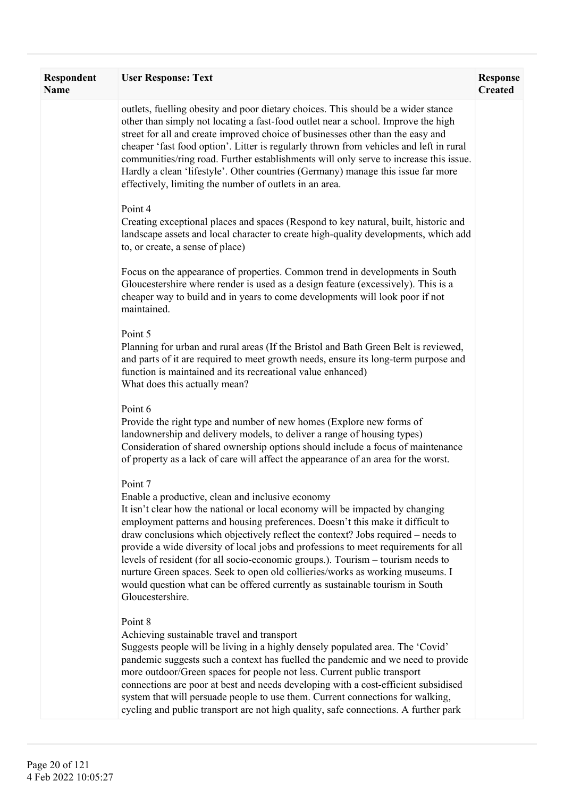| Respondent<br><b>Name</b> | <b>User Response: Text</b>                                                                                                                                                                                                                                                                                                                                                                                                                                                                                                                                                                                                                                                        | <b>Response</b><br><b>Created</b> |
|---------------------------|-----------------------------------------------------------------------------------------------------------------------------------------------------------------------------------------------------------------------------------------------------------------------------------------------------------------------------------------------------------------------------------------------------------------------------------------------------------------------------------------------------------------------------------------------------------------------------------------------------------------------------------------------------------------------------------|-----------------------------------|
|                           | outlets, fuelling obesity and poor dietary choices. This should be a wider stance<br>other than simply not locating a fast-food outlet near a school. Improve the high<br>street for all and create improved choice of businesses other than the easy and<br>cheaper 'fast food option'. Litter is regularly thrown from vehicles and left in rural<br>communities/ring road. Further establishments will only serve to increase this issue.<br>Hardly a clean 'lifestyle'. Other countries (Germany) manage this issue far more<br>effectively, limiting the number of outlets in an area.                                                                                       |                                   |
|                           | Point 4<br>Creating exceptional places and spaces (Respond to key natural, built, historic and<br>landscape assets and local character to create high-quality developments, which add<br>to, or create, a sense of place)                                                                                                                                                                                                                                                                                                                                                                                                                                                         |                                   |
|                           | Focus on the appearance of properties. Common trend in developments in South<br>Gloucestershire where render is used as a design feature (excessively). This is a<br>cheaper way to build and in years to come developments will look poor if not<br>maintained.                                                                                                                                                                                                                                                                                                                                                                                                                  |                                   |
|                           | Point 5<br>Planning for urban and rural areas (If the Bristol and Bath Green Belt is reviewed,<br>and parts of it are required to meet growth needs, ensure its long-term purpose and<br>function is maintained and its recreational value enhanced)<br>What does this actually mean?                                                                                                                                                                                                                                                                                                                                                                                             |                                   |
|                           | Point 6<br>Provide the right type and number of new homes (Explore new forms of<br>landownership and delivery models, to deliver a range of housing types)<br>Consideration of shared ownership options should include a focus of maintenance<br>of property as a lack of care will affect the appearance of an area for the worst.                                                                                                                                                                                                                                                                                                                                               |                                   |
|                           | Point 7<br>Enable a productive, clean and inclusive economy<br>It isn't clear how the national or local economy will be impacted by changing<br>employment patterns and housing preferences. Doesn't this make it difficult to<br>draw conclusions which objectively reflect the context? Jobs required – needs to<br>provide a wide diversity of local jobs and professions to meet requirements for all<br>levels of resident (for all socio-economic groups.). Tourism - tourism needs to<br>nurture Green spaces. Seek to open old collieries/works as working museums. I<br>would question what can be offered currently as sustainable tourism in South<br>Gloucestershire. |                                   |
|                           | Point 8<br>Achieving sustainable travel and transport<br>Suggests people will be living in a highly densely populated area. The 'Covid'<br>pandemic suggests such a context has fuelled the pandemic and we need to provide<br>more outdoor/Green spaces for people not less. Current public transport<br>connections are poor at best and needs developing with a cost-efficient subsidised<br>system that will persuade people to use them. Current connections for walking,<br>cycling and public transport are not high quality, safe connections. A further park                                                                                                             |                                   |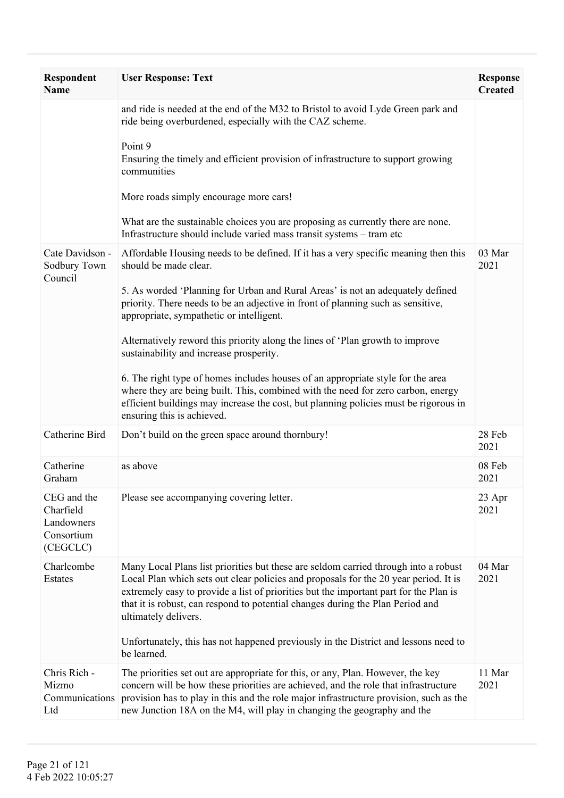| <b>Respondent</b><br><b>Name</b>                                 | <b>User Response: Text</b>                                                                                                                                                                                                                                                                                                                                                                                                                                                                                                                                                                                                                                                                                                                              | <b>Response</b><br><b>Created</b> |
|------------------------------------------------------------------|---------------------------------------------------------------------------------------------------------------------------------------------------------------------------------------------------------------------------------------------------------------------------------------------------------------------------------------------------------------------------------------------------------------------------------------------------------------------------------------------------------------------------------------------------------------------------------------------------------------------------------------------------------------------------------------------------------------------------------------------------------|-----------------------------------|
|                                                                  | and ride is needed at the end of the M32 to Bristol to avoid Lyde Green park and<br>ride being overburdened, especially with the CAZ scheme.<br>Point 9<br>Ensuring the timely and efficient provision of infrastructure to support growing<br>communities<br>More roads simply encourage more cars!<br>What are the sustainable choices you are proposing as currently there are none.<br>Infrastructure should include varied mass transit systems – tram etc                                                                                                                                                                                                                                                                                         |                                   |
| Cate Davidson -<br>Sodbury Town<br>Council                       | Affordable Housing needs to be defined. If it has a very specific meaning then this<br>should be made clear.<br>5. As worded 'Planning for Urban and Rural Areas' is not an adequately defined<br>priority. There needs to be an adjective in front of planning such as sensitive,<br>appropriate, sympathetic or intelligent.<br>Alternatively reword this priority along the lines of 'Plan growth to improve<br>sustainability and increase prosperity.<br>6. The right type of homes includes houses of an appropriate style for the area<br>where they are being built. This, combined with the need for zero carbon, energy<br>efficient buildings may increase the cost, but planning policies must be rigorous in<br>ensuring this is achieved. | 03 Mar<br>2021                    |
| Catherine Bird                                                   | Don't build on the green space around thornbury!                                                                                                                                                                                                                                                                                                                                                                                                                                                                                                                                                                                                                                                                                                        | 28 Feb<br>2021                    |
| Catherine<br>Graham                                              | as above                                                                                                                                                                                                                                                                                                                                                                                                                                                                                                                                                                                                                                                                                                                                                | 08 Feb<br>2021                    |
| CEG and the<br>Charfield<br>Landowners<br>Consortium<br>(CEGCLC) | Please see accompanying covering letter.                                                                                                                                                                                                                                                                                                                                                                                                                                                                                                                                                                                                                                                                                                                | 23 Apr<br>2021                    |
| Charlcombe<br>Estates                                            | Many Local Plans list priorities but these are seldom carried through into a robust<br>Local Plan which sets out clear policies and proposals for the 20 year period. It is<br>extremely easy to provide a list of priorities but the important part for the Plan is<br>that it is robust, can respond to potential changes during the Plan Period and<br>ultimately delivers.<br>Unfortunately, this has not happened previously in the District and lessons need to<br>be learned.                                                                                                                                                                                                                                                                    | 04 Mar<br>2021                    |
| Chris Rich -<br>Mizmo<br>Communications<br>Ltd                   | The priorities set out are appropriate for this, or any, Plan. However, the key<br>concern will be how these priorities are achieved, and the role that infrastructure<br>provision has to play in this and the role major infrastructure provision, such as the<br>new Junction 18A on the M4, will play in changing the geography and the                                                                                                                                                                                                                                                                                                                                                                                                             | 11 Mar<br>2021                    |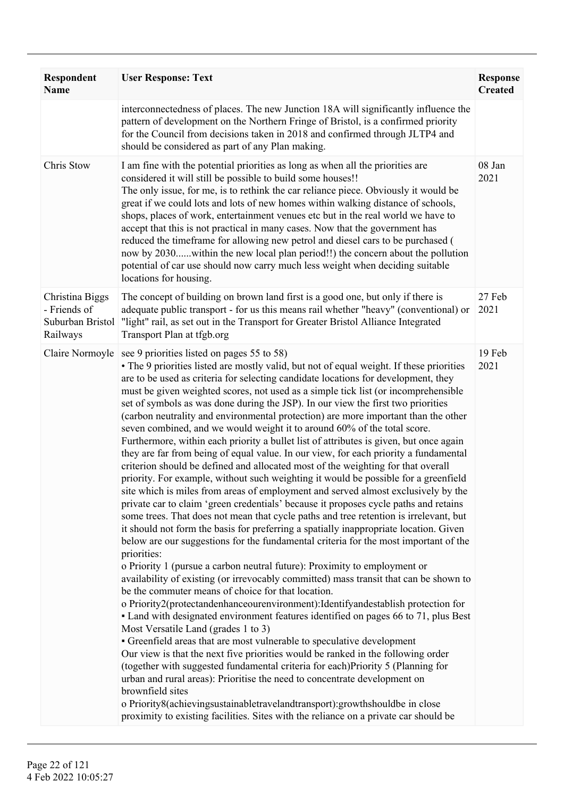| <b>Respondent</b><br><b>Name</b>                                | <b>User Response: Text</b>                                                                                                                                                                                                                                                                                                                                                                                                                                                                                                                                                                                                                                                                                                                                                                                                                                                                                                                                                                                                                                                                                                                                                                                                                                                                                                                                                                                                                                                                                                                                                                                                                                                                                                                                                                                                                                                                                                                                                                                                                                                                                                                                                                                                                                                                                                                                                         | <b>Response</b><br><b>Created</b> |
|-----------------------------------------------------------------|------------------------------------------------------------------------------------------------------------------------------------------------------------------------------------------------------------------------------------------------------------------------------------------------------------------------------------------------------------------------------------------------------------------------------------------------------------------------------------------------------------------------------------------------------------------------------------------------------------------------------------------------------------------------------------------------------------------------------------------------------------------------------------------------------------------------------------------------------------------------------------------------------------------------------------------------------------------------------------------------------------------------------------------------------------------------------------------------------------------------------------------------------------------------------------------------------------------------------------------------------------------------------------------------------------------------------------------------------------------------------------------------------------------------------------------------------------------------------------------------------------------------------------------------------------------------------------------------------------------------------------------------------------------------------------------------------------------------------------------------------------------------------------------------------------------------------------------------------------------------------------------------------------------------------------------------------------------------------------------------------------------------------------------------------------------------------------------------------------------------------------------------------------------------------------------------------------------------------------------------------------------------------------------------------------------------------------------------------------------------------------|-----------------------------------|
|                                                                 | interconnectedness of places. The new Junction 18A will significantly influence the<br>pattern of development on the Northern Fringe of Bristol, is a confirmed priority<br>for the Council from decisions taken in 2018 and confirmed through JLTP4 and<br>should be considered as part of any Plan making.                                                                                                                                                                                                                                                                                                                                                                                                                                                                                                                                                                                                                                                                                                                                                                                                                                                                                                                                                                                                                                                                                                                                                                                                                                                                                                                                                                                                                                                                                                                                                                                                                                                                                                                                                                                                                                                                                                                                                                                                                                                                       |                                   |
| Chris Stow                                                      | I am fine with the potential priorities as long as when all the priorities are<br>considered it will still be possible to build some houses!!<br>The only issue, for me, is to rethink the car reliance piece. Obviously it would be<br>great if we could lots and lots of new homes within walking distance of schools,<br>shops, places of work, entertainment venues etc but in the real world we have to<br>accept that this is not practical in many cases. Now that the government has<br>reduced the timeframe for allowing new petrol and diesel cars to be purchased (<br>now by 2030within the new local plan period!!) the concern about the pollution<br>potential of car use should now carry much less weight when deciding suitable<br>locations for housing.                                                                                                                                                                                                                                                                                                                                                                                                                                                                                                                                                                                                                                                                                                                                                                                                                                                                                                                                                                                                                                                                                                                                                                                                                                                                                                                                                                                                                                                                                                                                                                                                       | 08 Jan<br>2021                    |
| Christina Biggs<br>- Friends of<br>Suburban Bristol<br>Railways | The concept of building on brown land first is a good one, but only if there is<br>adequate public transport - for us this means rail whether "heavy" (conventional) or<br>"light" rail, as set out in the Transport for Greater Bristol Alliance Integrated<br>Transport Plan at tfgb.org                                                                                                                                                                                                                                                                                                                                                                                                                                                                                                                                                                                                                                                                                                                                                                                                                                                                                                                                                                                                                                                                                                                                                                                                                                                                                                                                                                                                                                                                                                                                                                                                                                                                                                                                                                                                                                                                                                                                                                                                                                                                                         | 27 Feb<br>2021                    |
| Claire Normoyle                                                 | see 9 priorities listed on pages 55 to 58)<br>• The 9 priorities listed are mostly valid, but not of equal weight. If these priorities<br>are to be used as criteria for selecting candidate locations for development, they<br>must be given weighted scores, not used as a simple tick list (or incomprehensible<br>set of symbols as was done during the JSP). In our view the first two priorities<br>(carbon neutrality and environmental protection) are more important than the other<br>seven combined, and we would weight it to around 60% of the total score.<br>Furthermore, within each priority a bullet list of attributes is given, but once again<br>they are far from being of equal value. In our view, for each priority a fundamental<br>criterion should be defined and allocated most of the weighting for that overall<br>priority. For example, without such weighting it would be possible for a greenfield<br>site which is miles from areas of employment and served almost exclusively by the<br>private car to claim 'green credentials' because it proposes cycle paths and retains<br>some trees. That does not mean that cycle paths and tree retention is irrelevant, but<br>it should not form the basis for preferring a spatially inappropriate location. Given<br>below are our suggestions for the fundamental criteria for the most important of the<br>priorities:<br>o Priority 1 (pursue a carbon neutral future): Proximity to employment or<br>availability of existing (or irrevocably committed) mass transit that can be shown to<br>be the commuter means of choice for that location.<br>o Priority2(protectandenhanceourenvironment):Identifyandestablish protection for<br>• Land with designated environment features identified on pages 66 to 71, plus Best<br>Most Versatile Land (grades 1 to 3)<br>• Greenfield areas that are most vulnerable to speculative development<br>Our view is that the next five priorities would be ranked in the following order<br>(together with suggested fundamental criteria for each)Priority 5 (Planning for<br>urban and rural areas): Prioritise the need to concentrate development on<br>brownfield sites<br>o Priority8(achievingsustainabletravelandtransport):growthshouldbe in close<br>proximity to existing facilities. Sites with the reliance on a private car should be | 19 Feb<br>2021                    |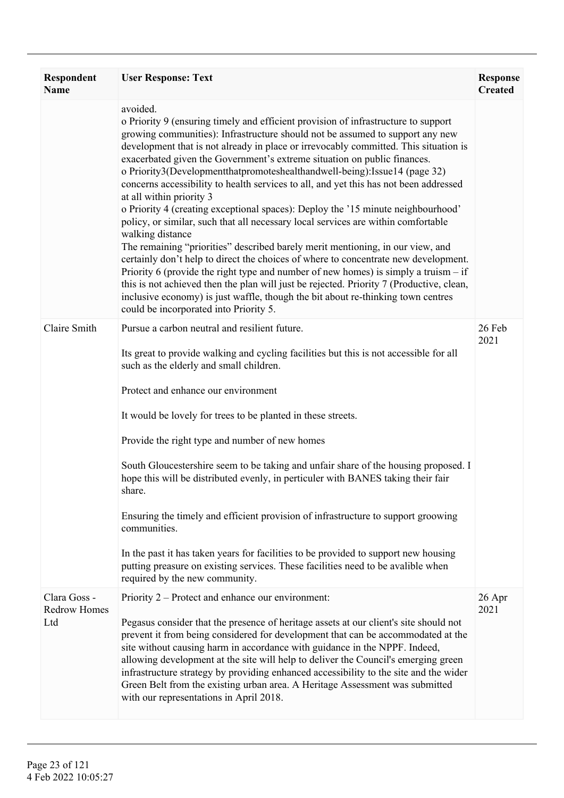| <b>Respondent</b><br><b>Name</b>           | <b>User Response: Text</b>                                                                                                                                                                                                                                                                                                                                                                                                                                                                                                                                                                                                                                                                                                                                                                                                                                                                                                                                                                                                                                                                                                                                                                                                                     | <b>Response</b><br><b>Created</b> |
|--------------------------------------------|------------------------------------------------------------------------------------------------------------------------------------------------------------------------------------------------------------------------------------------------------------------------------------------------------------------------------------------------------------------------------------------------------------------------------------------------------------------------------------------------------------------------------------------------------------------------------------------------------------------------------------------------------------------------------------------------------------------------------------------------------------------------------------------------------------------------------------------------------------------------------------------------------------------------------------------------------------------------------------------------------------------------------------------------------------------------------------------------------------------------------------------------------------------------------------------------------------------------------------------------|-----------------------------------|
|                                            | avoided.<br>o Priority 9 (ensuring timely and efficient provision of infrastructure to support<br>growing communities): Infrastructure should not be assumed to support any new<br>development that is not already in place or irrevocably committed. This situation is<br>exacerbated given the Government's extreme situation on public finances.<br>o Priority3(Developmentthatpromoteshealthandwell-being):Issue14 (page 32)<br>concerns accessibility to health services to all, and yet this has not been addressed<br>at all within priority 3<br>o Priority 4 (creating exceptional spaces): Deploy the '15 minute neighbourhood'<br>policy, or similar, such that all necessary local services are within comfortable<br>walking distance<br>The remaining "priorities" described barely merit mentioning, in our view, and<br>certainly don't help to direct the choices of where to concentrate new development.<br>Priority 6 (provide the right type and number of new homes) is simply a truism $-$ if<br>this is not achieved then the plan will just be rejected. Priority 7 (Productive, clean,<br>inclusive economy) is just waffle, though the bit about re-thinking town centres<br>could be incorporated into Priority 5. |                                   |
| Claire Smith                               | Pursue a carbon neutral and resilient future.<br>Its great to provide walking and cycling facilities but this is not accessible for all<br>such as the elderly and small children.<br>Protect and enhance our environment<br>It would be lovely for trees to be planted in these streets.<br>Provide the right type and number of new homes<br>South Gloucestershire seem to be taking and unfair share of the housing proposed. I<br>hope this will be distributed evenly, in perticuler with BANES taking their fair<br>share.<br>Ensuring the timely and efficient provision of infrastructure to support groowing<br>communities.<br>In the past it has taken years for facilities to be provided to support new housing<br>putting preasure on existing services. These facilities need to be avalible when<br>required by the new community.                                                                                                                                                                                                                                                                                                                                                                                             | 26 Feb<br>2021                    |
| Clara Goss -<br><b>Redrow Homes</b><br>Ltd | Priority 2 – Protect and enhance our environment:<br>Pegasus consider that the presence of heritage assets at our client's site should not<br>prevent it from being considered for development that can be accommodated at the<br>site without causing harm in accordance with guidance in the NPPF. Indeed,<br>allowing development at the site will help to deliver the Council's emerging green<br>infrastructure strategy by providing enhanced accessibility to the site and the wider<br>Green Belt from the existing urban area. A Heritage Assessment was submitted<br>with our representations in April 2018.                                                                                                                                                                                                                                                                                                                                                                                                                                                                                                                                                                                                                         | 26 Apr<br>2021                    |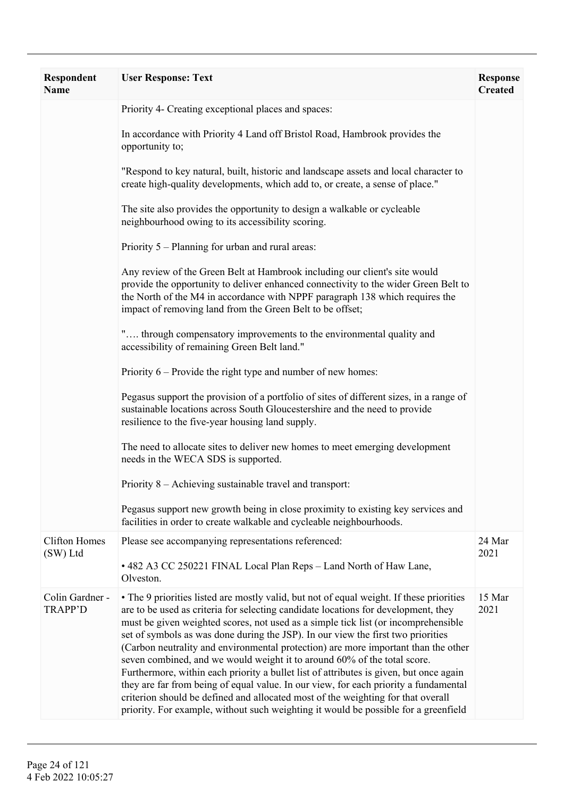| <b>Respondent</b><br><b>Name</b>  | <b>User Response: Text</b>                                                                                                                                                                                                                                                                                                                                                                                                                                                                                                                                                                                                                                                                                                                                                                                                                                                              | <b>Response</b><br><b>Created</b> |
|-----------------------------------|-----------------------------------------------------------------------------------------------------------------------------------------------------------------------------------------------------------------------------------------------------------------------------------------------------------------------------------------------------------------------------------------------------------------------------------------------------------------------------------------------------------------------------------------------------------------------------------------------------------------------------------------------------------------------------------------------------------------------------------------------------------------------------------------------------------------------------------------------------------------------------------------|-----------------------------------|
|                                   | Priority 4- Creating exceptional places and spaces:                                                                                                                                                                                                                                                                                                                                                                                                                                                                                                                                                                                                                                                                                                                                                                                                                                     |                                   |
|                                   | In accordance with Priority 4 Land off Bristol Road, Hambrook provides the<br>opportunity to;                                                                                                                                                                                                                                                                                                                                                                                                                                                                                                                                                                                                                                                                                                                                                                                           |                                   |
|                                   | "Respond to key natural, built, historic and landscape assets and local character to<br>create high-quality developments, which add to, or create, a sense of place."                                                                                                                                                                                                                                                                                                                                                                                                                                                                                                                                                                                                                                                                                                                   |                                   |
|                                   | The site also provides the opportunity to design a walkable or cycleable<br>neighbourhood owing to its accessibility scoring.                                                                                                                                                                                                                                                                                                                                                                                                                                                                                                                                                                                                                                                                                                                                                           |                                   |
|                                   | Priority 5 – Planning for urban and rural areas:                                                                                                                                                                                                                                                                                                                                                                                                                                                                                                                                                                                                                                                                                                                                                                                                                                        |                                   |
|                                   | Any review of the Green Belt at Hambrook including our client's site would<br>provide the opportunity to deliver enhanced connectivity to the wider Green Belt to<br>the North of the M4 in accordance with NPPF paragraph 138 which requires the<br>impact of removing land from the Green Belt to be offset;                                                                                                                                                                                                                                                                                                                                                                                                                                                                                                                                                                          |                                   |
|                                   | " through compensatory improvements to the environmental quality and<br>accessibility of remaining Green Belt land."                                                                                                                                                                                                                                                                                                                                                                                                                                                                                                                                                                                                                                                                                                                                                                    |                                   |
|                                   | Priority $6$ – Provide the right type and number of new homes:                                                                                                                                                                                                                                                                                                                                                                                                                                                                                                                                                                                                                                                                                                                                                                                                                          |                                   |
|                                   | Pegasus support the provision of a portfolio of sites of different sizes, in a range of<br>sustainable locations across South Gloucestershire and the need to provide<br>resilience to the five-year housing land supply.                                                                                                                                                                                                                                                                                                                                                                                                                                                                                                                                                                                                                                                               |                                   |
|                                   | The need to allocate sites to deliver new homes to meet emerging development<br>needs in the WECA SDS is supported.                                                                                                                                                                                                                                                                                                                                                                                                                                                                                                                                                                                                                                                                                                                                                                     |                                   |
|                                   | Priority 8 – Achieving sustainable travel and transport:                                                                                                                                                                                                                                                                                                                                                                                                                                                                                                                                                                                                                                                                                                                                                                                                                                |                                   |
|                                   | Pegasus support new growth being in close proximity to existing key services and<br>facilities in order to create walkable and cycleable neighbourhoods.                                                                                                                                                                                                                                                                                                                                                                                                                                                                                                                                                                                                                                                                                                                                |                                   |
| <b>Clifton Homes</b><br>(SW) Ltd  | Please see accompanying representations referenced:<br>• 482 A3 CC 250221 FINAL Local Plan Reps - Land North of Haw Lane,<br>Olveston.                                                                                                                                                                                                                                                                                                                                                                                                                                                                                                                                                                                                                                                                                                                                                  | 24 Mar<br>2021                    |
| Colin Gardner -<br><b>TRAPP'D</b> | • The 9 priorities listed are mostly valid, but not of equal weight. If these priorities<br>are to be used as criteria for selecting candidate locations for development, they<br>must be given weighted scores, not used as a simple tick list (or incomprehensible<br>set of symbols as was done during the JSP). In our view the first two priorities<br>(Carbon neutrality and environmental protection) are more important than the other<br>seven combined, and we would weight it to around 60% of the total score.<br>Furthermore, within each priority a bullet list of attributes is given, but once again<br>they are far from being of equal value. In our view, for each priority a fundamental<br>criterion should be defined and allocated most of the weighting for that overall<br>priority. For example, without such weighting it would be possible for a greenfield | 15 Mar<br>2021                    |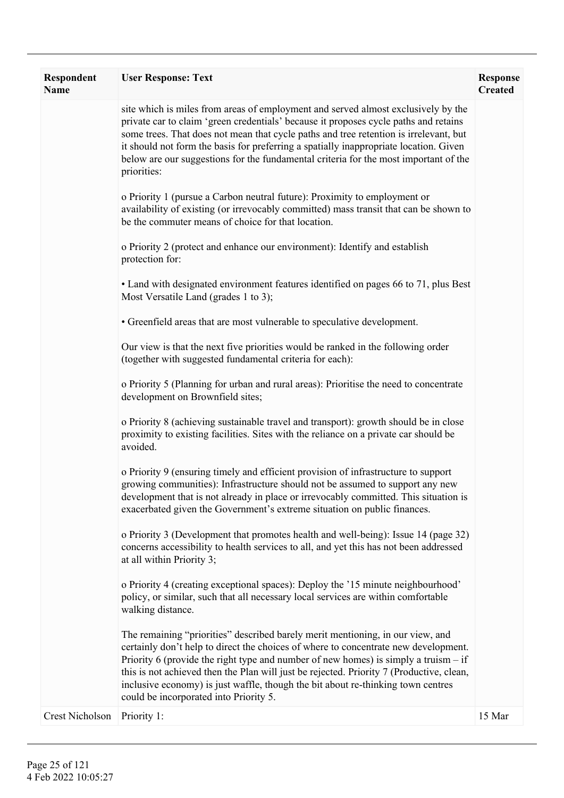| Respondent<br><b>Name</b> | <b>User Response: Text</b>                                                                                                                                                                                                                                                                                                                                                                                                                                                               | <b>Response</b><br><b>Created</b> |
|---------------------------|------------------------------------------------------------------------------------------------------------------------------------------------------------------------------------------------------------------------------------------------------------------------------------------------------------------------------------------------------------------------------------------------------------------------------------------------------------------------------------------|-----------------------------------|
|                           | site which is miles from areas of employment and served almost exclusively by the<br>private car to claim 'green credentials' because it proposes cycle paths and retains<br>some trees. That does not mean that cycle paths and tree retention is irrelevant, but<br>it should not form the basis for preferring a spatially inappropriate location. Given<br>below are our suggestions for the fundamental criteria for the most important of the<br>priorities:                       |                                   |
|                           | o Priority 1 (pursue a Carbon neutral future): Proximity to employment or<br>availability of existing (or irrevocably committed) mass transit that can be shown to<br>be the commuter means of choice for that location.                                                                                                                                                                                                                                                                 |                                   |
|                           | o Priority 2 (protect and enhance our environment): Identify and establish<br>protection for:                                                                                                                                                                                                                                                                                                                                                                                            |                                   |
|                           | • Land with designated environment features identified on pages 66 to 71, plus Best<br>Most Versatile Land (grades 1 to 3);                                                                                                                                                                                                                                                                                                                                                              |                                   |
|                           | • Greenfield areas that are most vulnerable to speculative development.                                                                                                                                                                                                                                                                                                                                                                                                                  |                                   |
|                           | Our view is that the next five priorities would be ranked in the following order<br>(together with suggested fundamental criteria for each):                                                                                                                                                                                                                                                                                                                                             |                                   |
|                           | o Priority 5 (Planning for urban and rural areas): Prioritise the need to concentrate<br>development on Brownfield sites;                                                                                                                                                                                                                                                                                                                                                                |                                   |
|                           | o Priority 8 (achieving sustainable travel and transport): growth should be in close<br>proximity to existing facilities. Sites with the reliance on a private car should be<br>avoided.                                                                                                                                                                                                                                                                                                 |                                   |
|                           | o Priority 9 (ensuring timely and efficient provision of infrastructure to support<br>growing communities): Infrastructure should not be assumed to support any new<br>development that is not already in place or irrevocably committed. This situation is<br>exacerbated given the Government's extreme situation on public finances.                                                                                                                                                  |                                   |
|                           | o Priority 3 (Development that promotes health and well-being): Issue 14 (page 32)<br>concerns accessibility to health services to all, and yet this has not been addressed<br>at all within Priority 3;                                                                                                                                                                                                                                                                                 |                                   |
|                           | o Priority 4 (creating exceptional spaces): Deploy the '15 minute neighbourhood'<br>policy, or similar, such that all necessary local services are within comfortable<br>walking distance.                                                                                                                                                                                                                                                                                               |                                   |
|                           | The remaining "priorities" described barely merit mentioning, in our view, and<br>certainly don't help to direct the choices of where to concentrate new development.<br>Priority 6 (provide the right type and number of new homes) is simply a truism $-$ if<br>this is not achieved then the Plan will just be rejected. Priority 7 (Productive, clean,<br>inclusive economy) is just waffle, though the bit about re-thinking town centres<br>could be incorporated into Priority 5. |                                   |
| Crest Nicholson           | Priority 1:                                                                                                                                                                                                                                                                                                                                                                                                                                                                              | 15 Mar                            |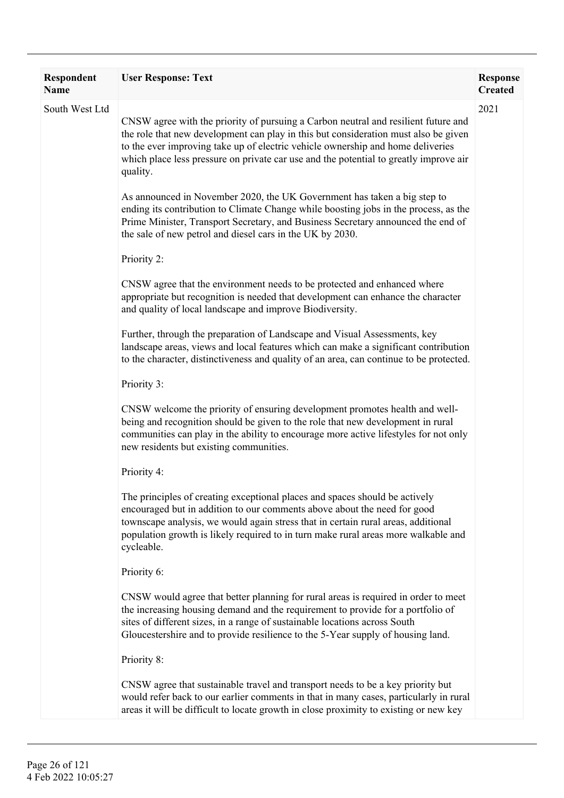| Respondent<br><b>Name</b> | <b>User Response: Text</b>                                                                                                                                                                                                                                                                                                                                        | <b>Response</b><br><b>Created</b> |
|---------------------------|-------------------------------------------------------------------------------------------------------------------------------------------------------------------------------------------------------------------------------------------------------------------------------------------------------------------------------------------------------------------|-----------------------------------|
| South West Ltd            | CNSW agree with the priority of pursuing a Carbon neutral and resilient future and<br>the role that new development can play in this but consideration must also be given<br>to the ever improving take up of electric vehicle ownership and home deliveries<br>which place less pressure on private car use and the potential to greatly improve air<br>quality. | 2021                              |
|                           | As announced in November 2020, the UK Government has taken a big step to<br>ending its contribution to Climate Change while boosting jobs in the process, as the<br>Prime Minister, Transport Secretary, and Business Secretary announced the end of<br>the sale of new petrol and diesel cars in the UK by 2030.                                                 |                                   |
|                           | Priority 2:                                                                                                                                                                                                                                                                                                                                                       |                                   |
|                           | CNSW agree that the environment needs to be protected and enhanced where<br>appropriate but recognition is needed that development can enhance the character<br>and quality of local landscape and improve Biodiversity.                                                                                                                                          |                                   |
|                           | Further, through the preparation of Landscape and Visual Assessments, key<br>landscape areas, views and local features which can make a significant contribution<br>to the character, distinctiveness and quality of an area, can continue to be protected.                                                                                                       |                                   |
|                           | Priority 3:                                                                                                                                                                                                                                                                                                                                                       |                                   |
|                           | CNSW welcome the priority of ensuring development promotes health and well-<br>being and recognition should be given to the role that new development in rural<br>communities can play in the ability to encourage more active lifestyles for not only<br>new residents but existing communities.                                                                 |                                   |
|                           | Priority 4:                                                                                                                                                                                                                                                                                                                                                       |                                   |
|                           | The principles of creating exceptional places and spaces should be actively<br>encouraged but in addition to our comments above about the need for good<br>townscape analysis, we would again stress that in certain rural areas, additional<br>population growth is likely required to in turn make rural areas more walkable and<br>cycleable.                  |                                   |
|                           | Priority 6:                                                                                                                                                                                                                                                                                                                                                       |                                   |
|                           | CNSW would agree that better planning for rural areas is required in order to meet<br>the increasing housing demand and the requirement to provide for a portfolio of<br>sites of different sizes, in a range of sustainable locations across South<br>Gloucestershire and to provide resilience to the 5-Year supply of housing land.                            |                                   |
|                           | Priority 8:                                                                                                                                                                                                                                                                                                                                                       |                                   |
|                           | CNSW agree that sustainable travel and transport needs to be a key priority but<br>would refer back to our earlier comments in that in many cases, particularly in rural<br>areas it will be difficult to locate growth in close proximity to existing or new key                                                                                                 |                                   |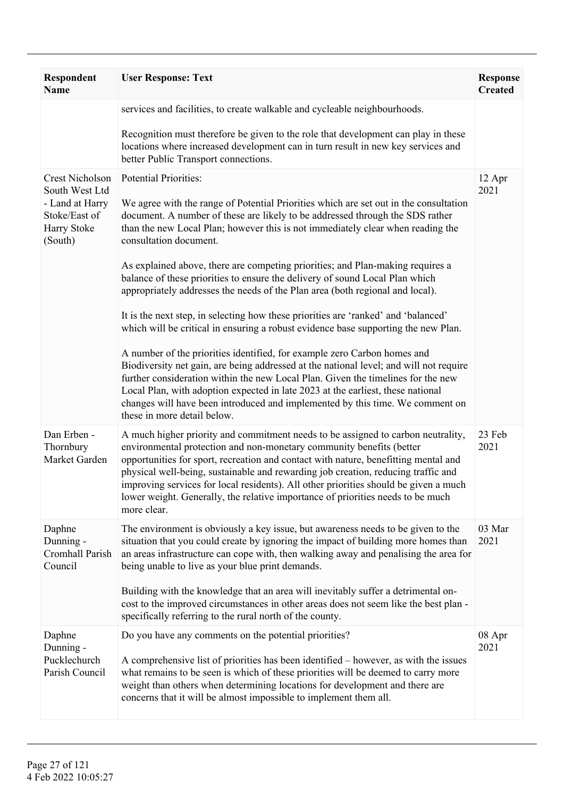| <b>Respondent</b><br><b>Name</b>                                                                       | <b>User Response: Text</b>                                                                                                                                                                                                                                                                                                                                                                                                                                                                                                                                                                                                                                                                                                                                                                                                                                                                                                                                                                                                                                                                                                                                                                                      | <b>Response</b><br><b>Created</b> |
|--------------------------------------------------------------------------------------------------------|-----------------------------------------------------------------------------------------------------------------------------------------------------------------------------------------------------------------------------------------------------------------------------------------------------------------------------------------------------------------------------------------------------------------------------------------------------------------------------------------------------------------------------------------------------------------------------------------------------------------------------------------------------------------------------------------------------------------------------------------------------------------------------------------------------------------------------------------------------------------------------------------------------------------------------------------------------------------------------------------------------------------------------------------------------------------------------------------------------------------------------------------------------------------------------------------------------------------|-----------------------------------|
|                                                                                                        | services and facilities, to create walkable and cycleable neighbourhoods.<br>Recognition must therefore be given to the role that development can play in these<br>locations where increased development can in turn result in new key services and<br>better Public Transport connections.                                                                                                                                                                                                                                                                                                                                                                                                                                                                                                                                                                                                                                                                                                                                                                                                                                                                                                                     |                                   |
| <b>Crest Nicholson</b><br>South West Ltd<br>- Land at Harry<br>Stoke/East of<br>Harry Stoke<br>(South) | <b>Potential Priorities:</b><br>We agree with the range of Potential Priorities which are set out in the consultation<br>document. A number of these are likely to be addressed through the SDS rather<br>than the new Local Plan; however this is not immediately clear when reading the<br>consultation document.<br>As explained above, there are competing priorities; and Plan-making requires a<br>balance of these priorities to ensure the delivery of sound Local Plan which<br>appropriately addresses the needs of the Plan area (both regional and local).<br>It is the next step, in selecting how these priorities are 'ranked' and 'balanced'<br>which will be critical in ensuring a robust evidence base supporting the new Plan.<br>A number of the priorities identified, for example zero Carbon homes and<br>Biodiversity net gain, are being addressed at the national level; and will not require<br>further consideration within the new Local Plan. Given the timelines for the new<br>Local Plan, with adoption expected in late 2023 at the earliest, these national<br>changes will have been introduced and implemented by this time. We comment on<br>these in more detail below. | 12 Apr<br>2021                    |
| Dan Erben -<br>Thornbury<br>Market Garden                                                              | A much higher priority and commitment needs to be assigned to carbon neutrality,<br>environmental protection and non-monetary community benefits (better<br>opportunities for sport, recreation and contact with nature, benefitting mental and<br>physical well-being, sustainable and rewarding job creation, reducing traffic and<br>improving services for local residents). All other priorities should be given a much<br>lower weight. Generally, the relative importance of priorities needs to be much<br>more clear.                                                                                                                                                                                                                                                                                                                                                                                                                                                                                                                                                                                                                                                                                  | 23 Feb<br>2021                    |
| Daphne<br>Dunning -<br>Cromhall Parish<br>Council                                                      | The environment is obviously a key issue, but awareness needs to be given to the<br>situation that you could create by ignoring the impact of building more homes than<br>an areas infrastructure can cope with, then walking away and penalising the area for<br>being unable to live as your blue print demands.<br>Building with the knowledge that an area will inevitably suffer a detrimental on-<br>cost to the improved circumstances in other areas does not seem like the best plan -<br>specifically referring to the rural north of the county.                                                                                                                                                                                                                                                                                                                                                                                                                                                                                                                                                                                                                                                     | 03 Mar<br>2021                    |
| Daphne<br>Dunning -<br>Pucklechurch<br>Parish Council                                                  | Do you have any comments on the potential priorities?<br>A comprehensive list of priorities has been identified – however, as with the issues<br>what remains to be seen is which of these priorities will be deemed to carry more<br>weight than others when determining locations for development and there are<br>concerns that it will be almost impossible to implement them all.                                                                                                                                                                                                                                                                                                                                                                                                                                                                                                                                                                                                                                                                                                                                                                                                                          | 08 Apr<br>2021                    |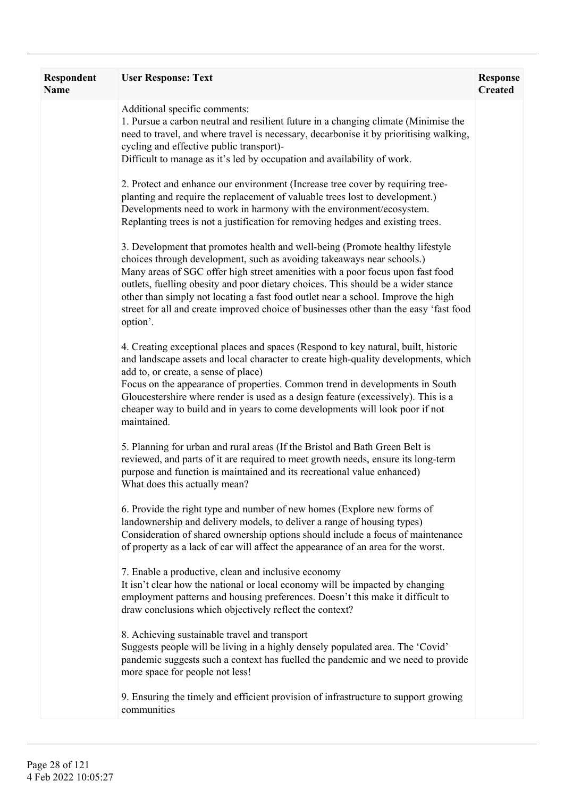| Respondent<br>Name | <b>User Response: Text</b>                                                                                                                                                                                                                                                                                                                                                                                                                                                                                                | <b>Response</b><br><b>Created</b> |
|--------------------|---------------------------------------------------------------------------------------------------------------------------------------------------------------------------------------------------------------------------------------------------------------------------------------------------------------------------------------------------------------------------------------------------------------------------------------------------------------------------------------------------------------------------|-----------------------------------|
|                    | Additional specific comments:<br>1. Pursue a carbon neutral and resilient future in a changing climate (Minimise the<br>need to travel, and where travel is necessary, decarbonise it by prioritising walking,<br>cycling and effective public transport)-<br>Difficult to manage as it's led by occupation and availability of work.                                                                                                                                                                                     |                                   |
|                    | 2. Protect and enhance our environment (Increase tree cover by requiring tree-<br>planting and require the replacement of valuable trees lost to development.)<br>Developments need to work in harmony with the environment/ecosystem.<br>Replanting trees is not a justification for removing hedges and existing trees.                                                                                                                                                                                                 |                                   |
|                    | 3. Development that promotes health and well-being (Promote healthy lifestyle<br>choices through development, such as avoiding takeaways near schools.)<br>Many areas of SGC offer high street amenities with a poor focus upon fast food<br>outlets, fuelling obesity and poor dietary choices. This should be a wider stance<br>other than simply not locating a fast food outlet near a school. Improve the high<br>street for all and create improved choice of businesses other than the easy 'fast food<br>option'. |                                   |
|                    | 4. Creating exceptional places and spaces (Respond to key natural, built, historic<br>and landscape assets and local character to create high-quality developments, which<br>add to, or create, a sense of place)<br>Focus on the appearance of properties. Common trend in developments in South<br>Gloucestershire where render is used as a design feature (excessively). This is a<br>cheaper way to build and in years to come developments will look poor if not<br>maintained.                                     |                                   |
|                    | 5. Planning for urban and rural areas (If the Bristol and Bath Green Belt is<br>reviewed, and parts of it are required to meet growth needs, ensure its long-term<br>purpose and function is maintained and its recreational value enhanced)<br>What does this actually mean?                                                                                                                                                                                                                                             |                                   |
|                    | 6. Provide the right type and number of new homes (Explore new forms of<br>landownership and delivery models, to deliver a range of housing types)<br>Consideration of shared ownership options should include a focus of maintenance<br>of property as a lack of car will affect the appearance of an area for the worst.                                                                                                                                                                                                |                                   |
|                    | 7. Enable a productive, clean and inclusive economy<br>It isn't clear how the national or local economy will be impacted by changing<br>employment patterns and housing preferences. Doesn't this make it difficult to<br>draw conclusions which objectively reflect the context?                                                                                                                                                                                                                                         |                                   |
|                    | 8. Achieving sustainable travel and transport<br>Suggests people will be living in a highly densely populated area. The 'Covid'<br>pandemic suggests such a context has fuelled the pandemic and we need to provide<br>more space for people not less!                                                                                                                                                                                                                                                                    |                                   |
|                    | 9. Ensuring the timely and efficient provision of infrastructure to support growing<br>communities                                                                                                                                                                                                                                                                                                                                                                                                                        |                                   |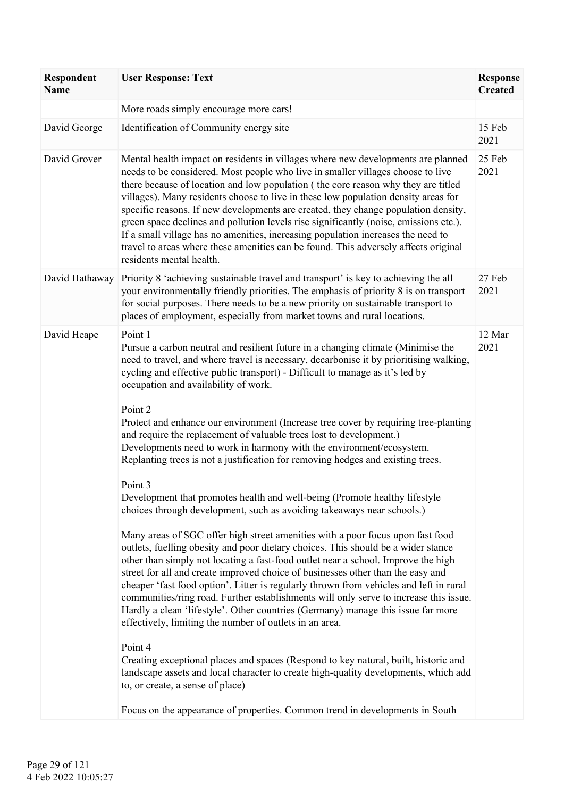| Respondent<br><b>Name</b> | <b>User Response: Text</b>                                                                                                                                                                                                                                                                                                                                                                                                                                                                                                                                                                                                                                                                                                           | <b>Response</b><br><b>Created</b> |
|---------------------------|--------------------------------------------------------------------------------------------------------------------------------------------------------------------------------------------------------------------------------------------------------------------------------------------------------------------------------------------------------------------------------------------------------------------------------------------------------------------------------------------------------------------------------------------------------------------------------------------------------------------------------------------------------------------------------------------------------------------------------------|-----------------------------------|
|                           | More roads simply encourage more cars!                                                                                                                                                                                                                                                                                                                                                                                                                                                                                                                                                                                                                                                                                               |                                   |
| David George              | Identification of Community energy site                                                                                                                                                                                                                                                                                                                                                                                                                                                                                                                                                                                                                                                                                              | 15 Feb<br>2021                    |
| David Grover              | Mental health impact on residents in villages where new developments are planned<br>needs to be considered. Most people who live in smaller villages choose to live<br>there because of location and low population (the core reason why they are titled<br>villages). Many residents choose to live in these low population density areas for<br>specific reasons. If new developments are created, they change population density,<br>green space declines and pollution levels rise significantly (noise, emissions etc.).<br>If a small village has no amenities, increasing population increases the need to<br>travel to areas where these amenities can be found. This adversely affects original<br>residents mental health. | 25 Feb<br>2021                    |
| David Hathaway            | Priority 8 'achieving sustainable travel and transport' is key to achieving the all<br>your environmentally friendly priorities. The emphasis of priority 8 is on transport<br>for social purposes. There needs to be a new priority on sustainable transport to<br>places of employment, especially from market towns and rural locations.                                                                                                                                                                                                                                                                                                                                                                                          | 27 Feb<br>2021                    |
| David Heape               | Point 1<br>Pursue a carbon neutral and resilient future in a changing climate (Minimise the<br>need to travel, and where travel is necessary, decarbonise it by prioritising walking,<br>cycling and effective public transport) - Difficult to manage as it's led by<br>occupation and availability of work.                                                                                                                                                                                                                                                                                                                                                                                                                        | 12 Mar<br>2021                    |
|                           | Point 2<br>Protect and enhance our environment (Increase tree cover by requiring tree-planting<br>and require the replacement of valuable trees lost to development.)<br>Developments need to work in harmony with the environment/ecosystem.<br>Replanting trees is not a justification for removing hedges and existing trees.                                                                                                                                                                                                                                                                                                                                                                                                     |                                   |
|                           | Point 3<br>Development that promotes health and well-being (Promote healthy lifestyle<br>choices through development, such as avoiding takeaways near schools.)                                                                                                                                                                                                                                                                                                                                                                                                                                                                                                                                                                      |                                   |
|                           | Many areas of SGC offer high street amenities with a poor focus upon fast food<br>outlets, fuelling obesity and poor dietary choices. This should be a wider stance<br>other than simply not locating a fast-food outlet near a school. Improve the high<br>street for all and create improved choice of businesses other than the easy and<br>cheaper 'fast food option'. Litter is regularly thrown from vehicles and left in rural<br>communities/ring road. Further establishments will only serve to increase this issue.<br>Hardly a clean 'lifestyle'. Other countries (Germany) manage this issue far more<br>effectively, limiting the number of outlets in an area.                                                        |                                   |
|                           | Point 4<br>Creating exceptional places and spaces (Respond to key natural, built, historic and<br>landscape assets and local character to create high-quality developments, which add<br>to, or create, a sense of place)                                                                                                                                                                                                                                                                                                                                                                                                                                                                                                            |                                   |
|                           | Focus on the appearance of properties. Common trend in developments in South                                                                                                                                                                                                                                                                                                                                                                                                                                                                                                                                                                                                                                                         |                                   |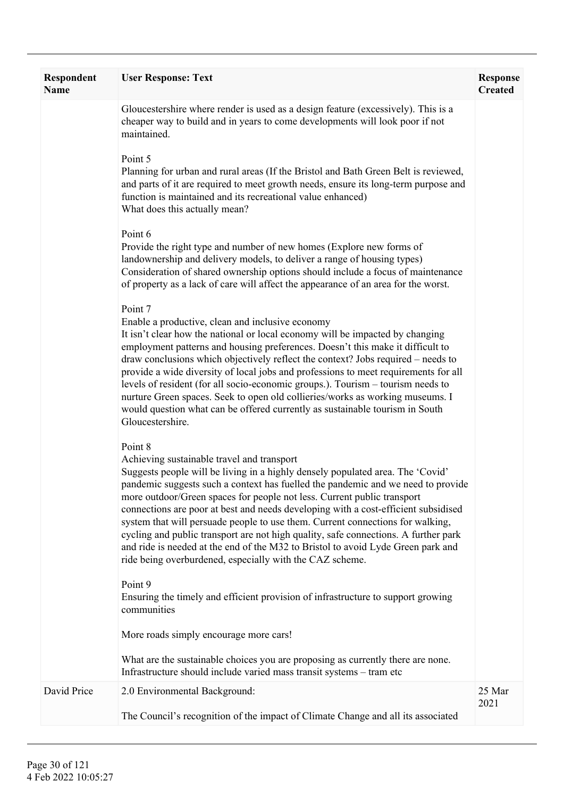| <b>Respondent</b><br><b>Name</b> | <b>User Response: Text</b>                                                                                                                                                                                                                                                                                                                                                                                                                                                                                                                                                                                                                                                                                            | <b>Response</b><br><b>Created</b> |
|----------------------------------|-----------------------------------------------------------------------------------------------------------------------------------------------------------------------------------------------------------------------------------------------------------------------------------------------------------------------------------------------------------------------------------------------------------------------------------------------------------------------------------------------------------------------------------------------------------------------------------------------------------------------------------------------------------------------------------------------------------------------|-----------------------------------|
|                                  | Gloucestershire where render is used as a design feature (excessively). This is a<br>cheaper way to build and in years to come developments will look poor if not<br>maintained.                                                                                                                                                                                                                                                                                                                                                                                                                                                                                                                                      |                                   |
|                                  | Point 5<br>Planning for urban and rural areas (If the Bristol and Bath Green Belt is reviewed,<br>and parts of it are required to meet growth needs, ensure its long-term purpose and<br>function is maintained and its recreational value enhanced)<br>What does this actually mean?                                                                                                                                                                                                                                                                                                                                                                                                                                 |                                   |
|                                  | Point 6<br>Provide the right type and number of new homes (Explore new forms of<br>landownership and delivery models, to deliver a range of housing types)<br>Consideration of shared ownership options should include a focus of maintenance<br>of property as a lack of care will affect the appearance of an area for the worst.                                                                                                                                                                                                                                                                                                                                                                                   |                                   |
|                                  | Point 7<br>Enable a productive, clean and inclusive economy<br>It isn't clear how the national or local economy will be impacted by changing<br>employment patterns and housing preferences. Doesn't this make it difficult to<br>draw conclusions which objectively reflect the context? Jobs required – needs to<br>provide a wide diversity of local jobs and professions to meet requirements for all<br>levels of resident (for all socio-economic groups.). Tourism – tourism needs to<br>nurture Green spaces. Seek to open old collieries/works as working museums. I<br>would question what can be offered currently as sustainable tourism in South<br>Gloucestershire.                                     |                                   |
|                                  | Point 8<br>Achieving sustainable travel and transport<br>Suggests people will be living in a highly densely populated area. The 'Covid'<br>pandemic suggests such a context has fuelled the pandemic and we need to provide<br>more outdoor/Green spaces for people not less. Current public transport<br>connections are poor at best and needs developing with a cost-efficient subsidised<br>system that will persuade people to use them. Current connections for walking,<br>cycling and public transport are not high quality, safe connections. A further park<br>and ride is needed at the end of the M32 to Bristol to avoid Lyde Green park and<br>ride being overburdened, especially with the CAZ scheme. |                                   |
|                                  | Point 9<br>Ensuring the timely and efficient provision of infrastructure to support growing<br>communities                                                                                                                                                                                                                                                                                                                                                                                                                                                                                                                                                                                                            |                                   |
|                                  | More roads simply encourage more cars!                                                                                                                                                                                                                                                                                                                                                                                                                                                                                                                                                                                                                                                                                |                                   |
|                                  | What are the sustainable choices you are proposing as currently there are none.<br>Infrastructure should include varied mass transit systems - tram etc                                                                                                                                                                                                                                                                                                                                                                                                                                                                                                                                                               |                                   |
| David Price                      | 2.0 Environmental Background:<br>The Council's recognition of the impact of Climate Change and all its associated                                                                                                                                                                                                                                                                                                                                                                                                                                                                                                                                                                                                     | 25 Mar<br>2021                    |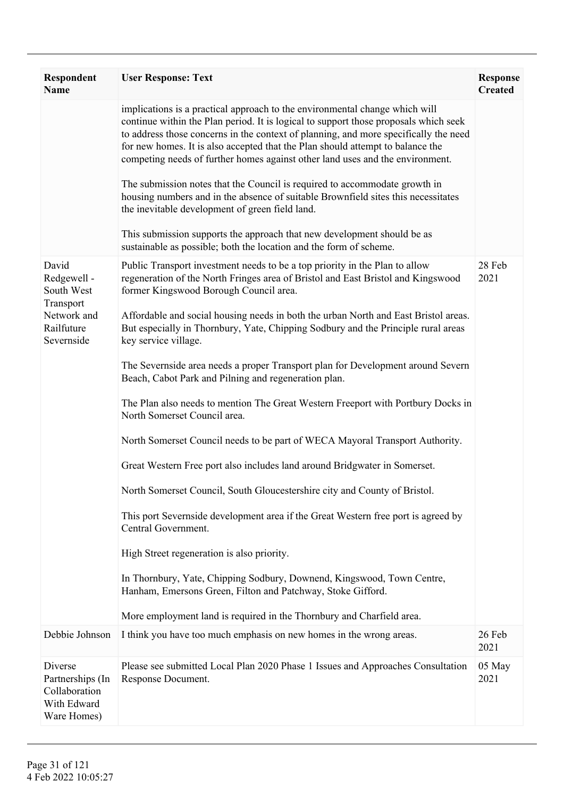| <b>Respondent</b><br><b>Name</b>                                                           | <b>User Response: Text</b>                                                                                                                                                                                                                                                                                                                                                                                                                                                                                                                                                                                                                                                                                                                                                                                                                                                                                                                                                                                                                                                                                                                                                                                                                                                                         | <b>Response</b><br><b>Created</b> |
|--------------------------------------------------------------------------------------------|----------------------------------------------------------------------------------------------------------------------------------------------------------------------------------------------------------------------------------------------------------------------------------------------------------------------------------------------------------------------------------------------------------------------------------------------------------------------------------------------------------------------------------------------------------------------------------------------------------------------------------------------------------------------------------------------------------------------------------------------------------------------------------------------------------------------------------------------------------------------------------------------------------------------------------------------------------------------------------------------------------------------------------------------------------------------------------------------------------------------------------------------------------------------------------------------------------------------------------------------------------------------------------------------------|-----------------------------------|
|                                                                                            | implications is a practical approach to the environmental change which will<br>continue within the Plan period. It is logical to support those proposals which seek<br>to address those concerns in the context of planning, and more specifically the need<br>for new homes. It is also accepted that the Plan should attempt to balance the<br>competing needs of further homes against other land uses and the environment.<br>The submission notes that the Council is required to accommodate growth in<br>housing numbers and in the absence of suitable Brownfield sites this necessitates<br>the inevitable development of green field land.<br>This submission supports the approach that new development should be as<br>sustainable as possible; both the location and the form of scheme.                                                                                                                                                                                                                                                                                                                                                                                                                                                                                              |                                   |
| David<br>Redgewell -<br>South West<br>Transport<br>Network and<br>Railfuture<br>Severnside | Public Transport investment needs to be a top priority in the Plan to allow<br>regeneration of the North Fringes area of Bristol and East Bristol and Kingswood<br>former Kingswood Borough Council area.<br>Affordable and social housing needs in both the urban North and East Bristol areas.<br>But especially in Thornbury, Yate, Chipping Sodbury and the Principle rural areas<br>key service village.<br>The Severnside area needs a proper Transport plan for Development around Severn<br>Beach, Cabot Park and Pilning and regeneration plan.<br>The Plan also needs to mention The Great Western Freeport with Portbury Docks in<br>North Somerset Council area.<br>North Somerset Council needs to be part of WECA Mayoral Transport Authority.<br>Great Western Free port also includes land around Bridgwater in Somerset.<br>North Somerset Council, South Gloucestershire city and County of Bristol.<br>This port Severnside development area if the Great Western free port is agreed by<br>Central Government.<br>High Street regeneration is also priority.<br>In Thornbury, Yate, Chipping Sodbury, Downend, Kingswood, Town Centre,<br>Hanham, Emersons Green, Filton and Patchway, Stoke Gifford.<br>More employment land is required in the Thornbury and Charfield area. | 28 Feb<br>2021                    |
| Debbie Johnson                                                                             | I think you have too much emphasis on new homes in the wrong areas.                                                                                                                                                                                                                                                                                                                                                                                                                                                                                                                                                                                                                                                                                                                                                                                                                                                                                                                                                                                                                                                                                                                                                                                                                                | 26 Feb                            |
|                                                                                            |                                                                                                                                                                                                                                                                                                                                                                                                                                                                                                                                                                                                                                                                                                                                                                                                                                                                                                                                                                                                                                                                                                                                                                                                                                                                                                    | 2021                              |
| Diverse<br>Partnerships (In<br>Collaboration<br>With Edward<br>Ware Homes)                 | Please see submitted Local Plan 2020 Phase 1 Issues and Approaches Consultation<br>Response Document.                                                                                                                                                                                                                                                                                                                                                                                                                                                                                                                                                                                                                                                                                                                                                                                                                                                                                                                                                                                                                                                                                                                                                                                              | 05 May<br>2021                    |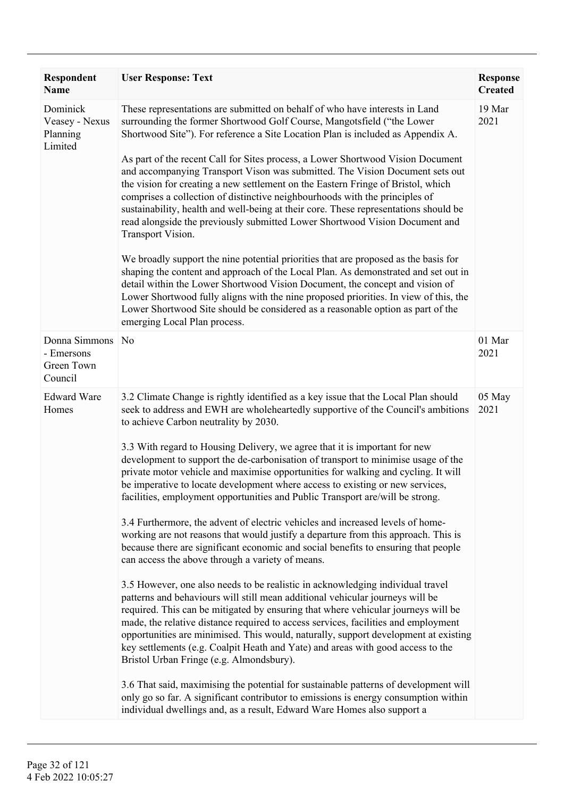| <b>Respondent</b><br><b>Name</b>                     | <b>User Response: Text</b>                                                                                                                                                                                                                                                                                                                                                                                                                                                                                                                                                                                                                                                                                                                                                                                                                                                                                                                                                                                                                                                                                                                                                                                                                                                                                                                                                                                                                                                                                                                                                                                                                                                                                                                                                                | <b>Response</b><br><b>Created</b> |
|------------------------------------------------------|-------------------------------------------------------------------------------------------------------------------------------------------------------------------------------------------------------------------------------------------------------------------------------------------------------------------------------------------------------------------------------------------------------------------------------------------------------------------------------------------------------------------------------------------------------------------------------------------------------------------------------------------------------------------------------------------------------------------------------------------------------------------------------------------------------------------------------------------------------------------------------------------------------------------------------------------------------------------------------------------------------------------------------------------------------------------------------------------------------------------------------------------------------------------------------------------------------------------------------------------------------------------------------------------------------------------------------------------------------------------------------------------------------------------------------------------------------------------------------------------------------------------------------------------------------------------------------------------------------------------------------------------------------------------------------------------------------------------------------------------------------------------------------------------|-----------------------------------|
| Dominick<br>Veasey - Nexus<br>Planning<br>Limited    | These representations are submitted on behalf of who have interests in Land<br>surrounding the former Shortwood Golf Course, Mangotsfield ("the Lower<br>Shortwood Site"). For reference a Site Location Plan is included as Appendix A.<br>As part of the recent Call for Sites process, a Lower Shortwood Vision Document<br>and accompanying Transport Vison was submitted. The Vision Document sets out<br>the vision for creating a new settlement on the Eastern Fringe of Bristol, which<br>comprises a collection of distinctive neighbourhoods with the principles of<br>sustainability, health and well-being at their core. These representations should be<br>read alongside the previously submitted Lower Shortwood Vision Document and<br>Transport Vision.<br>We broadly support the nine potential priorities that are proposed as the basis for<br>shaping the content and approach of the Local Plan. As demonstrated and set out in<br>detail within the Lower Shortwood Vision Document, the concept and vision of<br>Lower Shortwood fully aligns with the nine proposed priorities. In view of this, the<br>Lower Shortwood Site should be considered as a reasonable option as part of the<br>emerging Local Plan process.                                                                                                                                                                                                                                                                                                                                                                                                                                                                                                                                        | 19 Mar<br>2021                    |
| Donna Simmons<br>- Emersons<br>Green Town<br>Council | N <sub>0</sub>                                                                                                                                                                                                                                                                                                                                                                                                                                                                                                                                                                                                                                                                                                                                                                                                                                                                                                                                                                                                                                                                                                                                                                                                                                                                                                                                                                                                                                                                                                                                                                                                                                                                                                                                                                            | 01 Mar<br>2021                    |
| <b>Edward Ware</b><br>Homes                          | 3.2 Climate Change is rightly identified as a key issue that the Local Plan should<br>seek to address and EWH are wholeheartedly supportive of the Council's ambitions<br>to achieve Carbon neutrality by 2030.<br>3.3 With regard to Housing Delivery, we agree that it is important for new<br>development to support the de-carbonisation of transport to minimise usage of the<br>private motor vehicle and maximise opportunities for walking and cycling. It will<br>be imperative to locate development where access to existing or new services,<br>facilities, employment opportunities and Public Transport are/will be strong.<br>3.4 Furthermore, the advent of electric vehicles and increased levels of home-<br>working are not reasons that would justify a departure from this approach. This is<br>because there are significant economic and social benefits to ensuring that people<br>can access the above through a variety of means.<br>3.5 However, one also needs to be realistic in acknowledging individual travel<br>patterns and behaviours will still mean additional vehicular journeys will be<br>required. This can be mitigated by ensuring that where vehicular journeys will be<br>made, the relative distance required to access services, facilities and employment<br>opportunities are minimised. This would, naturally, support development at existing<br>key settlements (e.g. Coalpit Heath and Yate) and areas with good access to the<br>Bristol Urban Fringe (e.g. Almondsbury).<br>3.6 That said, maximising the potential for sustainable patterns of development will<br>only go so far. A significant contributor to emissions is energy consumption within<br>individual dwellings and, as a result, Edward Ware Homes also support a | 05 May<br>2021                    |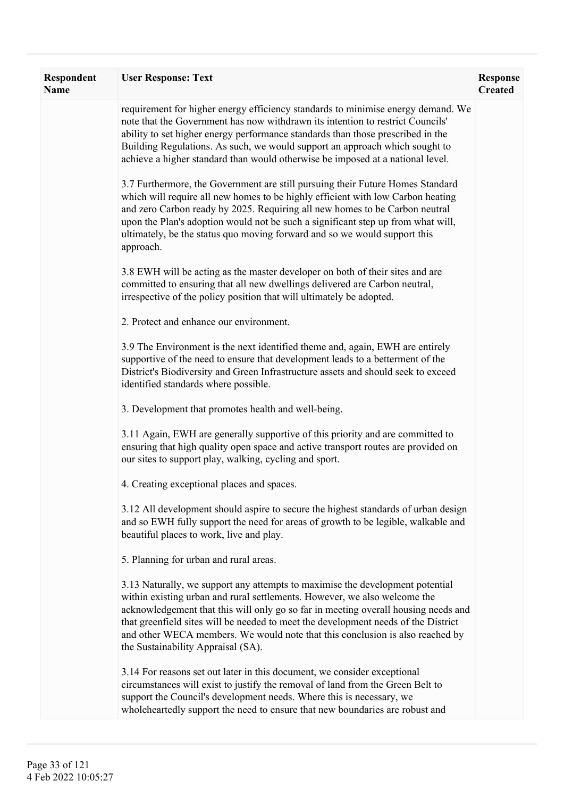| <b>Respondent</b><br><b>Name</b> | <b>User Response: Text</b>                                                                                                                                                                                                                                                                                                                                                                                                                                    | <b>Response</b><br><b>Created</b> |
|----------------------------------|---------------------------------------------------------------------------------------------------------------------------------------------------------------------------------------------------------------------------------------------------------------------------------------------------------------------------------------------------------------------------------------------------------------------------------------------------------------|-----------------------------------|
|                                  | requirement for higher energy efficiency standards to minimise energy demand. We<br>note that the Government has now withdrawn its intention to restrict Councils'<br>ability to set higher energy performance standards than those prescribed in the<br>Building Regulations. As such, we would support an approach which sought to<br>achieve a higher standard than would otherwise be imposed at a national level.                                        |                                   |
|                                  | 3.7 Furthermore, the Government are still pursuing their Future Homes Standard<br>which will require all new homes to be highly efficient with low Carbon heating<br>and zero Carbon ready by 2025. Requiring all new homes to be Carbon neutral<br>upon the Plan's adoption would not be such a significant step up from what will,<br>ultimately, be the status quo moving forward and so we would support this<br>approach.                                |                                   |
|                                  | 3.8 EWH will be acting as the master developer on both of their sites and are<br>committed to ensuring that all new dwellings delivered are Carbon neutral,<br>irrespective of the policy position that will ultimately be adopted.                                                                                                                                                                                                                           |                                   |
|                                  | 2. Protect and enhance our environment.                                                                                                                                                                                                                                                                                                                                                                                                                       |                                   |
|                                  | 3.9 The Environment is the next identified theme and, again, EWH are entirely<br>supportive of the need to ensure that development leads to a betterment of the<br>District's Biodiversity and Green Infrastructure assets and should seek to exceed<br>identified standards where possible.                                                                                                                                                                  |                                   |
|                                  | 3. Development that promotes health and well-being.                                                                                                                                                                                                                                                                                                                                                                                                           |                                   |
|                                  | 3.11 Again, EWH are generally supportive of this priority and are committed to<br>ensuring that high quality open space and active transport routes are provided on<br>our sites to support play, walking, cycling and sport.                                                                                                                                                                                                                                 |                                   |
|                                  | 4. Creating exceptional places and spaces.                                                                                                                                                                                                                                                                                                                                                                                                                    |                                   |
|                                  | 3.12 All development should aspire to secure the highest standards of urban design<br>and so EWH fully support the need for areas of growth to be legible, walkable and<br>beautiful places to work, live and play.                                                                                                                                                                                                                                           |                                   |
|                                  | 5. Planning for urban and rural areas.                                                                                                                                                                                                                                                                                                                                                                                                                        |                                   |
|                                  | 3.13 Naturally, we support any attempts to maximise the development potential<br>within existing urban and rural settlements. However, we also welcome the<br>acknowledgement that this will only go so far in meeting overall housing needs and<br>that greenfield sites will be needed to meet the development needs of the District<br>and other WECA members. We would note that this conclusion is also reached by<br>the Sustainability Appraisal (SA). |                                   |
|                                  | 3.14 For reasons set out later in this document, we consider exceptional<br>circumstances will exist to justify the removal of land from the Green Belt to<br>support the Council's development needs. Where this is necessary, we<br>wholeheartedly support the need to ensure that new boundaries are robust and                                                                                                                                            |                                   |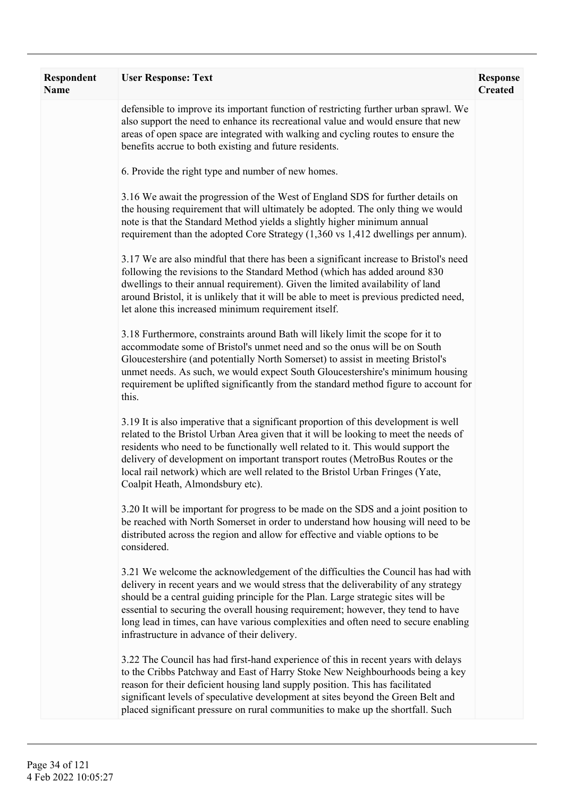| <b>Respondent</b><br><b>Name</b> | <b>User Response: Text</b>                                                                                                                                                                                                                                                                                                                                                                                                                                                                | <b>Response</b><br><b>Created</b> |
|----------------------------------|-------------------------------------------------------------------------------------------------------------------------------------------------------------------------------------------------------------------------------------------------------------------------------------------------------------------------------------------------------------------------------------------------------------------------------------------------------------------------------------------|-----------------------------------|
|                                  | defensible to improve its important function of restricting further urban sprawl. We<br>also support the need to enhance its recreational value and would ensure that new<br>areas of open space are integrated with walking and cycling routes to ensure the<br>benefits accrue to both existing and future residents.                                                                                                                                                                   |                                   |
|                                  | 6. Provide the right type and number of new homes.                                                                                                                                                                                                                                                                                                                                                                                                                                        |                                   |
|                                  | 3.16 We await the progression of the West of England SDS for further details on<br>the housing requirement that will ultimately be adopted. The only thing we would<br>note is that the Standard Method yields a slightly higher minimum annual<br>requirement than the adopted Core Strategy (1,360 vs 1,412 dwellings per annum).                                                                                                                                                       |                                   |
|                                  | 3.17 We are also mindful that there has been a significant increase to Bristol's need<br>following the revisions to the Standard Method (which has added around 830<br>dwellings to their annual requirement). Given the limited availability of land<br>around Bristol, it is unlikely that it will be able to meet is previous predicted need,<br>let alone this increased minimum requirement itself.                                                                                  |                                   |
|                                  | 3.18 Furthermore, constraints around Bath will likely limit the scope for it to<br>accommodate some of Bristol's unmet need and so the onus will be on South<br>Gloucestershire (and potentially North Somerset) to assist in meeting Bristol's<br>unmet needs. As such, we would expect South Gloucestershire's minimum housing<br>requirement be uplifted significantly from the standard method figure to account for<br>this.                                                         |                                   |
|                                  | 3.19 It is also imperative that a significant proportion of this development is well<br>related to the Bristol Urban Area given that it will be looking to meet the needs of<br>residents who need to be functionally well related to it. This would support the<br>delivery of development on important transport routes (MetroBus Routes or the<br>local rail network) which are well related to the Bristol Urban Fringes (Yate,<br>Coalpit Heath, Almondsbury etc).                   |                                   |
|                                  | 3.20 It will be important for progress to be made on the SDS and a joint position to<br>be reached with North Somerset in order to understand how housing will need to be<br>distributed across the region and allow for effective and viable options to be<br>considered.                                                                                                                                                                                                                |                                   |
|                                  | 3.21 We welcome the acknowledgement of the difficulties the Council has had with<br>delivery in recent years and we would stress that the deliverability of any strategy<br>should be a central guiding principle for the Plan. Large strategic sites will be<br>essential to securing the overall housing requirement; however, they tend to have<br>long lead in times, can have various complexities and often need to secure enabling<br>infrastructure in advance of their delivery. |                                   |
|                                  | 3.22 The Council has had first-hand experience of this in recent years with delays<br>to the Cribbs Patchway and East of Harry Stoke New Neighbourhoods being a key<br>reason for their deficient housing land supply position. This has facilitated<br>significant levels of speculative development at sites beyond the Green Belt and<br>placed significant pressure on rural communities to make up the shortfall. Such                                                               |                                   |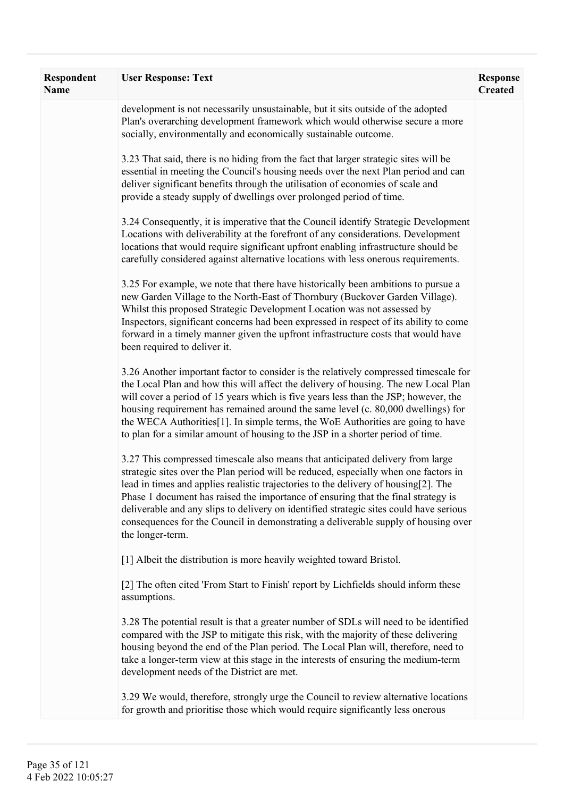| Respondent<br>Name | <b>User Response: Text</b>                                                                                                                                                                                                                                                                                                                                                                                                                                                                                                                             | <b>Response</b><br><b>Created</b> |
|--------------------|--------------------------------------------------------------------------------------------------------------------------------------------------------------------------------------------------------------------------------------------------------------------------------------------------------------------------------------------------------------------------------------------------------------------------------------------------------------------------------------------------------------------------------------------------------|-----------------------------------|
|                    | development is not necessarily unsustainable, but it sits outside of the adopted<br>Plan's overarching development framework which would otherwise secure a more<br>socially, environmentally and economically sustainable outcome.                                                                                                                                                                                                                                                                                                                    |                                   |
|                    | 3.23 That said, there is no hiding from the fact that larger strategic sites will be<br>essential in meeting the Council's housing needs over the next Plan period and can<br>deliver significant benefits through the utilisation of economies of scale and<br>provide a steady supply of dwellings over prolonged period of time.                                                                                                                                                                                                                    |                                   |
|                    | 3.24 Consequently, it is imperative that the Council identify Strategic Development<br>Locations with deliverability at the forefront of any considerations. Development<br>locations that would require significant upfront enabling infrastructure should be<br>carefully considered against alternative locations with less onerous requirements.                                                                                                                                                                                                   |                                   |
|                    | 3.25 For example, we note that there have historically been ambitions to pursue a<br>new Garden Village to the North-East of Thornbury (Buckover Garden Village).<br>Whilst this proposed Strategic Development Location was not assessed by<br>Inspectors, significant concerns had been expressed in respect of its ability to come<br>forward in a timely manner given the upfront infrastructure costs that would have<br>been required to deliver it.                                                                                             |                                   |
|                    | 3.26 Another important factor to consider is the relatively compressed timescale for<br>the Local Plan and how this will affect the delivery of housing. The new Local Plan<br>will cover a period of 15 years which is five years less than the JSP; however, the<br>housing requirement has remained around the same level (c. 80,000 dwellings) for<br>the WECA Authorities <sup>[1]</sup> . In simple terms, the WoE Authorities are going to have<br>to plan for a similar amount of housing to the JSP in a shorter period of time.              |                                   |
|                    | 3.27 This compressed timescale also means that anticipated delivery from large<br>strategic sites over the Plan period will be reduced, especially when one factors in<br>lead in times and applies realistic trajectories to the delivery of housing[2]. The<br>Phase 1 document has raised the importance of ensuring that the final strategy is<br>deliverable and any slips to delivery on identified strategic sites could have serious<br>consequences for the Council in demonstrating a deliverable supply of housing over<br>the longer-term. |                                   |
|                    | [1] Albeit the distribution is more heavily weighted toward Bristol.                                                                                                                                                                                                                                                                                                                                                                                                                                                                                   |                                   |
|                    | [2] The often cited 'From Start to Finish' report by Lichfields should inform these<br>assumptions.                                                                                                                                                                                                                                                                                                                                                                                                                                                    |                                   |
|                    | 3.28 The potential result is that a greater number of SDLs will need to be identified<br>compared with the JSP to mitigate this risk, with the majority of these delivering<br>housing beyond the end of the Plan period. The Local Plan will, therefore, need to<br>take a longer-term view at this stage in the interests of ensuring the medium-term<br>development needs of the District are met.                                                                                                                                                  |                                   |
|                    | 3.29 We would, therefore, strongly urge the Council to review alternative locations<br>for growth and prioritise those which would require significantly less onerous                                                                                                                                                                                                                                                                                                                                                                                  |                                   |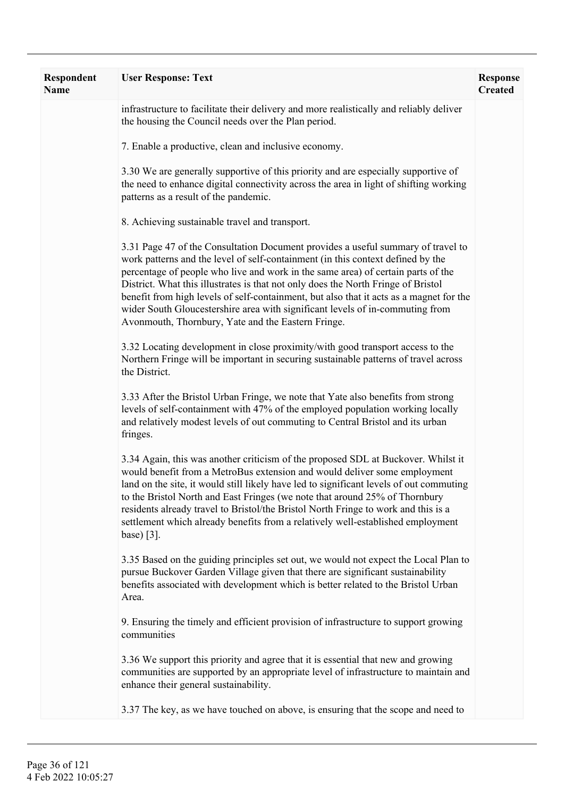| <b>Respondent</b><br><b>Name</b> | <b>User Response: Text</b>                                                                                                                                                                                                                                                                                                                                                                                                                                                                                                                                                     | <b>Response</b><br><b>Created</b> |
|----------------------------------|--------------------------------------------------------------------------------------------------------------------------------------------------------------------------------------------------------------------------------------------------------------------------------------------------------------------------------------------------------------------------------------------------------------------------------------------------------------------------------------------------------------------------------------------------------------------------------|-----------------------------------|
|                                  | infrastructure to facilitate their delivery and more realistically and reliably deliver<br>the housing the Council needs over the Plan period.                                                                                                                                                                                                                                                                                                                                                                                                                                 |                                   |
|                                  | 7. Enable a productive, clean and inclusive economy.                                                                                                                                                                                                                                                                                                                                                                                                                                                                                                                           |                                   |
|                                  | 3.30 We are generally supportive of this priority and are especially supportive of<br>the need to enhance digital connectivity across the area in light of shifting working<br>patterns as a result of the pandemic.                                                                                                                                                                                                                                                                                                                                                           |                                   |
|                                  | 8. Achieving sustainable travel and transport.                                                                                                                                                                                                                                                                                                                                                                                                                                                                                                                                 |                                   |
|                                  | 3.31 Page 47 of the Consultation Document provides a useful summary of travel to<br>work patterns and the level of self-containment (in this context defined by the<br>percentage of people who live and work in the same area) of certain parts of the<br>District. What this illustrates is that not only does the North Fringe of Bristol<br>benefit from high levels of self-containment, but also that it acts as a magnet for the<br>wider South Gloucestershire area with significant levels of in-commuting from<br>Avonmouth, Thornbury, Yate and the Eastern Fringe. |                                   |
|                                  | 3.32 Locating development in close proximity/with good transport access to the<br>Northern Fringe will be important in securing sustainable patterns of travel across<br>the District.                                                                                                                                                                                                                                                                                                                                                                                         |                                   |
|                                  | 3.33 After the Bristol Urban Fringe, we note that Yate also benefits from strong<br>levels of self-containment with 47% of the employed population working locally<br>and relatively modest levels of out commuting to Central Bristol and its urban<br>fringes.                                                                                                                                                                                                                                                                                                               |                                   |
|                                  | 3.34 Again, this was another criticism of the proposed SDL at Buckover. Whilst it<br>would benefit from a MetroBus extension and would deliver some employment<br>land on the site, it would still likely have led to significant levels of out commuting<br>to the Bristol North and East Fringes (we note that around 25% of Thornbury<br>residents already travel to Bristol/the Bristol North Fringe to work and this is a<br>settlement which already benefits from a relatively well-established employment<br>base) $[3]$ .                                             |                                   |
|                                  | 3.35 Based on the guiding principles set out, we would not expect the Local Plan to<br>pursue Buckover Garden Village given that there are significant sustainability<br>benefits associated with development which is better related to the Bristol Urban<br>Area.                                                                                                                                                                                                                                                                                                            |                                   |
|                                  | 9. Ensuring the timely and efficient provision of infrastructure to support growing<br>communities                                                                                                                                                                                                                                                                                                                                                                                                                                                                             |                                   |
|                                  | 3.36 We support this priority and agree that it is essential that new and growing<br>communities are supported by an appropriate level of infrastructure to maintain and<br>enhance their general sustainability.                                                                                                                                                                                                                                                                                                                                                              |                                   |
|                                  | 3.37 The key, as we have touched on above, is ensuring that the scope and need to                                                                                                                                                                                                                                                                                                                                                                                                                                                                                              |                                   |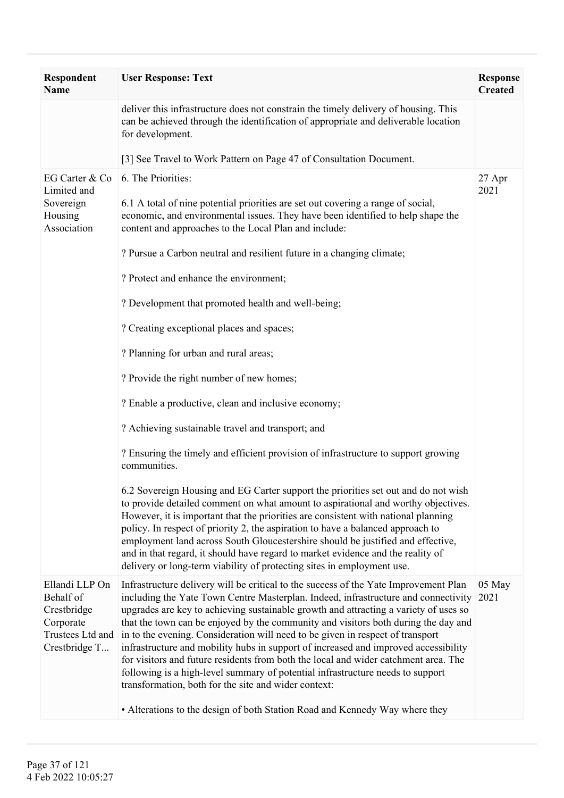| Respondent<br><b>Name</b>                                                                    | <b>User Response: Text</b>                                                                                                                                                                                                                                                                                                                                                                                                                                                                                                                                                                                                                                                                                                                                         | <b>Response</b><br><b>Created</b> |
|----------------------------------------------------------------------------------------------|--------------------------------------------------------------------------------------------------------------------------------------------------------------------------------------------------------------------------------------------------------------------------------------------------------------------------------------------------------------------------------------------------------------------------------------------------------------------------------------------------------------------------------------------------------------------------------------------------------------------------------------------------------------------------------------------------------------------------------------------------------------------|-----------------------------------|
|                                                                                              | deliver this infrastructure does not constrain the timely delivery of housing. This<br>can be achieved through the identification of appropriate and deliverable location<br>for development.                                                                                                                                                                                                                                                                                                                                                                                                                                                                                                                                                                      |                                   |
|                                                                                              | [3] See Travel to Work Pattern on Page 47 of Consultation Document.                                                                                                                                                                                                                                                                                                                                                                                                                                                                                                                                                                                                                                                                                                |                                   |
| EG Carter & Co<br>Limited and<br>Sovereign<br>Housing<br>Association                         | 6. The Priorities:<br>6.1 A total of nine potential priorities are set out covering a range of social,<br>economic, and environmental issues. They have been identified to help shape the<br>content and approaches to the Local Plan and include:                                                                                                                                                                                                                                                                                                                                                                                                                                                                                                                 | 27 Apr<br>2021                    |
|                                                                                              | ? Pursue a Carbon neutral and resilient future in a changing climate;                                                                                                                                                                                                                                                                                                                                                                                                                                                                                                                                                                                                                                                                                              |                                   |
|                                                                                              | ? Protect and enhance the environment;                                                                                                                                                                                                                                                                                                                                                                                                                                                                                                                                                                                                                                                                                                                             |                                   |
|                                                                                              | ? Development that promoted health and well-being;                                                                                                                                                                                                                                                                                                                                                                                                                                                                                                                                                                                                                                                                                                                 |                                   |
|                                                                                              | ? Creating exceptional places and spaces;                                                                                                                                                                                                                                                                                                                                                                                                                                                                                                                                                                                                                                                                                                                          |                                   |
|                                                                                              | ? Planning for urban and rural areas;                                                                                                                                                                                                                                                                                                                                                                                                                                                                                                                                                                                                                                                                                                                              |                                   |
|                                                                                              | ? Provide the right number of new homes;                                                                                                                                                                                                                                                                                                                                                                                                                                                                                                                                                                                                                                                                                                                           |                                   |
|                                                                                              | ? Enable a productive, clean and inclusive economy;                                                                                                                                                                                                                                                                                                                                                                                                                                                                                                                                                                                                                                                                                                                |                                   |
|                                                                                              | ? Achieving sustainable travel and transport; and                                                                                                                                                                                                                                                                                                                                                                                                                                                                                                                                                                                                                                                                                                                  |                                   |
|                                                                                              | ? Ensuring the timely and efficient provision of infrastructure to support growing<br>communities.                                                                                                                                                                                                                                                                                                                                                                                                                                                                                                                                                                                                                                                                 |                                   |
|                                                                                              | 6.2 Sovereign Housing and EG Carter support the priorities set out and do not wish<br>to provide detailed comment on what amount to aspirational and worthy objectives.<br>However, it is important that the priorities are consistent with national planning<br>policy. In respect of priority 2, the aspiration to have a balanced approach to<br>employment land across South Gloucestershire should be justified and effective,<br>and in that regard, it should have regard to market evidence and the reality of<br>delivery or long-term viability of protecting sites in employment use.                                                                                                                                                                   |                                   |
| Ellandi LLP On<br>Behalf of<br>Crestbridge<br>Corporate<br>Trustees Ltd and<br>Crestbridge T | Infrastructure delivery will be critical to the success of the Yate Improvement Plan<br>including the Yate Town Centre Masterplan. Indeed, infrastructure and connectivity<br>upgrades are key to achieving sustainable growth and attracting a variety of uses so<br>that the town can be enjoyed by the community and visitors both during the day and<br>in to the evening. Consideration will need to be given in respect of transport<br>infrastructure and mobility hubs in support of increased and improved accessibility<br>for visitors and future residents from both the local and wider catchment area. The<br>following is a high-level summary of potential infrastructure needs to support<br>transformation, both for the site and wider context: | 05 May<br>2021                    |
|                                                                                              | • Alterations to the design of both Station Road and Kennedy Way where they                                                                                                                                                                                                                                                                                                                                                                                                                                                                                                                                                                                                                                                                                        |                                   |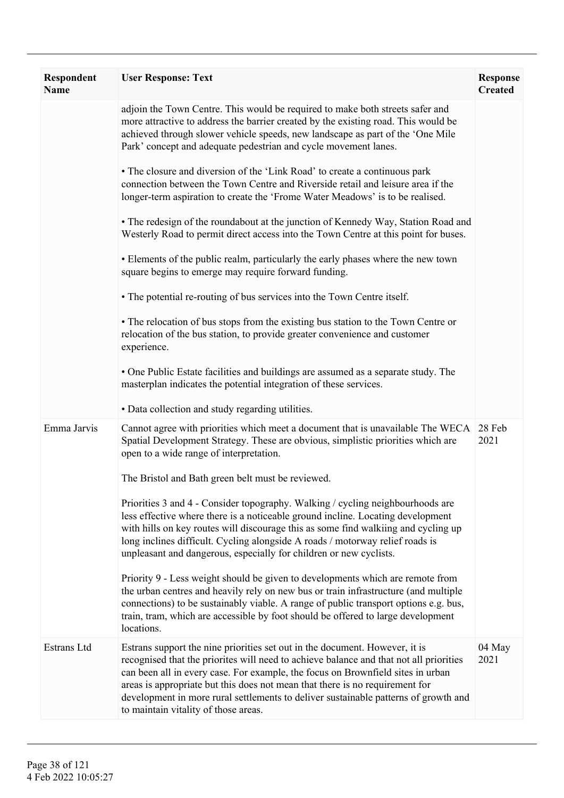| Respondent<br><b>Name</b> | <b>User Response: Text</b>                                                                                                                                                                                                                                                                                                                                                                                                                                              | <b>Response</b><br><b>Created</b> |
|---------------------------|-------------------------------------------------------------------------------------------------------------------------------------------------------------------------------------------------------------------------------------------------------------------------------------------------------------------------------------------------------------------------------------------------------------------------------------------------------------------------|-----------------------------------|
|                           | adjoin the Town Centre. This would be required to make both streets safer and<br>more attractive to address the barrier created by the existing road. This would be<br>achieved through slower vehicle speeds, new landscape as part of the 'One Mile<br>Park' concept and adequate pedestrian and cycle movement lanes.                                                                                                                                                |                                   |
|                           | • The closure and diversion of the 'Link Road' to create a continuous park<br>connection between the Town Centre and Riverside retail and leisure area if the<br>longer-term aspiration to create the 'Frome Water Meadows' is to be realised.                                                                                                                                                                                                                          |                                   |
|                           | • The redesign of the roundabout at the junction of Kennedy Way, Station Road and<br>Westerly Road to permit direct access into the Town Centre at this point for buses.                                                                                                                                                                                                                                                                                                |                                   |
|                           | • Elements of the public realm, particularly the early phases where the new town<br>square begins to emerge may require forward funding.                                                                                                                                                                                                                                                                                                                                |                                   |
|                           | • The potential re-routing of bus services into the Town Centre itself.                                                                                                                                                                                                                                                                                                                                                                                                 |                                   |
|                           | • The relocation of bus stops from the existing bus station to the Town Centre or<br>relocation of the bus station, to provide greater convenience and customer<br>experience.                                                                                                                                                                                                                                                                                          |                                   |
|                           | • One Public Estate facilities and buildings are assumed as a separate study. The<br>masterplan indicates the potential integration of these services.                                                                                                                                                                                                                                                                                                                  |                                   |
|                           | • Data collection and study regarding utilities.                                                                                                                                                                                                                                                                                                                                                                                                                        |                                   |
| Emma Jarvis               | Cannot agree with priorities which meet a document that is unavailable The WECA<br>Spatial Development Strategy. These are obvious, simplistic priorities which are<br>open to a wide range of interpretation.                                                                                                                                                                                                                                                          | 28 Feb<br>2021                    |
|                           | The Bristol and Bath green belt must be reviewed.                                                                                                                                                                                                                                                                                                                                                                                                                       |                                   |
|                           | Priorities 3 and 4 - Consider topography. Walking / cycling neighbourhoods are<br>less effective where there is a noticeable ground incline. Locating development<br>with hills on key routes will discourage this as some find walking and cycling up<br>long inclines difficult. Cycling alongside A roads / motorway relief roads is<br>unpleasant and dangerous, especially for children or new cyclists.                                                           |                                   |
|                           | Priority 9 - Less weight should be given to developments which are remote from<br>the urban centres and heavily rely on new bus or train infrastructure (and multiple<br>connections) to be sustainably viable. A range of public transport options e.g. bus,<br>train, tram, which are accessible by foot should be offered to large development<br>locations.                                                                                                         |                                   |
| Estrans Ltd               | Estrans support the nine priorities set out in the document. However, it is<br>recognised that the priorites will need to achieve balance and that not all priorities<br>can been all in every case. For example, the focus on Brownfield sites in urban<br>areas is appropriate but this does not mean that there is no requirement for<br>development in more rural settlements to deliver sustainable patterns of growth and<br>to maintain vitality of those areas. | 04 May<br>2021                    |
|                           |                                                                                                                                                                                                                                                                                                                                                                                                                                                                         |                                   |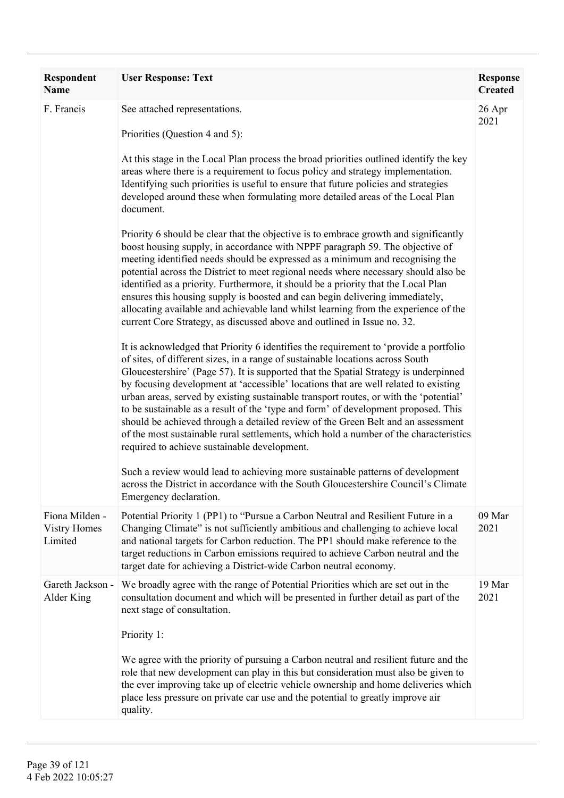| Respondent<br>Name                               | <b>User Response: Text</b>                                                                                                                                                                                                                                                                                                                                                                                                                                                                                                                                                                                                                                                                                                                                                                                                                                                                                                                                                                                                                                                                                                                                                                                                                                                                                                                                                                                                                                                                                                                                                                                                                                                                                                                                                                                                                                                                                                                                                                                                                                              | <b>Response</b><br><b>Created</b> |
|--------------------------------------------------|-------------------------------------------------------------------------------------------------------------------------------------------------------------------------------------------------------------------------------------------------------------------------------------------------------------------------------------------------------------------------------------------------------------------------------------------------------------------------------------------------------------------------------------------------------------------------------------------------------------------------------------------------------------------------------------------------------------------------------------------------------------------------------------------------------------------------------------------------------------------------------------------------------------------------------------------------------------------------------------------------------------------------------------------------------------------------------------------------------------------------------------------------------------------------------------------------------------------------------------------------------------------------------------------------------------------------------------------------------------------------------------------------------------------------------------------------------------------------------------------------------------------------------------------------------------------------------------------------------------------------------------------------------------------------------------------------------------------------------------------------------------------------------------------------------------------------------------------------------------------------------------------------------------------------------------------------------------------------------------------------------------------------------------------------------------------------|-----------------------------------|
| F. Francis                                       | See attached representations.<br>Priorities (Question 4 and 5):<br>At this stage in the Local Plan process the broad priorities outlined identify the key<br>areas where there is a requirement to focus policy and strategy implementation.<br>Identifying such priorities is useful to ensure that future policies and strategies<br>developed around these when formulating more detailed areas of the Local Plan<br>document.<br>Priority 6 should be clear that the objective is to embrace growth and significantly<br>boost housing supply, in accordance with NPPF paragraph 59. The objective of<br>meeting identified needs should be expressed as a minimum and recognising the<br>potential across the District to meet regional needs where necessary should also be<br>identified as a priority. Furthermore, it should be a priority that the Local Plan<br>ensures this housing supply is boosted and can begin delivering immediately,<br>allocating available and achievable land whilst learning from the experience of the<br>current Core Strategy, as discussed above and outlined in Issue no. 32.<br>It is acknowledged that Priority 6 identifies the requirement to 'provide a portfolio<br>of sites, of different sizes, in a range of sustainable locations across South<br>Gloucestershire' (Page 57). It is supported that the Spatial Strategy is underpinned<br>by focusing development at 'accessible' locations that are well related to existing<br>urban areas, served by existing sustainable transport routes, or with the 'potential'<br>to be sustainable as a result of the 'type and form' of development proposed. This<br>should be achieved through a detailed review of the Green Belt and an assessment<br>of the most sustainable rural settlements, which hold a number of the characteristics<br>required to achieve sustainable development.<br>Such a review would lead to achieving more sustainable patterns of development<br>across the District in accordance with the South Gloucestershire Council's Climate | 26 Apr<br>2021                    |
| Fiona Milden -<br><b>Vistry Homes</b><br>Limited | Emergency declaration.<br>Potential Priority 1 (PP1) to "Pursue a Carbon Neutral and Resilient Future in a<br>Changing Climate" is not sufficiently ambitious and challenging to achieve local<br>and national targets for Carbon reduction. The PP1 should make reference to the<br>target reductions in Carbon emissions required to achieve Carbon neutral and the<br>target date for achieving a District-wide Carbon neutral economy.                                                                                                                                                                                                                                                                                                                                                                                                                                                                                                                                                                                                                                                                                                                                                                                                                                                                                                                                                                                                                                                                                                                                                                                                                                                                                                                                                                                                                                                                                                                                                                                                                              | 09 Mar<br>2021                    |
| Gareth Jackson -<br>Alder King                   | We broadly agree with the range of Potential Priorities which are set out in the<br>consultation document and which will be presented in further detail as part of the<br>next stage of consultation.<br>Priority 1:<br>We agree with the priority of pursuing a Carbon neutral and resilient future and the<br>role that new development can play in this but consideration must also be given to<br>the ever improving take up of electric vehicle ownership and home deliveries which<br>place less pressure on private car use and the potential to greatly improve air<br>quality.                                                                                                                                                                                                                                                                                                                                                                                                                                                                                                                                                                                                                                                                                                                                                                                                                                                                                                                                                                                                                                                                                                                                                                                                                                                                                                                                                                                                                                                                                 | 19 Mar<br>2021                    |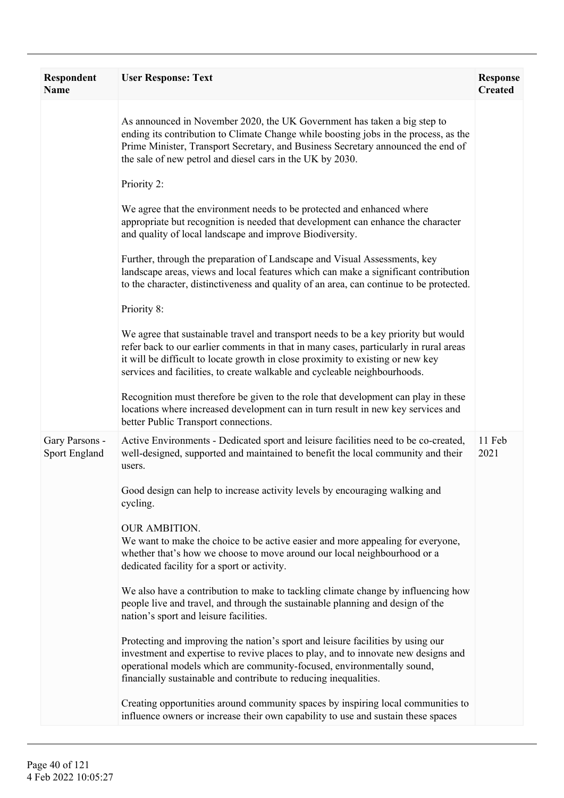| Respondent<br><b>Name</b>       | <b>User Response: Text</b>                                                                                                                                                                                                                                                                                                                   | <b>Response</b><br><b>Created</b> |
|---------------------------------|----------------------------------------------------------------------------------------------------------------------------------------------------------------------------------------------------------------------------------------------------------------------------------------------------------------------------------------------|-----------------------------------|
|                                 | As announced in November 2020, the UK Government has taken a big step to<br>ending its contribution to Climate Change while boosting jobs in the process, as the<br>Prime Minister, Transport Secretary, and Business Secretary announced the end of<br>the sale of new petrol and diesel cars in the UK by 2030.                            |                                   |
|                                 | Priority 2:                                                                                                                                                                                                                                                                                                                                  |                                   |
|                                 | We agree that the environment needs to be protected and enhanced where<br>appropriate but recognition is needed that development can enhance the character<br>and quality of local landscape and improve Biodiversity.                                                                                                                       |                                   |
|                                 | Further, through the preparation of Landscape and Visual Assessments, key<br>landscape areas, views and local features which can make a significant contribution<br>to the character, distinctiveness and quality of an area, can continue to be protected.                                                                                  |                                   |
|                                 | Priority 8:                                                                                                                                                                                                                                                                                                                                  |                                   |
|                                 | We agree that sustainable travel and transport needs to be a key priority but would<br>refer back to our earlier comments in that in many cases, particularly in rural areas<br>it will be difficult to locate growth in close proximity to existing or new key<br>services and facilities, to create walkable and cycleable neighbourhoods. |                                   |
|                                 | Recognition must therefore be given to the role that development can play in these<br>locations where increased development can in turn result in new key services and<br>better Public Transport connections.                                                                                                                               |                                   |
| Gary Parsons -<br>Sport England | Active Environments - Dedicated sport and leisure facilities need to be co-created,<br>well-designed, supported and maintained to benefit the local community and their<br>users.                                                                                                                                                            | 11 Feb<br>2021                    |
|                                 | Good design can help to increase activity levels by encouraging walking and<br>cycling.                                                                                                                                                                                                                                                      |                                   |
|                                 | <b>OUR AMBITION.</b><br>We want to make the choice to be active easier and more appealing for everyone,<br>whether that's how we choose to move around our local neighbourhood or a<br>dedicated facility for a sport or activity.                                                                                                           |                                   |
|                                 | We also have a contribution to make to tackling climate change by influencing how<br>people live and travel, and through the sustainable planning and design of the<br>nation's sport and leisure facilities.                                                                                                                                |                                   |
|                                 | Protecting and improving the nation's sport and leisure facilities by using our<br>investment and expertise to revive places to play, and to innovate new designs and<br>operational models which are community-focused, environmentally sound,<br>financially sustainable and contribute to reducing inequalities.                          |                                   |
|                                 | Creating opportunities around community spaces by inspiring local communities to<br>influence owners or increase their own capability to use and sustain these spaces                                                                                                                                                                        |                                   |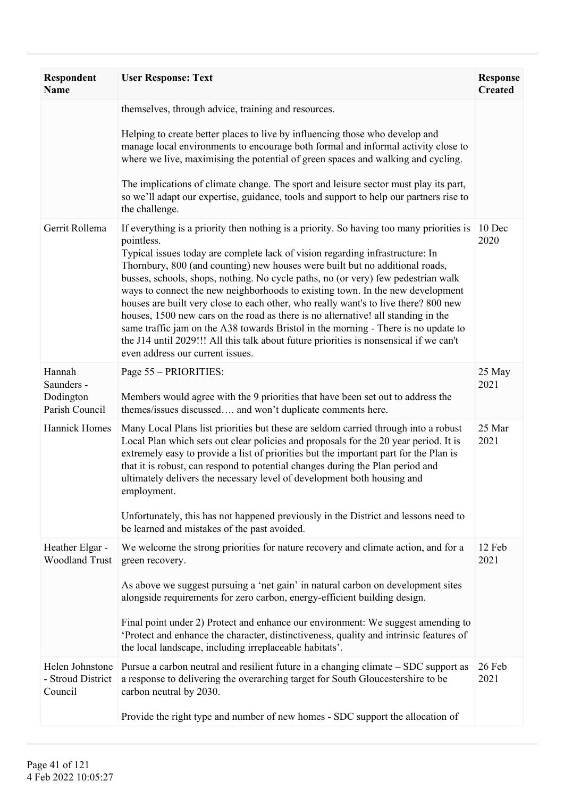| <b>Respondent</b><br><b>Name</b>                    | <b>User Response: Text</b>                                                                                                                                                                                                                                                                                                                                                                                                                                                                                                                                                                                                                                                                                                                                                                                                                     | <b>Response</b><br><b>Created</b> |
|-----------------------------------------------------|------------------------------------------------------------------------------------------------------------------------------------------------------------------------------------------------------------------------------------------------------------------------------------------------------------------------------------------------------------------------------------------------------------------------------------------------------------------------------------------------------------------------------------------------------------------------------------------------------------------------------------------------------------------------------------------------------------------------------------------------------------------------------------------------------------------------------------------------|-----------------------------------|
|                                                     | themselves, through advice, training and resources.<br>Helping to create better places to live by influencing those who develop and<br>manage local environments to encourage both formal and informal activity close to<br>where we live, maximising the potential of green spaces and walking and cycling.<br>The implications of climate change. The sport and leisure sector must play its part,<br>so we'll adapt our expertise, guidance, tools and support to help our partners rise to<br>the challenge.                                                                                                                                                                                                                                                                                                                               |                                   |
| Gerrit Rollema                                      | If everything is a priority then nothing is a priority. So having too many priorities is<br>pointless.<br>Typical issues today are complete lack of vision regarding infrastructure: In<br>Thornbury, 800 (and counting) new houses were built but no additional roads,<br>busses, schools, shops, nothing. No cycle paths, no (or very) few pedestrian walk<br>ways to connect the new neighborhoods to existing town. In the new development<br>houses are built very close to each other, who really want's to live there? 800 new<br>houses, 1500 new cars on the road as there is no alternative! all standing in the<br>same traffic jam on the A38 towards Bristol in the morning - There is no update to<br>the J14 until 2029!!! All this talk about future priorities is nonsensical if we can't<br>even address our current issues. | 10 Dec<br>2020                    |
| Hannah<br>Saunders -<br>Dodington<br>Parish Council | Page 55 - PRIORITIES:<br>Members would agree with the 9 priorities that have been set out to address the<br>themes/issues discussed and won't duplicate comments here.                                                                                                                                                                                                                                                                                                                                                                                                                                                                                                                                                                                                                                                                         | 25 May<br>2021                    |
| <b>Hannick Homes</b>                                | Many Local Plans list priorities but these are seldom carried through into a robust<br>Local Plan which sets out clear policies and proposals for the 20 year period. It is<br>extremely easy to provide a list of priorities but the important part for the Plan is<br>that it is robust, can respond to potential changes during the Plan period and<br>ultimately delivers the necessary level of development both housing and<br>employment.<br>Unfortunately, this has not happened previously in the District and lessons need to<br>be learned and mistakes of the past avoided.                                                                                                                                                                                                                                                        | 25 Mar<br>2021                    |
| Heather Elgar -<br><b>Woodland Trust</b>            | We welcome the strong priorities for nature recovery and climate action, and for a<br>green recovery.<br>As above we suggest pursuing a 'net gain' in natural carbon on development sites<br>alongside requirements for zero carbon, energy-efficient building design.<br>Final point under 2) Protect and enhance our environment: We suggest amending to<br>'Protect and enhance the character, distinctiveness, quality and intrinsic features of<br>the local landscape, including irreplaceable habitats'.                                                                                                                                                                                                                                                                                                                                | 12 Feb<br>2021                    |
| Helen Johnstone<br>- Stroud District<br>Council     | Pursue a carbon neutral and resilient future in a changing climate – SDC support as<br>a response to delivering the overarching target for South Gloucestershire to be<br>carbon neutral by 2030.<br>Provide the right type and number of new homes - SDC support the allocation of                                                                                                                                                                                                                                                                                                                                                                                                                                                                                                                                                            | 26 Feb<br>2021                    |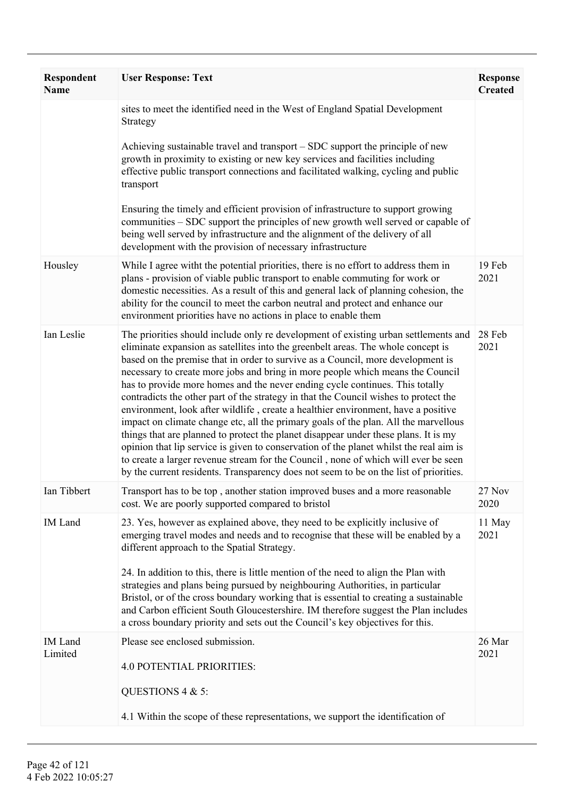| <b>Respondent</b><br><b>Name</b> | <b>User Response: Text</b>                                                                                                                                                                                                                                                                                                                                                                                                                                                                                                                                                                                                                                                                                                                                                                                                                                                                                                                                                                                                                                       | <b>Response</b><br><b>Created</b> |
|----------------------------------|------------------------------------------------------------------------------------------------------------------------------------------------------------------------------------------------------------------------------------------------------------------------------------------------------------------------------------------------------------------------------------------------------------------------------------------------------------------------------------------------------------------------------------------------------------------------------------------------------------------------------------------------------------------------------------------------------------------------------------------------------------------------------------------------------------------------------------------------------------------------------------------------------------------------------------------------------------------------------------------------------------------------------------------------------------------|-----------------------------------|
|                                  | sites to meet the identified need in the West of England Spatial Development<br>Strategy<br>Achieving sustainable travel and transport – SDC support the principle of new<br>growth in proximity to existing or new key services and facilities including<br>effective public transport connections and facilitated walking, cycling and public<br>transport<br>Ensuring the timely and efficient provision of infrastructure to support growing<br>communities – SDC support the principles of new growth well served or capable of<br>being well served by infrastructure and the alignment of the delivery of all<br>development with the provision of necessary infrastructure                                                                                                                                                                                                                                                                                                                                                                               |                                   |
| Housley                          | While I agree with the potential priorities, there is no effort to address them in<br>plans - provision of viable public transport to enable commuting for work or<br>domestic necessities. As a result of this and general lack of planning cohesion, the<br>ability for the council to meet the carbon neutral and protect and enhance our<br>environment priorities have no actions in place to enable them                                                                                                                                                                                                                                                                                                                                                                                                                                                                                                                                                                                                                                                   | 19 Feb<br>2021                    |
| Ian Leslie                       | The priorities should include only re development of existing urban settlements and<br>eliminate expansion as satellites into the greenbelt areas. The whole concept is<br>based on the premise that in order to survive as a Council, more development is<br>necessary to create more jobs and bring in more people which means the Council<br>has to provide more homes and the never ending cycle continues. This totally<br>contradicts the other part of the strategy in that the Council wishes to protect the<br>environment, look after wildlife, create a healthier environment, have a positive<br>impact on climate change etc, all the primary goals of the plan. All the marvellous<br>things that are planned to protect the planet disappear under these plans. It is my<br>opinion that lip service is given to conservation of the planet whilst the real aim is<br>to create a larger revenue stream for the Council, none of which will ever be seen<br>by the current residents. Transparency does not seem to be on the list of priorities. | 28 Feb<br>2021                    |
| Ian Tibbert                      | Transport has to be top, another station improved buses and a more reasonable<br>cost. We are poorly supported compared to bristol                                                                                                                                                                                                                                                                                                                                                                                                                                                                                                                                                                                                                                                                                                                                                                                                                                                                                                                               | 27 Nov<br>2020                    |
| <b>IM</b> Land                   | 23. Yes, however as explained above, they need to be explicitly inclusive of<br>emerging travel modes and needs and to recognise that these will be enabled by a<br>different approach to the Spatial Strategy.<br>24. In addition to this, there is little mention of the need to align the Plan with<br>strategies and plans being pursued by neighbouring Authorities, in particular<br>Bristol, or of the cross boundary working that is essential to creating a sustainable<br>and Carbon efficient South Gloucestershire. IM therefore suggest the Plan includes<br>a cross boundary priority and sets out the Council's key objectives for this.                                                                                                                                                                                                                                                                                                                                                                                                          | 11 May<br>2021                    |
| <b>IM</b> Land<br>Limited        | Please see enclosed submission.<br><b>4.0 POTENTIAL PRIORITIES:</b><br>QUESTIONS $4 & 5$ :<br>4.1 Within the scope of these representations, we support the identification of                                                                                                                                                                                                                                                                                                                                                                                                                                                                                                                                                                                                                                                                                                                                                                                                                                                                                    | 26 Mar<br>2021                    |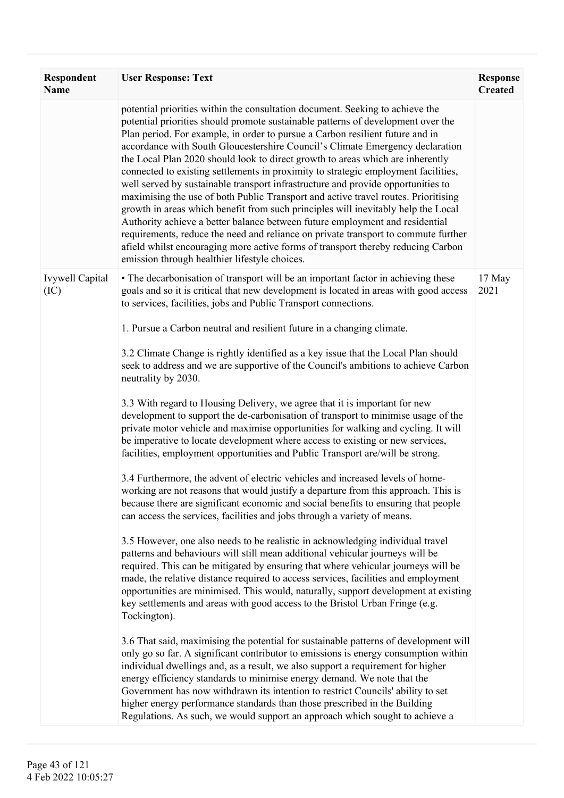| <b>Respondent</b><br><b>Name</b> | <b>User Response: Text</b>                                                                                                                                                                                                                                                                                                                                                                                                                                                                                                                                                                                                                                                                                                                                                                                                                                                                                                                                                                                                                                                            | <b>Response</b><br><b>Created</b> |
|----------------------------------|---------------------------------------------------------------------------------------------------------------------------------------------------------------------------------------------------------------------------------------------------------------------------------------------------------------------------------------------------------------------------------------------------------------------------------------------------------------------------------------------------------------------------------------------------------------------------------------------------------------------------------------------------------------------------------------------------------------------------------------------------------------------------------------------------------------------------------------------------------------------------------------------------------------------------------------------------------------------------------------------------------------------------------------------------------------------------------------|-----------------------------------|
|                                  | potential priorities within the consultation document. Seeking to achieve the<br>potential priorities should promote sustainable patterns of development over the<br>Plan period. For example, in order to pursue a Carbon resilient future and in<br>accordance with South Gloucestershire Council's Climate Emergency declaration<br>the Local Plan 2020 should look to direct growth to areas which are inherently<br>connected to existing settlements in proximity to strategic employment facilities,<br>well served by sustainable transport infrastructure and provide opportunities to<br>maximising the use of both Public Transport and active travel routes. Prioritising<br>growth in areas which benefit from such principles will inevitably help the Local<br>Authority achieve a better balance between future employment and residential<br>requirements, reduce the need and reliance on private transport to commute further<br>afield whilst encouraging more active forms of transport thereby reducing Carbon<br>emission through healthier lifestyle choices. |                                   |
| <b>Ivywell Capital</b><br>(IC)   | • The decarbonisation of transport will be an important factor in achieving these<br>goals and so it is critical that new development is located in areas with good access<br>to services, facilities, jobs and Public Transport connections.                                                                                                                                                                                                                                                                                                                                                                                                                                                                                                                                                                                                                                                                                                                                                                                                                                         | 17 May<br>2021                    |
|                                  | 1. Pursue a Carbon neutral and resilient future in a changing climate.                                                                                                                                                                                                                                                                                                                                                                                                                                                                                                                                                                                                                                                                                                                                                                                                                                                                                                                                                                                                                |                                   |
|                                  | 3.2 Climate Change is rightly identified as a key issue that the Local Plan should<br>seek to address and we are supportive of the Council's ambitions to achieve Carbon<br>neutrality by 2030.                                                                                                                                                                                                                                                                                                                                                                                                                                                                                                                                                                                                                                                                                                                                                                                                                                                                                       |                                   |
|                                  | 3.3 With regard to Housing Delivery, we agree that it is important for new<br>development to support the de-carbonisation of transport to minimise usage of the<br>private motor vehicle and maximise opportunities for walking and cycling. It will<br>be imperative to locate development where access to existing or new services,<br>facilities, employment opportunities and Public Transport are/will be strong.                                                                                                                                                                                                                                                                                                                                                                                                                                                                                                                                                                                                                                                                |                                   |
|                                  | 3.4 Furthermore, the advent of electric vehicles and increased levels of home-<br>working are not reasons that would justify a departure from this approach. This is<br>because there are significant economic and social benefits to ensuring that people<br>can access the services, facilities and jobs through a variety of means.                                                                                                                                                                                                                                                                                                                                                                                                                                                                                                                                                                                                                                                                                                                                                |                                   |
|                                  | 3.5 However, one also needs to be realistic in acknowledging individual travel<br>patterns and behaviours will still mean additional vehicular journeys will be<br>required. This can be mitigated by ensuring that where vehicular journeys will be<br>made, the relative distance required to access services, facilities and employment<br>opportunities are minimised. This would, naturally, support development at existing<br>key settlements and areas with good access to the Bristol Urban Fringe (e.g.<br>Tockington).                                                                                                                                                                                                                                                                                                                                                                                                                                                                                                                                                     |                                   |
|                                  | 3.6 That said, maximising the potential for sustainable patterns of development will<br>only go so far. A significant contributor to emissions is energy consumption within<br>individual dwellings and, as a result, we also support a requirement for higher<br>energy efficiency standards to minimise energy demand. We note that the<br>Government has now withdrawn its intention to restrict Councils' ability to set<br>higher energy performance standards than those prescribed in the Building<br>Regulations. As such, we would support an approach which sought to achieve a                                                                                                                                                                                                                                                                                                                                                                                                                                                                                             |                                   |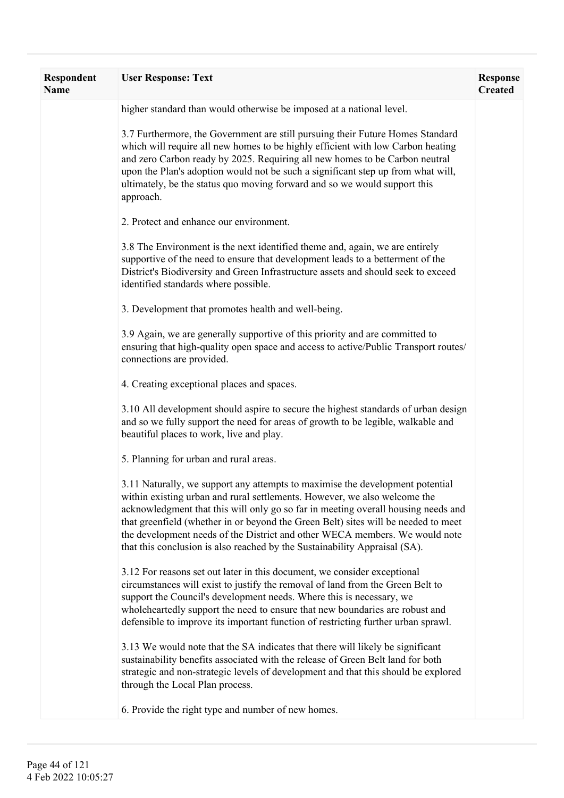| <b>Respondent</b><br><b>Name</b> | <b>User Response: Text</b>                                                                                                                                                                                                                                                                                                                                                                                                                                                                         | <b>Response</b><br><b>Created</b> |
|----------------------------------|----------------------------------------------------------------------------------------------------------------------------------------------------------------------------------------------------------------------------------------------------------------------------------------------------------------------------------------------------------------------------------------------------------------------------------------------------------------------------------------------------|-----------------------------------|
|                                  | higher standard than would otherwise be imposed at a national level.                                                                                                                                                                                                                                                                                                                                                                                                                               |                                   |
|                                  | 3.7 Furthermore, the Government are still pursuing their Future Homes Standard<br>which will require all new homes to be highly efficient with low Carbon heating<br>and zero Carbon ready by 2025. Requiring all new homes to be Carbon neutral<br>upon the Plan's adoption would not be such a significant step up from what will,<br>ultimately, be the status quo moving forward and so we would support this<br>approach.                                                                     |                                   |
|                                  | 2. Protect and enhance our environment.                                                                                                                                                                                                                                                                                                                                                                                                                                                            |                                   |
|                                  | 3.8 The Environment is the next identified theme and, again, we are entirely<br>supportive of the need to ensure that development leads to a betterment of the<br>District's Biodiversity and Green Infrastructure assets and should seek to exceed<br>identified standards where possible.                                                                                                                                                                                                        |                                   |
|                                  | 3. Development that promotes health and well-being.                                                                                                                                                                                                                                                                                                                                                                                                                                                |                                   |
|                                  | 3.9 Again, we are generally supportive of this priority and are committed to<br>ensuring that high-quality open space and access to active/Public Transport routes/<br>connections are provided.                                                                                                                                                                                                                                                                                                   |                                   |
|                                  | 4. Creating exceptional places and spaces.                                                                                                                                                                                                                                                                                                                                                                                                                                                         |                                   |
|                                  | 3.10 All development should aspire to secure the highest standards of urban design<br>and so we fully support the need for areas of growth to be legible, walkable and<br>beautiful places to work, live and play.                                                                                                                                                                                                                                                                                 |                                   |
|                                  | 5. Planning for urban and rural areas.                                                                                                                                                                                                                                                                                                                                                                                                                                                             |                                   |
|                                  | 3.11 Naturally, we support any attempts to maximise the development potential<br>within existing urban and rural settlements. However, we also welcome the<br>acknowledgment that this will only go so far in meeting overall housing needs and<br>that greenfield (whether in or beyond the Green Belt) sites will be needed to meet<br>the development needs of the District and other WECA members. We would note<br>that this conclusion is also reached by the Sustainability Appraisal (SA). |                                   |
|                                  | 3.12 For reasons set out later in this document, we consider exceptional<br>circumstances will exist to justify the removal of land from the Green Belt to<br>support the Council's development needs. Where this is necessary, we<br>wholeheartedly support the need to ensure that new boundaries are robust and<br>defensible to improve its important function of restricting further urban sprawl.                                                                                            |                                   |
|                                  | 3.13 We would note that the SA indicates that there will likely be significant<br>sustainability benefits associated with the release of Green Belt land for both<br>strategic and non-strategic levels of development and that this should be explored<br>through the Local Plan process.                                                                                                                                                                                                         |                                   |
|                                  | 6. Provide the right type and number of new homes.                                                                                                                                                                                                                                                                                                                                                                                                                                                 |                                   |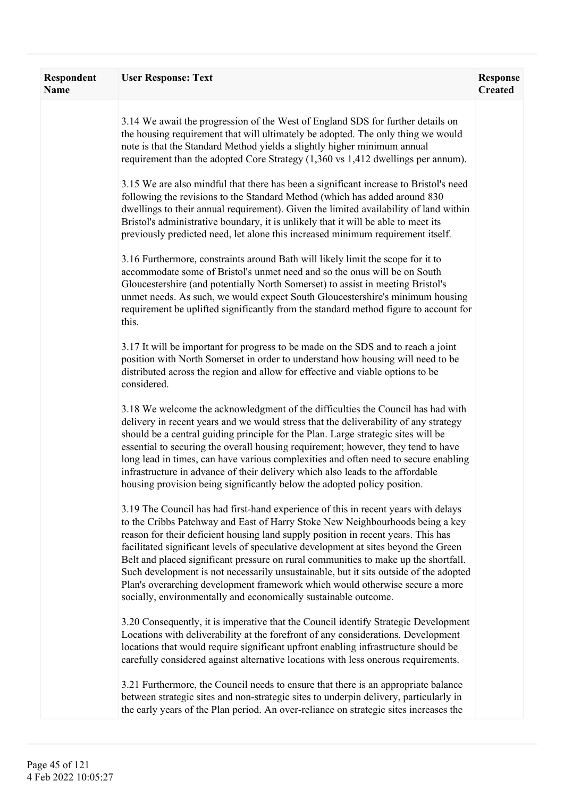| Respondent<br><b>Name</b> | <b>User Response: Text</b>                                                                                                                                                                                                                                                                                                                                                                                                                                                                                                                                                                                                                                                         | <b>Response</b><br><b>Created</b> |
|---------------------------|------------------------------------------------------------------------------------------------------------------------------------------------------------------------------------------------------------------------------------------------------------------------------------------------------------------------------------------------------------------------------------------------------------------------------------------------------------------------------------------------------------------------------------------------------------------------------------------------------------------------------------------------------------------------------------|-----------------------------------|
|                           | 3.14 We await the progression of the West of England SDS for further details on<br>the housing requirement that will ultimately be adopted. The only thing we would<br>note is that the Standard Method yields a slightly higher minimum annual<br>requirement than the adopted Core Strategy (1,360 vs 1,412 dwellings per annum).                                                                                                                                                                                                                                                                                                                                                |                                   |
|                           | 3.15 We are also mindful that there has been a significant increase to Bristol's need<br>following the revisions to the Standard Method (which has added around 830<br>dwellings to their annual requirement). Given the limited availability of land within<br>Bristol's administrative boundary, it is unlikely that it will be able to meet its<br>previously predicted need, let alone this increased minimum requirement itself.                                                                                                                                                                                                                                              |                                   |
|                           | 3.16 Furthermore, constraints around Bath will likely limit the scope for it to<br>accommodate some of Bristol's unmet need and so the onus will be on South<br>Gloucestershire (and potentially North Somerset) to assist in meeting Bristol's<br>unmet needs. As such, we would expect South Gloucestershire's minimum housing<br>requirement be uplifted significantly from the standard method figure to account for<br>this.                                                                                                                                                                                                                                                  |                                   |
|                           | 3.17 It will be important for progress to be made on the SDS and to reach a joint<br>position with North Somerset in order to understand how housing will need to be<br>distributed across the region and allow for effective and viable options to be<br>considered.                                                                                                                                                                                                                                                                                                                                                                                                              |                                   |
|                           | 3.18 We welcome the acknowledgment of the difficulties the Council has had with<br>delivery in recent years and we would stress that the deliverability of any strategy<br>should be a central guiding principle for the Plan. Large strategic sites will be<br>essential to securing the overall housing requirement; however, they tend to have<br>long lead in times, can have various complexities and often need to secure enabling<br>infrastructure in advance of their delivery which also leads to the affordable<br>housing provision being significantly below the adopted policy position.                                                                             |                                   |
|                           | 3.19 The Council has had first-hand experience of this in recent years with delays<br>to the Cribbs Patchway and East of Harry Stoke New Neighbourhoods being a key<br>reason for their deficient housing land supply position in recent years. This has<br>facilitated significant levels of speculative development at sites beyond the Green<br>Belt and placed significant pressure on rural communities to make up the shortfall.<br>Such development is not necessarily unsustainable, but it sits outside of the adopted<br>Plan's overarching development framework which would otherwise secure a more<br>socially, environmentally and economically sustainable outcome. |                                   |
|                           | 3.20 Consequently, it is imperative that the Council identify Strategic Development<br>Locations with deliverability at the forefront of any considerations. Development<br>locations that would require significant upfront enabling infrastructure should be<br>carefully considered against alternative locations with less onerous requirements.                                                                                                                                                                                                                                                                                                                               |                                   |
|                           | 3.21 Furthermore, the Council needs to ensure that there is an appropriate balance<br>between strategic sites and non-strategic sites to underpin delivery, particularly in<br>the early years of the Plan period. An over-reliance on strategic sites increases the                                                                                                                                                                                                                                                                                                                                                                                                               |                                   |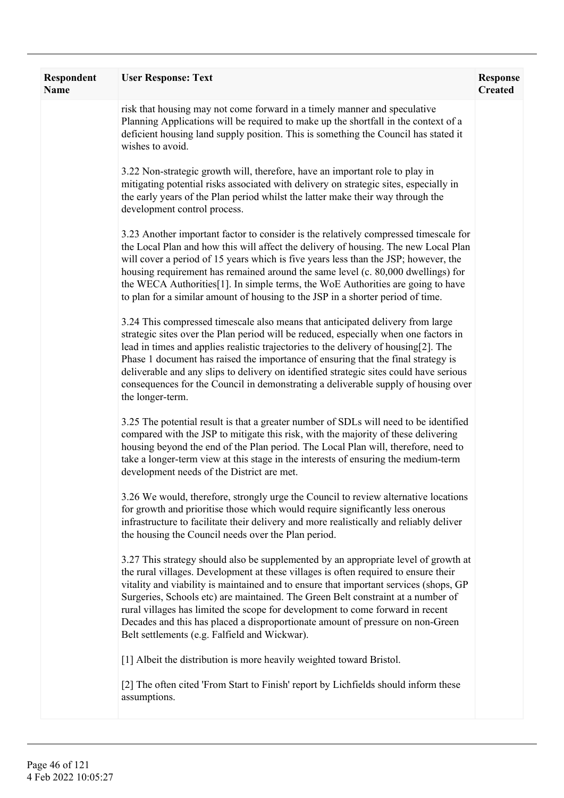| Respondent<br><b>Name</b> | <b>User Response: Text</b>                                                                                                                                                                                                                                                                                                                                                                                                                                                                                                                                                   | <b>Response</b><br><b>Created</b> |
|---------------------------|------------------------------------------------------------------------------------------------------------------------------------------------------------------------------------------------------------------------------------------------------------------------------------------------------------------------------------------------------------------------------------------------------------------------------------------------------------------------------------------------------------------------------------------------------------------------------|-----------------------------------|
|                           | risk that housing may not come forward in a timely manner and speculative<br>Planning Applications will be required to make up the shortfall in the context of a<br>deficient housing land supply position. This is something the Council has stated it<br>wishes to avoid.                                                                                                                                                                                                                                                                                                  |                                   |
|                           | 3.22 Non-strategic growth will, therefore, have an important role to play in<br>mitigating potential risks associated with delivery on strategic sites, especially in<br>the early years of the Plan period whilst the latter make their way through the<br>development control process.                                                                                                                                                                                                                                                                                     |                                   |
|                           | 3.23 Another important factor to consider is the relatively compressed timescale for<br>the Local Plan and how this will affect the delivery of housing. The new Local Plan<br>will cover a period of 15 years which is five years less than the JSP; however, the<br>housing requirement has remained around the same level (c. 80,000 dwellings) for<br>the WECA Authorities[1]. In simple terms, the WoE Authorities are going to have<br>to plan for a similar amount of housing to the JSP in a shorter period of time.                                                 |                                   |
|                           | 3.24 This compressed timescale also means that anticipated delivery from large<br>strategic sites over the Plan period will be reduced, especially when one factors in<br>lead in times and applies realistic trajectories to the delivery of housing[2]. The<br>Phase 1 document has raised the importance of ensuring that the final strategy is<br>deliverable and any slips to delivery on identified strategic sites could have serious<br>consequences for the Council in demonstrating a deliverable supply of housing over<br>the longer-term.                       |                                   |
|                           | 3.25 The potential result is that a greater number of SDLs will need to be identified<br>compared with the JSP to mitigate this risk, with the majority of these delivering<br>housing beyond the end of the Plan period. The Local Plan will, therefore, need to<br>take a longer-term view at this stage in the interests of ensuring the medium-term<br>development needs of the District are met.                                                                                                                                                                        |                                   |
|                           | 3.26 We would, therefore, strongly urge the Council to review alternative locations<br>for growth and prioritise those which would require significantly less onerous<br>infrastructure to facilitate their delivery and more realistically and reliably deliver<br>the housing the Council needs over the Plan period.                                                                                                                                                                                                                                                      |                                   |
|                           | 3.27 This strategy should also be supplemented by an appropriate level of growth at<br>the rural villages. Development at these villages is often required to ensure their<br>vitality and viability is maintained and to ensure that important services (shops, GP<br>Surgeries, Schools etc) are maintained. The Green Belt constraint at a number of<br>rural villages has limited the scope for development to come forward in recent<br>Decades and this has placed a disproportionate amount of pressure on non-Green<br>Belt settlements (e.g. Falfield and Wickwar). |                                   |
|                           | [1] Albeit the distribution is more heavily weighted toward Bristol.<br>[2] The often cited 'From Start to Finish' report by Lichfields should inform these<br>assumptions.                                                                                                                                                                                                                                                                                                                                                                                                  |                                   |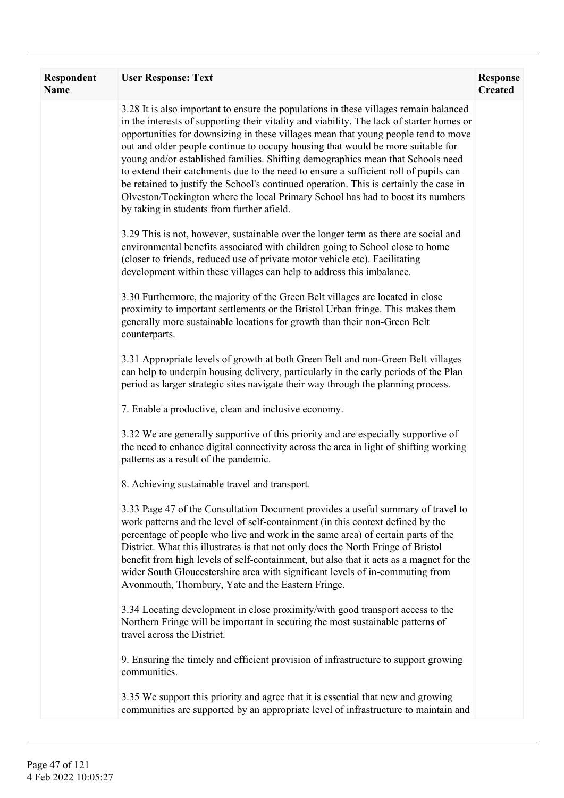| Respondent<br><b>Name</b> | <b>User Response: Text</b>                                                                                                                                                                                                                                                                                                                                                                                                                                                                                                                                                                                                                                                                                                                                        | <b>Response</b><br><b>Created</b> |
|---------------------------|-------------------------------------------------------------------------------------------------------------------------------------------------------------------------------------------------------------------------------------------------------------------------------------------------------------------------------------------------------------------------------------------------------------------------------------------------------------------------------------------------------------------------------------------------------------------------------------------------------------------------------------------------------------------------------------------------------------------------------------------------------------------|-----------------------------------|
|                           | 3.28 It is also important to ensure the populations in these villages remain balanced<br>in the interests of supporting their vitality and viability. The lack of starter homes or<br>opportunities for downsizing in these villages mean that young people tend to move<br>out and older people continue to occupy housing that would be more suitable for<br>young and/or established families. Shifting demographics mean that Schools need<br>to extend their catchments due to the need to ensure a sufficient roll of pupils can<br>be retained to justify the School's continued operation. This is certainly the case in<br>Olveston/Tockington where the local Primary School has had to boost its numbers<br>by taking in students from further afield. |                                   |
|                           | 3.29 This is not, however, sustainable over the longer term as there are social and<br>environmental benefits associated with children going to School close to home<br>(closer to friends, reduced use of private motor vehicle etc). Facilitating<br>development within these villages can help to address this imbalance.                                                                                                                                                                                                                                                                                                                                                                                                                                      |                                   |
|                           | 3.30 Furthermore, the majority of the Green Belt villages are located in close<br>proximity to important settlements or the Bristol Urban fringe. This makes them<br>generally more sustainable locations for growth than their non-Green Belt<br>counterparts.                                                                                                                                                                                                                                                                                                                                                                                                                                                                                                   |                                   |
|                           | 3.31 Appropriate levels of growth at both Green Belt and non-Green Belt villages<br>can help to underpin housing delivery, particularly in the early periods of the Plan<br>period as larger strategic sites navigate their way through the planning process.                                                                                                                                                                                                                                                                                                                                                                                                                                                                                                     |                                   |
|                           | 7. Enable a productive, clean and inclusive economy.                                                                                                                                                                                                                                                                                                                                                                                                                                                                                                                                                                                                                                                                                                              |                                   |
|                           | 3.32 We are generally supportive of this priority and are especially supportive of<br>the need to enhance digital connectivity across the area in light of shifting working<br>patterns as a result of the pandemic.                                                                                                                                                                                                                                                                                                                                                                                                                                                                                                                                              |                                   |
|                           | 8. Achieving sustainable travel and transport.                                                                                                                                                                                                                                                                                                                                                                                                                                                                                                                                                                                                                                                                                                                    |                                   |
|                           | 3.33 Page 47 of the Consultation Document provides a useful summary of travel to<br>work patterns and the level of self-containment (in this context defined by the<br>percentage of people who live and work in the same area) of certain parts of the<br>District. What this illustrates is that not only does the North Fringe of Bristol<br>benefit from high levels of self-containment, but also that it acts as a magnet for the<br>wider South Gloucestershire area with significant levels of in-commuting from<br>Avonmouth, Thornbury, Yate and the Eastern Fringe.                                                                                                                                                                                    |                                   |
|                           | 3.34 Locating development in close proximity/with good transport access to the<br>Northern Fringe will be important in securing the most sustainable patterns of<br>travel across the District.                                                                                                                                                                                                                                                                                                                                                                                                                                                                                                                                                                   |                                   |
|                           | 9. Ensuring the timely and efficient provision of infrastructure to support growing<br>communities.                                                                                                                                                                                                                                                                                                                                                                                                                                                                                                                                                                                                                                                               |                                   |
|                           | 3.35 We support this priority and agree that it is essential that new and growing<br>communities are supported by an appropriate level of infrastructure to maintain and                                                                                                                                                                                                                                                                                                                                                                                                                                                                                                                                                                                          |                                   |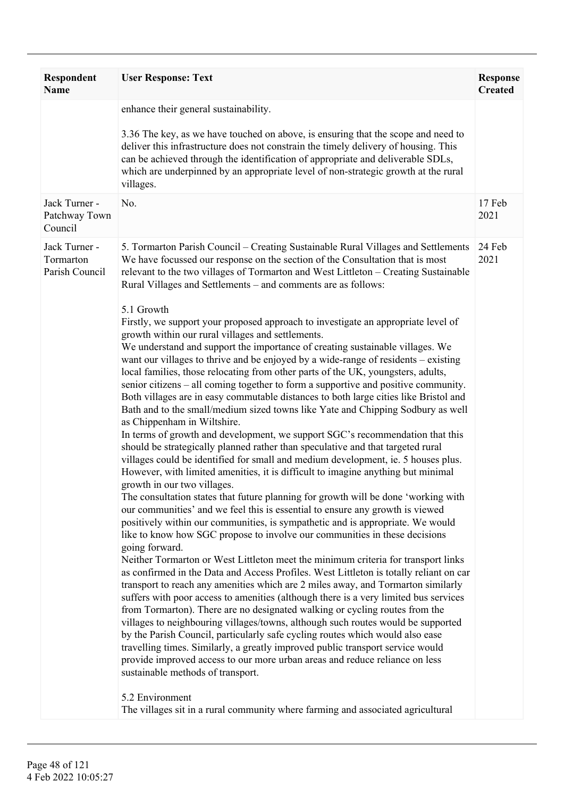| <b>Respondent</b><br><b>Name</b>             | <b>User Response: Text</b>                                                                                                                                                                                                                                                                                                                                                                                                                                                                                                                                                                                                                                                                                                                                                                                                                                                                                                                                                                                                                                                                                                                                                                                                                                                                                                                                                                                                                                                                                                                                                                                                                                                                                                                                                                                                                                                                                                                                                                                                                                                                                                                                                                                                                                                                                                                                                                                                                                                                                                                                                                                                                                                                                    | <b>Response</b><br><b>Created</b> |
|----------------------------------------------|---------------------------------------------------------------------------------------------------------------------------------------------------------------------------------------------------------------------------------------------------------------------------------------------------------------------------------------------------------------------------------------------------------------------------------------------------------------------------------------------------------------------------------------------------------------------------------------------------------------------------------------------------------------------------------------------------------------------------------------------------------------------------------------------------------------------------------------------------------------------------------------------------------------------------------------------------------------------------------------------------------------------------------------------------------------------------------------------------------------------------------------------------------------------------------------------------------------------------------------------------------------------------------------------------------------------------------------------------------------------------------------------------------------------------------------------------------------------------------------------------------------------------------------------------------------------------------------------------------------------------------------------------------------------------------------------------------------------------------------------------------------------------------------------------------------------------------------------------------------------------------------------------------------------------------------------------------------------------------------------------------------------------------------------------------------------------------------------------------------------------------------------------------------------------------------------------------------------------------------------------------------------------------------------------------------------------------------------------------------------------------------------------------------------------------------------------------------------------------------------------------------------------------------------------------------------------------------------------------------------------------------------------------------------------------------------------------------|-----------------------------------|
|                                              | enhance their general sustainability.<br>3.36 The key, as we have touched on above, is ensuring that the scope and need to<br>deliver this infrastructure does not constrain the timely delivery of housing. This<br>can be achieved through the identification of appropriate and deliverable SDLs,<br>which are underpinned by an appropriate level of non-strategic growth at the rural<br>villages.                                                                                                                                                                                                                                                                                                                                                                                                                                                                                                                                                                                                                                                                                                                                                                                                                                                                                                                                                                                                                                                                                                                                                                                                                                                                                                                                                                                                                                                                                                                                                                                                                                                                                                                                                                                                                                                                                                                                                                                                                                                                                                                                                                                                                                                                                                       |                                   |
| Jack Turner -<br>Patchway Town<br>Council    | No.                                                                                                                                                                                                                                                                                                                                                                                                                                                                                                                                                                                                                                                                                                                                                                                                                                                                                                                                                                                                                                                                                                                                                                                                                                                                                                                                                                                                                                                                                                                                                                                                                                                                                                                                                                                                                                                                                                                                                                                                                                                                                                                                                                                                                                                                                                                                                                                                                                                                                                                                                                                                                                                                                                           | 17 Feb<br>2021                    |
| Jack Turner -<br>Tormarton<br>Parish Council | 5. Tormarton Parish Council – Creating Sustainable Rural Villages and Settlements<br>We have focussed our response on the section of the Consultation that is most<br>relevant to the two villages of Tormarton and West Littleton - Creating Sustainable<br>Rural Villages and Settlements - and comments are as follows:<br>5.1 Growth<br>Firstly, we support your proposed approach to investigate an appropriate level of<br>growth within our rural villages and settlements.<br>We understand and support the importance of creating sustainable villages. We<br>want our villages to thrive and be enjoyed by a wide-range of residents – existing<br>local families, those relocating from other parts of the UK, youngsters, adults,<br>senior citizens – all coming together to form a supportive and positive community.<br>Both villages are in easy commutable distances to both large cities like Bristol and<br>Bath and to the small/medium sized towns like Yate and Chipping Sodbury as well<br>as Chippenham in Wiltshire.<br>In terms of growth and development, we support SGC's recommendation that this<br>should be strategically planned rather than speculative and that targeted rural<br>villages could be identified for small and medium development, ie. 5 houses plus.<br>However, with limited amenities, it is difficult to imagine anything but minimal<br>growth in our two villages.<br>The consultation states that future planning for growth will be done 'working with<br>our communities' and we feel this is essential to ensure any growth is viewed<br>positively within our communities, is sympathetic and is appropriate. We would<br>like to know how SGC propose to involve our communities in these decisions<br>going forward.<br>Neither Tormarton or West Littleton meet the minimum criteria for transport links<br>as confirmed in the Data and Access Profiles. West Littleton is totally reliant on car<br>transport to reach any amenities which are 2 miles away, and Tormarton similarly<br>suffers with poor access to amenities (although there is a very limited bus services<br>from Tormarton). There are no designated walking or cycling routes from the<br>villages to neighbouring villages/towns, although such routes would be supported<br>by the Parish Council, particularly safe cycling routes which would also ease<br>travelling times. Similarly, a greatly improved public transport service would<br>provide improved access to our more urban areas and reduce reliance on less<br>sustainable methods of transport.<br>5.2 Environment<br>The villages sit in a rural community where farming and associated agricultural | 24 Feb<br>2021                    |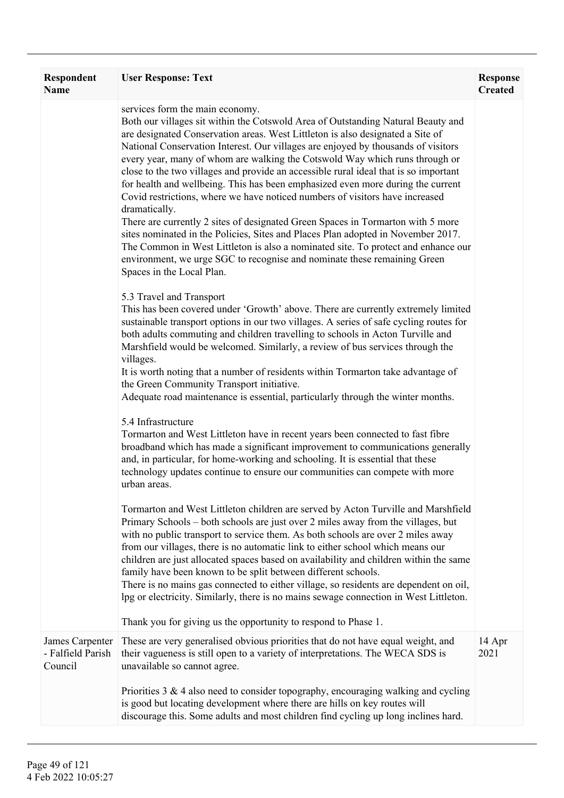| <b>Respondent</b><br><b>Name</b> | <b>User Response: Text</b>                                                                                                                                                                                                                                                                                                                                                                                                                                                                                                                                                                                                                                                                                                                                                                                                                                                                                                                                                                                                 | <b>Response</b><br><b>Created</b> |
|----------------------------------|----------------------------------------------------------------------------------------------------------------------------------------------------------------------------------------------------------------------------------------------------------------------------------------------------------------------------------------------------------------------------------------------------------------------------------------------------------------------------------------------------------------------------------------------------------------------------------------------------------------------------------------------------------------------------------------------------------------------------------------------------------------------------------------------------------------------------------------------------------------------------------------------------------------------------------------------------------------------------------------------------------------------------|-----------------------------------|
|                                  | services form the main economy.<br>Both our villages sit within the Cotswold Area of Outstanding Natural Beauty and<br>are designated Conservation areas. West Littleton is also designated a Site of<br>National Conservation Interest. Our villages are enjoyed by thousands of visitors<br>every year, many of whom are walking the Cotswold Way which runs through or<br>close to the two villages and provide an accessible rural ideal that is so important<br>for health and wellbeing. This has been emphasized even more during the current<br>Covid restrictions, where we have noticed numbers of visitors have increased<br>dramatically.<br>There are currently 2 sites of designated Green Spaces in Tormarton with 5 more<br>sites nominated in the Policies, Sites and Places Plan adopted in November 2017.<br>The Common in West Littleton is also a nominated site. To protect and enhance our<br>environment, we urge SGC to recognise and nominate these remaining Green<br>Spaces in the Local Plan. |                                   |
|                                  | 5.3 Travel and Transport<br>This has been covered under 'Growth' above. There are currently extremely limited<br>sustainable transport options in our two villages. A series of safe cycling routes for<br>both adults commuting and children travelling to schools in Acton Turville and<br>Marshfield would be welcomed. Similarly, a review of bus services through the<br>villages.<br>It is worth noting that a number of residents within Tormarton take advantage of<br>the Green Community Transport initiative.<br>Adequate road maintenance is essential, particularly through the winter months.                                                                                                                                                                                                                                                                                                                                                                                                                |                                   |
|                                  | 5.4 Infrastructure<br>Tormarton and West Littleton have in recent years been connected to fast fibre<br>broadband which has made a significant improvement to communications generally<br>and, in particular, for home-working and schooling. It is essential that these<br>technology updates continue to ensure our communities can compete with more<br>urban areas.                                                                                                                                                                                                                                                                                                                                                                                                                                                                                                                                                                                                                                                    |                                   |
|                                  | Tormarton and West Littleton children are served by Acton Turville and Marshfield<br>Primary Schools - both schools are just over 2 miles away from the villages, but<br>with no public transport to service them. As both schools are over 2 miles away<br>from our villages, there is no automatic link to either school which means our<br>children are just allocated spaces based on availability and children within the same<br>family have been known to be split between different schools.<br>There is no mains gas connected to either village, so residents are dependent on oil,<br>lpg or electricity. Similarly, there is no mains sewage connection in West Littleton.<br>Thank you for giving us the opportunity to respond to Phase 1.                                                                                                                                                                                                                                                                   |                                   |
| James Carpenter                  | These are very generalised obvious priorities that do not have equal weight, and                                                                                                                                                                                                                                                                                                                                                                                                                                                                                                                                                                                                                                                                                                                                                                                                                                                                                                                                           | 14 Apr                            |
| - Falfield Parish<br>Council     | their vagueness is still open to a variety of interpretations. The WECA SDS is<br>unavailable so cannot agree.                                                                                                                                                                                                                                                                                                                                                                                                                                                                                                                                                                                                                                                                                                                                                                                                                                                                                                             | 2021                              |
|                                  | Priorities $3 \& 4$ also need to consider topography, encouraging walking and cycling<br>is good but locating development where there are hills on key routes will<br>discourage this. Some adults and most children find cycling up long inclines hard.                                                                                                                                                                                                                                                                                                                                                                                                                                                                                                                                                                                                                                                                                                                                                                   |                                   |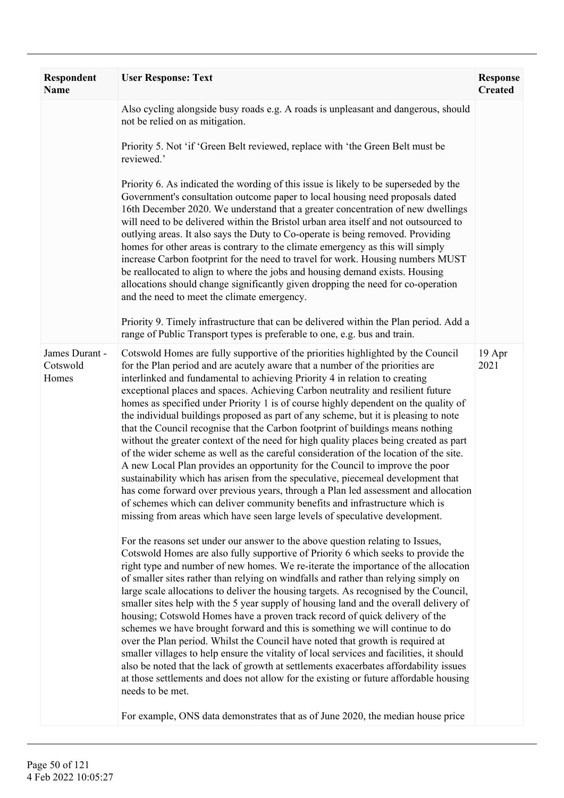| Respondent<br><b>Name</b>           | <b>User Response: Text</b>                                                                                                                                                                                                                                                                                                                                                                                                                                                                                                                                                                                                                                                                                                                                                                                                                                                                                                                                                                                                                                                                                                                                                                                                                                                                                                                                                                                                                                                                                                                                                                                                                                                                                                                                                                                                                                                                                                                                                                                                                                                                                                                                                                                                                                                                              | <b>Response</b><br><b>Created</b> |
|-------------------------------------|---------------------------------------------------------------------------------------------------------------------------------------------------------------------------------------------------------------------------------------------------------------------------------------------------------------------------------------------------------------------------------------------------------------------------------------------------------------------------------------------------------------------------------------------------------------------------------------------------------------------------------------------------------------------------------------------------------------------------------------------------------------------------------------------------------------------------------------------------------------------------------------------------------------------------------------------------------------------------------------------------------------------------------------------------------------------------------------------------------------------------------------------------------------------------------------------------------------------------------------------------------------------------------------------------------------------------------------------------------------------------------------------------------------------------------------------------------------------------------------------------------------------------------------------------------------------------------------------------------------------------------------------------------------------------------------------------------------------------------------------------------------------------------------------------------------------------------------------------------------------------------------------------------------------------------------------------------------------------------------------------------------------------------------------------------------------------------------------------------------------------------------------------------------------------------------------------------------------------------------------------------------------------------------------------------|-----------------------------------|
|                                     | Also cycling alongside busy roads e.g. A roads is unpleasant and dangerous, should<br>not be relied on as mitigation.                                                                                                                                                                                                                                                                                                                                                                                                                                                                                                                                                                                                                                                                                                                                                                                                                                                                                                                                                                                                                                                                                                                                                                                                                                                                                                                                                                                                                                                                                                                                                                                                                                                                                                                                                                                                                                                                                                                                                                                                                                                                                                                                                                                   |                                   |
|                                     | Priority 5. Not 'if 'Green Belt reviewed, replace with 'the Green Belt must be<br>reviewed.'                                                                                                                                                                                                                                                                                                                                                                                                                                                                                                                                                                                                                                                                                                                                                                                                                                                                                                                                                                                                                                                                                                                                                                                                                                                                                                                                                                                                                                                                                                                                                                                                                                                                                                                                                                                                                                                                                                                                                                                                                                                                                                                                                                                                            |                                   |
|                                     | Priority 6. As indicated the wording of this issue is likely to be superseded by the<br>Government's consultation outcome paper to local housing need proposals dated<br>16th December 2020. We understand that a greater concentration of new dwellings<br>will need to be delivered within the Bristol urban area itself and not outsourced to<br>outlying areas. It also says the Duty to Co-operate is being removed. Providing<br>homes for other areas is contrary to the climate emergency as this will simply<br>increase Carbon footprint for the need to travel for work. Housing numbers MUST<br>be reallocated to align to where the jobs and housing demand exists. Housing<br>allocations should change significantly given dropping the need for co-operation<br>and the need to meet the climate emergency.                                                                                                                                                                                                                                                                                                                                                                                                                                                                                                                                                                                                                                                                                                                                                                                                                                                                                                                                                                                                                                                                                                                                                                                                                                                                                                                                                                                                                                                                             |                                   |
|                                     | Priority 9. Timely infrastructure that can be delivered within the Plan period. Add a<br>range of Public Transport types is preferable to one, e.g. bus and train.                                                                                                                                                                                                                                                                                                                                                                                                                                                                                                                                                                                                                                                                                                                                                                                                                                                                                                                                                                                                                                                                                                                                                                                                                                                                                                                                                                                                                                                                                                                                                                                                                                                                                                                                                                                                                                                                                                                                                                                                                                                                                                                                      |                                   |
| James Durant -<br>Cotswold<br>Homes | Cotswold Homes are fully supportive of the priorities highlighted by the Council<br>for the Plan period and are acutely aware that a number of the priorities are<br>interlinked and fundamental to achieving Priority 4 in relation to creating<br>exceptional places and spaces. Achieving Carbon neutrality and resilient future<br>homes as specified under Priority 1 is of course highly dependent on the quality of<br>the individual buildings proposed as part of any scheme, but it is pleasing to note<br>that the Council recognise that the Carbon footprint of buildings means nothing<br>without the greater context of the need for high quality places being created as part<br>of the wider scheme as well as the careful consideration of the location of the site.<br>A new Local Plan provides an opportunity for the Council to improve the poor<br>sustainability which has arisen from the speculative, piecemeal development that<br>has come forward over previous years, through a Plan led assessment and allocation<br>of schemes which can deliver community benefits and infrastructure which is<br>missing from areas which have seen large levels of speculative development.<br>For the reasons set under our answer to the above question relating to Issues,<br>Cotswold Homes are also fully supportive of Priority 6 which seeks to provide the<br>right type and number of new homes. We re-iterate the importance of the allocation<br>of smaller sites rather than relying on windfalls and rather than relying simply on<br>large scale allocations to deliver the housing targets. As recognised by the Council,<br>smaller sites help with the 5 year supply of housing land and the overall delivery of<br>housing; Cotswold Homes have a proven track record of quick delivery of the<br>schemes we have brought forward and this is something we will continue to do<br>over the Plan period. Whilst the Council have noted that growth is required at<br>smaller villages to help ensure the vitality of local services and facilities, it should<br>also be noted that the lack of growth at settlements exacerbates affordability issues<br>at those settlements and does not allow for the existing or future affordable housing<br>needs to be met. | 19 Apr<br>2021                    |
|                                     | For example, ONS data demonstrates that as of June 2020, the median house price                                                                                                                                                                                                                                                                                                                                                                                                                                                                                                                                                                                                                                                                                                                                                                                                                                                                                                                                                                                                                                                                                                                                                                                                                                                                                                                                                                                                                                                                                                                                                                                                                                                                                                                                                                                                                                                                                                                                                                                                                                                                                                                                                                                                                         |                                   |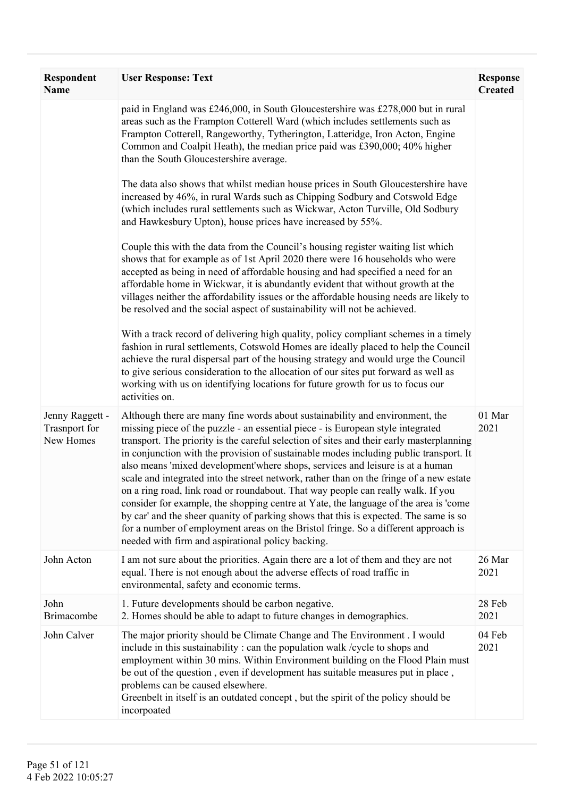| Respondent<br>Name                                   | <b>User Response: Text</b>                                                                                                                                                                                                                                                                                                                                                                                                                                                                                                                                                                                                                                                                                                                                                                                                                                                                                                                      | <b>Response</b><br><b>Created</b> |
|------------------------------------------------------|-------------------------------------------------------------------------------------------------------------------------------------------------------------------------------------------------------------------------------------------------------------------------------------------------------------------------------------------------------------------------------------------------------------------------------------------------------------------------------------------------------------------------------------------------------------------------------------------------------------------------------------------------------------------------------------------------------------------------------------------------------------------------------------------------------------------------------------------------------------------------------------------------------------------------------------------------|-----------------------------------|
|                                                      | paid in England was £246,000, in South Gloucestershire was £278,000 but in rural<br>areas such as the Frampton Cotterell Ward (which includes settlements such as<br>Frampton Cotterell, Rangeworthy, Tytherington, Latteridge, Iron Acton, Engine<br>Common and Coalpit Heath), the median price paid was £390,000; 40% higher<br>than the South Gloucestershire average.                                                                                                                                                                                                                                                                                                                                                                                                                                                                                                                                                                      |                                   |
|                                                      | The data also shows that whilst median house prices in South Gloucestershire have<br>increased by 46%, in rural Wards such as Chipping Sodbury and Cotswold Edge<br>(which includes rural settlements such as Wickwar, Acton Turville, Old Sodbury<br>and Hawkesbury Upton), house prices have increased by 55%.                                                                                                                                                                                                                                                                                                                                                                                                                                                                                                                                                                                                                                |                                   |
|                                                      | Couple this with the data from the Council's housing register waiting list which<br>shows that for example as of 1st April 2020 there were 16 households who were<br>accepted as being in need of affordable housing and had specified a need for an<br>affordable home in Wickwar, it is abundantly evident that without growth at the<br>villages neither the affordability issues or the affordable housing needs are likely to<br>be resolved and the social aspect of sustainability will not be achieved.                                                                                                                                                                                                                                                                                                                                                                                                                                 |                                   |
|                                                      | With a track record of delivering high quality, policy compliant schemes in a timely<br>fashion in rural settlements, Cotswold Homes are ideally placed to help the Council<br>achieve the rural dispersal part of the housing strategy and would urge the Council<br>to give serious consideration to the allocation of our sites put forward as well as<br>working with us on identifying locations for future growth for us to focus our<br>activities on.                                                                                                                                                                                                                                                                                                                                                                                                                                                                                   |                                   |
| Jenny Raggett -<br><b>Trasnport</b> for<br>New Homes | Although there are many fine words about sustainability and environment, the<br>missing piece of the puzzle - an essential piece - is European style integrated<br>transport. The priority is the careful selection of sites and their early masterplanning<br>in conjunction with the provision of sustainable modes including public transport. It<br>also means 'mixed development'where shops, services and leisure is at a human<br>scale and integrated into the street network, rather than on the fringe of a new estate<br>on a ring road, link road or roundabout. That way people can really walk. If you<br>consider for example, the shopping centre at Yate, the language of the area is 'come<br>by car' and the sheer quanity of parking shows that this is expected. The same is so<br>for a number of employment areas on the Bristol fringe. So a different approach is<br>needed with firm and aspirational policy backing. | 01 Mar<br>2021                    |
| John Acton                                           | I am not sure about the priorities. Again there are a lot of them and they are not<br>equal. There is not enough about the adverse effects of road traffic in<br>environmental, safety and economic terms.                                                                                                                                                                                                                                                                                                                                                                                                                                                                                                                                                                                                                                                                                                                                      | 26 Mar<br>2021                    |
| John<br><b>Brimacombe</b>                            | 1. Future developments should be carbon negative.<br>2. Homes should be able to adapt to future changes in demographics.                                                                                                                                                                                                                                                                                                                                                                                                                                                                                                                                                                                                                                                                                                                                                                                                                        | 28 Feb<br>2021                    |
| John Calver                                          | The major priority should be Climate Change and The Environment . I would<br>include in this sustainability: can the population walk / cycle to shops and<br>employment within 30 mins. Within Environment building on the Flood Plain must<br>be out of the question, even if development has suitable measures put in place,<br>problems can be caused elsewhere.<br>Greenbelt in itself is an outdated concept, but the spirit of the policy should be<br>incorpoated                                                                                                                                                                                                                                                                                                                                                                                                                                                                        | 04 Feb<br>2021                    |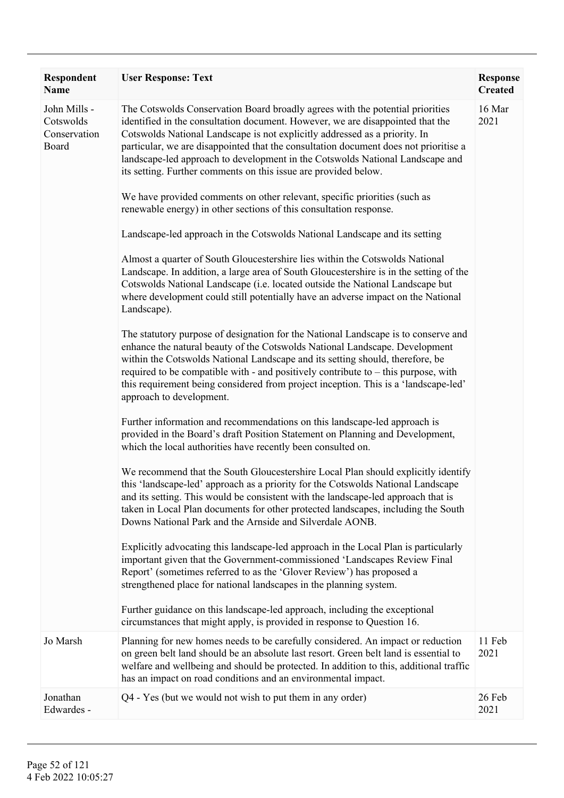| <b>Respondent</b><br><b>Name</b>                   | <b>User Response: Text</b>                                                                                                                                                                                                                                                                                                                                                                                                                                                                | <b>Response</b><br><b>Created</b> |
|----------------------------------------------------|-------------------------------------------------------------------------------------------------------------------------------------------------------------------------------------------------------------------------------------------------------------------------------------------------------------------------------------------------------------------------------------------------------------------------------------------------------------------------------------------|-----------------------------------|
| John Mills -<br>Cotswolds<br>Conservation<br>Board | The Cotswolds Conservation Board broadly agrees with the potential priorities<br>identified in the consultation document. However, we are disappointed that the<br>Cotswolds National Landscape is not explicitly addressed as a priority. In<br>particular, we are disappointed that the consultation document does not prioritise a<br>landscape-led approach to development in the Cotswolds National Landscape and<br>its setting. Further comments on this issue are provided below. | 16 Mar<br>2021                    |
|                                                    | We have provided comments on other relevant, specific priorities (such as<br>renewable energy) in other sections of this consultation response.                                                                                                                                                                                                                                                                                                                                           |                                   |
|                                                    | Landscape-led approach in the Cotswolds National Landscape and its setting                                                                                                                                                                                                                                                                                                                                                                                                                |                                   |
|                                                    | Almost a quarter of South Gloucestershire lies within the Cotswolds National<br>Landscape. In addition, a large area of South Gloucestershire is in the setting of the<br>Cotswolds National Landscape (i.e. located outside the National Landscape but<br>where development could still potentially have an adverse impact on the National<br>Landscape).                                                                                                                                |                                   |
|                                                    | The statutory purpose of designation for the National Landscape is to conserve and<br>enhance the natural beauty of the Cotswolds National Landscape. Development<br>within the Cotswolds National Landscape and its setting should, therefore, be<br>required to be compatible with - and positively contribute to - this purpose, with<br>this requirement being considered from project inception. This is a 'landscape-led'<br>approach to development.                               |                                   |
|                                                    | Further information and recommendations on this landscape-led approach is<br>provided in the Board's draft Position Statement on Planning and Development,<br>which the local authorities have recently been consulted on.                                                                                                                                                                                                                                                                |                                   |
|                                                    | We recommend that the South Gloucestershire Local Plan should explicitly identify<br>this 'landscape-led' approach as a priority for the Cotswolds National Landscape<br>and its setting. This would be consistent with the landscape-led approach that is<br>taken in Local Plan documents for other protected landscapes, including the South<br>Downs National Park and the Arnside and Silverdale AONB.                                                                               |                                   |
|                                                    | Explicitly advocating this landscape-led approach in the Local Plan is particularly<br>important given that the Government-commissioned 'Landscapes Review Final<br>Report' (sometimes referred to as the 'Glover Review') has proposed a<br>strengthened place for national landscapes in the planning system.                                                                                                                                                                           |                                   |
|                                                    | Further guidance on this landscape-led approach, including the exceptional<br>circumstances that might apply, is provided in response to Question 16.                                                                                                                                                                                                                                                                                                                                     |                                   |
| Jo Marsh                                           | Planning for new homes needs to be carefully considered. An impact or reduction<br>on green belt land should be an absolute last resort. Green belt land is essential to<br>welfare and wellbeing and should be protected. In addition to this, additional traffic<br>has an impact on road conditions and an environmental impact.                                                                                                                                                       | 11 Feb<br>2021                    |
| Jonathan<br>Edwardes -                             | Q4 - Yes (but we would not wish to put them in any order)                                                                                                                                                                                                                                                                                                                                                                                                                                 | 26 Feb<br>2021                    |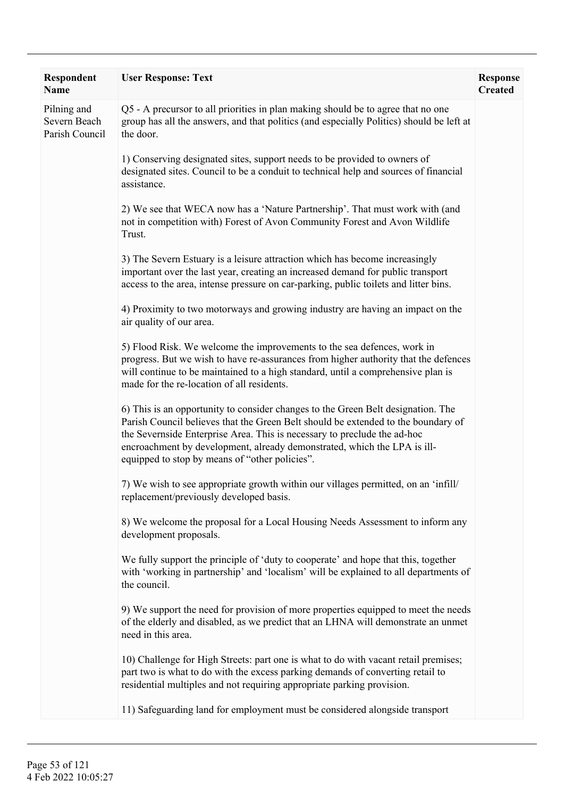| <b>Respondent</b><br><b>Name</b>              | <b>User Response: Text</b>                                                                                                                                                                                                                                                                                                                                                      | <b>Response</b><br><b>Created</b> |
|-----------------------------------------------|---------------------------------------------------------------------------------------------------------------------------------------------------------------------------------------------------------------------------------------------------------------------------------------------------------------------------------------------------------------------------------|-----------------------------------|
| Pilning and<br>Severn Beach<br>Parish Council | Q5 - A precursor to all priorities in plan making should be to agree that no one<br>group has all the answers, and that politics (and especially Politics) should be left at<br>the door.                                                                                                                                                                                       |                                   |
|                                               | 1) Conserving designated sites, support needs to be provided to owners of<br>designated sites. Council to be a conduit to technical help and sources of financial<br>assistance.                                                                                                                                                                                                |                                   |
|                                               | 2) We see that WECA now has a 'Nature Partnership'. That must work with (and<br>not in competition with) Forest of Avon Community Forest and Avon Wildlife<br>Trust.                                                                                                                                                                                                            |                                   |
|                                               | 3) The Severn Estuary is a leisure attraction which has become increasingly<br>important over the last year, creating an increased demand for public transport<br>access to the area, intense pressure on car-parking, public toilets and litter bins.                                                                                                                          |                                   |
|                                               | 4) Proximity to two motorways and growing industry are having an impact on the<br>air quality of our area.                                                                                                                                                                                                                                                                      |                                   |
|                                               | 5) Flood Risk. We welcome the improvements to the sea defences, work in<br>progress. But we wish to have re-assurances from higher authority that the defences<br>will continue to be maintained to a high standard, until a comprehensive plan is<br>made for the re-location of all residents.                                                                                |                                   |
|                                               | 6) This is an opportunity to consider changes to the Green Belt designation. The<br>Parish Council believes that the Green Belt should be extended to the boundary of<br>the Severnside Enterprise Area. This is necessary to preclude the ad-hoc<br>encroachment by development, already demonstrated, which the LPA is ill-<br>equipped to stop by means of "other policies". |                                   |
|                                               | 7) We wish to see appropriate growth within our villages permitted, on an 'infill'<br>replacement/previously developed basis.                                                                                                                                                                                                                                                   |                                   |
|                                               | 8) We welcome the proposal for a Local Housing Needs Assessment to inform any<br>development proposals.                                                                                                                                                                                                                                                                         |                                   |
|                                               | We fully support the principle of 'duty to cooperate' and hope that this, together<br>with 'working in partnership' and 'localism' will be explained to all departments of<br>the council.                                                                                                                                                                                      |                                   |
|                                               | 9) We support the need for provision of more properties equipped to meet the needs<br>of the elderly and disabled, as we predict that an LHNA will demonstrate an unmet<br>need in this area.                                                                                                                                                                                   |                                   |
|                                               | 10) Challenge for High Streets: part one is what to do with vacant retail premises;<br>part two is what to do with the excess parking demands of converting retail to<br>residential multiples and not requiring appropriate parking provision.                                                                                                                                 |                                   |
|                                               | 11) Safeguarding land for employment must be considered alongside transport                                                                                                                                                                                                                                                                                                     |                                   |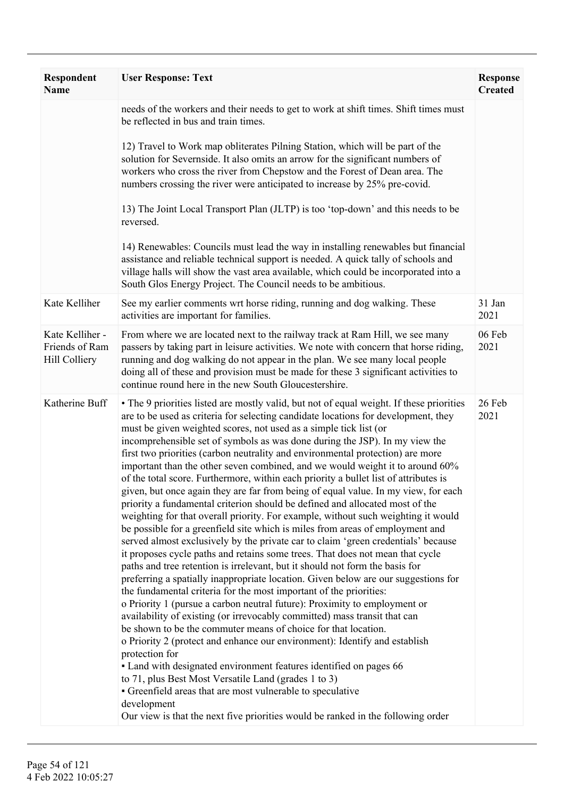| <b>Respondent</b><br>Name                                 | <b>User Response: Text</b>                                                                                                                                                                                                                                                                                                                                                                                                                                                                                                                                                                                                                                                                                                                                                                                                                                                                                                                                                                                                                                                                                                                                                                                                                                                                                                                                                                                                                                                                                                                                                                                                                                                                                                                                                                                                                                                                                                                                                             | <b>Response</b><br><b>Created</b> |
|-----------------------------------------------------------|----------------------------------------------------------------------------------------------------------------------------------------------------------------------------------------------------------------------------------------------------------------------------------------------------------------------------------------------------------------------------------------------------------------------------------------------------------------------------------------------------------------------------------------------------------------------------------------------------------------------------------------------------------------------------------------------------------------------------------------------------------------------------------------------------------------------------------------------------------------------------------------------------------------------------------------------------------------------------------------------------------------------------------------------------------------------------------------------------------------------------------------------------------------------------------------------------------------------------------------------------------------------------------------------------------------------------------------------------------------------------------------------------------------------------------------------------------------------------------------------------------------------------------------------------------------------------------------------------------------------------------------------------------------------------------------------------------------------------------------------------------------------------------------------------------------------------------------------------------------------------------------------------------------------------------------------------------------------------------------|-----------------------------------|
|                                                           | needs of the workers and their needs to get to work at shift times. Shift times must<br>be reflected in bus and train times.                                                                                                                                                                                                                                                                                                                                                                                                                                                                                                                                                                                                                                                                                                                                                                                                                                                                                                                                                                                                                                                                                                                                                                                                                                                                                                                                                                                                                                                                                                                                                                                                                                                                                                                                                                                                                                                           |                                   |
|                                                           | 12) Travel to Work map obliterates Pilning Station, which will be part of the<br>solution for Severnside. It also omits an arrow for the significant numbers of<br>workers who cross the river from Chepstow and the Forest of Dean area. The<br>numbers crossing the river were anticipated to increase by 25% pre-covid.                                                                                                                                                                                                                                                                                                                                                                                                                                                                                                                                                                                                                                                                                                                                                                                                                                                                                                                                                                                                                                                                                                                                                                                                                                                                                                                                                                                                                                                                                                                                                                                                                                                             |                                   |
|                                                           | 13) The Joint Local Transport Plan (JLTP) is too 'top-down' and this needs to be<br>reversed.                                                                                                                                                                                                                                                                                                                                                                                                                                                                                                                                                                                                                                                                                                                                                                                                                                                                                                                                                                                                                                                                                                                                                                                                                                                                                                                                                                                                                                                                                                                                                                                                                                                                                                                                                                                                                                                                                          |                                   |
|                                                           | 14) Renewables: Councils must lead the way in installing renewables but financial<br>assistance and reliable technical support is needed. A quick tally of schools and<br>village halls will show the vast area available, which could be incorporated into a<br>South Glos Energy Project. The Council needs to be ambitious.                                                                                                                                                                                                                                                                                                                                                                                                                                                                                                                                                                                                                                                                                                                                                                                                                                                                                                                                                                                                                                                                                                                                                                                                                                                                                                                                                                                                                                                                                                                                                                                                                                                         |                                   |
| Kate Kelliher                                             | See my earlier comments wrt horse riding, running and dog walking. These<br>activities are important for families.                                                                                                                                                                                                                                                                                                                                                                                                                                                                                                                                                                                                                                                                                                                                                                                                                                                                                                                                                                                                                                                                                                                                                                                                                                                                                                                                                                                                                                                                                                                                                                                                                                                                                                                                                                                                                                                                     | 31 Jan<br>2021                    |
| Kate Kelliher -<br>Friends of Ram<br><b>Hill Colliery</b> | From where we are located next to the railway track at Ram Hill, we see many<br>passers by taking part in leisure activities. We note with concern that horse riding,<br>running and dog walking do not appear in the plan. We see many local people<br>doing all of these and provision must be made for these 3 significant activities to<br>continue round here in the new South Gloucestershire.                                                                                                                                                                                                                                                                                                                                                                                                                                                                                                                                                                                                                                                                                                                                                                                                                                                                                                                                                                                                                                                                                                                                                                                                                                                                                                                                                                                                                                                                                                                                                                                   | 06 Feb<br>2021                    |
| Katherine Buff                                            | • The 9 priorities listed are mostly valid, but not of equal weight. If these priorities<br>are to be used as criteria for selecting candidate locations for development, they<br>must be given weighted scores, not used as a simple tick list (or<br>incomprehensible set of symbols as was done during the JSP). In my view the<br>first two priorities (carbon neutrality and environmental protection) are more<br>important than the other seven combined, and we would weight it to around 60%<br>of the total score. Furthermore, within each priority a bullet list of attributes is<br>given, but once again they are far from being of equal value. In my view, for each<br>priority a fundamental criterion should be defined and allocated most of the<br>weighting for that overall priority. For example, without such weighting it would<br>be possible for a greenfield site which is miles from areas of employment and<br>served almost exclusively by the private car to claim 'green credentials' because<br>it proposes cycle paths and retains some trees. That does not mean that cycle<br>paths and tree retention is irrelevant, but it should not form the basis for<br>preferring a spatially inappropriate location. Given below are our suggestions for<br>the fundamental criteria for the most important of the priorities:<br>o Priority 1 (pursue a carbon neutral future): Proximity to employment or<br>availability of existing (or irrevocably committed) mass transit that can<br>be shown to be the commuter means of choice for that location.<br>o Priority 2 (protect and enhance our environment): Identify and establish<br>protection for<br>• Land with designated environment features identified on pages 66<br>to 71, plus Best Most Versatile Land (grades 1 to 3)<br>• Greenfield areas that are most vulnerable to speculative<br>development<br>Our view is that the next five priorities would be ranked in the following order | 26 Feb<br>2021                    |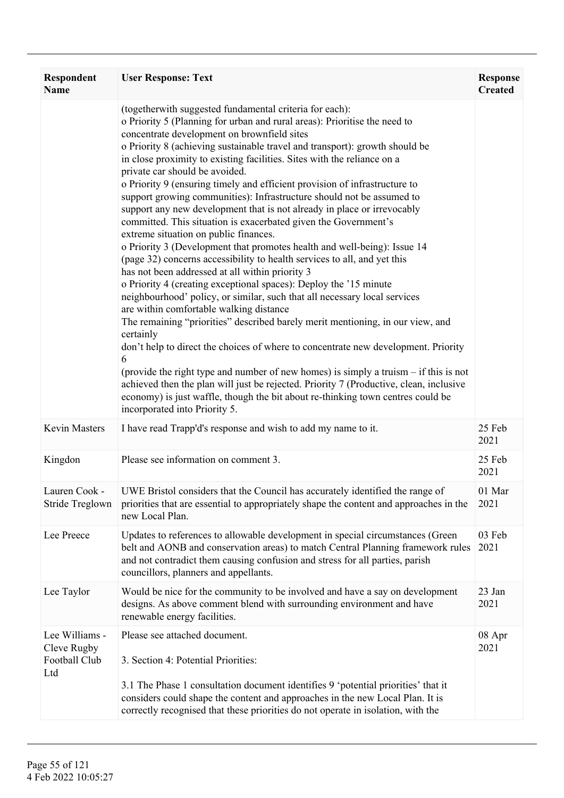| <b>Respondent</b><br><b>Name</b>                      | <b>User Response: Text</b>                                                                                                                                                                                                                                                                                                                                                                                                                                                                                                                                                                                                                                                                                                                                                                                                                                                                                                                                                                                                                                                                                                                                                                                                                                                                                                                                                                                                                                                                                                                                                                                                            | <b>Response</b><br><b>Created</b> |
|-------------------------------------------------------|---------------------------------------------------------------------------------------------------------------------------------------------------------------------------------------------------------------------------------------------------------------------------------------------------------------------------------------------------------------------------------------------------------------------------------------------------------------------------------------------------------------------------------------------------------------------------------------------------------------------------------------------------------------------------------------------------------------------------------------------------------------------------------------------------------------------------------------------------------------------------------------------------------------------------------------------------------------------------------------------------------------------------------------------------------------------------------------------------------------------------------------------------------------------------------------------------------------------------------------------------------------------------------------------------------------------------------------------------------------------------------------------------------------------------------------------------------------------------------------------------------------------------------------------------------------------------------------------------------------------------------------|-----------------------------------|
|                                                       | (togetherwith suggested fundamental criteria for each):<br>o Priority 5 (Planning for urban and rural areas): Prioritise the need to<br>concentrate development on brownfield sites<br>o Priority 8 (achieving sustainable travel and transport): growth should be<br>in close proximity to existing facilities. Sites with the reliance on a<br>private car should be avoided.<br>o Priority 9 (ensuring timely and efficient provision of infrastructure to<br>support growing communities): Infrastructure should not be assumed to<br>support any new development that is not already in place or irrevocably<br>committed. This situation is exacerbated given the Government's<br>extreme situation on public finances.<br>o Priority 3 (Development that promotes health and well-being): Issue 14<br>(page 32) concerns accessibility to health services to all, and yet this<br>has not been addressed at all within priority 3<br>o Priority 4 (creating exceptional spaces): Deploy the '15 minute<br>neighbourhood' policy, or similar, such that all necessary local services<br>are within comfortable walking distance<br>The remaining "priorities" described barely merit mentioning, in our view, and<br>certainly<br>don't help to direct the choices of where to concentrate new development. Priority<br>6<br>(provide the right type and number of new homes) is simply a truism – if this is not<br>achieved then the plan will just be rejected. Priority 7 (Productive, clean, inclusive<br>economy) is just waffle, though the bit about re-thinking town centres could be<br>incorporated into Priority 5. |                                   |
| Kevin Masters                                         | I have read Trapp'd's response and wish to add my name to it.                                                                                                                                                                                                                                                                                                                                                                                                                                                                                                                                                                                                                                                                                                                                                                                                                                                                                                                                                                                                                                                                                                                                                                                                                                                                                                                                                                                                                                                                                                                                                                         | 25 Feb<br>2021                    |
| Kingdon                                               | Please see information on comment 3.                                                                                                                                                                                                                                                                                                                                                                                                                                                                                                                                                                                                                                                                                                                                                                                                                                                                                                                                                                                                                                                                                                                                                                                                                                                                                                                                                                                                                                                                                                                                                                                                  | 25 Feb<br>2021                    |
| Lauren Cook -<br>Stride Treglown                      | UWE Bristol considers that the Council has accurately identified the range of<br>priorities that are essential to appropriately shape the content and approaches in the<br>new Local Plan.                                                                                                                                                                                                                                                                                                                                                                                                                                                                                                                                                                                                                                                                                                                                                                                                                                                                                                                                                                                                                                                                                                                                                                                                                                                                                                                                                                                                                                            | 01 Mar<br>2021                    |
| Lee Preece                                            | Updates to references to allowable development in special circumstances (Green<br>belt and AONB and conservation areas) to match Central Planning framework rules<br>and not contradict them causing confusion and stress for all parties, parish<br>councillors, planners and appellants.                                                                                                                                                                                                                                                                                                                                                                                                                                                                                                                                                                                                                                                                                                                                                                                                                                                                                                                                                                                                                                                                                                                                                                                                                                                                                                                                            | 03 Feb<br>2021                    |
| Lee Taylor                                            | Would be nice for the community to be involved and have a say on development<br>designs. As above comment blend with surrounding environment and have<br>renewable energy facilities.                                                                                                                                                                                                                                                                                                                                                                                                                                                                                                                                                                                                                                                                                                                                                                                                                                                                                                                                                                                                                                                                                                                                                                                                                                                                                                                                                                                                                                                 | 23 Jan<br>2021                    |
| Lee Williams -<br>Cleve Rugby<br>Football Club<br>Ltd | Please see attached document.<br>3. Section 4: Potential Priorities:<br>3.1 The Phase 1 consultation document identifies 9 'potential priorities' that it<br>considers could shape the content and approaches in the new Local Plan. It is<br>correctly recognised that these priorities do not operate in isolation, with the                                                                                                                                                                                                                                                                                                                                                                                                                                                                                                                                                                                                                                                                                                                                                                                                                                                                                                                                                                                                                                                                                                                                                                                                                                                                                                        | 08 Apr<br>2021                    |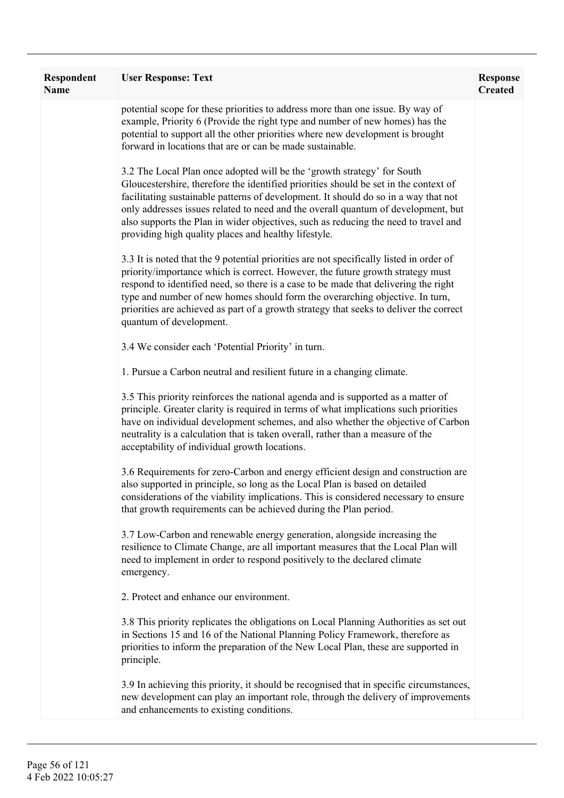| Respondent<br><b>Name</b> | <b>User Response: Text</b>                                                                                                                                                                                                                                                                                                                                                                                                                                                                 | <b>Response</b><br><b>Created</b> |
|---------------------------|--------------------------------------------------------------------------------------------------------------------------------------------------------------------------------------------------------------------------------------------------------------------------------------------------------------------------------------------------------------------------------------------------------------------------------------------------------------------------------------------|-----------------------------------|
|                           | potential scope for these priorities to address more than one issue. By way of<br>example, Priority 6 (Provide the right type and number of new homes) has the<br>potential to support all the other priorities where new development is brought<br>forward in locations that are or can be made sustainable.                                                                                                                                                                              |                                   |
|                           | 3.2 The Local Plan once adopted will be the 'growth strategy' for South<br>Gloucestershire, therefore the identified priorities should be set in the context of<br>facilitating sustainable patterns of development. It should do so in a way that not<br>only addresses issues related to need and the overall quantum of development, but<br>also supports the Plan in wider objectives, such as reducing the need to travel and<br>providing high quality places and healthy lifestyle. |                                   |
|                           | 3.3 It is noted that the 9 potential priorities are not specifically listed in order of<br>priority/importance which is correct. However, the future growth strategy must<br>respond to identified need, so there is a case to be made that delivering the right<br>type and number of new homes should form the overarching objective. In turn,<br>priorities are achieved as part of a growth strategy that seeks to deliver the correct<br>quantum of development.                      |                                   |
|                           | 3.4 We consider each 'Potential Priority' in turn.                                                                                                                                                                                                                                                                                                                                                                                                                                         |                                   |
|                           | 1. Pursue a Carbon neutral and resilient future in a changing climate.                                                                                                                                                                                                                                                                                                                                                                                                                     |                                   |
|                           | 3.5 This priority reinforces the national agenda and is supported as a matter of<br>principle. Greater clarity is required in terms of what implications such priorities<br>have on individual development schemes, and also whether the objective of Carbon<br>neutrality is a calculation that is taken overall, rather than a measure of the<br>acceptability of individual growth locations.                                                                                           |                                   |
|                           | 3.6 Requirements for zero-Carbon and energy efficient design and construction are<br>also supported in principle, so long as the Local Plan is based on detailed<br>considerations of the viability implications. This is considered necessary to ensure<br>that growth requirements can be achieved during the Plan period.                                                                                                                                                               |                                   |
|                           | 3.7 Low-Carbon and renewable energy generation, alongside increasing the<br>resilience to Climate Change, are all important measures that the Local Plan will<br>need to implement in order to respond positively to the declared climate<br>emergency.                                                                                                                                                                                                                                    |                                   |
|                           | 2. Protect and enhance our environment.                                                                                                                                                                                                                                                                                                                                                                                                                                                    |                                   |
|                           | 3.8 This priority replicates the obligations on Local Planning Authorities as set out<br>in Sections 15 and 16 of the National Planning Policy Framework, therefore as<br>priorities to inform the preparation of the New Local Plan, these are supported in<br>principle.                                                                                                                                                                                                                 |                                   |
|                           | 3.9 In achieving this priority, it should be recognised that in specific circumstances,<br>new development can play an important role, through the delivery of improvements<br>and enhancements to existing conditions.                                                                                                                                                                                                                                                                    |                                   |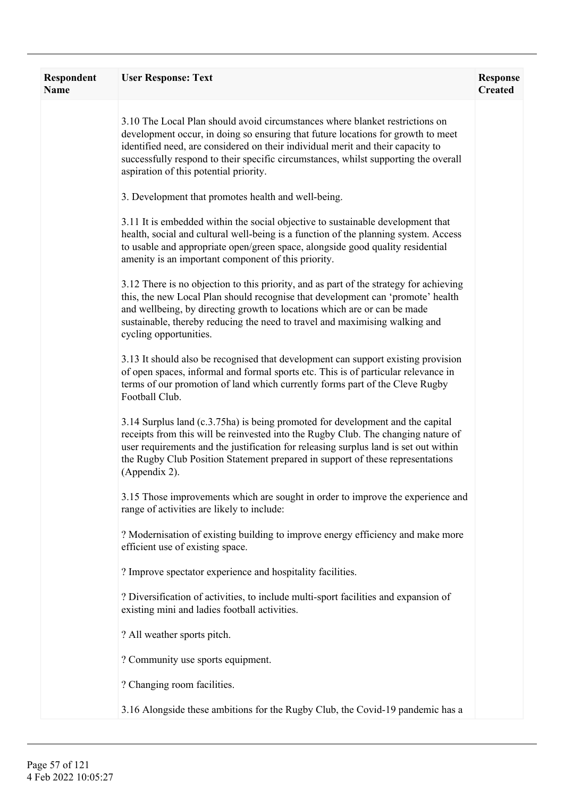| Respondent<br><b>Name</b> | <b>User Response: Text</b>                                                                                                                                                                                                                                                                                                                                                           | <b>Response</b><br><b>Created</b> |
|---------------------------|--------------------------------------------------------------------------------------------------------------------------------------------------------------------------------------------------------------------------------------------------------------------------------------------------------------------------------------------------------------------------------------|-----------------------------------|
|                           | 3.10 The Local Plan should avoid circumstances where blanket restrictions on<br>development occur, in doing so ensuring that future locations for growth to meet<br>identified need, are considered on their individual merit and their capacity to<br>successfully respond to their specific circumstances, whilst supporting the overall<br>aspiration of this potential priority. |                                   |
|                           | 3. Development that promotes health and well-being.                                                                                                                                                                                                                                                                                                                                  |                                   |
|                           | 3.11 It is embedded within the social objective to sustainable development that<br>health, social and cultural well-being is a function of the planning system. Access<br>to usable and appropriate open/green space, alongside good quality residential<br>amenity is an important component of this priority.                                                                      |                                   |
|                           | 3.12 There is no objection to this priority, and as part of the strategy for achieving<br>this, the new Local Plan should recognise that development can 'promote' health<br>and wellbeing, by directing growth to locations which are or can be made<br>sustainable, thereby reducing the need to travel and maximising walking and<br>cycling opportunities.                       |                                   |
|                           | 3.13 It should also be recognised that development can support existing provision<br>of open spaces, informal and formal sports etc. This is of particular relevance in<br>terms of our promotion of land which currently forms part of the Cleve Rugby<br>Football Club.                                                                                                            |                                   |
|                           | 3.14 Surplus land (c.3.75ha) is being promoted for development and the capital<br>receipts from this will be reinvested into the Rugby Club. The changing nature of<br>user requirements and the justification for releasing surplus land is set out within<br>the Rugby Club Position Statement prepared in support of these representations<br>(Appendix 2).                       |                                   |
|                           | 3.15 Those improvements which are sought in order to improve the experience and<br>range of activities are likely to include:                                                                                                                                                                                                                                                        |                                   |
|                           | ? Modernisation of existing building to improve energy efficiency and make more<br>efficient use of existing space.                                                                                                                                                                                                                                                                  |                                   |
|                           | ? Improve spectator experience and hospitality facilities.                                                                                                                                                                                                                                                                                                                           |                                   |
|                           | ? Diversification of activities, to include multi-sport facilities and expansion of<br>existing mini and ladies football activities.                                                                                                                                                                                                                                                 |                                   |
|                           | ? All weather sports pitch.                                                                                                                                                                                                                                                                                                                                                          |                                   |
|                           | ? Community use sports equipment.                                                                                                                                                                                                                                                                                                                                                    |                                   |
|                           | ? Changing room facilities.                                                                                                                                                                                                                                                                                                                                                          |                                   |
|                           | 3.16 Alongside these ambitions for the Rugby Club, the Covid-19 pandemic has a                                                                                                                                                                                                                                                                                                       |                                   |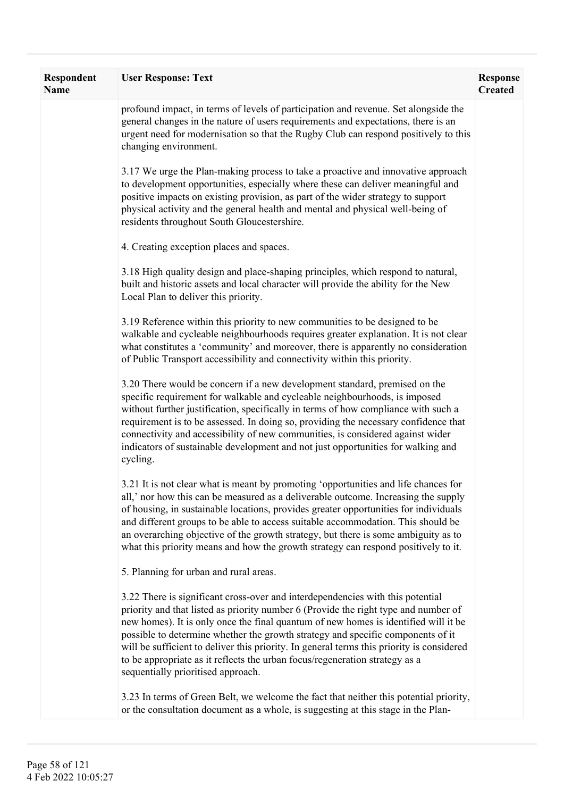| Respondent<br><b>Name</b> | <b>User Response: Text</b>                                                                                                                                                                                                                                                                                                                                                                                                                                                                                                                                        | <b>Response</b><br><b>Created</b> |
|---------------------------|-------------------------------------------------------------------------------------------------------------------------------------------------------------------------------------------------------------------------------------------------------------------------------------------------------------------------------------------------------------------------------------------------------------------------------------------------------------------------------------------------------------------------------------------------------------------|-----------------------------------|
|                           | profound impact, in terms of levels of participation and revenue. Set alongside the<br>general changes in the nature of users requirements and expectations, there is an<br>urgent need for modernisation so that the Rugby Club can respond positively to this<br>changing environment.                                                                                                                                                                                                                                                                          |                                   |
|                           | 3.17 We urge the Plan-making process to take a proactive and innovative approach<br>to development opportunities, especially where these can deliver meaningful and<br>positive impacts on existing provision, as part of the wider strategy to support<br>physical activity and the general health and mental and physical well-being of<br>residents throughout South Gloucestershire.                                                                                                                                                                          |                                   |
|                           | 4. Creating exception places and spaces.                                                                                                                                                                                                                                                                                                                                                                                                                                                                                                                          |                                   |
|                           | 3.18 High quality design and place-shaping principles, which respond to natural,<br>built and historic assets and local character will provide the ability for the New<br>Local Plan to deliver this priority.                                                                                                                                                                                                                                                                                                                                                    |                                   |
|                           | 3.19 Reference within this priority to new communities to be designed to be<br>walkable and cycleable neighbourhoods requires greater explanation. It is not clear<br>what constitutes a 'community' and moreover, there is apparently no consideration<br>of Public Transport accessibility and connectivity within this priority.                                                                                                                                                                                                                               |                                   |
|                           | 3.20 There would be concern if a new development standard, premised on the<br>specific requirement for walkable and cycleable neighbourhoods, is imposed<br>without further justification, specifically in terms of how compliance with such a<br>requirement is to be assessed. In doing so, providing the necessary confidence that<br>connectivity and accessibility of new communities, is considered against wider<br>indicators of sustainable development and not just opportunities for walking and<br>cycling.                                           |                                   |
|                           | 3.21 It is not clear what is meant by promoting 'opportunities and life chances for<br>all,' nor how this can be measured as a deliverable outcome. Increasing the supply<br>of housing, in sustainable locations, provides greater opportunities for individuals<br>and different groups to be able to access suitable accommodation. This should be<br>an overarching objective of the growth strategy, but there is some ambiguity as to<br>what this priority means and how the growth strategy can respond positively to it.                                 |                                   |
|                           | 5. Planning for urban and rural areas.                                                                                                                                                                                                                                                                                                                                                                                                                                                                                                                            |                                   |
|                           | 3.22 There is significant cross-over and interdependencies with this potential<br>priority and that listed as priority number 6 (Provide the right type and number of<br>new homes). It is only once the final quantum of new homes is identified will it be<br>possible to determine whether the growth strategy and specific components of it<br>will be sufficient to deliver this priority. In general terms this priority is considered<br>to be appropriate as it reflects the urban focus/regeneration strategy as a<br>sequentially prioritised approach. |                                   |
|                           | 3.23 In terms of Green Belt, we welcome the fact that neither this potential priority,<br>or the consultation document as a whole, is suggesting at this stage in the Plan-                                                                                                                                                                                                                                                                                                                                                                                       |                                   |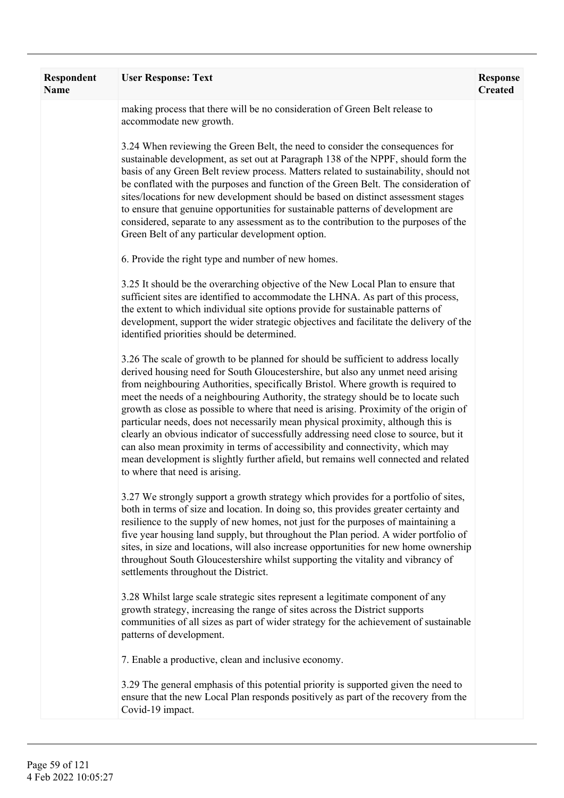| Respondent<br><b>Name</b> | <b>User Response: Text</b>                                                                                                                                                                                                                                                                                                                                                                                                                                                                                                                                                                                                                                                                                                                                                                                                    | <b>Response</b><br><b>Created</b> |
|---------------------------|-------------------------------------------------------------------------------------------------------------------------------------------------------------------------------------------------------------------------------------------------------------------------------------------------------------------------------------------------------------------------------------------------------------------------------------------------------------------------------------------------------------------------------------------------------------------------------------------------------------------------------------------------------------------------------------------------------------------------------------------------------------------------------------------------------------------------------|-----------------------------------|
|                           | making process that there will be no consideration of Green Belt release to<br>accommodate new growth.                                                                                                                                                                                                                                                                                                                                                                                                                                                                                                                                                                                                                                                                                                                        |                                   |
|                           | 3.24 When reviewing the Green Belt, the need to consider the consequences for<br>sustainable development, as set out at Paragraph 138 of the NPPF, should form the<br>basis of any Green Belt review process. Matters related to sustainability, should not<br>be conflated with the purposes and function of the Green Belt. The consideration of<br>sites/locations for new development should be based on distinct assessment stages<br>to ensure that genuine opportunities for sustainable patterns of development are<br>considered, separate to any assessment as to the contribution to the purposes of the<br>Green Belt of any particular development option.                                                                                                                                                       |                                   |
|                           | 6. Provide the right type and number of new homes.                                                                                                                                                                                                                                                                                                                                                                                                                                                                                                                                                                                                                                                                                                                                                                            |                                   |
|                           | 3.25 It should be the overarching objective of the New Local Plan to ensure that<br>sufficient sites are identified to accommodate the LHNA. As part of this process,<br>the extent to which individual site options provide for sustainable patterns of<br>development, support the wider strategic objectives and facilitate the delivery of the<br>identified priorities should be determined.                                                                                                                                                                                                                                                                                                                                                                                                                             |                                   |
|                           | 3.26 The scale of growth to be planned for should be sufficient to address locally<br>derived housing need for South Gloucestershire, but also any unmet need arising<br>from neighbouring Authorities, specifically Bristol. Where growth is required to<br>meet the needs of a neighbouring Authority, the strategy should be to locate such<br>growth as close as possible to where that need is arising. Proximity of the origin of<br>particular needs, does not necessarily mean physical proximity, although this is<br>clearly an obvious indicator of successfully addressing need close to source, but it<br>can also mean proximity in terms of accessibility and connectivity, which may<br>mean development is slightly further afield, but remains well connected and related<br>to where that need is arising. |                                   |
|                           | 3.27 We strongly support a growth strategy which provides for a portfolio of sites,<br>both in terms of size and location. In doing so, this provides greater certainty and<br>resilience to the supply of new homes, not just for the purposes of maintaining a<br>five year housing land supply, but throughout the Plan period. A wider portfolio of<br>sites, in size and locations, will also increase opportunities for new home ownership<br>throughout South Gloucestershire whilst supporting the vitality and vibrancy of<br>settlements throughout the District.                                                                                                                                                                                                                                                   |                                   |
|                           | 3.28 Whilst large scale strategic sites represent a legitimate component of any<br>growth strategy, increasing the range of sites across the District supports<br>communities of all sizes as part of wider strategy for the achievement of sustainable<br>patterns of development.                                                                                                                                                                                                                                                                                                                                                                                                                                                                                                                                           |                                   |
|                           | 7. Enable a productive, clean and inclusive economy.                                                                                                                                                                                                                                                                                                                                                                                                                                                                                                                                                                                                                                                                                                                                                                          |                                   |
|                           | 3.29 The general emphasis of this potential priority is supported given the need to<br>ensure that the new Local Plan responds positively as part of the recovery from the<br>Covid-19 impact.                                                                                                                                                                                                                                                                                                                                                                                                                                                                                                                                                                                                                                |                                   |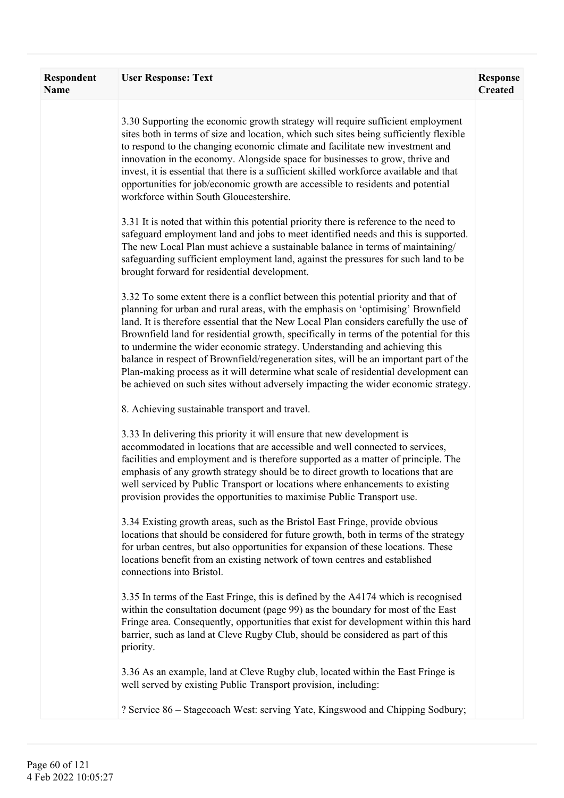| Respondent<br><b>Name</b> | <b>User Response: Text</b>                                                                                                                                                                                                                                                                                                                                                                                                                                                                                                                                                                                                                                                                                      | <b>Response</b><br><b>Created</b> |
|---------------------------|-----------------------------------------------------------------------------------------------------------------------------------------------------------------------------------------------------------------------------------------------------------------------------------------------------------------------------------------------------------------------------------------------------------------------------------------------------------------------------------------------------------------------------------------------------------------------------------------------------------------------------------------------------------------------------------------------------------------|-----------------------------------|
|                           | 3.30 Supporting the economic growth strategy will require sufficient employment<br>sites both in terms of size and location, which such sites being sufficiently flexible<br>to respond to the changing economic climate and facilitate new investment and<br>innovation in the economy. Alongside space for businesses to grow, thrive and<br>invest, it is essential that there is a sufficient skilled workforce available and that<br>opportunities for job/economic growth are accessible to residents and potential<br>workforce within South Gloucestershire.                                                                                                                                            |                                   |
|                           | 3.31 It is noted that within this potential priority there is reference to the need to<br>safeguard employment land and jobs to meet identified needs and this is supported.<br>The new Local Plan must achieve a sustainable balance in terms of maintaining/<br>safeguarding sufficient employment land, against the pressures for such land to be<br>brought forward for residential development.                                                                                                                                                                                                                                                                                                            |                                   |
|                           | 3.32 To some extent there is a conflict between this potential priority and that of<br>planning for urban and rural areas, with the emphasis on 'optimising' Brownfield<br>land. It is therefore essential that the New Local Plan considers carefully the use of<br>Brownfield land for residential growth, specifically in terms of the potential for this<br>to undermine the wider economic strategy. Understanding and achieving this<br>balance in respect of Brownfield/regeneration sites, will be an important part of the<br>Plan-making process as it will determine what scale of residential development can<br>be achieved on such sites without adversely impacting the wider economic strategy. |                                   |
|                           | 8. Achieving sustainable transport and travel.                                                                                                                                                                                                                                                                                                                                                                                                                                                                                                                                                                                                                                                                  |                                   |
|                           | 3.33 In delivering this priority it will ensure that new development is<br>accommodated in locations that are accessible and well connected to services,<br>facilities and employment and is therefore supported as a matter of principle. The<br>emphasis of any growth strategy should be to direct growth to locations that are<br>well serviced by Public Transport or locations where enhancements to existing<br>provision provides the opportunities to maximise Public Transport use.                                                                                                                                                                                                                   |                                   |
|                           | 3.34 Existing growth areas, such as the Bristol East Fringe, provide obvious<br>locations that should be considered for future growth, both in terms of the strategy<br>for urban centres, but also opportunities for expansion of these locations. These<br>locations benefit from an existing network of town centres and established<br>connections into Bristol.                                                                                                                                                                                                                                                                                                                                            |                                   |
|                           | 3.35 In terms of the East Fringe, this is defined by the A4174 which is recognised<br>within the consultation document (page 99) as the boundary for most of the East<br>Fringe area. Consequently, opportunities that exist for development within this hard<br>barrier, such as land at Cleve Rugby Club, should be considered as part of this<br>priority.                                                                                                                                                                                                                                                                                                                                                   |                                   |
|                           | 3.36 As an example, land at Cleve Rugby club, located within the East Fringe is<br>well served by existing Public Transport provision, including:                                                                                                                                                                                                                                                                                                                                                                                                                                                                                                                                                               |                                   |
|                           | ? Service 86 – Stagecoach West: serving Yate, Kingswood and Chipping Sodbury;                                                                                                                                                                                                                                                                                                                                                                                                                                                                                                                                                                                                                                   |                                   |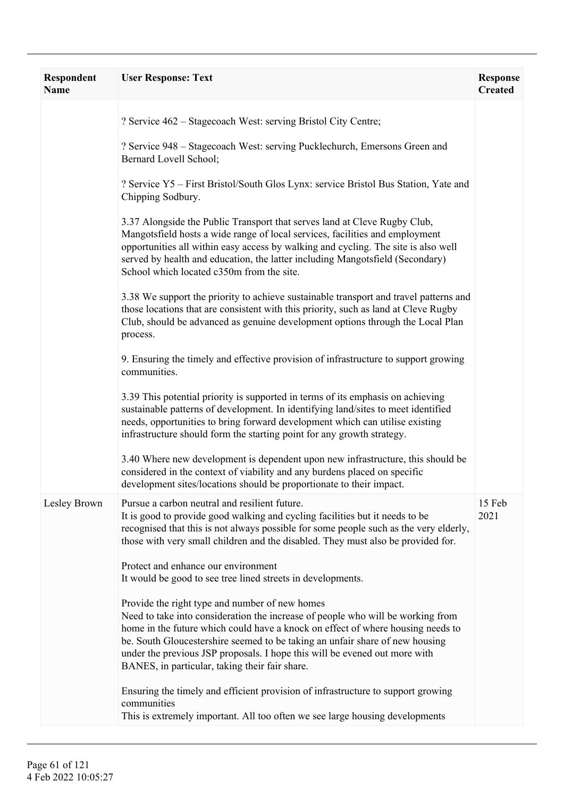| <b>Respondent</b><br><b>Name</b> | <b>User Response: Text</b>                                                                                                                                                                                                                                                                                                                                                                                                                                                                                                                                                                                                                                                                                                                                                                                                                                                                                                                                                                                                                  | <b>Response</b><br><b>Created</b> |
|----------------------------------|---------------------------------------------------------------------------------------------------------------------------------------------------------------------------------------------------------------------------------------------------------------------------------------------------------------------------------------------------------------------------------------------------------------------------------------------------------------------------------------------------------------------------------------------------------------------------------------------------------------------------------------------------------------------------------------------------------------------------------------------------------------------------------------------------------------------------------------------------------------------------------------------------------------------------------------------------------------------------------------------------------------------------------------------|-----------------------------------|
|                                  | ? Service 462 – Stagecoach West: serving Bristol City Centre;<br>? Service 948 – Stagecoach West: serving Pucklechurch, Emersons Green and<br>Bernard Lovell School;<br>? Service Y5 – First Bristol/South Glos Lynx: service Bristol Bus Station, Yate and<br>Chipping Sodbury.<br>3.37 Alongside the Public Transport that serves land at Cleve Rugby Club,<br>Mangotsfield hosts a wide range of local services, facilities and employment<br>opportunities all within easy access by walking and cycling. The site is also well<br>served by health and education, the latter including Mangotsfield (Secondary)<br>School which located c350m from the site.<br>3.38 We support the priority to achieve sustainable transport and travel patterns and<br>those locations that are consistent with this priority, such as land at Cleve Rugby<br>Club, should be advanced as genuine development options through the Local Plan                                                                                                         |                                   |
|                                  | process.<br>9. Ensuring the timely and effective provision of infrastructure to support growing<br>communities.<br>3.39 This potential priority is supported in terms of its emphasis on achieving<br>sustainable patterns of development. In identifying land/sites to meet identified<br>needs, opportunities to bring forward development which can utilise existing<br>infrastructure should form the starting point for any growth strategy.<br>3.40 Where new development is dependent upon new infrastructure, this should be<br>considered in the context of viability and any burdens placed on specific<br>development sites/locations should be proportionate to their impact.                                                                                                                                                                                                                                                                                                                                                   |                                   |
| Lesley Brown                     | Pursue a carbon neutral and resilient future.<br>It is good to provide good walking and cycling facilities but it needs to be<br>recognised that this is not always possible for some people such as the very elderly,<br>those with very small children and the disabled. They must also be provided for.<br>Protect and enhance our environment<br>It would be good to see tree lined streets in developments.<br>Provide the right type and number of new homes<br>Need to take into consideration the increase of people who will be working from<br>home in the future which could have a knock on effect of where housing needs to<br>be. South Gloucestershire seemed to be taking an unfair share of new housing<br>under the previous JSP proposals. I hope this will be evened out more with<br>BANES, in particular, taking their fair share.<br>Ensuring the timely and efficient provision of infrastructure to support growing<br>communities<br>This is extremely important. All too often we see large housing developments | 15 Feb<br>2021                    |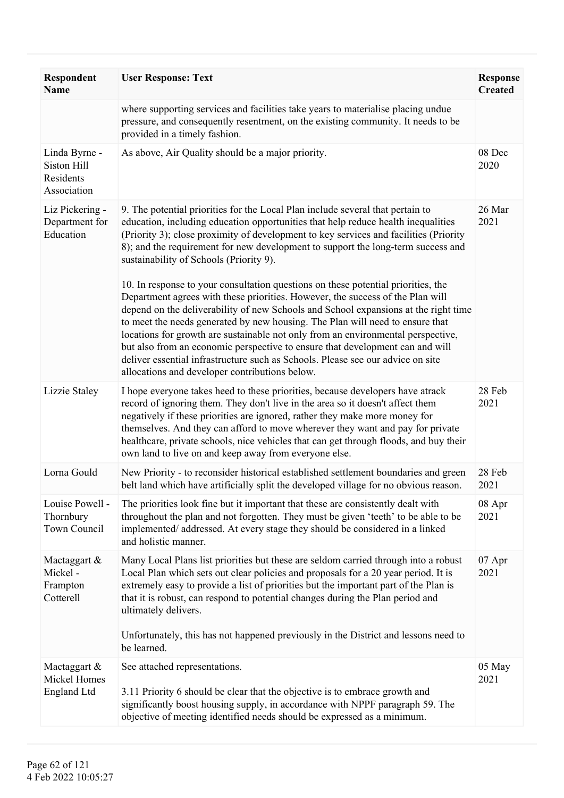| Respondent<br><b>Name</b>                                | <b>User Response: Text</b>                                                                                                                                                                                                                                                                                                                                                                                                                                                                                                                                                                                                                                                                                                                                                                                                                                                                                                                                                                                                                           | <b>Response</b><br><b>Created</b> |
|----------------------------------------------------------|------------------------------------------------------------------------------------------------------------------------------------------------------------------------------------------------------------------------------------------------------------------------------------------------------------------------------------------------------------------------------------------------------------------------------------------------------------------------------------------------------------------------------------------------------------------------------------------------------------------------------------------------------------------------------------------------------------------------------------------------------------------------------------------------------------------------------------------------------------------------------------------------------------------------------------------------------------------------------------------------------------------------------------------------------|-----------------------------------|
|                                                          | where supporting services and facilities take years to materialise placing undue<br>pressure, and consequently resentment, on the existing community. It needs to be<br>provided in a timely fashion.                                                                                                                                                                                                                                                                                                                                                                                                                                                                                                                                                                                                                                                                                                                                                                                                                                                |                                   |
| Linda Byrne -<br>Siston Hill<br>Residents<br>Association | As above, Air Quality should be a major priority.                                                                                                                                                                                                                                                                                                                                                                                                                                                                                                                                                                                                                                                                                                                                                                                                                                                                                                                                                                                                    | 08 Dec<br>2020                    |
| Liz Pickering -<br>Department for<br>Education           | 9. The potential priorities for the Local Plan include several that pertain to<br>education, including education opportunities that help reduce health inequalities<br>(Priority 3); close proximity of development to key services and facilities (Priority<br>8); and the requirement for new development to support the long-term success and<br>sustainability of Schools (Priority 9).<br>10. In response to your consultation questions on these potential priorities, the<br>Department agrees with these priorities. However, the success of the Plan will<br>depend on the deliverability of new Schools and School expansions at the right time<br>to meet the needs generated by new housing. The Plan will need to ensure that<br>locations for growth are sustainable not only from an environmental perspective,<br>but also from an economic perspective to ensure that development can and will<br>deliver essential infrastructure such as Schools. Please see our advice on site<br>allocations and developer contributions below. | 26 Mar<br>2021                    |
| Lizzie Staley                                            | I hope everyone takes heed to these priorities, because developers have atrack<br>record of ignoring them. They don't live in the area so it doesn't affect them<br>negatively if these priorities are ignored, rather they make more money for<br>themselves. And they can afford to move wherever they want and pay for private<br>healthcare, private schools, nice vehicles that can get through floods, and buy their<br>own land to live on and keep away from everyone else.                                                                                                                                                                                                                                                                                                                                                                                                                                                                                                                                                                  | 28 Feb<br>2021                    |
| Lorna Gould                                              | New Priority - to reconsider historical established settlement boundaries and green<br>belt land which have artificially split the developed village for no obvious reason.                                                                                                                                                                                                                                                                                                                                                                                                                                                                                                                                                                                                                                                                                                                                                                                                                                                                          | 28 Feb<br>2021                    |
| Louise Powell -<br>Thornbury<br>Town Council             | The priorities look fine but it important that these are consistently dealt with<br>throughout the plan and not forgotten. They must be given 'teeth' to be able to be<br>implemented/addressed. At every stage they should be considered in a linked<br>and holistic manner.                                                                                                                                                                                                                                                                                                                                                                                                                                                                                                                                                                                                                                                                                                                                                                        | 08 Apr<br>2021                    |
| Mactaggart &<br>Mickel-<br>Frampton<br>Cotterell         | Many Local Plans list priorities but these are seldom carried through into a robust<br>Local Plan which sets out clear policies and proposals for a 20 year period. It is<br>extremely easy to provide a list of priorities but the important part of the Plan is<br>that it is robust, can respond to potential changes during the Plan period and<br>ultimately delivers.<br>Unfortunately, this has not happened previously in the District and lessons need to<br>be learned.                                                                                                                                                                                                                                                                                                                                                                                                                                                                                                                                                                    | 07 Apr<br>2021                    |
| Mactaggart &<br>Mickel Homes<br>England Ltd              | See attached representations.<br>3.11 Priority 6 should be clear that the objective is to embrace growth and<br>significantly boost housing supply, in accordance with NPPF paragraph 59. The<br>objective of meeting identified needs should be expressed as a minimum.                                                                                                                                                                                                                                                                                                                                                                                                                                                                                                                                                                                                                                                                                                                                                                             | 05 May<br>2021                    |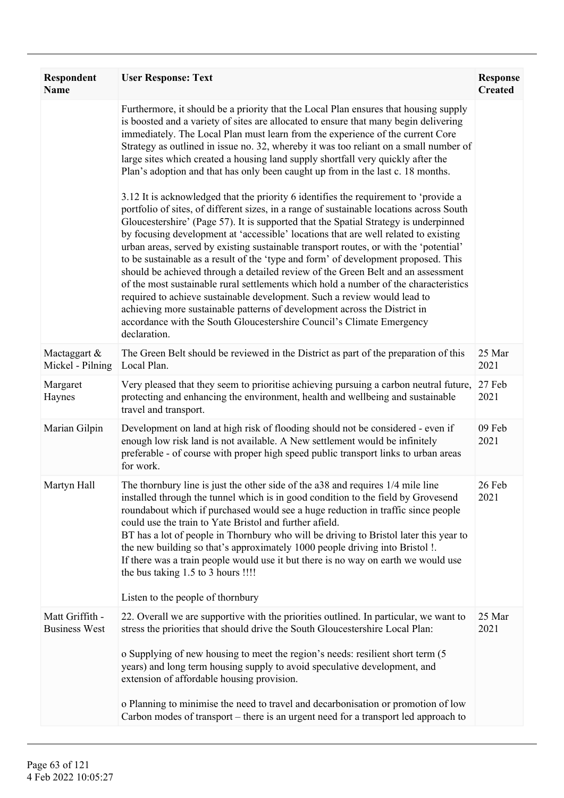| Respondent<br><b>Name</b>               | <b>User Response: Text</b>                                                                                                                                                                                                                                                                                                                                                                                                                                                                                                                                                                                                                                                                                                                                                                                                                                                                                                                                                                                                                                                                                                                                                                                                                                                                                                                                                                                                                                                                                     | <b>Response</b><br><b>Created</b> |
|-----------------------------------------|----------------------------------------------------------------------------------------------------------------------------------------------------------------------------------------------------------------------------------------------------------------------------------------------------------------------------------------------------------------------------------------------------------------------------------------------------------------------------------------------------------------------------------------------------------------------------------------------------------------------------------------------------------------------------------------------------------------------------------------------------------------------------------------------------------------------------------------------------------------------------------------------------------------------------------------------------------------------------------------------------------------------------------------------------------------------------------------------------------------------------------------------------------------------------------------------------------------------------------------------------------------------------------------------------------------------------------------------------------------------------------------------------------------------------------------------------------------------------------------------------------------|-----------------------------------|
|                                         | Furthermore, it should be a priority that the Local Plan ensures that housing supply<br>is boosted and a variety of sites are allocated to ensure that many begin delivering<br>immediately. The Local Plan must learn from the experience of the current Core<br>Strategy as outlined in issue no. 32, whereby it was too reliant on a small number of<br>large sites which created a housing land supply shortfall very quickly after the<br>Plan's adoption and that has only been caught up from in the last c. 18 months.<br>3.12 It is acknowledged that the priority 6 identifies the requirement to 'provide a<br>portfolio of sites, of different sizes, in a range of sustainable locations across South<br>Gloucestershire' (Page 57). It is supported that the Spatial Strategy is underpinned<br>by focusing development at 'accessible' locations that are well related to existing<br>urban areas, served by existing sustainable transport routes, or with the 'potential'<br>to be sustainable as a result of the 'type and form' of development proposed. This<br>should be achieved through a detailed review of the Green Belt and an assessment<br>of the most sustainable rural settlements which hold a number of the characteristics<br>required to achieve sustainable development. Such a review would lead to<br>achieving more sustainable patterns of development across the District in<br>accordance with the South Gloucestershire Council's Climate Emergency<br>declaration. |                                   |
| Mactaggart &<br>Mickel - Pilning        | The Green Belt should be reviewed in the District as part of the preparation of this<br>Local Plan.                                                                                                                                                                                                                                                                                                                                                                                                                                                                                                                                                                                                                                                                                                                                                                                                                                                                                                                                                                                                                                                                                                                                                                                                                                                                                                                                                                                                            | 25 Mar<br>2021                    |
| Margaret<br>Haynes                      | Very pleased that they seem to prioritise achieving pursuing a carbon neutral future,<br>protecting and enhancing the environment, health and wellbeing and sustainable<br>travel and transport.                                                                                                                                                                                                                                                                                                                                                                                                                                                                                                                                                                                                                                                                                                                                                                                                                                                                                                                                                                                                                                                                                                                                                                                                                                                                                                               | 27 Feb<br>2021                    |
| Marian Gilpin                           | Development on land at high risk of flooding should not be considered - even if<br>enough low risk land is not available. A New settlement would be infinitely<br>preferable - of course with proper high speed public transport links to urban areas<br>for work.                                                                                                                                                                                                                                                                                                                                                                                                                                                                                                                                                                                                                                                                                                                                                                                                                                                                                                                                                                                                                                                                                                                                                                                                                                             | 09 Feb<br>2021                    |
| Martyn Hall                             | The thornbury line is just the other side of the a38 and requires 1/4 mile line<br>installed through the tunnel which is in good condition to the field by Grovesend<br>roundabout which if purchased would see a huge reduction in traffic since people<br>could use the train to Yate Bristol and further afield.<br>BT has a lot of people in Thornbury who will be driving to Bristol later this year to<br>the new building so that's approximately 1000 people driving into Bristol !.<br>If there was a train people would use it but there is no way on earth we would use<br>the bus taking 1.5 to 3 hours !!!!<br>Listen to the people of thornbury                                                                                                                                                                                                                                                                                                                                                                                                                                                                                                                                                                                                                                                                                                                                                                                                                                                  | 26 Feb<br>2021                    |
| Matt Griffith -<br><b>Business West</b> | 22. Overall we are supportive with the priorities outlined. In particular, we want to<br>stress the priorities that should drive the South Gloucestershire Local Plan:                                                                                                                                                                                                                                                                                                                                                                                                                                                                                                                                                                                                                                                                                                                                                                                                                                                                                                                                                                                                                                                                                                                                                                                                                                                                                                                                         | 25 Mar<br>2021                    |
|                                         | o Supplying of new housing to meet the region's needs: resilient short term (5)<br>years) and long term housing supply to avoid speculative development, and<br>extension of affordable housing provision.<br>o Planning to minimise the need to travel and decarbonisation or promotion of low                                                                                                                                                                                                                                                                                                                                                                                                                                                                                                                                                                                                                                                                                                                                                                                                                                                                                                                                                                                                                                                                                                                                                                                                                |                                   |
|                                         | Carbon modes of transport – there is an urgent need for a transport led approach to                                                                                                                                                                                                                                                                                                                                                                                                                                                                                                                                                                                                                                                                                                                                                                                                                                                                                                                                                                                                                                                                                                                                                                                                                                                                                                                                                                                                                            |                                   |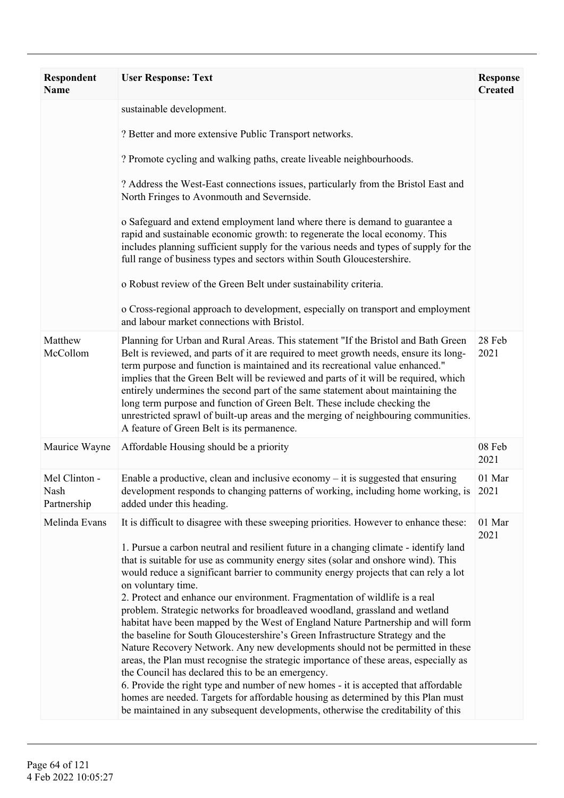| <b>Respondent</b><br><b>Name</b>     | <b>User Response: Text</b>                                                                                                                                                                                                                                                                                                                                                                                                                                                                                                                                                                                                                                                                                                                                                                                                                                                                                                                                                                                                                                                                                                                                                                                          | <b>Response</b><br><b>Created</b> |
|--------------------------------------|---------------------------------------------------------------------------------------------------------------------------------------------------------------------------------------------------------------------------------------------------------------------------------------------------------------------------------------------------------------------------------------------------------------------------------------------------------------------------------------------------------------------------------------------------------------------------------------------------------------------------------------------------------------------------------------------------------------------------------------------------------------------------------------------------------------------------------------------------------------------------------------------------------------------------------------------------------------------------------------------------------------------------------------------------------------------------------------------------------------------------------------------------------------------------------------------------------------------|-----------------------------------|
|                                      | sustainable development.                                                                                                                                                                                                                                                                                                                                                                                                                                                                                                                                                                                                                                                                                                                                                                                                                                                                                                                                                                                                                                                                                                                                                                                            |                                   |
|                                      | ? Better and more extensive Public Transport networks.                                                                                                                                                                                                                                                                                                                                                                                                                                                                                                                                                                                                                                                                                                                                                                                                                                                                                                                                                                                                                                                                                                                                                              |                                   |
|                                      | ? Promote cycling and walking paths, create liveable neighbourhoods.                                                                                                                                                                                                                                                                                                                                                                                                                                                                                                                                                                                                                                                                                                                                                                                                                                                                                                                                                                                                                                                                                                                                                |                                   |
|                                      | ? Address the West-East connections issues, particularly from the Bristol East and<br>North Fringes to Avonmouth and Severnside.                                                                                                                                                                                                                                                                                                                                                                                                                                                                                                                                                                                                                                                                                                                                                                                                                                                                                                                                                                                                                                                                                    |                                   |
|                                      | o Safeguard and extend employment land where there is demand to guarantee a<br>rapid and sustainable economic growth: to regenerate the local economy. This<br>includes planning sufficient supply for the various needs and types of supply for the<br>full range of business types and sectors within South Gloucestershire.                                                                                                                                                                                                                                                                                                                                                                                                                                                                                                                                                                                                                                                                                                                                                                                                                                                                                      |                                   |
|                                      | o Robust review of the Green Belt under sustainability criteria.                                                                                                                                                                                                                                                                                                                                                                                                                                                                                                                                                                                                                                                                                                                                                                                                                                                                                                                                                                                                                                                                                                                                                    |                                   |
|                                      | o Cross-regional approach to development, especially on transport and employment<br>and labour market connections with Bristol.                                                                                                                                                                                                                                                                                                                                                                                                                                                                                                                                                                                                                                                                                                                                                                                                                                                                                                                                                                                                                                                                                     |                                   |
| Matthew<br>McCollom                  | Planning for Urban and Rural Areas. This statement "If the Bristol and Bath Green<br>Belt is reviewed, and parts of it are required to meet growth needs, ensure its long-<br>term purpose and function is maintained and its recreational value enhanced."<br>implies that the Green Belt will be reviewed and parts of it will be required, which<br>entirely undermines the second part of the same statement about maintaining the<br>long term purpose and function of Green Belt. These include checking the<br>unrestricted sprawl of built-up areas and the merging of neighbouring communities.<br>A feature of Green Belt is its permanence.                                                                                                                                                                                                                                                                                                                                                                                                                                                                                                                                                              | 28 Feb<br>2021                    |
| Maurice Wayne                        | Affordable Housing should be a priority                                                                                                                                                                                                                                                                                                                                                                                                                                                                                                                                                                                                                                                                                                                                                                                                                                                                                                                                                                                                                                                                                                                                                                             | 08 Feb<br>2021                    |
| Mel Clinton -<br>Nash<br>Partnership | Enable a productive, clean and inclusive economy $-$ it is suggested that ensuring<br>development responds to changing patterns of working, including home working, is 2021<br>added under this heading.                                                                                                                                                                                                                                                                                                                                                                                                                                                                                                                                                                                                                                                                                                                                                                                                                                                                                                                                                                                                            | 01 Mar                            |
| Melinda Evans                        | It is difficult to disagree with these sweeping priorities. However to enhance these:<br>1. Pursue a carbon neutral and resilient future in a changing climate - identify land<br>that is suitable for use as community energy sites (solar and onshore wind). This<br>would reduce a significant barrier to community energy projects that can rely a lot<br>on voluntary time.<br>2. Protect and enhance our environment. Fragmentation of wildlife is a real<br>problem. Strategic networks for broadleaved woodland, grassland and wetland<br>habitat have been mapped by the West of England Nature Partnership and will form<br>the baseline for South Gloucestershire's Green Infrastructure Strategy and the<br>Nature Recovery Network. Any new developments should not be permitted in these<br>areas, the Plan must recognise the strategic importance of these areas, especially as<br>the Council has declared this to be an emergency.<br>6. Provide the right type and number of new homes - it is accepted that affordable<br>homes are needed. Targets for affordable housing as determined by this Plan must<br>be maintained in any subsequent developments, otherwise the creditability of this | 01 Mar<br>2021                    |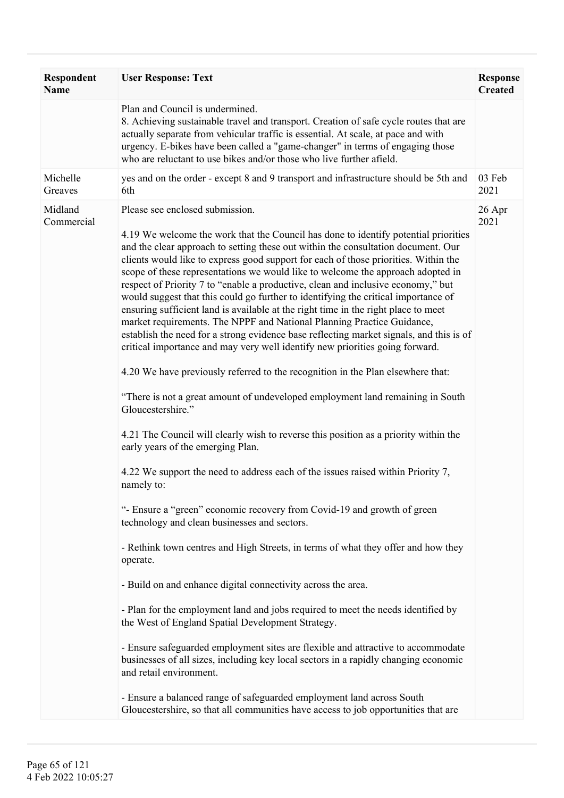| Respondent<br><b>Name</b> | <b>User Response: Text</b>                                                                                                                                                                                                                                                                                                                                                                                                                                                                                                                                                                                                                                                                                                                                                                                                                                                                                                                                                                                                                                                                                                                                                                                                                                                                                                                                                                                                                                                                                                                                                                                                                                                                                                                                                                                                                                                                                                                                                                                                                              | <b>Response</b><br><b>Created</b> |
|---------------------------|---------------------------------------------------------------------------------------------------------------------------------------------------------------------------------------------------------------------------------------------------------------------------------------------------------------------------------------------------------------------------------------------------------------------------------------------------------------------------------------------------------------------------------------------------------------------------------------------------------------------------------------------------------------------------------------------------------------------------------------------------------------------------------------------------------------------------------------------------------------------------------------------------------------------------------------------------------------------------------------------------------------------------------------------------------------------------------------------------------------------------------------------------------------------------------------------------------------------------------------------------------------------------------------------------------------------------------------------------------------------------------------------------------------------------------------------------------------------------------------------------------------------------------------------------------------------------------------------------------------------------------------------------------------------------------------------------------------------------------------------------------------------------------------------------------------------------------------------------------------------------------------------------------------------------------------------------------------------------------------------------------------------------------------------------------|-----------------------------------|
|                           | Plan and Council is undermined.<br>8. Achieving sustainable travel and transport. Creation of safe cycle routes that are<br>actually separate from vehicular traffic is essential. At scale, at pace and with<br>urgency. E-bikes have been called a "game-changer" in terms of engaging those<br>who are reluctant to use bikes and/or those who live further afield.                                                                                                                                                                                                                                                                                                                                                                                                                                                                                                                                                                                                                                                                                                                                                                                                                                                                                                                                                                                                                                                                                                                                                                                                                                                                                                                                                                                                                                                                                                                                                                                                                                                                                  |                                   |
| Michelle<br>Greaves       | yes and on the order - except 8 and 9 transport and infrastructure should be 5th and<br>6th                                                                                                                                                                                                                                                                                                                                                                                                                                                                                                                                                                                                                                                                                                                                                                                                                                                                                                                                                                                                                                                                                                                                                                                                                                                                                                                                                                                                                                                                                                                                                                                                                                                                                                                                                                                                                                                                                                                                                             | 03 Feb<br>2021                    |
| Midland<br>Commercial     | Please see enclosed submission.<br>4.19 We welcome the work that the Council has done to identify potential priorities<br>and the clear approach to setting these out within the consultation document. Our<br>clients would like to express good support for each of those priorities. Within the<br>scope of these representations we would like to welcome the approach adopted in<br>respect of Priority 7 to "enable a productive, clean and inclusive economy," but<br>would suggest that this could go further to identifying the critical importance of<br>ensuring sufficient land is available at the right time in the right place to meet<br>market requirements. The NPPF and National Planning Practice Guidance,<br>establish the need for a strong evidence base reflecting market signals, and this is of<br>critical importance and may very well identify new priorities going forward.<br>4.20 We have previously referred to the recognition in the Plan elsewhere that:<br>"There is not a great amount of undeveloped employment land remaining in South<br>Gloucestershire."<br>4.21 The Council will clearly wish to reverse this position as a priority within the<br>early years of the emerging Plan.<br>4.22 We support the need to address each of the issues raised within Priority 7,<br>namely to:<br>"- Ensure a "green" economic recovery from Covid-19 and growth of green<br>technology and clean businesses and sectors.<br>- Rethink town centres and High Streets, in terms of what they offer and how they<br>operate.<br>- Build on and enhance digital connectivity across the area.<br>- Plan for the employment land and jobs required to meet the needs identified by<br>the West of England Spatial Development Strategy.<br>- Ensure safeguarded employment sites are flexible and attractive to accommodate<br>businesses of all sizes, including key local sectors in a rapidly changing economic<br>and retail environment.<br>- Ensure a balanced range of safeguarded employment land across South | 26 Apr<br>2021                    |
|                           | Gloucestershire, so that all communities have access to job opportunities that are                                                                                                                                                                                                                                                                                                                                                                                                                                                                                                                                                                                                                                                                                                                                                                                                                                                                                                                                                                                                                                                                                                                                                                                                                                                                                                                                                                                                                                                                                                                                                                                                                                                                                                                                                                                                                                                                                                                                                                      |                                   |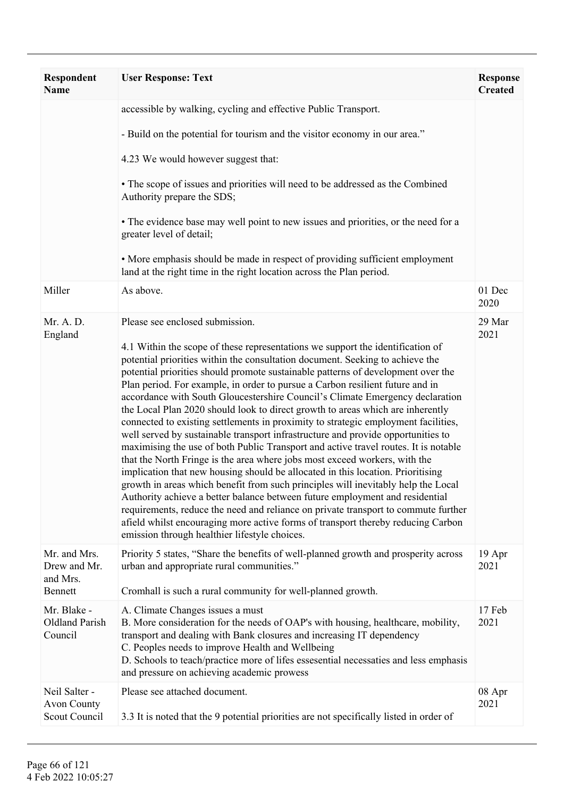| <b>Respondent</b><br><b>Name</b>                     | <b>User Response: Text</b>                                                                                                                                                                                                                                                                                                                                                                                                                                                                                                                                                                                                                                                                                                                                                                                                                                                                                                                                                                                                                                                                                                                                                                                                                                                                                                                                                   | <b>Response</b><br><b>Created</b> |
|------------------------------------------------------|------------------------------------------------------------------------------------------------------------------------------------------------------------------------------------------------------------------------------------------------------------------------------------------------------------------------------------------------------------------------------------------------------------------------------------------------------------------------------------------------------------------------------------------------------------------------------------------------------------------------------------------------------------------------------------------------------------------------------------------------------------------------------------------------------------------------------------------------------------------------------------------------------------------------------------------------------------------------------------------------------------------------------------------------------------------------------------------------------------------------------------------------------------------------------------------------------------------------------------------------------------------------------------------------------------------------------------------------------------------------------|-----------------------------------|
|                                                      | accessible by walking, cycling and effective Public Transport.                                                                                                                                                                                                                                                                                                                                                                                                                                                                                                                                                                                                                                                                                                                                                                                                                                                                                                                                                                                                                                                                                                                                                                                                                                                                                                               |                                   |
|                                                      | - Build on the potential for tourism and the visitor economy in our area."                                                                                                                                                                                                                                                                                                                                                                                                                                                                                                                                                                                                                                                                                                                                                                                                                                                                                                                                                                                                                                                                                                                                                                                                                                                                                                   |                                   |
|                                                      | 4.23 We would however suggest that:                                                                                                                                                                                                                                                                                                                                                                                                                                                                                                                                                                                                                                                                                                                                                                                                                                                                                                                                                                                                                                                                                                                                                                                                                                                                                                                                          |                                   |
|                                                      | • The scope of issues and priorities will need to be addressed as the Combined<br>Authority prepare the SDS;                                                                                                                                                                                                                                                                                                                                                                                                                                                                                                                                                                                                                                                                                                                                                                                                                                                                                                                                                                                                                                                                                                                                                                                                                                                                 |                                   |
|                                                      | • The evidence base may well point to new issues and priorities, or the need for a<br>greater level of detail;                                                                                                                                                                                                                                                                                                                                                                                                                                                                                                                                                                                                                                                                                                                                                                                                                                                                                                                                                                                                                                                                                                                                                                                                                                                               |                                   |
|                                                      | • More emphasis should be made in respect of providing sufficient employment<br>land at the right time in the right location across the Plan period.                                                                                                                                                                                                                                                                                                                                                                                                                                                                                                                                                                                                                                                                                                                                                                                                                                                                                                                                                                                                                                                                                                                                                                                                                         |                                   |
| Miller                                               | As above.                                                                                                                                                                                                                                                                                                                                                                                                                                                                                                                                                                                                                                                                                                                                                                                                                                                                                                                                                                                                                                                                                                                                                                                                                                                                                                                                                                    | 01 Dec<br>2020                    |
| Mr. A. D.<br>England                                 | Please see enclosed submission.<br>4.1 Within the scope of these representations we support the identification of<br>potential priorities within the consultation document. Seeking to achieve the<br>potential priorities should promote sustainable patterns of development over the<br>Plan period. For example, in order to pursue a Carbon resilient future and in<br>accordance with South Gloucestershire Council's Climate Emergency declaration<br>the Local Plan 2020 should look to direct growth to areas which are inherently<br>connected to existing settlements in proximity to strategic employment facilities,<br>well served by sustainable transport infrastructure and provide opportunities to<br>maximising the use of both Public Transport and active travel routes. It is notable<br>that the North Fringe is the area where jobs most exceed workers, with the<br>implication that new housing should be allocated in this location. Prioritising<br>growth in areas which benefit from such principles will inevitably help the Local<br>Authority achieve a better balance between future employment and residential<br>requirements, reduce the need and reliance on private transport to commute further<br>afield whilst encouraging more active forms of transport thereby reducing Carbon<br>emission through healthier lifestyle choices. | 29 Mar<br>2021                    |
| Mr. and Mrs.<br>Drew and Mr.<br>and Mrs.<br>Bennett  | Priority 5 states, "Share the benefits of well-planned growth and prosperity across<br>urban and appropriate rural communities."<br>Cromhall is such a rural community for well-planned growth.                                                                                                                                                                                                                                                                                                                                                                                                                                                                                                                                                                                                                                                                                                                                                                                                                                                                                                                                                                                                                                                                                                                                                                              | 19 Apr<br>2021                    |
| Mr. Blake -<br>Oldland Parish<br>Council             | A. Climate Changes issues a must<br>B. More consideration for the needs of OAP's with housing, healthcare, mobility,<br>transport and dealing with Bank closures and increasing IT dependency<br>C. Peoples needs to improve Health and Wellbeing<br>D. Schools to teach/practice more of lifes essesential necessaties and less emphasis<br>and pressure on achieving academic prowess                                                                                                                                                                                                                                                                                                                                                                                                                                                                                                                                                                                                                                                                                                                                                                                                                                                                                                                                                                                      | 17 Feb<br>2021                    |
| Neil Salter -<br><b>Avon County</b><br>Scout Council | Please see attached document.<br>3.3 It is noted that the 9 potential priorities are not specifically listed in order of                                                                                                                                                                                                                                                                                                                                                                                                                                                                                                                                                                                                                                                                                                                                                                                                                                                                                                                                                                                                                                                                                                                                                                                                                                                     | 08 Apr<br>2021                    |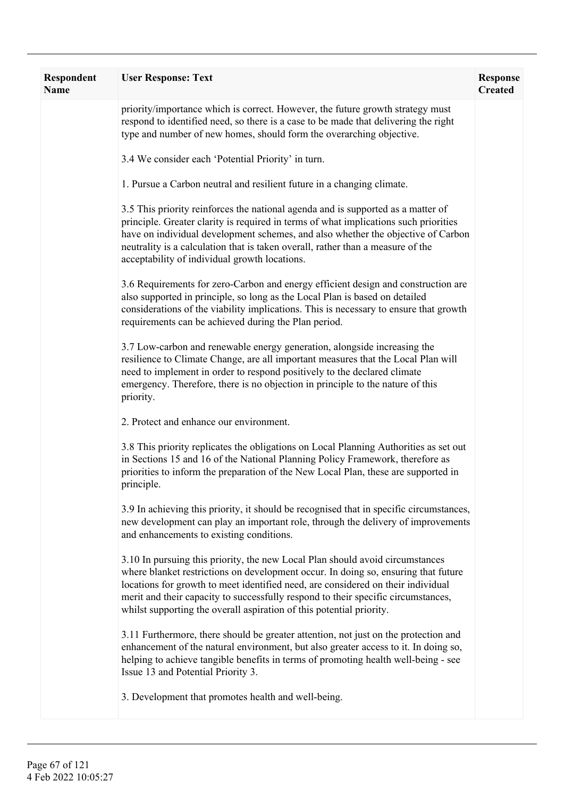| <b>Respondent</b><br><b>Name</b> | <b>User Response: Text</b>                                                                                                                                                                                                                                                                                                                                                                                           | <b>Response</b><br><b>Created</b> |
|----------------------------------|----------------------------------------------------------------------------------------------------------------------------------------------------------------------------------------------------------------------------------------------------------------------------------------------------------------------------------------------------------------------------------------------------------------------|-----------------------------------|
|                                  | priority/importance which is correct. However, the future growth strategy must<br>respond to identified need, so there is a case to be made that delivering the right<br>type and number of new homes, should form the overarching objective.                                                                                                                                                                        |                                   |
|                                  | 3.4 We consider each 'Potential Priority' in turn.                                                                                                                                                                                                                                                                                                                                                                   |                                   |
|                                  | 1. Pursue a Carbon neutral and resilient future in a changing climate.                                                                                                                                                                                                                                                                                                                                               |                                   |
|                                  | 3.5 This priority reinforces the national agenda and is supported as a matter of<br>principle. Greater clarity is required in terms of what implications such priorities<br>have on individual development schemes, and also whether the objective of Carbon<br>neutrality is a calculation that is taken overall, rather than a measure of the<br>acceptability of individual growth locations.                     |                                   |
|                                  | 3.6 Requirements for zero-Carbon and energy efficient design and construction are<br>also supported in principle, so long as the Local Plan is based on detailed<br>considerations of the viability implications. This is necessary to ensure that growth<br>requirements can be achieved during the Plan period.                                                                                                    |                                   |
|                                  | 3.7 Low-carbon and renewable energy generation, alongside increasing the<br>resilience to Climate Change, are all important measures that the Local Plan will<br>need to implement in order to respond positively to the declared climate<br>emergency. Therefore, there is no objection in principle to the nature of this<br>priority.                                                                             |                                   |
|                                  | 2. Protect and enhance our environment.                                                                                                                                                                                                                                                                                                                                                                              |                                   |
|                                  | 3.8 This priority replicates the obligations on Local Planning Authorities as set out<br>in Sections 15 and 16 of the National Planning Policy Framework, therefore as<br>priorities to inform the preparation of the New Local Plan, these are supported in<br>principle.                                                                                                                                           |                                   |
|                                  | 3.9 In achieving this priority, it should be recognised that in specific circumstances,<br>new development can play an important role, through the delivery of improvements<br>and enhancements to existing conditions.                                                                                                                                                                                              |                                   |
|                                  | 3.10 In pursuing this priority, the new Local Plan should avoid circumstances<br>where blanket restrictions on development occur. In doing so, ensuring that future<br>locations for growth to meet identified need, are considered on their individual<br>merit and their capacity to successfully respond to their specific circumstances,<br>whilst supporting the overall aspiration of this potential priority. |                                   |
|                                  | 3.11 Furthermore, there should be greater attention, not just on the protection and<br>enhancement of the natural environment, but also greater access to it. In doing so,<br>helping to achieve tangible benefits in terms of promoting health well-being - see<br>Issue 13 and Potential Priority 3.                                                                                                               |                                   |
|                                  | 3. Development that promotes health and well-being.                                                                                                                                                                                                                                                                                                                                                                  |                                   |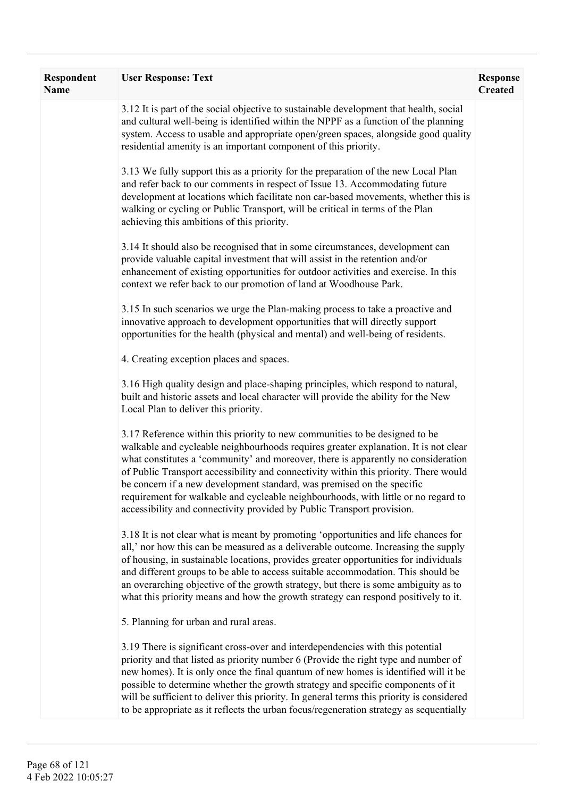| <b>Respondent</b><br><b>Name</b> | <b>User Response: Text</b>                                                                                                                                                                                                                                                                                                                                                                                                                                                                                                                                                                | <b>Response</b><br><b>Created</b> |
|----------------------------------|-------------------------------------------------------------------------------------------------------------------------------------------------------------------------------------------------------------------------------------------------------------------------------------------------------------------------------------------------------------------------------------------------------------------------------------------------------------------------------------------------------------------------------------------------------------------------------------------|-----------------------------------|
|                                  | 3.12 It is part of the social objective to sustainable development that health, social<br>and cultural well-being is identified within the NPPF as a function of the planning<br>system. Access to usable and appropriate open/green spaces, alongside good quality<br>residential amenity is an important component of this priority.                                                                                                                                                                                                                                                    |                                   |
|                                  | 3.13 We fully support this as a priority for the preparation of the new Local Plan<br>and refer back to our comments in respect of Issue 13. Accommodating future<br>development at locations which facilitate non car-based movements, whether this is<br>walking or cycling or Public Transport, will be critical in terms of the Plan<br>achieving this ambitions of this priority.                                                                                                                                                                                                    |                                   |
|                                  | 3.14 It should also be recognised that in some circumstances, development can<br>provide valuable capital investment that will assist in the retention and/or<br>enhancement of existing opportunities for outdoor activities and exercise. In this<br>context we refer back to our promotion of land at Woodhouse Park.                                                                                                                                                                                                                                                                  |                                   |
|                                  | 3.15 In such scenarios we urge the Plan-making process to take a proactive and<br>innovative approach to development opportunities that will directly support<br>opportunities for the health (physical and mental) and well-being of residents.                                                                                                                                                                                                                                                                                                                                          |                                   |
|                                  | 4. Creating exception places and spaces.                                                                                                                                                                                                                                                                                                                                                                                                                                                                                                                                                  |                                   |
|                                  | 3.16 High quality design and place-shaping principles, which respond to natural,<br>built and historic assets and local character will provide the ability for the New<br>Local Plan to deliver this priority.                                                                                                                                                                                                                                                                                                                                                                            |                                   |
|                                  | 3.17 Reference within this priority to new communities to be designed to be<br>walkable and cycleable neighbourhoods requires greater explanation. It is not clear<br>what constitutes a 'community' and moreover, there is apparently no consideration<br>of Public Transport accessibility and connectivity within this priority. There would<br>be concern if a new development standard, was premised on the specific<br>requirement for walkable and cycleable neighbourhoods, with little or no regard to<br>accessibility and connectivity provided by Public Transport provision. |                                   |
|                                  | 3.18 It is not clear what is meant by promoting 'opportunities and life chances for<br>all,' nor how this can be measured as a deliverable outcome. Increasing the supply<br>of housing, in sustainable locations, provides greater opportunities for individuals<br>and different groups to be able to access suitable accommodation. This should be<br>an overarching objective of the growth strategy, but there is some ambiguity as to<br>what this priority means and how the growth strategy can respond positively to it.                                                         |                                   |
|                                  | 5. Planning for urban and rural areas.                                                                                                                                                                                                                                                                                                                                                                                                                                                                                                                                                    |                                   |
|                                  | 3.19 There is significant cross-over and interdependencies with this potential<br>priority and that listed as priority number 6 (Provide the right type and number of<br>new homes). It is only once the final quantum of new homes is identified will it be<br>possible to determine whether the growth strategy and specific components of it<br>will be sufficient to deliver this priority. In general terms this priority is considered<br>to be appropriate as it reflects the urban focus/regeneration strategy as sequentially                                                    |                                   |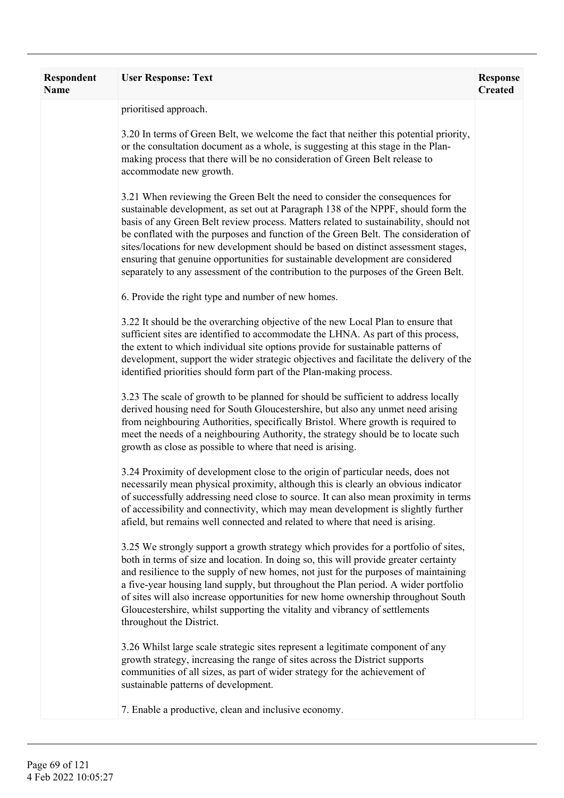| <b>Respondent</b><br>Name | <b>User Response: Text</b>                                                                                                                                                                                                                                                                                                                                                                                                                                                                                                                                                                                       | <b>Response</b><br><b>Created</b> |
|---------------------------|------------------------------------------------------------------------------------------------------------------------------------------------------------------------------------------------------------------------------------------------------------------------------------------------------------------------------------------------------------------------------------------------------------------------------------------------------------------------------------------------------------------------------------------------------------------------------------------------------------------|-----------------------------------|
|                           | prioritised approach.                                                                                                                                                                                                                                                                                                                                                                                                                                                                                                                                                                                            |                                   |
|                           | 3.20 In terms of Green Belt, we welcome the fact that neither this potential priority,<br>or the consultation document as a whole, is suggesting at this stage in the Plan-<br>making process that there will be no consideration of Green Belt release to<br>accommodate new growth.                                                                                                                                                                                                                                                                                                                            |                                   |
|                           | 3.21 When reviewing the Green Belt the need to consider the consequences for<br>sustainable development, as set out at Paragraph 138 of the NPPF, should form the<br>basis of any Green Belt review process. Matters related to sustainability, should not<br>be conflated with the purposes and function of the Green Belt. The consideration of<br>sites/locations for new development should be based on distinct assessment stages,<br>ensuring that genuine opportunities for sustainable development are considered<br>separately to any assessment of the contribution to the purposes of the Green Belt. |                                   |
|                           | 6. Provide the right type and number of new homes.                                                                                                                                                                                                                                                                                                                                                                                                                                                                                                                                                               |                                   |
|                           | 3.22 It should be the overarching objective of the new Local Plan to ensure that<br>sufficient sites are identified to accommodate the LHNA. As part of this process,<br>the extent to which individual site options provide for sustainable patterns of<br>development, support the wider strategic objectives and facilitate the delivery of the<br>identified priorities should form part of the Plan-making process.                                                                                                                                                                                         |                                   |
|                           | 3.23 The scale of growth to be planned for should be sufficient to address locally<br>derived housing need for South Gloucestershire, but also any unmet need arising<br>from neighbouring Authorities, specifically Bristol. Where growth is required to<br>meet the needs of a neighbouring Authority, the strategy should be to locate such<br>growth as close as possible to where that need is arising.                                                                                                                                                                                                     |                                   |
|                           | 3.24 Proximity of development close to the origin of particular needs, does not<br>necessarily mean physical proximity, although this is clearly an obvious indicator<br>of successfully addressing need close to source. It can also mean proximity in terms<br>of accessibility and connectivity, which may mean development is slightly further<br>afield, but remains well connected and related to where that need is arising.                                                                                                                                                                              |                                   |
|                           | 3.25 We strongly support a growth strategy which provides for a portfolio of sites,<br>both in terms of size and location. In doing so, this will provide greater certainty<br>and resilience to the supply of new homes, not just for the purposes of maintaining<br>a five-year housing land supply, but throughout the Plan period. A wider portfolio<br>of sites will also increase opportunities for new home ownership throughout South<br>Gloucestershire, whilst supporting the vitality and vibrancy of settlements<br>throughout the District.                                                         |                                   |
|                           | 3.26 Whilst large scale strategic sites represent a legitimate component of any<br>growth strategy, increasing the range of sites across the District supports<br>communities of all sizes, as part of wider strategy for the achievement of<br>sustainable patterns of development.                                                                                                                                                                                                                                                                                                                             |                                   |
|                           | 7. Enable a productive, clean and inclusive economy.                                                                                                                                                                                                                                                                                                                                                                                                                                                                                                                                                             |                                   |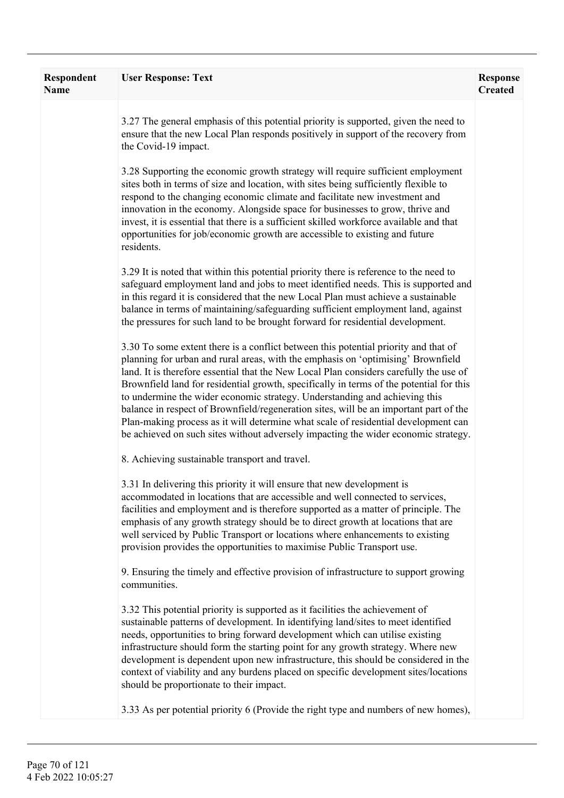| Respondent<br><b>Name</b> | <b>User Response: Text</b>                                                                                                                                                                                                                                                                                                                                                                                                                                                                                                                                                                                                                                                                                      | <b>Response</b><br><b>Created</b> |
|---------------------------|-----------------------------------------------------------------------------------------------------------------------------------------------------------------------------------------------------------------------------------------------------------------------------------------------------------------------------------------------------------------------------------------------------------------------------------------------------------------------------------------------------------------------------------------------------------------------------------------------------------------------------------------------------------------------------------------------------------------|-----------------------------------|
|                           | 3.27 The general emphasis of this potential priority is supported, given the need to<br>ensure that the new Local Plan responds positively in support of the recovery from<br>the Covid-19 impact.                                                                                                                                                                                                                                                                                                                                                                                                                                                                                                              |                                   |
|                           | 3.28 Supporting the economic growth strategy will require sufficient employment<br>sites both in terms of size and location, with sites being sufficiently flexible to<br>respond to the changing economic climate and facilitate new investment and<br>innovation in the economy. Alongside space for businesses to grow, thrive and<br>invest, it is essential that there is a sufficient skilled workforce available and that<br>opportunities for job/economic growth are accessible to existing and future<br>residents.                                                                                                                                                                                   |                                   |
|                           | 3.29 It is noted that within this potential priority there is reference to the need to<br>safeguard employment land and jobs to meet identified needs. This is supported and<br>in this regard it is considered that the new Local Plan must achieve a sustainable<br>balance in terms of maintaining/safeguarding sufficient employment land, against<br>the pressures for such land to be brought forward for residential development.                                                                                                                                                                                                                                                                        |                                   |
|                           | 3.30 To some extent there is a conflict between this potential priority and that of<br>planning for urban and rural areas, with the emphasis on 'optimising' Brownfield<br>land. It is therefore essential that the New Local Plan considers carefully the use of<br>Brownfield land for residential growth, specifically in terms of the potential for this<br>to undermine the wider economic strategy. Understanding and achieving this<br>balance in respect of Brownfield/regeneration sites, will be an important part of the<br>Plan-making process as it will determine what scale of residential development can<br>be achieved on such sites without adversely impacting the wider economic strategy. |                                   |
|                           | 8. Achieving sustainable transport and travel.                                                                                                                                                                                                                                                                                                                                                                                                                                                                                                                                                                                                                                                                  |                                   |
|                           | 3.31 In delivering this priority it will ensure that new development is<br>accommodated in locations that are accessible and well connected to services,<br>facilities and employment and is therefore supported as a matter of principle. The<br>emphasis of any growth strategy should be to direct growth at locations that are<br>well serviced by Public Transport or locations where enhancements to existing<br>provision provides the opportunities to maximise Public Transport use.                                                                                                                                                                                                                   |                                   |
|                           | 9. Ensuring the timely and effective provision of infrastructure to support growing<br>communities.                                                                                                                                                                                                                                                                                                                                                                                                                                                                                                                                                                                                             |                                   |
|                           | 3.32 This potential priority is supported as it facilities the achievement of<br>sustainable patterns of development. In identifying land/sites to meet identified<br>needs, opportunities to bring forward development which can utilise existing<br>infrastructure should form the starting point for any growth strategy. Where new<br>development is dependent upon new infrastructure, this should be considered in the<br>context of viability and any burdens placed on specific development sites/locations<br>should be proportionate to their impact.                                                                                                                                                 |                                   |
|                           | 3.33 As per potential priority 6 (Provide the right type and numbers of new homes),                                                                                                                                                                                                                                                                                                                                                                                                                                                                                                                                                                                                                             |                                   |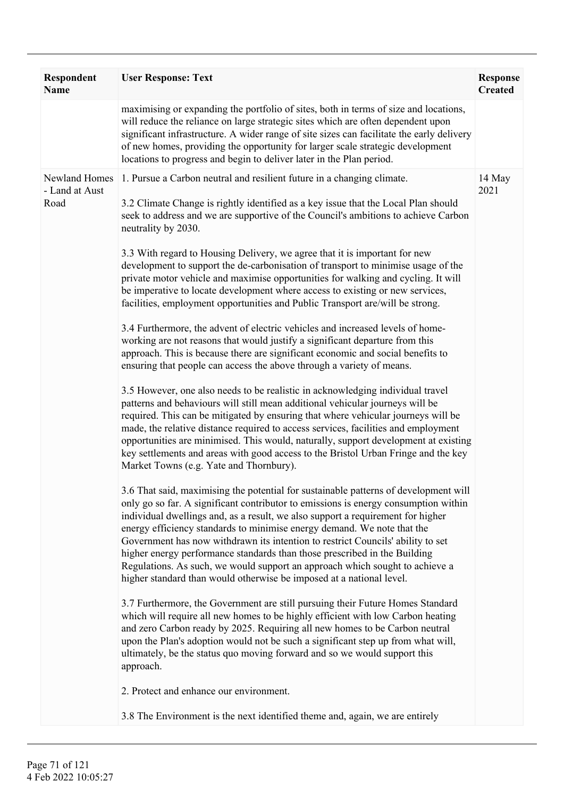| Respondent<br><b>Name</b>               | <b>User Response: Text</b>                                                                                                                                                                                                                                                                                                                                                                                                                                                                                                                                                                                                                                                                                                                                                                                                                                                                                                                                                                                                                                                                                                                                                                                                                                                                                                                                                                                                                                                                                                                                                                                                                                                                                                                                                                                                                                                                                                                                                                                                                                                                                                                                                                                                                                                                                                                                                                                                                                                                                                                                                                                                                                                                                                                                | <b>Response</b><br><b>Created</b> |
|-----------------------------------------|-----------------------------------------------------------------------------------------------------------------------------------------------------------------------------------------------------------------------------------------------------------------------------------------------------------------------------------------------------------------------------------------------------------------------------------------------------------------------------------------------------------------------------------------------------------------------------------------------------------------------------------------------------------------------------------------------------------------------------------------------------------------------------------------------------------------------------------------------------------------------------------------------------------------------------------------------------------------------------------------------------------------------------------------------------------------------------------------------------------------------------------------------------------------------------------------------------------------------------------------------------------------------------------------------------------------------------------------------------------------------------------------------------------------------------------------------------------------------------------------------------------------------------------------------------------------------------------------------------------------------------------------------------------------------------------------------------------------------------------------------------------------------------------------------------------------------------------------------------------------------------------------------------------------------------------------------------------------------------------------------------------------------------------------------------------------------------------------------------------------------------------------------------------------------------------------------------------------------------------------------------------------------------------------------------------------------------------------------------------------------------------------------------------------------------------------------------------------------------------------------------------------------------------------------------------------------------------------------------------------------------------------------------------------------------------------------------------------------------------------------------------|-----------------------------------|
|                                         | maximising or expanding the portfolio of sites, both in terms of size and locations,<br>will reduce the reliance on large strategic sites which are often dependent upon<br>significant infrastructure. A wider range of site sizes can facilitate the early delivery<br>of new homes, providing the opportunity for larger scale strategic development<br>locations to progress and begin to deliver later in the Plan period.                                                                                                                                                                                                                                                                                                                                                                                                                                                                                                                                                                                                                                                                                                                                                                                                                                                                                                                                                                                                                                                                                                                                                                                                                                                                                                                                                                                                                                                                                                                                                                                                                                                                                                                                                                                                                                                                                                                                                                                                                                                                                                                                                                                                                                                                                                                           |                                   |
| Newland Homes<br>- Land at Aust<br>Road | 1. Pursue a Carbon neutral and resilient future in a changing climate.<br>3.2 Climate Change is rightly identified as a key issue that the Local Plan should<br>seek to address and we are supportive of the Council's ambitions to achieve Carbon<br>neutrality by 2030.<br>3.3 With regard to Housing Delivery, we agree that it is important for new<br>development to support the de-carbonisation of transport to minimise usage of the<br>private motor vehicle and maximise opportunities for walking and cycling. It will<br>be imperative to locate development where access to existing or new services,<br>facilities, employment opportunities and Public Transport are/will be strong.<br>3.4 Furthermore, the advent of electric vehicles and increased levels of home-<br>working are not reasons that would justify a significant departure from this<br>approach. This is because there are significant economic and social benefits to<br>ensuring that people can access the above through a variety of means.<br>3.5 However, one also needs to be realistic in acknowledging individual travel<br>patterns and behaviours will still mean additional vehicular journeys will be<br>required. This can be mitigated by ensuring that where vehicular journeys will be<br>made, the relative distance required to access services, facilities and employment<br>opportunities are minimised. This would, naturally, support development at existing<br>key settlements and areas with good access to the Bristol Urban Fringe and the key<br>Market Towns (e.g. Yate and Thornbury).<br>3.6 That said, maximising the potential for sustainable patterns of development will<br>only go so far. A significant contributor to emissions is energy consumption within<br>individual dwellings and, as a result, we also support a requirement for higher<br>energy efficiency standards to minimise energy demand. We note that the<br>Government has now withdrawn its intention to restrict Councils' ability to set<br>higher energy performance standards than those prescribed in the Building<br>Regulations. As such, we would support an approach which sought to achieve a<br>higher standard than would otherwise be imposed at a national level.<br>3.7 Furthermore, the Government are still pursuing their Future Homes Standard<br>which will require all new homes to be highly efficient with low Carbon heating<br>and zero Carbon ready by 2025. Requiring all new homes to be Carbon neutral<br>upon the Plan's adoption would not be such a significant step up from what will,<br>ultimately, be the status quo moving forward and so we would support this<br>approach.<br>2. Protect and enhance our environment. | 14 May<br>2021                    |
|                                         | 3.8 The Environment is the next identified theme and, again, we are entirely                                                                                                                                                                                                                                                                                                                                                                                                                                                                                                                                                                                                                                                                                                                                                                                                                                                                                                                                                                                                                                                                                                                                                                                                                                                                                                                                                                                                                                                                                                                                                                                                                                                                                                                                                                                                                                                                                                                                                                                                                                                                                                                                                                                                                                                                                                                                                                                                                                                                                                                                                                                                                                                                              |                                   |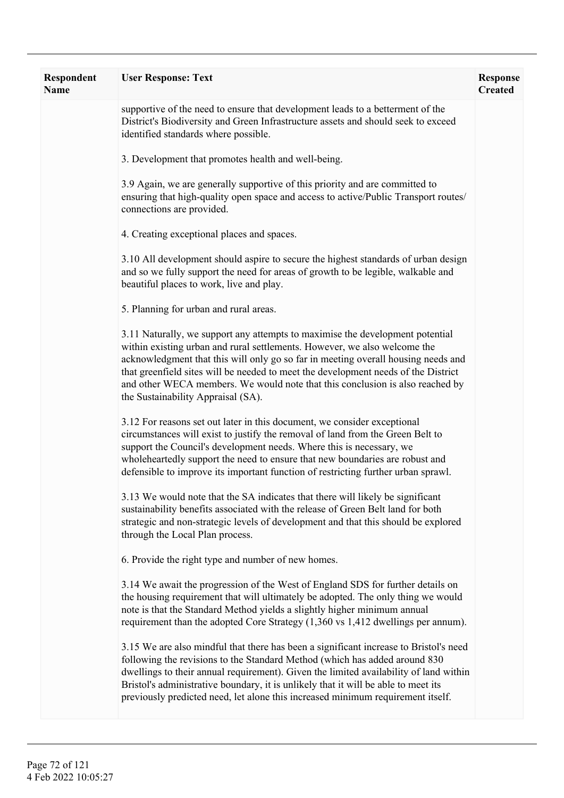| Respondent<br><b>Name</b> | <b>User Response: Text</b>                                                                                                                                                                                                                                                                                                                                                                                                                                   | <b>Response</b><br><b>Created</b> |
|---------------------------|--------------------------------------------------------------------------------------------------------------------------------------------------------------------------------------------------------------------------------------------------------------------------------------------------------------------------------------------------------------------------------------------------------------------------------------------------------------|-----------------------------------|
|                           | supportive of the need to ensure that development leads to a betterment of the<br>District's Biodiversity and Green Infrastructure assets and should seek to exceed<br>identified standards where possible.                                                                                                                                                                                                                                                  |                                   |
|                           | 3. Development that promotes health and well-being.                                                                                                                                                                                                                                                                                                                                                                                                          |                                   |
|                           | 3.9 Again, we are generally supportive of this priority and are committed to<br>ensuring that high-quality open space and access to active/Public Transport routes/<br>connections are provided.                                                                                                                                                                                                                                                             |                                   |
|                           | 4. Creating exceptional places and spaces.                                                                                                                                                                                                                                                                                                                                                                                                                   |                                   |
|                           | 3.10 All development should aspire to secure the highest standards of urban design<br>and so we fully support the need for areas of growth to be legible, walkable and<br>beautiful places to work, live and play.                                                                                                                                                                                                                                           |                                   |
|                           | 5. Planning for urban and rural areas.                                                                                                                                                                                                                                                                                                                                                                                                                       |                                   |
|                           | 3.11 Naturally, we support any attempts to maximise the development potential<br>within existing urban and rural settlements. However, we also welcome the<br>acknowledgment that this will only go so far in meeting overall housing needs and<br>that greenfield sites will be needed to meet the development needs of the District<br>and other WECA members. We would note that this conclusion is also reached by<br>the Sustainability Appraisal (SA). |                                   |
|                           | 3.12 For reasons set out later in this document, we consider exceptional<br>circumstances will exist to justify the removal of land from the Green Belt to<br>support the Council's development needs. Where this is necessary, we<br>wholeheartedly support the need to ensure that new boundaries are robust and<br>defensible to improve its important function of restricting further urban sprawl.                                                      |                                   |
|                           | 3.13 We would note that the SA indicates that there will likely be significant<br>sustainability benefits associated with the release of Green Belt land for both<br>strategic and non-strategic levels of development and that this should be explored<br>through the Local Plan process.                                                                                                                                                                   |                                   |
|                           | 6. Provide the right type and number of new homes.                                                                                                                                                                                                                                                                                                                                                                                                           |                                   |
|                           | 3.14 We await the progression of the West of England SDS for further details on<br>the housing requirement that will ultimately be adopted. The only thing we would<br>note is that the Standard Method yields a slightly higher minimum annual<br>requirement than the adopted Core Strategy (1,360 vs 1,412 dwellings per annum).                                                                                                                          |                                   |
|                           | 3.15 We are also mindful that there has been a significant increase to Bristol's need<br>following the revisions to the Standard Method (which has added around 830<br>dwellings to their annual requirement). Given the limited availability of land within<br>Bristol's administrative boundary, it is unlikely that it will be able to meet its<br>previously predicted need, let alone this increased minimum requirement itself.                        |                                   |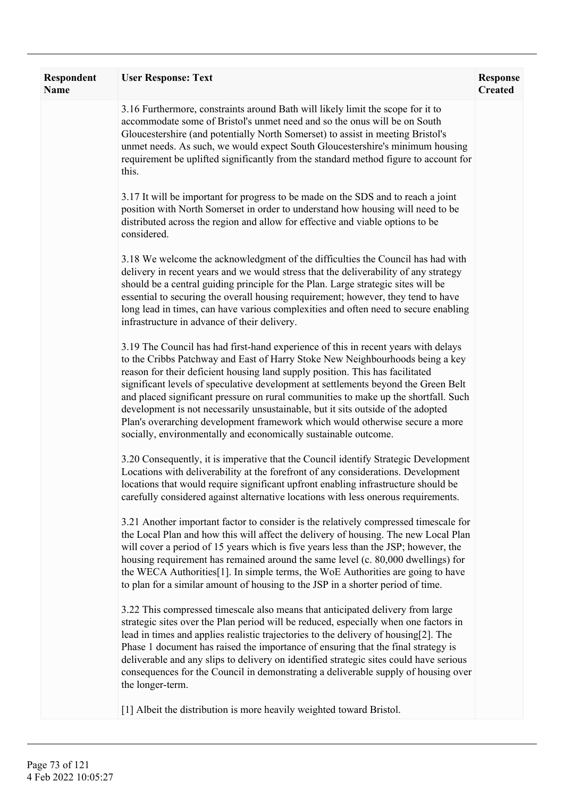| <b>Respondent</b><br><b>Name</b> | <b>User Response: Text</b>                                                                                                                                                                                                                                                                                                                                                                                                                                                                                                                                                                                                                                               | <b>Response</b><br><b>Created</b> |
|----------------------------------|--------------------------------------------------------------------------------------------------------------------------------------------------------------------------------------------------------------------------------------------------------------------------------------------------------------------------------------------------------------------------------------------------------------------------------------------------------------------------------------------------------------------------------------------------------------------------------------------------------------------------------------------------------------------------|-----------------------------------|
|                                  | 3.16 Furthermore, constraints around Bath will likely limit the scope for it to<br>accommodate some of Bristol's unmet need and so the onus will be on South<br>Gloucestershire (and potentially North Somerset) to assist in meeting Bristol's<br>unmet needs. As such, we would expect South Gloucestershire's minimum housing<br>requirement be uplifted significantly from the standard method figure to account for<br>this.                                                                                                                                                                                                                                        |                                   |
|                                  | 3.17 It will be important for progress to be made on the SDS and to reach a joint<br>position with North Somerset in order to understand how housing will need to be<br>distributed across the region and allow for effective and viable options to be<br>considered.                                                                                                                                                                                                                                                                                                                                                                                                    |                                   |
|                                  | 3.18 We welcome the acknowledgment of the difficulties the Council has had with<br>delivery in recent years and we would stress that the deliverability of any strategy<br>should be a central guiding principle for the Plan. Large strategic sites will be<br>essential to securing the overall housing requirement; however, they tend to have<br>long lead in times, can have various complexities and often need to secure enabling<br>infrastructure in advance of their delivery.                                                                                                                                                                                 |                                   |
|                                  | 3.19 The Council has had first-hand experience of this in recent years with delays<br>to the Cribbs Patchway and East of Harry Stoke New Neighbourhoods being a key<br>reason for their deficient housing land supply position. This has facilitated<br>significant levels of speculative development at settlements beyond the Green Belt<br>and placed significant pressure on rural communities to make up the shortfall. Such<br>development is not necessarily unsustainable, but it sits outside of the adopted<br>Plan's overarching development framework which would otherwise secure a more<br>socially, environmentally and economically sustainable outcome. |                                   |
|                                  | 3.20 Consequently, it is imperative that the Council identify Strategic Development<br>Locations with deliverability at the forefront of any considerations. Development<br>locations that would require significant upfront enabling infrastructure should be<br>carefully considered against alternative locations with less onerous requirements.                                                                                                                                                                                                                                                                                                                     |                                   |
|                                  | 3.21 Another important factor to consider is the relatively compressed timescale for<br>the Local Plan and how this will affect the delivery of housing. The new Local Plan<br>will cover a period of 15 years which is five years less than the JSP; however, the<br>housing requirement has remained around the same level (c. 80,000 dwellings) for<br>the WECA Authorities[1]. In simple terms, the WoE Authorities are going to have<br>to plan for a similar amount of housing to the JSP in a shorter period of time.                                                                                                                                             |                                   |
|                                  | 3.22 This compressed timescale also means that anticipated delivery from large<br>strategic sites over the Plan period will be reduced, especially when one factors in<br>lead in times and applies realistic trajectories to the delivery of housing[2]. The<br>Phase 1 document has raised the importance of ensuring that the final strategy is<br>deliverable and any slips to delivery on identified strategic sites could have serious<br>consequences for the Council in demonstrating a deliverable supply of housing over<br>the longer-term.                                                                                                                   |                                   |
|                                  | [1] Albeit the distribution is more heavily weighted toward Bristol.                                                                                                                                                                                                                                                                                                                                                                                                                                                                                                                                                                                                     |                                   |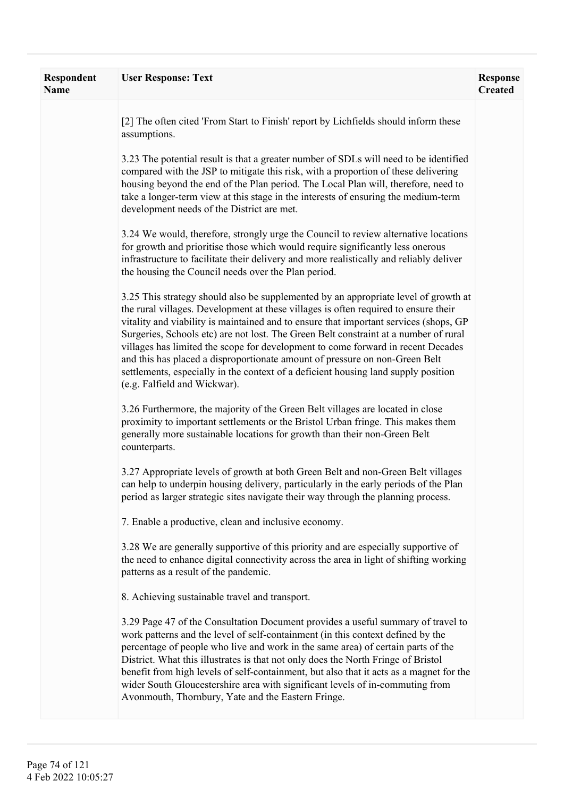| <b>Respondent</b><br><b>Name</b> | <b>User Response: Text</b>                                                                                                                                                                                                                                                                                                                                                                                                                                                                                                                                                                                                                           | <b>Response</b><br><b>Created</b> |
|----------------------------------|------------------------------------------------------------------------------------------------------------------------------------------------------------------------------------------------------------------------------------------------------------------------------------------------------------------------------------------------------------------------------------------------------------------------------------------------------------------------------------------------------------------------------------------------------------------------------------------------------------------------------------------------------|-----------------------------------|
|                                  | [2] The often cited 'From Start to Finish' report by Lichfields should inform these<br>assumptions.                                                                                                                                                                                                                                                                                                                                                                                                                                                                                                                                                  |                                   |
|                                  | 3.23 The potential result is that a greater number of SDLs will need to be identified<br>compared with the JSP to mitigate this risk, with a proportion of these delivering<br>housing beyond the end of the Plan period. The Local Plan will, therefore, need to<br>take a longer-term view at this stage in the interests of ensuring the medium-term<br>development needs of the District are met.                                                                                                                                                                                                                                                |                                   |
|                                  | 3.24 We would, therefore, strongly urge the Council to review alternative locations<br>for growth and prioritise those which would require significantly less onerous<br>infrastructure to facilitate their delivery and more realistically and reliably deliver<br>the housing the Council needs over the Plan period.                                                                                                                                                                                                                                                                                                                              |                                   |
|                                  | 3.25 This strategy should also be supplemented by an appropriate level of growth at<br>the rural villages. Development at these villages is often required to ensure their<br>vitality and viability is maintained and to ensure that important services (shops, GP<br>Surgeries, Schools etc) are not lost. The Green Belt constraint at a number of rural<br>villages has limited the scope for development to come forward in recent Decades<br>and this has placed a disproportionate amount of pressure on non-Green Belt<br>settlements, especially in the context of a deficient housing land supply position<br>(e.g. Falfield and Wickwar). |                                   |
|                                  | 3.26 Furthermore, the majority of the Green Belt villages are located in close<br>proximity to important settlements or the Bristol Urban fringe. This makes them<br>generally more sustainable locations for growth than their non-Green Belt<br>counterparts.                                                                                                                                                                                                                                                                                                                                                                                      |                                   |
|                                  | 3.27 Appropriate levels of growth at both Green Belt and non-Green Belt villages<br>can help to underpin housing delivery, particularly in the early periods of the Plan<br>period as larger strategic sites navigate their way through the planning process.                                                                                                                                                                                                                                                                                                                                                                                        |                                   |
|                                  | 7. Enable a productive, clean and inclusive economy.                                                                                                                                                                                                                                                                                                                                                                                                                                                                                                                                                                                                 |                                   |
|                                  | 3.28 We are generally supportive of this priority and are especially supportive of<br>the need to enhance digital connectivity across the area in light of shifting working<br>patterns as a result of the pandemic.                                                                                                                                                                                                                                                                                                                                                                                                                                 |                                   |
|                                  | 8. Achieving sustainable travel and transport.                                                                                                                                                                                                                                                                                                                                                                                                                                                                                                                                                                                                       |                                   |
|                                  | 3.29 Page 47 of the Consultation Document provides a useful summary of travel to<br>work patterns and the level of self-containment (in this context defined by the<br>percentage of people who live and work in the same area) of certain parts of the<br>District. What this illustrates is that not only does the North Fringe of Bristol<br>benefit from high levels of self-containment, but also that it acts as a magnet for the<br>wider South Gloucestershire area with significant levels of in-commuting from<br>Avonmouth, Thornbury, Yate and the Eastern Fringe.                                                                       |                                   |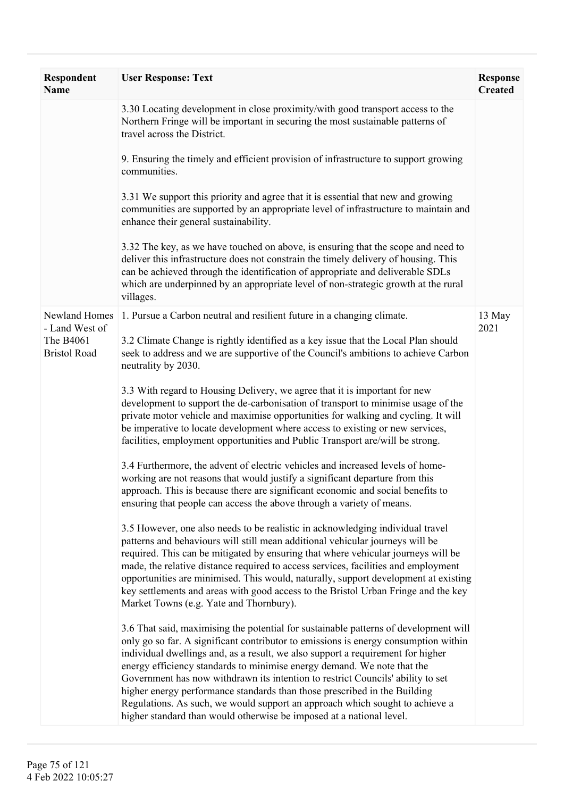| Respondent<br><b>Name</b>        | <b>User Response: Text</b>                                                                                                                                                                                                                                                                                                                                                                                                                                                                                                                                                                                                                                        | <b>Response</b><br><b>Created</b> |
|----------------------------------|-------------------------------------------------------------------------------------------------------------------------------------------------------------------------------------------------------------------------------------------------------------------------------------------------------------------------------------------------------------------------------------------------------------------------------------------------------------------------------------------------------------------------------------------------------------------------------------------------------------------------------------------------------------------|-----------------------------------|
|                                  | 3.30 Locating development in close proximity/with good transport access to the<br>Northern Fringe will be important in securing the most sustainable patterns of<br>travel across the District.                                                                                                                                                                                                                                                                                                                                                                                                                                                                   |                                   |
|                                  | 9. Ensuring the timely and efficient provision of infrastructure to support growing<br>communities.                                                                                                                                                                                                                                                                                                                                                                                                                                                                                                                                                               |                                   |
|                                  | 3.31 We support this priority and agree that it is essential that new and growing<br>communities are supported by an appropriate level of infrastructure to maintain and<br>enhance their general sustainability.                                                                                                                                                                                                                                                                                                                                                                                                                                                 |                                   |
|                                  | 3.32 The key, as we have touched on above, is ensuring that the scope and need to<br>deliver this infrastructure does not constrain the timely delivery of housing. This<br>can be achieved through the identification of appropriate and deliverable SDLs<br>which are underpinned by an appropriate level of non-strategic growth at the rural<br>villages.                                                                                                                                                                                                                                                                                                     |                                   |
| Newland Homes<br>- Land West of  | 1. Pursue a Carbon neutral and resilient future in a changing climate.                                                                                                                                                                                                                                                                                                                                                                                                                                                                                                                                                                                            | 13 May<br>2021                    |
| The B4061<br><b>Bristol Road</b> | 3.2 Climate Change is rightly identified as a key issue that the Local Plan should<br>seek to address and we are supportive of the Council's ambitions to achieve Carbon<br>neutrality by 2030.                                                                                                                                                                                                                                                                                                                                                                                                                                                                   |                                   |
|                                  | 3.3 With regard to Housing Delivery, we agree that it is important for new<br>development to support the de-carbonisation of transport to minimise usage of the<br>private motor vehicle and maximise opportunities for walking and cycling. It will<br>be imperative to locate development where access to existing or new services,<br>facilities, employment opportunities and Public Transport are/will be strong.                                                                                                                                                                                                                                            |                                   |
|                                  | 3.4 Furthermore, the advent of electric vehicles and increased levels of home-<br>working are not reasons that would justify a significant departure from this<br>approach. This is because there are significant economic and social benefits to<br>ensuring that people can access the above through a variety of means.                                                                                                                                                                                                                                                                                                                                        |                                   |
|                                  | 3.5 However, one also needs to be realistic in acknowledging individual travel<br>patterns and behaviours will still mean additional vehicular journeys will be<br>required. This can be mitigated by ensuring that where vehicular journeys will be<br>made, the relative distance required to access services, facilities and employment<br>opportunities are minimised. This would, naturally, support development at existing<br>key settlements and areas with good access to the Bristol Urban Fringe and the key<br>Market Towns (e.g. Yate and Thornbury).                                                                                                |                                   |
|                                  | 3.6 That said, maximising the potential for sustainable patterns of development will<br>only go so far. A significant contributor to emissions is energy consumption within<br>individual dwellings and, as a result, we also support a requirement for higher<br>energy efficiency standards to minimise energy demand. We note that the<br>Government has now withdrawn its intention to restrict Councils' ability to set<br>higher energy performance standards than those prescribed in the Building<br>Regulations. As such, we would support an approach which sought to achieve a<br>higher standard than would otherwise be imposed at a national level. |                                   |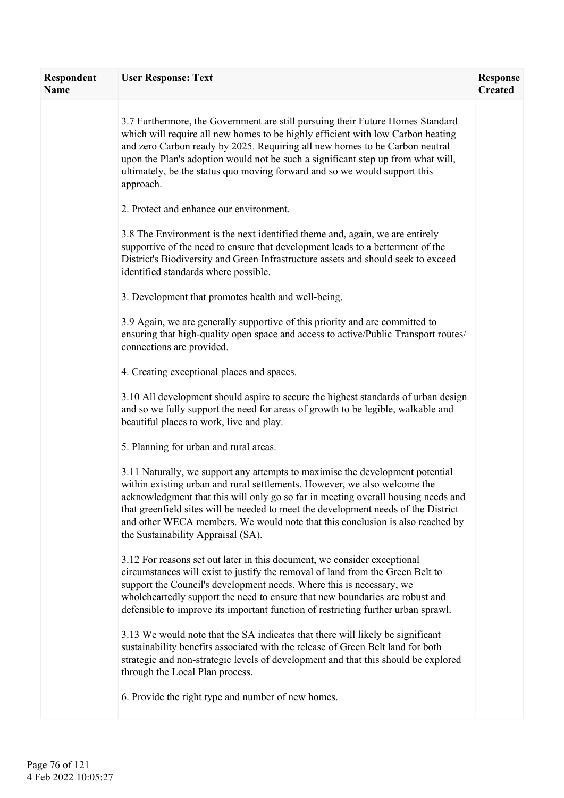| <b>Respondent</b><br><b>Name</b> | <b>User Response: Text</b>                                                                                                                                                                                                                                                                                                                                                                                                                                   | <b>Response</b><br><b>Created</b> |
|----------------------------------|--------------------------------------------------------------------------------------------------------------------------------------------------------------------------------------------------------------------------------------------------------------------------------------------------------------------------------------------------------------------------------------------------------------------------------------------------------------|-----------------------------------|
|                                  | 3.7 Furthermore, the Government are still pursuing their Future Homes Standard<br>which will require all new homes to be highly efficient with low Carbon heating<br>and zero Carbon ready by 2025. Requiring all new homes to be Carbon neutral<br>upon the Plan's adoption would not be such a significant step up from what will,<br>ultimately, be the status quo moving forward and so we would support this<br>approach.                               |                                   |
|                                  | 2. Protect and enhance our environment.                                                                                                                                                                                                                                                                                                                                                                                                                      |                                   |
|                                  | 3.8 The Environment is the next identified theme and, again, we are entirely<br>supportive of the need to ensure that development leads to a betterment of the<br>District's Biodiversity and Green Infrastructure assets and should seek to exceed<br>identified standards where possible.                                                                                                                                                                  |                                   |
|                                  | 3. Development that promotes health and well-being.                                                                                                                                                                                                                                                                                                                                                                                                          |                                   |
|                                  | 3.9 Again, we are generally supportive of this priority and are committed to<br>ensuring that high-quality open space and access to active/Public Transport routes/<br>connections are provided.                                                                                                                                                                                                                                                             |                                   |
|                                  | 4. Creating exceptional places and spaces.                                                                                                                                                                                                                                                                                                                                                                                                                   |                                   |
|                                  | 3.10 All development should aspire to secure the highest standards of urban design<br>and so we fully support the need for areas of growth to be legible, walkable and<br>beautiful places to work, live and play.                                                                                                                                                                                                                                           |                                   |
|                                  | 5. Planning for urban and rural areas.                                                                                                                                                                                                                                                                                                                                                                                                                       |                                   |
|                                  | 3.11 Naturally, we support any attempts to maximise the development potential<br>within existing urban and rural settlements. However, we also welcome the<br>acknowledgment that this will only go so far in meeting overall housing needs and<br>that greenfield sites will be needed to meet the development needs of the District<br>and other WECA members. We would note that this conclusion is also reached by<br>the Sustainability Appraisal (SA). |                                   |
|                                  | 3.12 For reasons set out later in this document, we consider exceptional<br>circumstances will exist to justify the removal of land from the Green Belt to<br>support the Council's development needs. Where this is necessary, we<br>wholeheartedly support the need to ensure that new boundaries are robust and<br>defensible to improve its important function of restricting further urban sprawl.                                                      |                                   |
|                                  | 3.13 We would note that the SA indicates that there will likely be significant<br>sustainability benefits associated with the release of Green Belt land for both<br>strategic and non-strategic levels of development and that this should be explored<br>through the Local Plan process.                                                                                                                                                                   |                                   |
|                                  | 6. Provide the right type and number of new homes.                                                                                                                                                                                                                                                                                                                                                                                                           |                                   |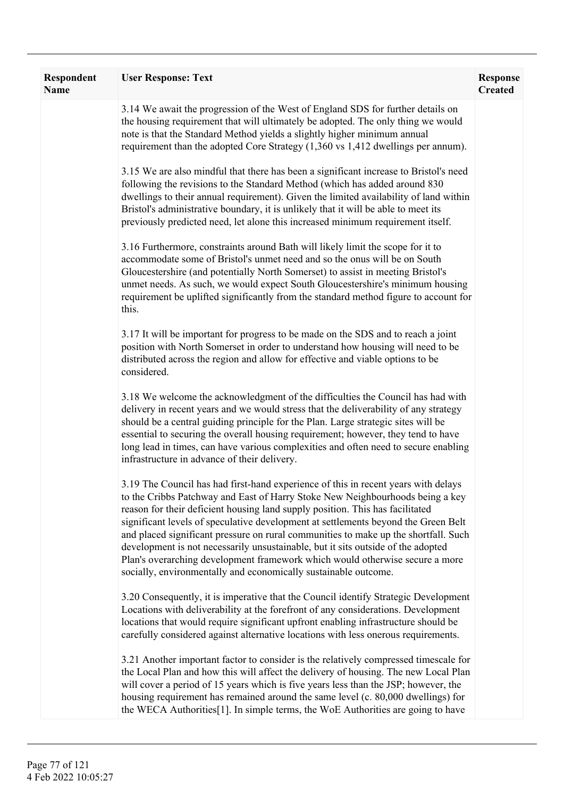| Respondent<br>Name | <b>User Response: Text</b>                                                                                                                                                                                                                                                                                                                                                                                                                                                                                                                                                                                                                                               | <b>Response</b><br><b>Created</b> |
|--------------------|--------------------------------------------------------------------------------------------------------------------------------------------------------------------------------------------------------------------------------------------------------------------------------------------------------------------------------------------------------------------------------------------------------------------------------------------------------------------------------------------------------------------------------------------------------------------------------------------------------------------------------------------------------------------------|-----------------------------------|
|                    | 3.14 We await the progression of the West of England SDS for further details on<br>the housing requirement that will ultimately be adopted. The only thing we would<br>note is that the Standard Method yields a slightly higher minimum annual<br>requirement than the adopted Core Strategy (1,360 vs 1,412 dwellings per annum).                                                                                                                                                                                                                                                                                                                                      |                                   |
|                    | 3.15 We are also mindful that there has been a significant increase to Bristol's need<br>following the revisions to the Standard Method (which has added around 830<br>dwellings to their annual requirement). Given the limited availability of land within<br>Bristol's administrative boundary, it is unlikely that it will be able to meet its<br>previously predicted need, let alone this increased minimum requirement itself.                                                                                                                                                                                                                                    |                                   |
|                    | 3.16 Furthermore, constraints around Bath will likely limit the scope for it to<br>accommodate some of Bristol's unmet need and so the onus will be on South<br>Gloucestershire (and potentially North Somerset) to assist in meeting Bristol's<br>unmet needs. As such, we would expect South Gloucestershire's minimum housing<br>requirement be uplifted significantly from the standard method figure to account for<br>this.                                                                                                                                                                                                                                        |                                   |
|                    | 3.17 It will be important for progress to be made on the SDS and to reach a joint<br>position with North Somerset in order to understand how housing will need to be<br>distributed across the region and allow for effective and viable options to be<br>considered.                                                                                                                                                                                                                                                                                                                                                                                                    |                                   |
|                    | 3.18 We welcome the acknowledgment of the difficulties the Council has had with<br>delivery in recent years and we would stress that the deliverability of any strategy<br>should be a central guiding principle for the Plan. Large strategic sites will be<br>essential to securing the overall housing requirement; however, they tend to have<br>long lead in times, can have various complexities and often need to secure enabling<br>infrastructure in advance of their delivery.                                                                                                                                                                                 |                                   |
|                    | 3.19 The Council has had first-hand experience of this in recent years with delays<br>to the Cribbs Patchway and East of Harry Stoke New Neighbourhoods being a key<br>reason for their deficient housing land supply position. This has facilitated<br>significant levels of speculative development at settlements beyond the Green Belt<br>and placed significant pressure on rural communities to make up the shortfall. Such<br>development is not necessarily unsustainable, but it sits outside of the adopted<br>Plan's overarching development framework which would otherwise secure a more<br>socially, environmentally and economically sustainable outcome. |                                   |
|                    | 3.20 Consequently, it is imperative that the Council identify Strategic Development<br>Locations with deliverability at the forefront of any considerations. Development<br>locations that would require significant upfront enabling infrastructure should be<br>carefully considered against alternative locations with less onerous requirements.                                                                                                                                                                                                                                                                                                                     |                                   |
|                    | 3.21 Another important factor to consider is the relatively compressed timescale for<br>the Local Plan and how this will affect the delivery of housing. The new Local Plan<br>will cover a period of 15 years which is five years less than the JSP; however, the<br>housing requirement has remained around the same level (c. 80,000 dwellings) for<br>the WECA Authorities[1]. In simple terms, the WoE Authorities are going to have                                                                                                                                                                                                                                |                                   |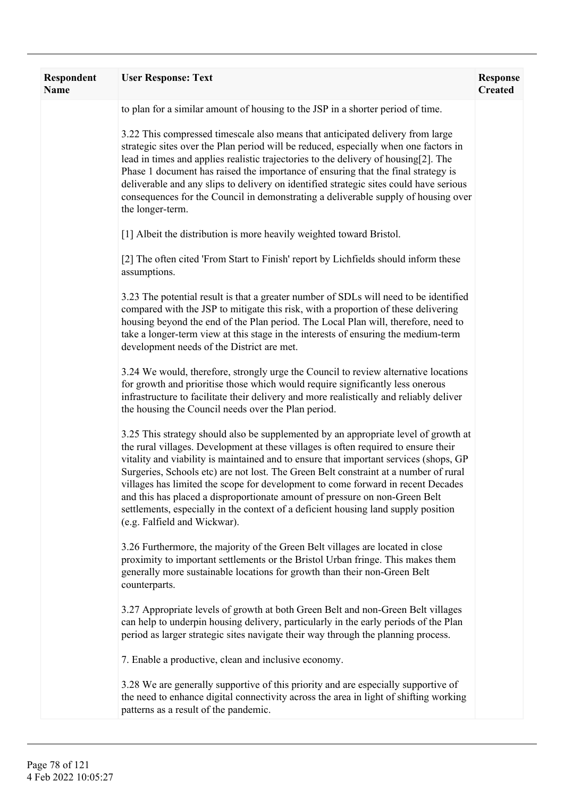| <b>Respondent</b><br><b>Name</b> | <b>User Response: Text</b>                                                                                                                                                                                                                                                                                                                                                                                                                                                                                                                                                                                                                           | <b>Response</b><br><b>Created</b> |
|----------------------------------|------------------------------------------------------------------------------------------------------------------------------------------------------------------------------------------------------------------------------------------------------------------------------------------------------------------------------------------------------------------------------------------------------------------------------------------------------------------------------------------------------------------------------------------------------------------------------------------------------------------------------------------------------|-----------------------------------|
|                                  | to plan for a similar amount of housing to the JSP in a shorter period of time.                                                                                                                                                                                                                                                                                                                                                                                                                                                                                                                                                                      |                                   |
|                                  | 3.22 This compressed timescale also means that anticipated delivery from large<br>strategic sites over the Plan period will be reduced, especially when one factors in<br>lead in times and applies realistic trajectories to the delivery of housing[2]. The<br>Phase 1 document has raised the importance of ensuring that the final strategy is<br>deliverable and any slips to delivery on identified strategic sites could have serious<br>consequences for the Council in demonstrating a deliverable supply of housing over<br>the longer-term.                                                                                               |                                   |
|                                  | [1] Albeit the distribution is more heavily weighted toward Bristol.                                                                                                                                                                                                                                                                                                                                                                                                                                                                                                                                                                                 |                                   |
|                                  | [2] The often cited 'From Start to Finish' report by Lichfields should inform these<br>assumptions.                                                                                                                                                                                                                                                                                                                                                                                                                                                                                                                                                  |                                   |
|                                  | 3.23 The potential result is that a greater number of SDLs will need to be identified<br>compared with the JSP to mitigate this risk, with a proportion of these delivering<br>housing beyond the end of the Plan period. The Local Plan will, therefore, need to<br>take a longer-term view at this stage in the interests of ensuring the medium-term<br>development needs of the District are met.                                                                                                                                                                                                                                                |                                   |
|                                  | 3.24 We would, therefore, strongly urge the Council to review alternative locations<br>for growth and prioritise those which would require significantly less onerous<br>infrastructure to facilitate their delivery and more realistically and reliably deliver<br>the housing the Council needs over the Plan period.                                                                                                                                                                                                                                                                                                                              |                                   |
|                                  | 3.25 This strategy should also be supplemented by an appropriate level of growth at<br>the rural villages. Development at these villages is often required to ensure their<br>vitality and viability is maintained and to ensure that important services (shops, GP<br>Surgeries, Schools etc) are not lost. The Green Belt constraint at a number of rural<br>villages has limited the scope for development to come forward in recent Decades<br>and this has placed a disproportionate amount of pressure on non-Green Belt<br>settlements, especially in the context of a deficient housing land supply position<br>(e.g. Falfield and Wickwar). |                                   |
|                                  | 3.26 Furthermore, the majority of the Green Belt villages are located in close<br>proximity to important settlements or the Bristol Urban fringe. This makes them<br>generally more sustainable locations for growth than their non-Green Belt<br>counterparts.                                                                                                                                                                                                                                                                                                                                                                                      |                                   |
|                                  | 3.27 Appropriate levels of growth at both Green Belt and non-Green Belt villages<br>can help to underpin housing delivery, particularly in the early periods of the Plan<br>period as larger strategic sites navigate their way through the planning process.                                                                                                                                                                                                                                                                                                                                                                                        |                                   |
|                                  | 7. Enable a productive, clean and inclusive economy.                                                                                                                                                                                                                                                                                                                                                                                                                                                                                                                                                                                                 |                                   |
|                                  | 3.28 We are generally supportive of this priority and are especially supportive of<br>the need to enhance digital connectivity across the area in light of shifting working<br>patterns as a result of the pandemic.                                                                                                                                                                                                                                                                                                                                                                                                                                 |                                   |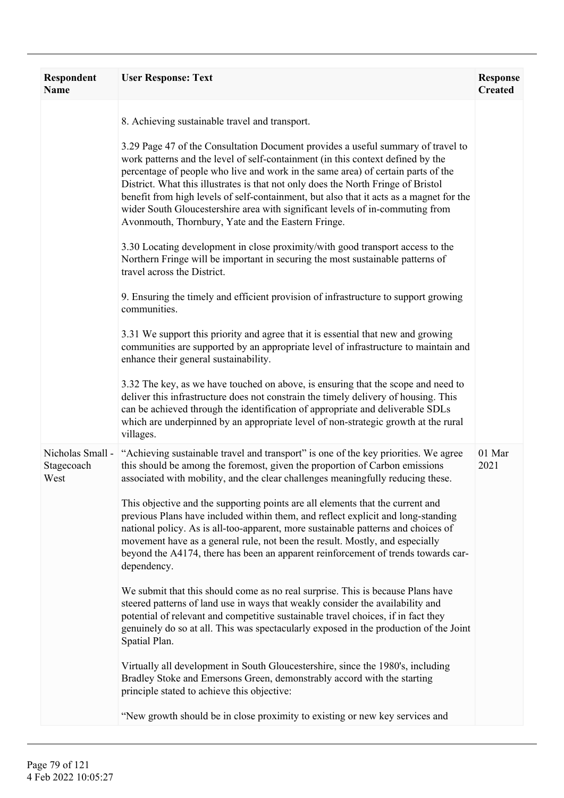| Respondent<br><b>Name</b>              | <b>User Response: Text</b>                                                                                                                                                                                                                                                                                                                                                                                                                                                                                                                                                                                                                                                                                                                                                                                                                                                                                                                                                                                                                                                                                                                                                                                                                                                                                                                                                                                                                                                                                                       | <b>Response</b><br><b>Created</b> |
|----------------------------------------|----------------------------------------------------------------------------------------------------------------------------------------------------------------------------------------------------------------------------------------------------------------------------------------------------------------------------------------------------------------------------------------------------------------------------------------------------------------------------------------------------------------------------------------------------------------------------------------------------------------------------------------------------------------------------------------------------------------------------------------------------------------------------------------------------------------------------------------------------------------------------------------------------------------------------------------------------------------------------------------------------------------------------------------------------------------------------------------------------------------------------------------------------------------------------------------------------------------------------------------------------------------------------------------------------------------------------------------------------------------------------------------------------------------------------------------------------------------------------------------------------------------------------------|-----------------------------------|
|                                        | 8. Achieving sustainable travel and transport.<br>3.29 Page 47 of the Consultation Document provides a useful summary of travel to<br>work patterns and the level of self-containment (in this context defined by the<br>percentage of people who live and work in the same area) of certain parts of the<br>District. What this illustrates is that not only does the North Fringe of Bristol<br>benefit from high levels of self-containment, but also that it acts as a magnet for the<br>wider South Gloucestershire area with significant levels of in-commuting from<br>Avonmouth, Thornbury, Yate and the Eastern Fringe.<br>3.30 Locating development in close proximity/with good transport access to the<br>Northern Fringe will be important in securing the most sustainable patterns of<br>travel across the District.<br>9. Ensuring the timely and efficient provision of infrastructure to support growing<br>communities.<br>3.31 We support this priority and agree that it is essential that new and growing<br>communities are supported by an appropriate level of infrastructure to maintain and<br>enhance their general sustainability.<br>3.32 The key, as we have touched on above, is ensuring that the scope and need to<br>deliver this infrastructure does not constrain the timely delivery of housing. This<br>can be achieved through the identification of appropriate and deliverable SDLs<br>which are underpinned by an appropriate level of non-strategic growth at the rural<br>villages. |                                   |
| Nicholas Small -<br>Stagecoach<br>West | "Achieving sustainable travel and transport" is one of the key priorities. We agree<br>this should be among the foremost, given the proportion of Carbon emissions<br>associated with mobility, and the clear challenges meaningfully reducing these.<br>This objective and the supporting points are all elements that the current and<br>previous Plans have included within them, and reflect explicit and long-standing<br>national policy. As is all-too-apparent, more sustainable patterns and choices of<br>movement have as a general rule, not been the result. Mostly, and especially<br>beyond the A4174, there has been an apparent reinforcement of trends towards car-<br>dependency.<br>We submit that this should come as no real surprise. This is because Plans have<br>steered patterns of land use in ways that weakly consider the availability and<br>potential of relevant and competitive sustainable travel choices, if in fact they<br>genuinely do so at all. This was spectacularly exposed in the production of the Joint<br>Spatial Plan.<br>Virtually all development in South Gloucestershire, since the 1980's, including<br>Bradley Stoke and Emersons Green, demonstrably accord with the starting<br>principle stated to achieve this objective:<br>"New growth should be in close proximity to existing or new key services and                                                                                                                                                            | 01 Mar<br>2021                    |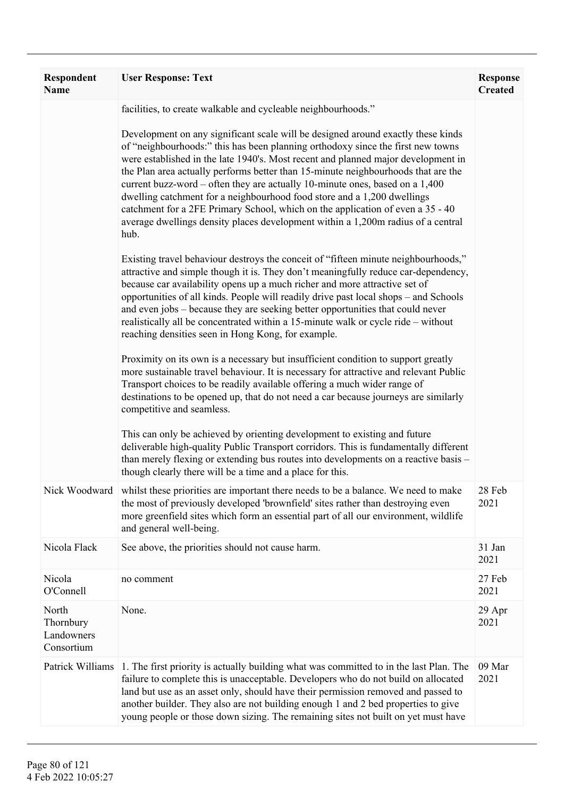| Respondent<br><b>Name</b>                      | <b>User Response: Text</b>                                                                                                                                                                                                                                                                                                                                                                                                                                                                                                                                                                                                                                                             | <b>Response</b><br><b>Created</b> |
|------------------------------------------------|----------------------------------------------------------------------------------------------------------------------------------------------------------------------------------------------------------------------------------------------------------------------------------------------------------------------------------------------------------------------------------------------------------------------------------------------------------------------------------------------------------------------------------------------------------------------------------------------------------------------------------------------------------------------------------------|-----------------------------------|
|                                                | facilities, to create walkable and cycleable neighbourhoods."                                                                                                                                                                                                                                                                                                                                                                                                                                                                                                                                                                                                                          |                                   |
|                                                | Development on any significant scale will be designed around exactly these kinds<br>of "neighbourhoods:" this has been planning orthodoxy since the first new towns<br>were established in the late 1940's. Most recent and planned major development in<br>the Plan area actually performs better than 15-minute neighbourhoods that are the<br>current buzz-word – often they are actually 10-minute ones, based on a 1,400<br>dwelling catchment for a neighbourhood food store and a 1,200 dwellings<br>catchment for a 2FE Primary School, which on the application of even a 35 - 40<br>average dwellings density places development within a 1,200m radius of a central<br>hub. |                                   |
|                                                | Existing travel behaviour destroys the conceit of "fifteen minute neighbourhoods,"<br>attractive and simple though it is. They don't meaningfully reduce car-dependency,<br>because car availability opens up a much richer and more attractive set of<br>opportunities of all kinds. People will readily drive past local shops – and Schools<br>and even jobs – because they are seeking better opportunities that could never<br>realistically all be concentrated within a 15-minute walk or cycle ride – without<br>reaching densities seen in Hong Kong, for example.                                                                                                            |                                   |
|                                                | Proximity on its own is a necessary but insufficient condition to support greatly<br>more sustainable travel behaviour. It is necessary for attractive and relevant Public<br>Transport choices to be readily available offering a much wider range of<br>destinations to be opened up, that do not need a car because journeys are similarly<br>competitive and seamless.                                                                                                                                                                                                                                                                                                             |                                   |
|                                                | This can only be achieved by orienting development to existing and future<br>deliverable high-quality Public Transport corridors. This is fundamentally different<br>than merely flexing or extending bus routes into developments on a reactive basis -<br>though clearly there will be a time and a place for this.                                                                                                                                                                                                                                                                                                                                                                  |                                   |
| Nick Woodward                                  | whilst these priorities are important there needs to be a balance. We need to make<br>the most of previously developed 'brownfield' sites rather than destroying even<br>more greenfield sites which form an essential part of all our environment, wildlife<br>and general well-being.                                                                                                                                                                                                                                                                                                                                                                                                | 28 Feb<br>2021                    |
| Nicola Flack                                   | See above, the priorities should not cause harm.                                                                                                                                                                                                                                                                                                                                                                                                                                                                                                                                                                                                                                       | 31 Jan<br>2021                    |
| Nicola<br>O'Connell                            | no comment                                                                                                                                                                                                                                                                                                                                                                                                                                                                                                                                                                                                                                                                             | 27 Feb<br>2021                    |
| North<br>Thornbury<br>Landowners<br>Consortium | None.                                                                                                                                                                                                                                                                                                                                                                                                                                                                                                                                                                                                                                                                                  | 29 Apr<br>2021                    |
| Patrick Williams                               | 1. The first priority is actually building what was committed to in the last Plan. The<br>failure to complete this is unacceptable. Developers who do not build on allocated<br>land but use as an asset only, should have their permission removed and passed to<br>another builder. They also are not building enough 1 and 2 bed properties to give<br>young people or those down sizing. The remaining sites not built on yet must have                                                                                                                                                                                                                                            | 09 Mar<br>2021                    |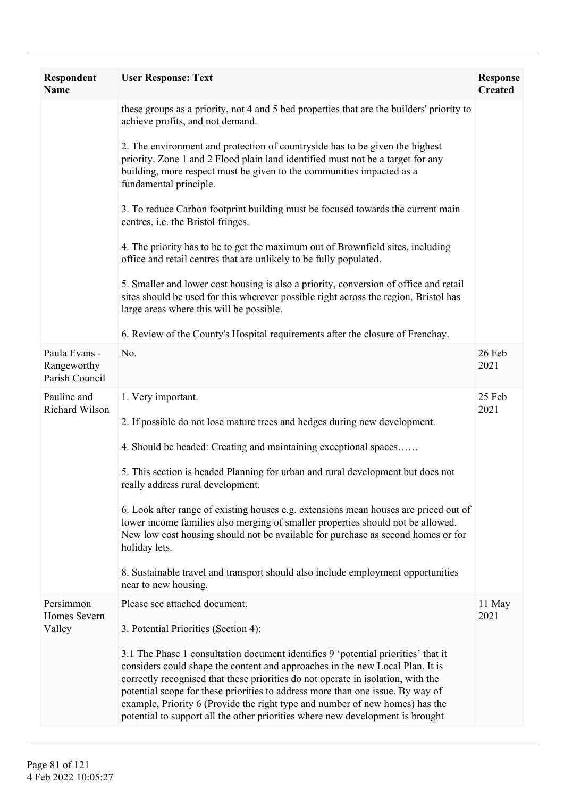| <b>Respondent</b><br><b>Name</b>               | <b>User Response: Text</b>                                                                                                                                                                                                                                                                                                                                                                                                                                                                                 | <b>Response</b><br><b>Created</b> |
|------------------------------------------------|------------------------------------------------------------------------------------------------------------------------------------------------------------------------------------------------------------------------------------------------------------------------------------------------------------------------------------------------------------------------------------------------------------------------------------------------------------------------------------------------------------|-----------------------------------|
|                                                | these groups as a priority, not 4 and 5 bed properties that are the builders' priority to<br>achieve profits, and not demand.                                                                                                                                                                                                                                                                                                                                                                              |                                   |
|                                                | 2. The environment and protection of countryside has to be given the highest<br>priority. Zone 1 and 2 Flood plain land identified must not be a target for any<br>building, more respect must be given to the communities impacted as a<br>fundamental principle.                                                                                                                                                                                                                                         |                                   |
|                                                | 3. To reduce Carbon footprint building must be focused towards the current main<br>centres, i.e. the Bristol fringes.                                                                                                                                                                                                                                                                                                                                                                                      |                                   |
|                                                | 4. The priority has to be to get the maximum out of Brownfield sites, including<br>office and retail centres that are unlikely to be fully populated.                                                                                                                                                                                                                                                                                                                                                      |                                   |
|                                                | 5. Smaller and lower cost housing is also a priority, conversion of office and retail<br>sites should be used for this wherever possible right across the region. Bristol has<br>large areas where this will be possible.                                                                                                                                                                                                                                                                                  |                                   |
|                                                | 6. Review of the County's Hospital requirements after the closure of Frenchay.                                                                                                                                                                                                                                                                                                                                                                                                                             |                                   |
| Paula Evans -<br>Rangeworthy<br>Parish Council | No.                                                                                                                                                                                                                                                                                                                                                                                                                                                                                                        | 26 Feb<br>2021                    |
| Pauline and<br>Richard Wilson                  | 1. Very important.                                                                                                                                                                                                                                                                                                                                                                                                                                                                                         | 25 Feb<br>2021                    |
|                                                | 2. If possible do not lose mature trees and hedges during new development.                                                                                                                                                                                                                                                                                                                                                                                                                                 |                                   |
|                                                | 4. Should be headed: Creating and maintaining exceptional spaces                                                                                                                                                                                                                                                                                                                                                                                                                                           |                                   |
|                                                | 5. This section is headed Planning for urban and rural development but does not<br>really address rural development.                                                                                                                                                                                                                                                                                                                                                                                       |                                   |
|                                                | 6. Look after range of existing houses e.g. extensions mean houses are priced out of<br>lower income families also merging of smaller properties should not be allowed.<br>New low cost housing should not be available for purchase as second homes or for<br>holiday lets.                                                                                                                                                                                                                               |                                   |
|                                                | 8. Sustainable travel and transport should also include employment opportunities<br>near to new housing.                                                                                                                                                                                                                                                                                                                                                                                                   |                                   |
| Persimmon<br>Homes Severn                      | Please see attached document.                                                                                                                                                                                                                                                                                                                                                                                                                                                                              | 11 May<br>2021                    |
| Valley                                         | 3. Potential Priorities (Section 4):                                                                                                                                                                                                                                                                                                                                                                                                                                                                       |                                   |
|                                                | 3.1 The Phase 1 consultation document identifies 9 'potential priorities' that it<br>considers could shape the content and approaches in the new Local Plan. It is<br>correctly recognised that these priorities do not operate in isolation, with the<br>potential scope for these priorities to address more than one issue. By way of<br>example, Priority 6 (Provide the right type and number of new homes) has the<br>potential to support all the other priorities where new development is brought |                                   |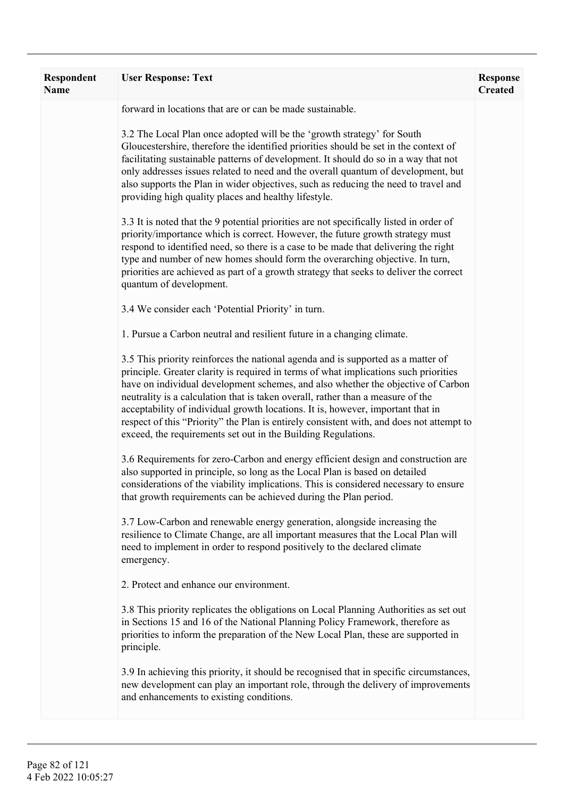| Respondent<br><b>Name</b> | <b>User Response: Text</b>                                                                                                                                                                                                                                                                                                                                                                                                                                                                                                                                                                      | <b>Response</b><br><b>Created</b> |
|---------------------------|-------------------------------------------------------------------------------------------------------------------------------------------------------------------------------------------------------------------------------------------------------------------------------------------------------------------------------------------------------------------------------------------------------------------------------------------------------------------------------------------------------------------------------------------------------------------------------------------------|-----------------------------------|
|                           | forward in locations that are or can be made sustainable.                                                                                                                                                                                                                                                                                                                                                                                                                                                                                                                                       |                                   |
|                           | 3.2 The Local Plan once adopted will be the 'growth strategy' for South<br>Gloucestershire, therefore the identified priorities should be set in the context of<br>facilitating sustainable patterns of development. It should do so in a way that not<br>only addresses issues related to need and the overall quantum of development, but<br>also supports the Plan in wider objectives, such as reducing the need to travel and<br>providing high quality places and healthy lifestyle.                                                                                                      |                                   |
|                           | 3.3 It is noted that the 9 potential priorities are not specifically listed in order of<br>priority/importance which is correct. However, the future growth strategy must<br>respond to identified need, so there is a case to be made that delivering the right<br>type and number of new homes should form the overarching objective. In turn,<br>priorities are achieved as part of a growth strategy that seeks to deliver the correct<br>quantum of development.                                                                                                                           |                                   |
|                           | 3.4 We consider each 'Potential Priority' in turn.                                                                                                                                                                                                                                                                                                                                                                                                                                                                                                                                              |                                   |
|                           | 1. Pursue a Carbon neutral and resilient future in a changing climate.                                                                                                                                                                                                                                                                                                                                                                                                                                                                                                                          |                                   |
|                           | 3.5 This priority reinforces the national agenda and is supported as a matter of<br>principle. Greater clarity is required in terms of what implications such priorities<br>have on individual development schemes, and also whether the objective of Carbon<br>neutrality is a calculation that is taken overall, rather than a measure of the<br>acceptability of individual growth locations. It is, however, important that in<br>respect of this "Priority" the Plan is entirely consistent with, and does not attempt to<br>exceed, the requirements set out in the Building Regulations. |                                   |
|                           | 3.6 Requirements for zero-Carbon and energy efficient design and construction are<br>also supported in principle, so long as the Local Plan is based on detailed<br>considerations of the viability implications. This is considered necessary to ensure<br>that growth requirements can be achieved during the Plan period.                                                                                                                                                                                                                                                                    |                                   |
|                           | 3.7 Low-Carbon and renewable energy generation, alongside increasing the<br>resilience to Climate Change, are all important measures that the Local Plan will<br>need to implement in order to respond positively to the declared climate<br>emergency.                                                                                                                                                                                                                                                                                                                                         |                                   |
|                           | 2. Protect and enhance our environment.                                                                                                                                                                                                                                                                                                                                                                                                                                                                                                                                                         |                                   |
|                           | 3.8 This priority replicates the obligations on Local Planning Authorities as set out<br>in Sections 15 and 16 of the National Planning Policy Framework, therefore as<br>priorities to inform the preparation of the New Local Plan, these are supported in<br>principle.                                                                                                                                                                                                                                                                                                                      |                                   |
|                           | 3.9 In achieving this priority, it should be recognised that in specific circumstances,<br>new development can play an important role, through the delivery of improvements<br>and enhancements to existing conditions.                                                                                                                                                                                                                                                                                                                                                                         |                                   |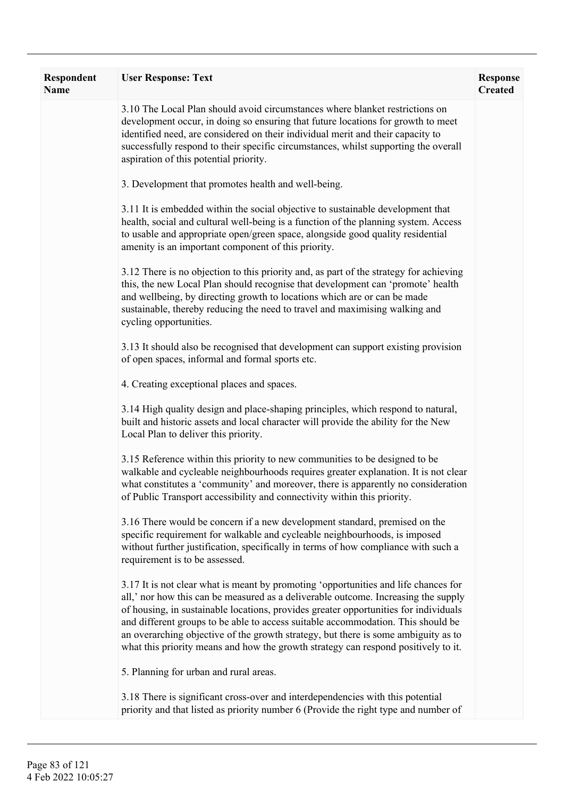| <b>Respondent</b><br>Name | <b>User Response: Text</b>                                                                                                                                                                                                                                                                                                                                                                                                                                                                                                        | <b>Response</b><br><b>Created</b> |
|---------------------------|-----------------------------------------------------------------------------------------------------------------------------------------------------------------------------------------------------------------------------------------------------------------------------------------------------------------------------------------------------------------------------------------------------------------------------------------------------------------------------------------------------------------------------------|-----------------------------------|
|                           | 3.10 The Local Plan should avoid circumstances where blanket restrictions on<br>development occur, in doing so ensuring that future locations for growth to meet<br>identified need, are considered on their individual merit and their capacity to<br>successfully respond to their specific circumstances, whilst supporting the overall<br>aspiration of this potential priority.                                                                                                                                              |                                   |
|                           | 3. Development that promotes health and well-being.                                                                                                                                                                                                                                                                                                                                                                                                                                                                               |                                   |
|                           | 3.11 It is embedded within the social objective to sustainable development that<br>health, social and cultural well-being is a function of the planning system. Access<br>to usable and appropriate open/green space, alongside good quality residential<br>amenity is an important component of this priority.                                                                                                                                                                                                                   |                                   |
|                           | 3.12 There is no objection to this priority and, as part of the strategy for achieving<br>this, the new Local Plan should recognise that development can 'promote' health<br>and wellbeing, by directing growth to locations which are or can be made<br>sustainable, thereby reducing the need to travel and maximising walking and<br>cycling opportunities.                                                                                                                                                                    |                                   |
|                           | 3.13 It should also be recognised that development can support existing provision<br>of open spaces, informal and formal sports etc.                                                                                                                                                                                                                                                                                                                                                                                              |                                   |
|                           | 4. Creating exceptional places and spaces.                                                                                                                                                                                                                                                                                                                                                                                                                                                                                        |                                   |
|                           | 3.14 High quality design and place-shaping principles, which respond to natural,<br>built and historic assets and local character will provide the ability for the New<br>Local Plan to deliver this priority.                                                                                                                                                                                                                                                                                                                    |                                   |
|                           | 3.15 Reference within this priority to new communities to be designed to be<br>walkable and cycleable neighbourhoods requires greater explanation. It is not clear<br>what constitutes a 'community' and moreover, there is apparently no consideration<br>of Public Transport accessibility and connectivity within this priority.                                                                                                                                                                                               |                                   |
|                           | 3.16 There would be concern if a new development standard, premised on the<br>specific requirement for walkable and cycleable neighbourhoods, is imposed<br>without further justification, specifically in terms of how compliance with such a<br>requirement is to be assessed.                                                                                                                                                                                                                                                  |                                   |
|                           | 3.17 It is not clear what is meant by promoting 'opportunities and life chances for<br>all,' nor how this can be measured as a deliverable outcome. Increasing the supply<br>of housing, in sustainable locations, provides greater opportunities for individuals<br>and different groups to be able to access suitable accommodation. This should be<br>an overarching objective of the growth strategy, but there is some ambiguity as to<br>what this priority means and how the growth strategy can respond positively to it. |                                   |
|                           | 5. Planning for urban and rural areas.                                                                                                                                                                                                                                                                                                                                                                                                                                                                                            |                                   |
|                           | 3.18 There is significant cross-over and interdependencies with this potential<br>priority and that listed as priority number 6 (Provide the right type and number of                                                                                                                                                                                                                                                                                                                                                             |                                   |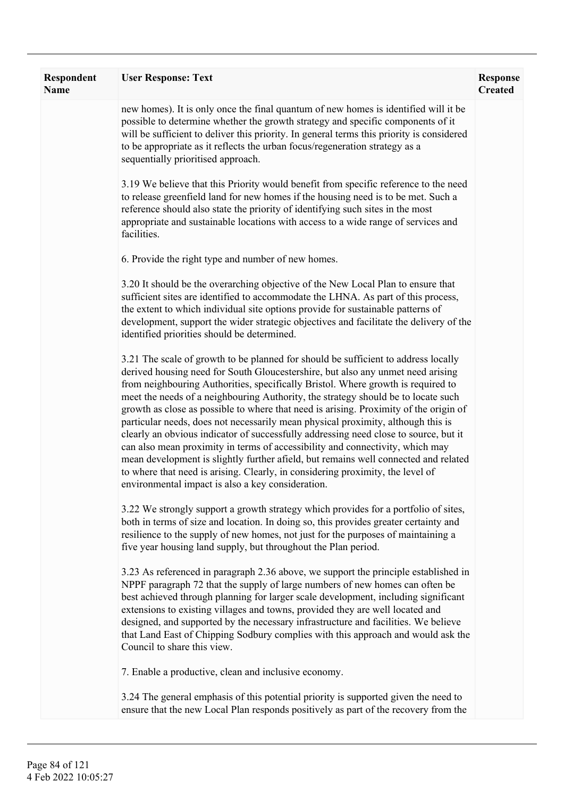| Respondent<br>Name | <b>User Response: Text</b>                                                                                                                                                                                                                                                                                                                                                                                                                                                                                                                                                                                                                                                                                                                                                                                                                                                                                                         | <b>Response</b><br><b>Created</b> |
|--------------------|------------------------------------------------------------------------------------------------------------------------------------------------------------------------------------------------------------------------------------------------------------------------------------------------------------------------------------------------------------------------------------------------------------------------------------------------------------------------------------------------------------------------------------------------------------------------------------------------------------------------------------------------------------------------------------------------------------------------------------------------------------------------------------------------------------------------------------------------------------------------------------------------------------------------------------|-----------------------------------|
|                    | new homes). It is only once the final quantum of new homes is identified will it be<br>possible to determine whether the growth strategy and specific components of it<br>will be sufficient to deliver this priority. In general terms this priority is considered<br>to be appropriate as it reflects the urban focus/regeneration strategy as a<br>sequentially prioritised approach.                                                                                                                                                                                                                                                                                                                                                                                                                                                                                                                                           |                                   |
|                    | 3.19 We believe that this Priority would benefit from specific reference to the need<br>to release greenfield land for new homes if the housing need is to be met. Such a<br>reference should also state the priority of identifying such sites in the most<br>appropriate and sustainable locations with access to a wide range of services and<br>facilities.                                                                                                                                                                                                                                                                                                                                                                                                                                                                                                                                                                    |                                   |
|                    | 6. Provide the right type and number of new homes.                                                                                                                                                                                                                                                                                                                                                                                                                                                                                                                                                                                                                                                                                                                                                                                                                                                                                 |                                   |
|                    | 3.20 It should be the overarching objective of the New Local Plan to ensure that<br>sufficient sites are identified to accommodate the LHNA. As part of this process,<br>the extent to which individual site options provide for sustainable patterns of<br>development, support the wider strategic objectives and facilitate the delivery of the<br>identified priorities should be determined.                                                                                                                                                                                                                                                                                                                                                                                                                                                                                                                                  |                                   |
|                    | 3.21 The scale of growth to be planned for should be sufficient to address locally<br>derived housing need for South Gloucestershire, but also any unmet need arising<br>from neighbouring Authorities, specifically Bristol. Where growth is required to<br>meet the needs of a neighbouring Authority, the strategy should be to locate such<br>growth as close as possible to where that need is arising. Proximity of the origin of<br>particular needs, does not necessarily mean physical proximity, although this is<br>clearly an obvious indicator of successfully addressing need close to source, but it<br>can also mean proximity in terms of accessibility and connectivity, which may<br>mean development is slightly further afield, but remains well connected and related<br>to where that need is arising. Clearly, in considering proximity, the level of<br>environmental impact is also a key consideration. |                                   |
|                    | 3.22 We strongly support a growth strategy which provides for a portfolio of sites,<br>both in terms of size and location. In doing so, this provides greater certainty and<br>resilience to the supply of new homes, not just for the purposes of maintaining a<br>five year housing land supply, but throughout the Plan period.                                                                                                                                                                                                                                                                                                                                                                                                                                                                                                                                                                                                 |                                   |
|                    | 3.23 As referenced in paragraph 2.36 above, we support the principle established in<br>NPPF paragraph 72 that the supply of large numbers of new homes can often be<br>best achieved through planning for larger scale development, including significant<br>extensions to existing villages and towns, provided they are well located and<br>designed, and supported by the necessary infrastructure and facilities. We believe<br>that Land East of Chipping Sodbury complies with this approach and would ask the<br>Council to share this view.                                                                                                                                                                                                                                                                                                                                                                                |                                   |
|                    | 7. Enable a productive, clean and inclusive economy.                                                                                                                                                                                                                                                                                                                                                                                                                                                                                                                                                                                                                                                                                                                                                                                                                                                                               |                                   |
|                    | 3.24 The general emphasis of this potential priority is supported given the need to<br>ensure that the new Local Plan responds positively as part of the recovery from the                                                                                                                                                                                                                                                                                                                                                                                                                                                                                                                                                                                                                                                                                                                                                         |                                   |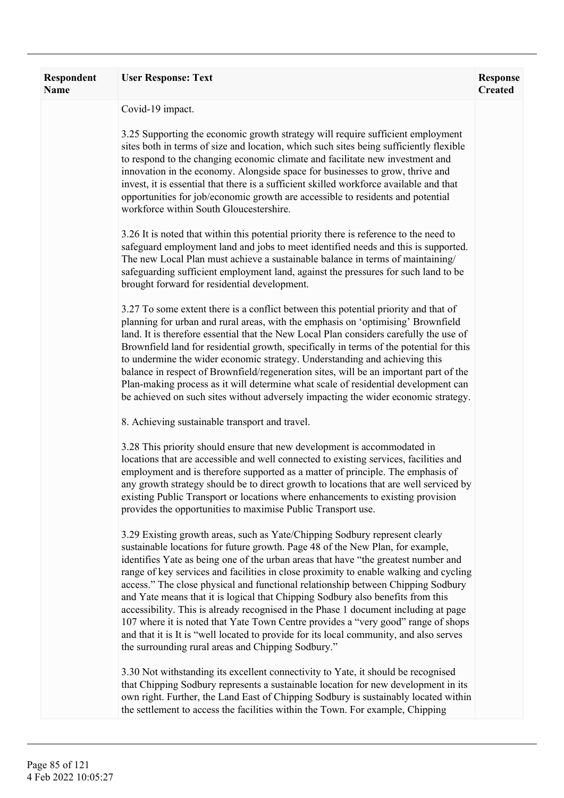| <b>Respondent</b><br><b>Name</b> | <b>User Response: Text</b>                                                                                                                                                                                                                                                                                                                                                                                                                                                                                                                                                                                                                                                                                                                                                                                                                      | <b>Response</b><br><b>Created</b> |
|----------------------------------|-------------------------------------------------------------------------------------------------------------------------------------------------------------------------------------------------------------------------------------------------------------------------------------------------------------------------------------------------------------------------------------------------------------------------------------------------------------------------------------------------------------------------------------------------------------------------------------------------------------------------------------------------------------------------------------------------------------------------------------------------------------------------------------------------------------------------------------------------|-----------------------------------|
|                                  | Covid-19 impact.                                                                                                                                                                                                                                                                                                                                                                                                                                                                                                                                                                                                                                                                                                                                                                                                                                |                                   |
|                                  | 3.25 Supporting the economic growth strategy will require sufficient employment<br>sites both in terms of size and location, which such sites being sufficiently flexible<br>to respond to the changing economic climate and facilitate new investment and<br>innovation in the economy. Alongside space for businesses to grow, thrive and<br>invest, it is essential that there is a sufficient skilled workforce available and that<br>opportunities for job/economic growth are accessible to residents and potential<br>workforce within South Gloucestershire.                                                                                                                                                                                                                                                                            |                                   |
|                                  | 3.26 It is noted that within this potential priority there is reference to the need to<br>safeguard employment land and jobs to meet identified needs and this is supported.<br>The new Local Plan must achieve a sustainable balance in terms of maintaining/<br>safeguarding sufficient employment land, against the pressures for such land to be<br>brought forward for residential development.                                                                                                                                                                                                                                                                                                                                                                                                                                            |                                   |
|                                  | 3.27 To some extent there is a conflict between this potential priority and that of<br>planning for urban and rural areas, with the emphasis on 'optimising' Brownfield<br>land. It is therefore essential that the New Local Plan considers carefully the use of<br>Brownfield land for residential growth, specifically in terms of the potential for this<br>to undermine the wider economic strategy. Understanding and achieving this<br>balance in respect of Brownfield/regeneration sites, will be an important part of the<br>Plan-making process as it will determine what scale of residential development can<br>be achieved on such sites without adversely impacting the wider economic strategy.                                                                                                                                 |                                   |
|                                  | 8. Achieving sustainable transport and travel.                                                                                                                                                                                                                                                                                                                                                                                                                                                                                                                                                                                                                                                                                                                                                                                                  |                                   |
|                                  | 3.28 This priority should ensure that new development is accommodated in<br>locations that are accessible and well connected to existing services, facilities and<br>employment and is therefore supported as a matter of principle. The emphasis of<br>any growth strategy should be to direct growth to locations that are well serviced by<br>existing Public Transport or locations where enhancements to existing provision<br>provides the opportunities to maximise Public Transport use.                                                                                                                                                                                                                                                                                                                                                |                                   |
|                                  | 3.29 Existing growth areas, such as Yate/Chipping Sodbury represent clearly<br>sustainable locations for future growth. Page 48 of the New Plan, for example,<br>identifies Yate as being one of the urban areas that have "the greatest number and<br>range of key services and facilities in close proximity to enable walking and cycling<br>access." The close physical and functional relationship between Chipping Sodbury<br>and Yate means that it is logical that Chipping Sodbury also benefits from this<br>accessibility. This is already recognised in the Phase 1 document including at page<br>107 where it is noted that Yate Town Centre provides a "very good" range of shops<br>and that it is It is "well located to provide for its local community, and also serves<br>the surrounding rural areas and Chipping Sodbury." |                                   |
|                                  | 3.30 Not withstanding its excellent connectivity to Yate, it should be recognised<br>that Chipping Sodbury represents a sustainable location for new development in its<br>own right. Further, the Land East of Chipping Sodbury is sustainably located within<br>the settlement to access the facilities within the Town. For example, Chipping                                                                                                                                                                                                                                                                                                                                                                                                                                                                                                |                                   |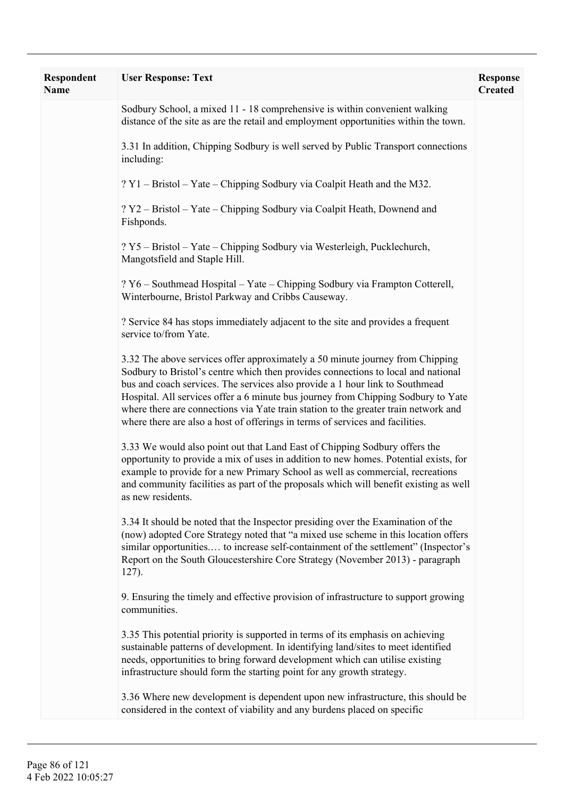| <b>Respondent</b><br><b>Name</b> | <b>User Response: Text</b>                                                                                                                                                                                                                                                                                                                                                                                                                                                                                      | <b>Response</b><br><b>Created</b> |
|----------------------------------|-----------------------------------------------------------------------------------------------------------------------------------------------------------------------------------------------------------------------------------------------------------------------------------------------------------------------------------------------------------------------------------------------------------------------------------------------------------------------------------------------------------------|-----------------------------------|
|                                  | Sodbury School, a mixed 11 - 18 comprehensive is within convenient walking<br>distance of the site as are the retail and employment opportunities within the town.                                                                                                                                                                                                                                                                                                                                              |                                   |
|                                  | 3.31 In addition, Chipping Sodbury is well served by Public Transport connections<br>including:                                                                                                                                                                                                                                                                                                                                                                                                                 |                                   |
|                                  | ? Y1 – Bristol – Yate – Chipping Sodbury via Coalpit Heath and the M32.                                                                                                                                                                                                                                                                                                                                                                                                                                         |                                   |
|                                  | ? Y2 - Bristol - Yate - Chipping Sodbury via Coalpit Heath, Downend and<br>Fishponds.                                                                                                                                                                                                                                                                                                                                                                                                                           |                                   |
|                                  | ? Y5 – Bristol – Yate – Chipping Sodbury via Westerleigh, Pucklechurch,<br>Mangotsfield and Staple Hill.                                                                                                                                                                                                                                                                                                                                                                                                        |                                   |
|                                  | ? Y6 – Southmead Hospital – Yate – Chipping Sodbury via Frampton Cotterell,<br>Winterbourne, Bristol Parkway and Cribbs Causeway.                                                                                                                                                                                                                                                                                                                                                                               |                                   |
|                                  | ? Service 84 has stops immediately adjacent to the site and provides a frequent<br>service to/from Yate.                                                                                                                                                                                                                                                                                                                                                                                                        |                                   |
|                                  | 3.32 The above services offer approximately a 50 minute journey from Chipping<br>Sodbury to Bristol's centre which then provides connections to local and national<br>bus and coach services. The services also provide a 1 hour link to Southmead<br>Hospital. All services offer a 6 minute bus journey from Chipping Sodbury to Yate<br>where there are connections via Yate train station to the greater train network and<br>where there are also a host of offerings in terms of services and facilities. |                                   |
|                                  | 3.33 We would also point out that Land East of Chipping Sodbury offers the<br>opportunity to provide a mix of uses in addition to new homes. Potential exists, for<br>example to provide for a new Primary School as well as commercial, recreations<br>and community facilities as part of the proposals which will benefit existing as well<br>as new residents.                                                                                                                                              |                                   |
|                                  | 3.34 It should be noted that the Inspector presiding over the Examination of the<br>(now) adopted Core Strategy noted that "a mixed use scheme in this location offers<br>similar opportunities to increase self-containment of the settlement" (Inspector's<br>Report on the South Gloucestershire Core Strategy (November 2013) - paragraph<br>$127$ ).                                                                                                                                                       |                                   |
|                                  | 9. Ensuring the timely and effective provision of infrastructure to support growing<br>communities.                                                                                                                                                                                                                                                                                                                                                                                                             |                                   |
|                                  | 3.35 This potential priority is supported in terms of its emphasis on achieving<br>sustainable patterns of development. In identifying land/sites to meet identified<br>needs, opportunities to bring forward development which can utilise existing<br>infrastructure should form the starting point for any growth strategy.                                                                                                                                                                                  |                                   |
|                                  | 3.36 Where new development is dependent upon new infrastructure, this should be<br>considered in the context of viability and any burdens placed on specific                                                                                                                                                                                                                                                                                                                                                    |                                   |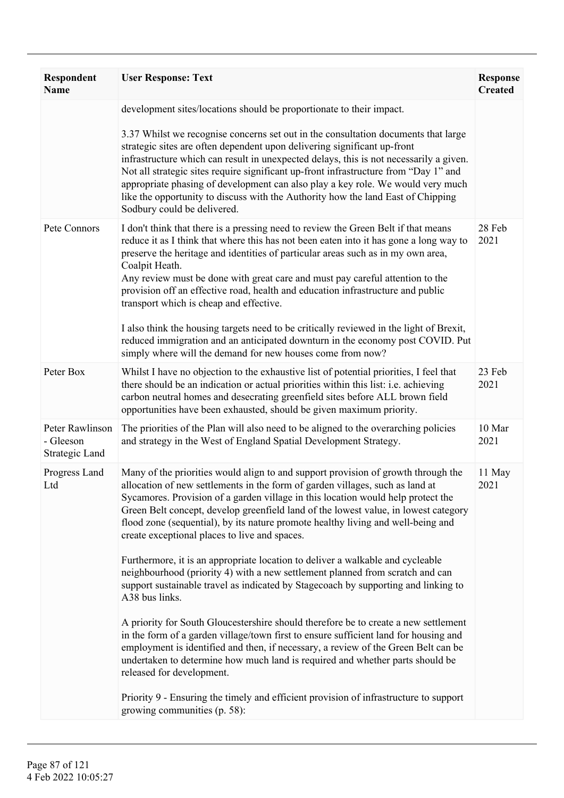| <b>Respondent</b><br><b>Name</b>               | <b>User Response: Text</b>                                                                                                                                                                                                                                                                                                                                                                                                                                                                                                                             | <b>Response</b><br><b>Created</b> |
|------------------------------------------------|--------------------------------------------------------------------------------------------------------------------------------------------------------------------------------------------------------------------------------------------------------------------------------------------------------------------------------------------------------------------------------------------------------------------------------------------------------------------------------------------------------------------------------------------------------|-----------------------------------|
|                                                | development sites/locations should be proportionate to their impact.                                                                                                                                                                                                                                                                                                                                                                                                                                                                                   |                                   |
|                                                | 3.37 Whilst we recognise concerns set out in the consultation documents that large<br>strategic sites are often dependent upon delivering significant up-front<br>infrastructure which can result in unexpected delays, this is not necessarily a given.<br>Not all strategic sites require significant up-front infrastructure from "Day 1" and<br>appropriate phasing of development can also play a key role. We would very much<br>like the opportunity to discuss with the Authority how the land East of Chipping<br>Sodbury could be delivered. |                                   |
| Pete Connors                                   | I don't think that there is a pressing need to review the Green Belt if that means<br>reduce it as I think that where this has not been eaten into it has gone a long way to<br>preserve the heritage and identities of particular areas such as in my own area,<br>Coalpit Heath.<br>Any review must be done with great care and must pay careful attention to the<br>provision off an effective road, health and education infrastructure and public<br>transport which is cheap and effective.                                                      | 28 Feb<br>2021                    |
|                                                | I also think the housing targets need to be critically reviewed in the light of Brexit,<br>reduced immigration and an anticipated downturn in the economy post COVID. Put<br>simply where will the demand for new houses come from now?                                                                                                                                                                                                                                                                                                                |                                   |
| Peter Box                                      | Whilst I have no objection to the exhaustive list of potential priorities, I feel that<br>there should be an indication or actual priorities within this list: i.e. achieving<br>carbon neutral homes and desecrating greenfield sites before ALL brown field<br>opportunities have been exhausted, should be given maximum priority.                                                                                                                                                                                                                  | 23 Feb<br>2021                    |
| Peter Rawlinson<br>- Gleeson<br>Strategic Land | The priorities of the Plan will also need to be aligned to the overarching policies<br>and strategy in the West of England Spatial Development Strategy.                                                                                                                                                                                                                                                                                                                                                                                               | 10 Mar<br>2021                    |
| Progress Land<br>Ltd                           | Many of the priorities would align to and support provision of growth through the<br>allocation of new settlements in the form of garden villages, such as land at<br>Sycamores. Provision of a garden village in this location would help protect the<br>Green Belt concept, develop greenfield land of the lowest value, in lowest category<br>flood zone (sequential), by its nature promote healthy living and well-being and<br>create exceptional places to live and spaces.                                                                     | 11 May<br>2021                    |
|                                                | Furthermore, it is an appropriate location to deliver a walkable and cycleable<br>neighbourhood (priority 4) with a new settlement planned from scratch and can<br>support sustainable travel as indicated by Stagecoach by supporting and linking to<br>A38 bus links.                                                                                                                                                                                                                                                                                |                                   |
|                                                | A priority for South Gloucestershire should therefore be to create a new settlement<br>in the form of a garden village/town first to ensure sufficient land for housing and<br>employment is identified and then, if necessary, a review of the Green Belt can be<br>undertaken to determine how much land is required and whether parts should be<br>released for development.                                                                                                                                                                        |                                   |
|                                                | Priority 9 - Ensuring the timely and efficient provision of infrastructure to support<br>growing communities (p. 58):                                                                                                                                                                                                                                                                                                                                                                                                                                  |                                   |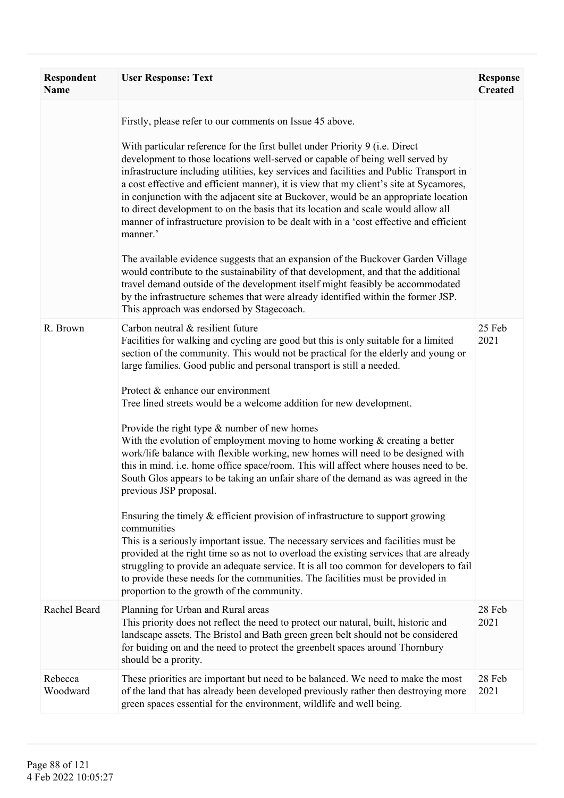| <b>Respondent</b><br><b>Name</b> | <b>User Response: Text</b>                                                                                                                                                                                                                                                                                                                                                                                                                                                                                                                                                                                                                                                                                                                                                                                                                                                                                                                                                                                                                                                                                                                                                                                                                                                                                                                         | <b>Response</b><br><b>Created</b> |
|----------------------------------|----------------------------------------------------------------------------------------------------------------------------------------------------------------------------------------------------------------------------------------------------------------------------------------------------------------------------------------------------------------------------------------------------------------------------------------------------------------------------------------------------------------------------------------------------------------------------------------------------------------------------------------------------------------------------------------------------------------------------------------------------------------------------------------------------------------------------------------------------------------------------------------------------------------------------------------------------------------------------------------------------------------------------------------------------------------------------------------------------------------------------------------------------------------------------------------------------------------------------------------------------------------------------------------------------------------------------------------------------|-----------------------------------|
|                                  | Firstly, please refer to our comments on Issue 45 above.<br>With particular reference for the first bullet under Priority 9 (i.e. Direct<br>development to those locations well-served or capable of being well served by<br>infrastructure including utilities, key services and facilities and Public Transport in<br>a cost effective and efficient manner), it is view that my client's site at Sycamores,<br>in conjunction with the adjacent site at Buckover, would be an appropriate location<br>to direct development to on the basis that its location and scale would allow all<br>manner of infrastructure provision to be dealt with in a 'cost effective and efficient<br>manner.'<br>The available evidence suggests that an expansion of the Buckover Garden Village<br>would contribute to the sustainability of that development, and that the additional<br>travel demand outside of the development itself might feasibly be accommodated<br>by the infrastructure schemes that were already identified within the former JSP.<br>This approach was endorsed by Stagecoach.                                                                                                                                                                                                                                                    |                                   |
| R. Brown                         | Carbon neutral & resilient future<br>Facilities for walking and cycling are good but this is only suitable for a limited<br>section of the community. This would not be practical for the elderly and young or<br>large families. Good public and personal transport is still a needed.<br>Protect & enhance our environment<br>Tree lined streets would be a welcome addition for new development.<br>Provide the right type $\&$ number of new homes<br>With the evolution of employment moving to home working $\&$ creating a better<br>work/life balance with flexible working, new homes will need to be designed with<br>this in mind. i.e. home office space/room. This will affect where houses need to be.<br>South Glos appears to be taking an unfair share of the demand as was agreed in the<br>previous JSP proposal.<br>Ensuring the timely $&$ efficient provision of infrastructure to support growing<br>communities<br>This is a seriously important issue. The necessary services and facilities must be<br>provided at the right time so as not to overload the existing services that are already<br>struggling to provide an adequate service. It is all too common for developers to fail<br>to provide these needs for the communities. The facilities must be provided in<br>proportion to the growth of the community. | 25 Feb<br>2021                    |
| Rachel Beard                     | Planning for Urban and Rural areas<br>This priority does not reflect the need to protect our natural, built, historic and<br>landscape assets. The Bristol and Bath green green belt should not be considered<br>for buiding on and the need to protect the greenbelt spaces around Thornbury<br>should be a prority.                                                                                                                                                                                                                                                                                                                                                                                                                                                                                                                                                                                                                                                                                                                                                                                                                                                                                                                                                                                                                              | 28 Feb<br>2021                    |
| Rebecca<br>Woodward              | These priorities are important but need to be balanced. We need to make the most<br>of the land that has already been developed previously rather then destroying more<br>green spaces essential for the environment, wildlife and well being.                                                                                                                                                                                                                                                                                                                                                                                                                                                                                                                                                                                                                                                                                                                                                                                                                                                                                                                                                                                                                                                                                                     | 28 Feb<br>2021                    |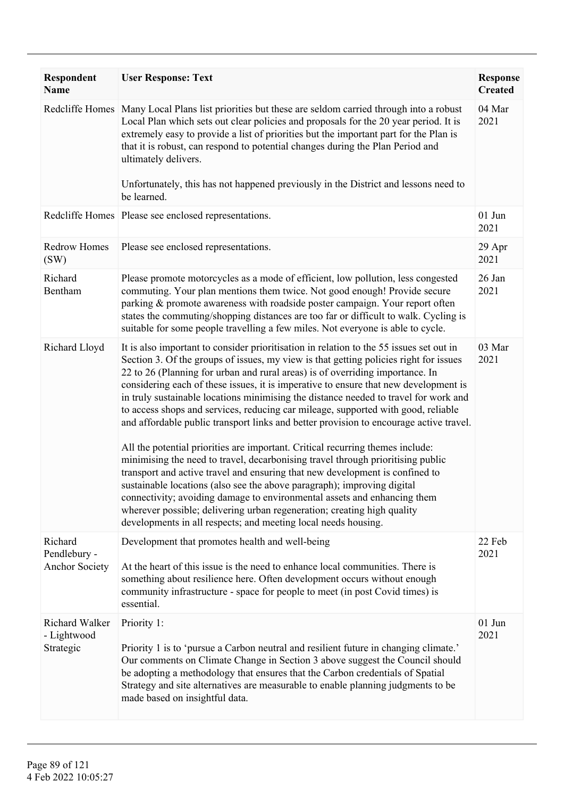| <b>Respondent</b><br><b>Name</b>                 | <b>User Response: Text</b>                                                                                                                                                                                                                                                                                                                                                                                                                                                                                                                                                                                                                                                                                                                                                                                                                                                                                                                                                                                                                                                                                                                                                                | <b>Response</b><br><b>Created</b> |
|--------------------------------------------------|-------------------------------------------------------------------------------------------------------------------------------------------------------------------------------------------------------------------------------------------------------------------------------------------------------------------------------------------------------------------------------------------------------------------------------------------------------------------------------------------------------------------------------------------------------------------------------------------------------------------------------------------------------------------------------------------------------------------------------------------------------------------------------------------------------------------------------------------------------------------------------------------------------------------------------------------------------------------------------------------------------------------------------------------------------------------------------------------------------------------------------------------------------------------------------------------|-----------------------------------|
|                                                  | Redcliffe Homes   Many Local Plans list priorities but these are seldom carried through into a robust<br>Local Plan which sets out clear policies and proposals for the 20 year period. It is<br>extremely easy to provide a list of priorities but the important part for the Plan is<br>that it is robust, can respond to potential changes during the Plan Period and<br>ultimately delivers.                                                                                                                                                                                                                                                                                                                                                                                                                                                                                                                                                                                                                                                                                                                                                                                          | 04 Mar<br>2021                    |
|                                                  | Unfortunately, this has not happened previously in the District and lessons need to<br>be learned.                                                                                                                                                                                                                                                                                                                                                                                                                                                                                                                                                                                                                                                                                                                                                                                                                                                                                                                                                                                                                                                                                        |                                   |
|                                                  | Redcliffe Homes Please see enclosed representations.                                                                                                                                                                                                                                                                                                                                                                                                                                                                                                                                                                                                                                                                                                                                                                                                                                                                                                                                                                                                                                                                                                                                      | $01$ Jun<br>2021                  |
| <b>Redrow Homes</b><br>(SW)                      | Please see enclosed representations.                                                                                                                                                                                                                                                                                                                                                                                                                                                                                                                                                                                                                                                                                                                                                                                                                                                                                                                                                                                                                                                                                                                                                      | 29 Apr<br>2021                    |
| Richard<br>Bentham                               | Please promote motorcycles as a mode of efficient, low pollution, less congested<br>commuting. Your plan mentions them twice. Not good enough! Provide secure<br>parking & promote awareness with roadside poster campaign. Your report often<br>states the commuting/shopping distances are too far or difficult to walk. Cycling is<br>suitable for some people travelling a few miles. Not everyone is able to cycle.                                                                                                                                                                                                                                                                                                                                                                                                                                                                                                                                                                                                                                                                                                                                                                  | 26 Jan<br>2021                    |
| Richard Lloyd                                    | It is also important to consider prioritisation in relation to the 55 issues set out in<br>Section 3. Of the groups of issues, my view is that getting policies right for issues<br>22 to 26 (Planning for urban and rural areas) is of overriding importance. In<br>considering each of these issues, it is imperative to ensure that new development is<br>in truly sustainable locations minimising the distance needed to travel for work and<br>to access shops and services, reducing car mileage, supported with good, reliable<br>and affordable public transport links and better provision to encourage active travel.<br>All the potential priorities are important. Critical recurring themes include:<br>minimising the need to travel, decarbonising travel through prioritising public<br>transport and active travel and ensuring that new development is confined to<br>sustainable locations (also see the above paragraph); improving digital<br>connectivity; avoiding damage to environmental assets and enhancing them<br>wherever possible; delivering urban regeneration; creating high quality<br>developments in all respects; and meeting local needs housing. | 03 Mar<br>2021                    |
| Richard<br>Pendlebury -<br><b>Anchor Society</b> | Development that promotes health and well-being<br>At the heart of this issue is the need to enhance local communities. There is<br>something about resilience here. Often development occurs without enough<br>community infrastructure - space for people to meet (in post Covid times) is<br>essential.                                                                                                                                                                                                                                                                                                                                                                                                                                                                                                                                                                                                                                                                                                                                                                                                                                                                                | 22 Feb<br>2021                    |
| Richard Walker<br>- Lightwood<br>Strategic       | Priority 1:<br>Priority 1 is to 'pursue a Carbon neutral and resilient future in changing climate.'<br>Our comments on Climate Change in Section 3 above suggest the Council should<br>be adopting a methodology that ensures that the Carbon credentials of Spatial<br>Strategy and site alternatives are measurable to enable planning judgments to be<br>made based on insightful data.                                                                                                                                                                                                                                                                                                                                                                                                                                                                                                                                                                                                                                                                                                                                                                                                | $01$ Jun<br>2021                  |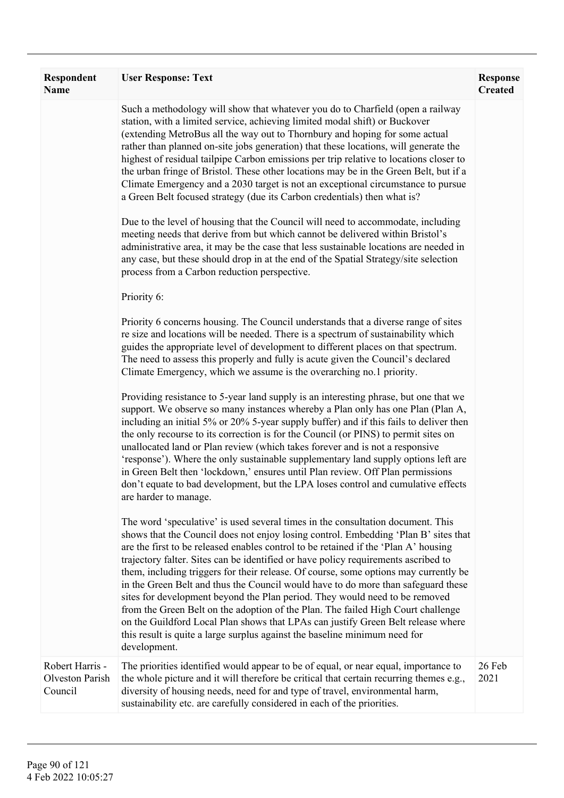| Respondent<br><b>Name</b>                     | <b>User Response: Text</b>                                                                                                                                                                                                                                                                                                                                                                                                                                                                                                                                                                                                                                                                                                                                                                                                                                                                                                                                                                                                                                                                                                                                                                         | <b>Response</b><br><b>Created</b> |
|-----------------------------------------------|----------------------------------------------------------------------------------------------------------------------------------------------------------------------------------------------------------------------------------------------------------------------------------------------------------------------------------------------------------------------------------------------------------------------------------------------------------------------------------------------------------------------------------------------------------------------------------------------------------------------------------------------------------------------------------------------------------------------------------------------------------------------------------------------------------------------------------------------------------------------------------------------------------------------------------------------------------------------------------------------------------------------------------------------------------------------------------------------------------------------------------------------------------------------------------------------------|-----------------------------------|
|                                               | Such a methodology will show that whatever you do to Charfield (open a railway<br>station, with a limited service, achieving limited modal shift) or Buckover<br>(extending MetroBus all the way out to Thornbury and hoping for some actual<br>rather than planned on-site jobs generation) that these locations, will generate the<br>highest of residual tailpipe Carbon emissions per trip relative to locations closer to<br>the urban fringe of Bristol. These other locations may be in the Green Belt, but if a<br>Climate Emergency and a 2030 target is not an exceptional circumstance to pursue<br>a Green Belt focused strategy (due its Carbon credentials) then what is?<br>Due to the level of housing that the Council will need to accommodate, including<br>meeting needs that derive from but which cannot be delivered within Bristol's<br>administrative area, it may be the case that less sustainable locations are needed in<br>any case, but these should drop in at the end of the Spatial Strategy/site selection<br>process from a Carbon reduction perspective.<br>Priority 6:<br>Priority 6 concerns housing. The Council understands that a diverse range of sites |                                   |
|                                               | re size and locations will be needed. There is a spectrum of sustainability which<br>guides the appropriate level of development to different places on that spectrum.<br>The need to assess this properly and fully is acute given the Council's declared<br>Climate Emergency, which we assume is the overarching no.1 priority.                                                                                                                                                                                                                                                                                                                                                                                                                                                                                                                                                                                                                                                                                                                                                                                                                                                                 |                                   |
|                                               | Providing resistance to 5-year land supply is an interesting phrase, but one that we<br>support. We observe so many instances whereby a Plan only has one Plan (Plan A,<br>including an initial 5% or 20% 5-year supply buffer) and if this fails to deliver then<br>the only recourse to its correction is for the Council (or PINS) to permit sites on<br>unallocated land or Plan review (which takes forever and is not a responsive<br>'response'). Where the only sustainable supplementary land supply options left are<br>in Green Belt then 'lockdown,' ensures until Plan review. Off Plan permissions<br>don't equate to bad development, but the LPA loses control and cumulative effects<br>are harder to manage.                                                                                                                                                                                                                                                                                                                                                                                                                                                                     |                                   |
|                                               | The word 'speculative' is used several times in the consultation document. This<br>shows that the Council does not enjoy losing control. Embedding 'Plan B' sites that<br>are the first to be released enables control to be retained if the 'Plan A' housing<br>trajectory falter. Sites can be identified or have policy requirements ascribed to<br>them, including triggers for their release. Of course, some options may currently be<br>in the Green Belt and thus the Council would have to do more than safeguard these<br>sites for development beyond the Plan period. They would need to be removed<br>from the Green Belt on the adoption of the Plan. The failed High Court challenge<br>on the Guildford Local Plan shows that LPAs can justify Green Belt release where<br>this result is quite a large surplus against the baseline minimum need for<br>development.                                                                                                                                                                                                                                                                                                              |                                   |
| Robert Harris -<br>Olveston Parish<br>Council | The priorities identified would appear to be of equal, or near equal, importance to<br>the whole picture and it will therefore be critical that certain recurring themes e.g.,<br>diversity of housing needs, need for and type of travel, environmental harm,<br>sustainability etc. are carefully considered in each of the priorities.                                                                                                                                                                                                                                                                                                                                                                                                                                                                                                                                                                                                                                                                                                                                                                                                                                                          | 26 Feb<br>2021                    |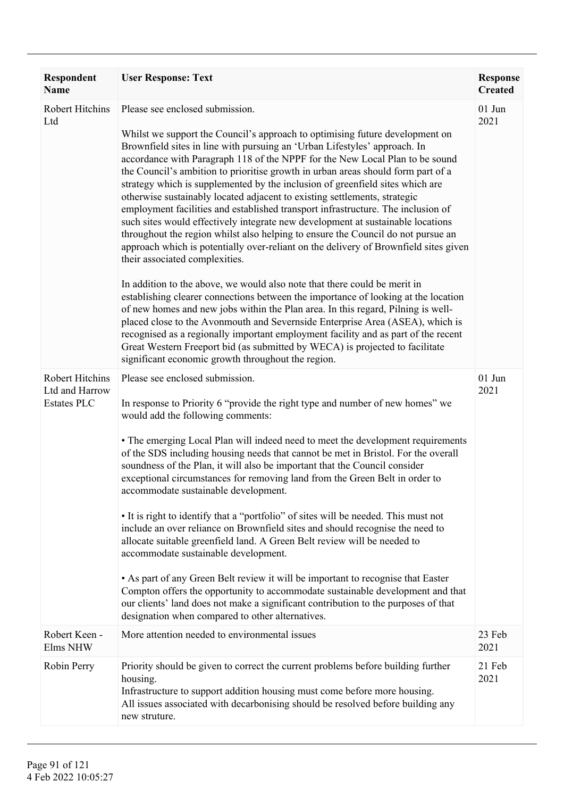| Respondent<br><b>Name</b>                               | <b>User Response: Text</b>                                                                                                                                                                                                                                                                                                                                                                                                                                                                                                                                                                                                                                                                                                                                                                                                                                                                                                                                                                                                                                                                                                                                                                                                                                                                                                                                                                                                                                                              | <b>Response</b><br><b>Created</b> |
|---------------------------------------------------------|-----------------------------------------------------------------------------------------------------------------------------------------------------------------------------------------------------------------------------------------------------------------------------------------------------------------------------------------------------------------------------------------------------------------------------------------------------------------------------------------------------------------------------------------------------------------------------------------------------------------------------------------------------------------------------------------------------------------------------------------------------------------------------------------------------------------------------------------------------------------------------------------------------------------------------------------------------------------------------------------------------------------------------------------------------------------------------------------------------------------------------------------------------------------------------------------------------------------------------------------------------------------------------------------------------------------------------------------------------------------------------------------------------------------------------------------------------------------------------------------|-----------------------------------|
| Robert Hitchins<br>Ltd                                  | Please see enclosed submission.<br>Whilst we support the Council's approach to optimising future development on<br>Brownfield sites in line with pursuing an 'Urban Lifestyles' approach. In<br>accordance with Paragraph 118 of the NPPF for the New Local Plan to be sound<br>the Council's ambition to prioritise growth in urban areas should form part of a<br>strategy which is supplemented by the inclusion of greenfield sites which are<br>otherwise sustainably located adjacent to existing settlements, strategic<br>employment facilities and established transport infrastructure. The inclusion of<br>such sites would effectively integrate new development at sustainable locations<br>throughout the region whilst also helping to ensure the Council do not pursue an<br>approach which is potentially over-reliant on the delivery of Brownfield sites given<br>their associated complexities.<br>In addition to the above, we would also note that there could be merit in<br>establishing clearer connections between the importance of looking at the location<br>of new homes and new jobs within the Plan area. In this regard, Pilning is well-<br>placed close to the Avonmouth and Severnside Enterprise Area (ASEA), which is<br>recognised as a regionally important employment facility and as part of the recent<br>Great Western Freeport bid (as submitted by WECA) is projected to facilitate<br>significant economic growth throughout the region. | 01 Jun<br>2021                    |
| Robert Hitchins<br>Ltd and Harrow<br><b>Estates PLC</b> | Please see enclosed submission.<br>In response to Priority 6 "provide the right type and number of new homes" we<br>would add the following comments:<br>• The emerging Local Plan will indeed need to meet the development requirements<br>of the SDS including housing needs that cannot be met in Bristol. For the overall<br>soundness of the Plan, it will also be important that the Council consider<br>exceptional circumstances for removing land from the Green Belt in order to<br>accommodate sustainable development.<br>• It is right to identify that a "portfolio" of sites will be needed. This must not<br>include an over reliance on Brownfield sites and should recognise the need to<br>allocate suitable greenfield land. A Green Belt review will be needed to<br>accommodate sustainable development.<br>• As part of any Green Belt review it will be important to recognise that Easter<br>Compton offers the opportunity to accommodate sustainable development and that<br>our clients' land does not make a significant contribution to the purposes of that<br>designation when compared to other alternatives.                                                                                                                                                                                                                                                                                                                                          | 01 Jun<br>2021                    |
| Robert Keen -<br>Elms NHW                               | More attention needed to environmental issues                                                                                                                                                                                                                                                                                                                                                                                                                                                                                                                                                                                                                                                                                                                                                                                                                                                                                                                                                                                                                                                                                                                                                                                                                                                                                                                                                                                                                                           | 23 Feb<br>2021                    |
| Robin Perry                                             | Priority should be given to correct the current problems before building further<br>housing.<br>Infrastructure to support addition housing must come before more housing.<br>All issues associated with decarbonising should be resolved before building any<br>new struture.                                                                                                                                                                                                                                                                                                                                                                                                                                                                                                                                                                                                                                                                                                                                                                                                                                                                                                                                                                                                                                                                                                                                                                                                           | 21 Feb<br>2021                    |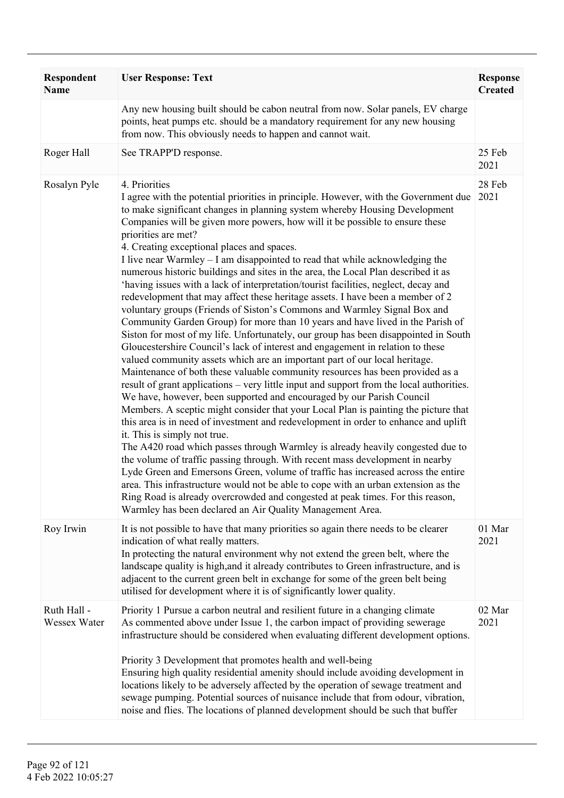| Respondent<br><b>Name</b>   | <b>User Response: Text</b>                                                                                                                                                                                                                                                                                                                                                                                                                                                                                                                                                                                                                                                                                                                                                                                                                                                                                                                                                                                                                                                                                                                                                                                                                                                                                                                                                                                                                                                                                                                                                                                                                                                                                                                                                                                                                                                                                                                                                                                                                                                  | <b>Response</b><br><b>Created</b> |
|-----------------------------|-----------------------------------------------------------------------------------------------------------------------------------------------------------------------------------------------------------------------------------------------------------------------------------------------------------------------------------------------------------------------------------------------------------------------------------------------------------------------------------------------------------------------------------------------------------------------------------------------------------------------------------------------------------------------------------------------------------------------------------------------------------------------------------------------------------------------------------------------------------------------------------------------------------------------------------------------------------------------------------------------------------------------------------------------------------------------------------------------------------------------------------------------------------------------------------------------------------------------------------------------------------------------------------------------------------------------------------------------------------------------------------------------------------------------------------------------------------------------------------------------------------------------------------------------------------------------------------------------------------------------------------------------------------------------------------------------------------------------------------------------------------------------------------------------------------------------------------------------------------------------------------------------------------------------------------------------------------------------------------------------------------------------------------------------------------------------------|-----------------------------------|
|                             | Any new housing built should be cabon neutral from now. Solar panels, EV charge<br>points, heat pumps etc. should be a mandatory requirement for any new housing<br>from now. This obviously needs to happen and cannot wait.                                                                                                                                                                                                                                                                                                                                                                                                                                                                                                                                                                                                                                                                                                                                                                                                                                                                                                                                                                                                                                                                                                                                                                                                                                                                                                                                                                                                                                                                                                                                                                                                                                                                                                                                                                                                                                               |                                   |
| Roger Hall                  | See TRAPP'D response.                                                                                                                                                                                                                                                                                                                                                                                                                                                                                                                                                                                                                                                                                                                                                                                                                                                                                                                                                                                                                                                                                                                                                                                                                                                                                                                                                                                                                                                                                                                                                                                                                                                                                                                                                                                                                                                                                                                                                                                                                                                       | 25 Feb<br>2021                    |
| Rosalyn Pyle                | 4. Priorities<br>I agree with the potential priorities in principle. However, with the Government due<br>to make significant changes in planning system whereby Housing Development<br>Companies will be given more powers, how will it be possible to ensure these<br>priorities are met?<br>4. Creating exceptional places and spaces.<br>I live near Warmley – I am disappointed to read that while acknowledging the<br>numerous historic buildings and sites in the area, the Local Plan described it as<br>'having issues with a lack of interpretation/tourist facilities, neglect, decay and<br>redevelopment that may affect these heritage assets. I have been a member of 2<br>voluntary groups (Friends of Siston's Commons and Warmley Signal Box and<br>Community Garden Group) for more than 10 years and have lived in the Parish of<br>Siston for most of my life. Unfortunately, our group has been disappointed in South<br>Gloucestershire Council's lack of interest and engagement in relation to these<br>valued community assets which are an important part of our local heritage.<br>Maintenance of both these valuable community resources has been provided as a<br>result of grant applications – very little input and support from the local authorities.<br>We have, however, been supported and encouraged by our Parish Council<br>Members. A sceptic might consider that your Local Plan is painting the picture that<br>this area is in need of investment and redevelopment in order to enhance and uplift<br>it. This is simply not true.<br>The A420 road which passes through Warmley is already heavily congested due to<br>the volume of traffic passing through. With recent mass development in nearby<br>Lyde Green and Emersons Green, volume of traffic has increased across the entire<br>area. This infrastructure would not be able to cope with an urban extension as the<br>Ring Road is already overcrowded and congested at peak times. For this reason,<br>Warmley has been declared an Air Quality Management Area. | 28 Feb<br>2021                    |
| Roy Irwin                   | It is not possible to have that many priorities so again there needs to be clearer<br>indication of what really matters.<br>In protecting the natural environment why not extend the green belt, where the<br>landscape quality is high, and it already contributes to Green infrastructure, and is<br>adjacent to the current green belt in exchange for some of the green belt being<br>utilised for development where it is of significantly lower quality.                                                                                                                                                                                                                                                                                                                                                                                                                                                                                                                                                                                                                                                                                                                                                                                                                                                                                                                                                                                                                                                                                                                                                                                                                                                                                                                                                                                                                                                                                                                                                                                                              | 01 Mar<br>2021                    |
| Ruth Hall -<br>Wessex Water | Priority 1 Pursue a carbon neutral and resilient future in a changing climate<br>As commented above under Issue 1, the carbon impact of providing sewerage<br>infrastructure should be considered when evaluating different development options.<br>Priority 3 Development that promotes health and well-being<br>Ensuring high quality residential amenity should include avoiding development in<br>locations likely to be adversely affected by the operation of sewage treatment and<br>sewage pumping. Potential sources of nuisance include that from odour, vibration,<br>noise and flies. The locations of planned development should be such that buffer                                                                                                                                                                                                                                                                                                                                                                                                                                                                                                                                                                                                                                                                                                                                                                                                                                                                                                                                                                                                                                                                                                                                                                                                                                                                                                                                                                                                           | 02 Mar<br>2021                    |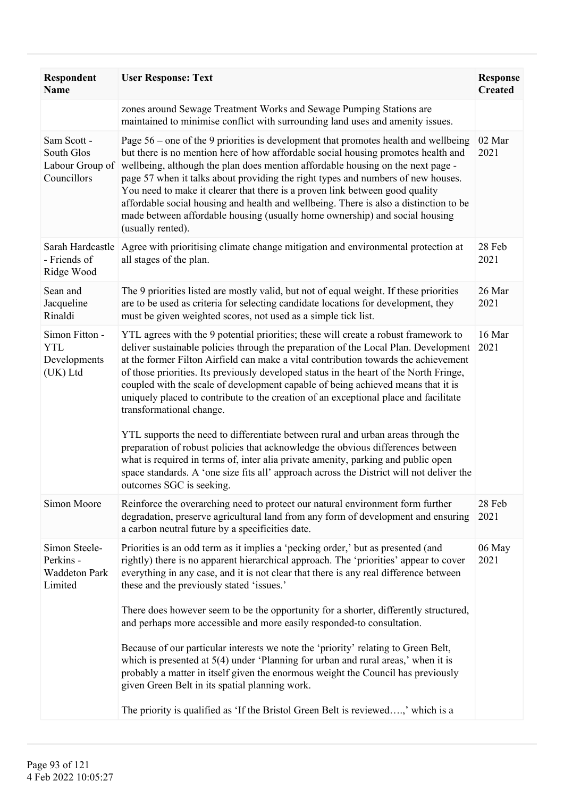| <b>Respondent</b><br><b>Name</b>                              | <b>User Response: Text</b>                                                                                                                                                                                                                                                                                                                                                                                                                                                                                                                                                                                                                                                                                                                                                                                                      | <b>Response</b><br><b>Created</b> |
|---------------------------------------------------------------|---------------------------------------------------------------------------------------------------------------------------------------------------------------------------------------------------------------------------------------------------------------------------------------------------------------------------------------------------------------------------------------------------------------------------------------------------------------------------------------------------------------------------------------------------------------------------------------------------------------------------------------------------------------------------------------------------------------------------------------------------------------------------------------------------------------------------------|-----------------------------------|
|                                                               | zones around Sewage Treatment Works and Sewage Pumping Stations are<br>maintained to minimise conflict with surrounding land uses and amenity issues.                                                                                                                                                                                                                                                                                                                                                                                                                                                                                                                                                                                                                                                                           |                                   |
| Sam Scott -<br>South Glos<br>Labour Group of<br>Councillors   | Page $56$ – one of the 9 priorities is development that promotes health and wellbeing<br>but there is no mention here of how affordable social housing promotes health and<br>wellbeing, although the plan does mention affordable housing on the next page -<br>page 57 when it talks about providing the right types and numbers of new houses.<br>You need to make it clearer that there is a proven link between good quality<br>affordable social housing and health and wellbeing. There is also a distinction to be<br>made between affordable housing (usually home ownership) and social housing<br>(usually rented).                                                                                                                                                                                                  | 02 Mar<br>2021                    |
| Sarah Hardcastle<br>- Friends of<br>Ridge Wood                | Agree with prioritising climate change mitigation and environmental protection at<br>all stages of the plan.                                                                                                                                                                                                                                                                                                                                                                                                                                                                                                                                                                                                                                                                                                                    | 28 Feb<br>2021                    |
| Sean and<br>Jacqueline<br>Rinaldi                             | The 9 priorities listed are mostly valid, but not of equal weight. If these priorities<br>are to be used as criteria for selecting candidate locations for development, they<br>must be given weighted scores, not used as a simple tick list.                                                                                                                                                                                                                                                                                                                                                                                                                                                                                                                                                                                  | 26 Mar<br>2021                    |
| Simon Fitton -<br><b>YTL</b><br>Developments<br>(UK) Ltd      | YTL agrees with the 9 potential priorities; these will create a robust framework to<br>deliver sustainable policies through the preparation of the Local Plan. Development<br>at the former Filton Airfield can make a vital contribution towards the achievement<br>of those priorities. Its previously developed status in the heart of the North Fringe,<br>coupled with the scale of development capable of being achieved means that it is<br>uniquely placed to contribute to the creation of an exceptional place and facilitate<br>transformational change.<br>YTL supports the need to differentiate between rural and urban areas through the<br>preparation of robust policies that acknowledge the obvious differences between<br>what is required in terms of, inter alia private amenity, parking and public open | 16 Mar<br>2021                    |
|                                                               | space standards. A 'one size fits all' approach across the District will not deliver the<br>outcomes SGC is seeking.                                                                                                                                                                                                                                                                                                                                                                                                                                                                                                                                                                                                                                                                                                            |                                   |
| Simon Moore                                                   | Reinforce the overarching need to protect our natural environment form further<br>degradation, preserve agricultural land from any form of development and ensuring<br>a carbon neutral future by a specificities date.                                                                                                                                                                                                                                                                                                                                                                                                                                                                                                                                                                                                         | 28 Feb<br>2021                    |
| Simon Steele-<br>Perkins -<br><b>Waddeton Park</b><br>Limited | Priorities is an odd term as it implies a 'pecking order,' but as presented (and<br>rightly) there is no apparent hierarchical approach. The 'priorities' appear to cover<br>everything in any case, and it is not clear that there is any real difference between<br>these and the previously stated 'issues.'<br>There does however seem to be the opportunity for a shorter, differently structured,                                                                                                                                                                                                                                                                                                                                                                                                                         | 06 May<br>2021                    |
|                                                               | and perhaps more accessible and more easily responded-to consultation.                                                                                                                                                                                                                                                                                                                                                                                                                                                                                                                                                                                                                                                                                                                                                          |                                   |
|                                                               | Because of our particular interests we note the 'priority' relating to Green Belt,<br>which is presented at $5(4)$ under 'Planning for urban and rural areas,' when it is<br>probably a matter in itself given the enormous weight the Council has previously<br>given Green Belt in its spatial planning work.                                                                                                                                                                                                                                                                                                                                                                                                                                                                                                                 |                                   |
|                                                               | The priority is qualified as 'If the Bristol Green Belt is reviewed,' which is a                                                                                                                                                                                                                                                                                                                                                                                                                                                                                                                                                                                                                                                                                                                                                |                                   |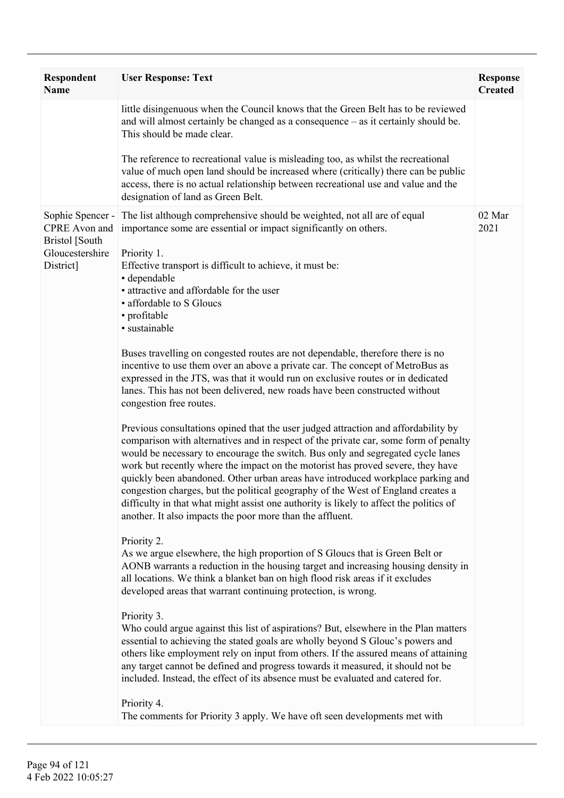| Respondent<br><b>Name</b>                                                           | <b>User Response: Text</b>                                                                                                                                                                                                                                                                                                                                                                                                                                                                                                                                                                                                                                                                                                                                                                                                                                                                                                                                                                                                                                                                                                                                                                                                                                                                                                                                                                                                                                                                                                                                                                                                                                                                                                                                                                                                                                                                                                                                                                                                                                                                                                                                                                     | <b>Response</b><br><b>Created</b> |
|-------------------------------------------------------------------------------------|------------------------------------------------------------------------------------------------------------------------------------------------------------------------------------------------------------------------------------------------------------------------------------------------------------------------------------------------------------------------------------------------------------------------------------------------------------------------------------------------------------------------------------------------------------------------------------------------------------------------------------------------------------------------------------------------------------------------------------------------------------------------------------------------------------------------------------------------------------------------------------------------------------------------------------------------------------------------------------------------------------------------------------------------------------------------------------------------------------------------------------------------------------------------------------------------------------------------------------------------------------------------------------------------------------------------------------------------------------------------------------------------------------------------------------------------------------------------------------------------------------------------------------------------------------------------------------------------------------------------------------------------------------------------------------------------------------------------------------------------------------------------------------------------------------------------------------------------------------------------------------------------------------------------------------------------------------------------------------------------------------------------------------------------------------------------------------------------------------------------------------------------------------------------------------------------|-----------------------------------|
|                                                                                     | little disingenuous when the Council knows that the Green Belt has to be reviewed<br>and will almost certainly be changed as a consequence – as it certainly should be.<br>This should be made clear.                                                                                                                                                                                                                                                                                                                                                                                                                                                                                                                                                                                                                                                                                                                                                                                                                                                                                                                                                                                                                                                                                                                                                                                                                                                                                                                                                                                                                                                                                                                                                                                                                                                                                                                                                                                                                                                                                                                                                                                          |                                   |
|                                                                                     | The reference to recreational value is misleading too, as whilst the recreational<br>value of much open land should be increased where (critically) there can be public<br>access, there is no actual relationship between recreational use and value and the<br>designation of land as Green Belt.                                                                                                                                                                                                                                                                                                                                                                                                                                                                                                                                                                                                                                                                                                                                                                                                                                                                                                                                                                                                                                                                                                                                                                                                                                                                                                                                                                                                                                                                                                                                                                                                                                                                                                                                                                                                                                                                                            |                                   |
| Sophie Spencer -<br>CPRE Avon and<br>Bristol [South<br>Gloucestershire<br>District] | The list although comprehensive should be weighted, not all are of equal<br>importance some are essential or impact significantly on others.<br>Priority 1.<br>Effective transport is difficult to achieve, it must be:<br>• dependable<br>• attractive and affordable for the user<br>• affordable to S Gloucs<br>• profitable<br>· sustainable<br>Buses travelling on congested routes are not dependable, therefore there is no<br>incentive to use them over an above a private car. The concept of MetroBus as<br>expressed in the JTS, was that it would run on exclusive routes or in dedicated<br>lanes. This has not been delivered, new roads have been constructed without<br>congestion free routes.<br>Previous consultations opined that the user judged attraction and affordability by<br>comparison with alternatives and in respect of the private car, some form of penalty<br>would be necessary to encourage the switch. Bus only and segregated cycle lanes<br>work but recently where the impact on the motorist has proved severe, they have<br>quickly been abandoned. Other urban areas have introduced workplace parking and<br>congestion charges, but the political geography of the West of England creates a<br>difficulty in that what might assist one authority is likely to affect the politics of<br>another. It also impacts the poor more than the affluent.<br>Priority 2.<br>As we argue elsewhere, the high proportion of S Gloucs that is Green Belt or<br>AONB warrants a reduction in the housing target and increasing housing density in<br>all locations. We think a blanket ban on high flood risk areas if it excludes<br>developed areas that warrant continuing protection, is wrong.<br>Priority 3.<br>Who could argue against this list of aspirations? But, elsewhere in the Plan matters<br>essential to achieving the stated goals are wholly beyond S Glouc's powers and<br>others like employment rely on input from others. If the assured means of attaining<br>any target cannot be defined and progress towards it measured, it should not be<br>included. Instead, the effect of its absence must be evaluated and catered for. | 02 Mar<br>2021                    |
|                                                                                     | Priority 4.<br>The comments for Priority 3 apply. We have oft seen developments met with                                                                                                                                                                                                                                                                                                                                                                                                                                                                                                                                                                                                                                                                                                                                                                                                                                                                                                                                                                                                                                                                                                                                                                                                                                                                                                                                                                                                                                                                                                                                                                                                                                                                                                                                                                                                                                                                                                                                                                                                                                                                                                       |                                   |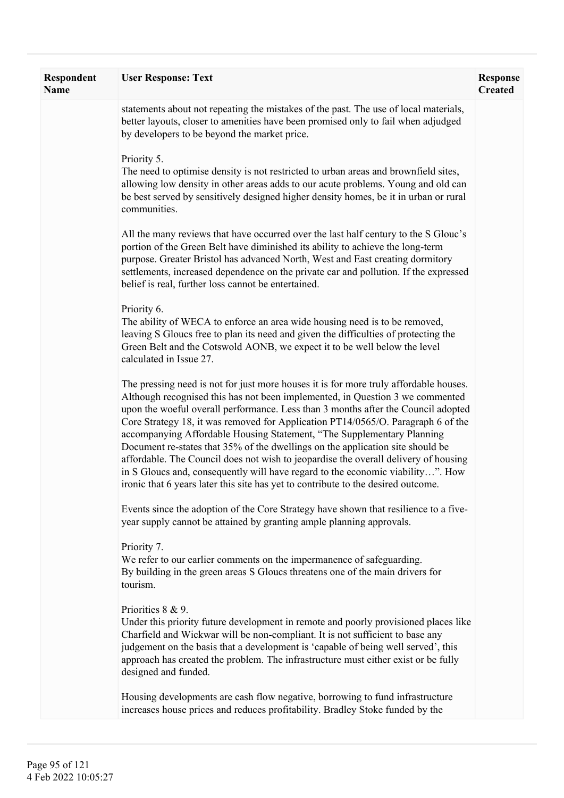| Respondent<br><b>Name</b> | <b>User Response: Text</b>                                                                                                                                                                                                                                                                                                                                                                                                                                                                                                                                                                                                                                                                                                                                                | <b>Response</b><br><b>Created</b> |
|---------------------------|---------------------------------------------------------------------------------------------------------------------------------------------------------------------------------------------------------------------------------------------------------------------------------------------------------------------------------------------------------------------------------------------------------------------------------------------------------------------------------------------------------------------------------------------------------------------------------------------------------------------------------------------------------------------------------------------------------------------------------------------------------------------------|-----------------------------------|
|                           | statements about not repeating the mistakes of the past. The use of local materials,<br>better layouts, closer to amenities have been promised only to fail when adjudged<br>by developers to be beyond the market price.                                                                                                                                                                                                                                                                                                                                                                                                                                                                                                                                                 |                                   |
|                           | Priority 5.<br>The need to optimise density is not restricted to urban areas and brownfield sites,<br>allowing low density in other areas adds to our acute problems. Young and old can<br>be best served by sensitively designed higher density homes, be it in urban or rural<br>communities.                                                                                                                                                                                                                                                                                                                                                                                                                                                                           |                                   |
|                           | All the many reviews that have occurred over the last half century to the S Glouc's<br>portion of the Green Belt have diminished its ability to achieve the long-term<br>purpose. Greater Bristol has advanced North, West and East creating dormitory<br>settlements, increased dependence on the private car and pollution. If the expressed<br>belief is real, further loss cannot be entertained.                                                                                                                                                                                                                                                                                                                                                                     |                                   |
|                           | Priority 6.<br>The ability of WECA to enforce an area wide housing need is to be removed,<br>leaving S Gloucs free to plan its need and given the difficulties of protecting the<br>Green Belt and the Cotswold AONB, we expect it to be well below the level<br>calculated in Issue 27.                                                                                                                                                                                                                                                                                                                                                                                                                                                                                  |                                   |
|                           | The pressing need is not for just more houses it is for more truly affordable houses.<br>Although recognised this has not been implemented, in Question 3 we commented<br>upon the woeful overall performance. Less than 3 months after the Council adopted<br>Core Strategy 18, it was removed for Application PT14/0565/O. Paragraph 6 of the<br>accompanying Affordable Housing Statement, "The Supplementary Planning<br>Document re-states that 35% of the dwellings on the application site should be<br>affordable. The Council does not wish to jeopardise the overall delivery of housing<br>in S Gloucs and, consequently will have regard to the economic viability". How<br>ironic that 6 years later this site has yet to contribute to the desired outcome. |                                   |
|                           | Events since the adoption of the Core Strategy have shown that resilience to a five-<br>year supply cannot be attained by granting ample planning approvals.                                                                                                                                                                                                                                                                                                                                                                                                                                                                                                                                                                                                              |                                   |
|                           | Priority 7.<br>We refer to our earlier comments on the impermanence of safeguarding.<br>By building in the green areas S Gloucs threatens one of the main drivers for<br>tourism.                                                                                                                                                                                                                                                                                                                                                                                                                                                                                                                                                                                         |                                   |
|                           | Priorities 8 & 9.<br>Under this priority future development in remote and poorly provisioned places like<br>Charfield and Wickwar will be non-compliant. It is not sufficient to base any<br>judgement on the basis that a development is 'capable of being well served', this<br>approach has created the problem. The infrastructure must either exist or be fully<br>designed and funded.                                                                                                                                                                                                                                                                                                                                                                              |                                   |
|                           | Housing developments are cash flow negative, borrowing to fund infrastructure<br>increases house prices and reduces profitability. Bradley Stoke funded by the                                                                                                                                                                                                                                                                                                                                                                                                                                                                                                                                                                                                            |                                   |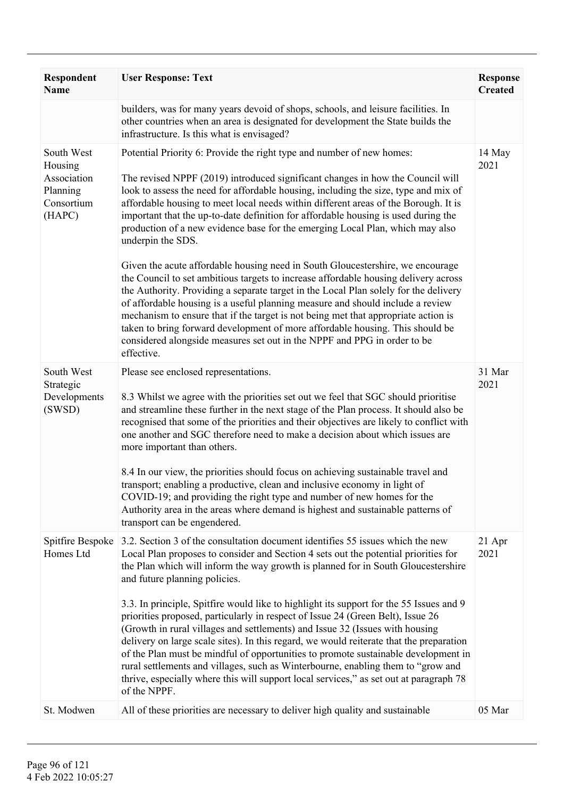| <b>Respondent</b><br><b>Name</b>                                         | <b>User Response: Text</b>                                                                                                                                                                                                                                                                                                                                                                                                                                                                                                                                                                                                                                                                                                                                                                                                                                                                                                                                                                                                                                                                                                                            | <b>Response</b><br><b>Created</b> |
|--------------------------------------------------------------------------|-------------------------------------------------------------------------------------------------------------------------------------------------------------------------------------------------------------------------------------------------------------------------------------------------------------------------------------------------------------------------------------------------------------------------------------------------------------------------------------------------------------------------------------------------------------------------------------------------------------------------------------------------------------------------------------------------------------------------------------------------------------------------------------------------------------------------------------------------------------------------------------------------------------------------------------------------------------------------------------------------------------------------------------------------------------------------------------------------------------------------------------------------------|-----------------------------------|
|                                                                          | builders, was for many years devoid of shops, schools, and leisure facilities. In<br>other countries when an area is designated for development the State builds the<br>infrastructure. Is this what is envisaged?                                                                                                                                                                                                                                                                                                                                                                                                                                                                                                                                                                                                                                                                                                                                                                                                                                                                                                                                    |                                   |
| South West<br>Housing<br>Association<br>Planning<br>Consortium<br>(HAPC) | Potential Priority 6: Provide the right type and number of new homes:<br>The revised NPPF (2019) introduced significant changes in how the Council will<br>look to assess the need for affordable housing, including the size, type and mix of<br>affordable housing to meet local needs within different areas of the Borough. It is<br>important that the up-to-date definition for affordable housing is used during the<br>production of a new evidence base for the emerging Local Plan, which may also<br>underpin the SDS.<br>Given the acute affordable housing need in South Gloucestershire, we encourage<br>the Council to set ambitious targets to increase affordable housing delivery across<br>the Authority. Providing a separate target in the Local Plan solely for the delivery<br>of affordable housing is a useful planning measure and should include a review<br>mechanism to ensure that if the target is not being met that appropriate action is<br>taken to bring forward development of more affordable housing. This should be<br>considered alongside measures set out in the NPPF and PPG in order to be<br>effective. | 14 May<br>2021                    |
| South West<br>Strategic<br>Developments<br>(SWSD)                        | Please see enclosed representations.<br>8.3 Whilst we agree with the priorities set out we feel that SGC should prioritise<br>and streamline these further in the next stage of the Plan process. It should also be<br>recognised that some of the priorities and their objectives are likely to conflict with<br>one another and SGC therefore need to make a decision about which issues are<br>more important than others.<br>8.4 In our view, the priorities should focus on achieving sustainable travel and<br>transport; enabling a productive, clean and inclusive economy in light of<br>COVID-19; and providing the right type and number of new homes for the<br>Authority area in the areas where demand is highest and sustainable patterns of<br>transport can be engendered.                                                                                                                                                                                                                                                                                                                                                           | 31 Mar<br>2021                    |
| Spitfire Bespoke<br>Homes Ltd                                            | 3.2. Section 3 of the consultation document identifies 55 issues which the new<br>Local Plan proposes to consider and Section 4 sets out the potential priorities for<br>the Plan which will inform the way growth is planned for in South Gloucestershire<br>and future planning policies.<br>3.3. In principle, Spitfire would like to highlight its support for the 55 Issues and 9<br>priorities proposed, particularly in respect of Issue 24 (Green Belt), Issue 26<br>(Growth in rural villages and settlements) and Issue 32 (Issues with housing<br>delivery on large scale sites). In this regard, we would reiterate that the preparation<br>of the Plan must be mindful of opportunities to promote sustainable development in<br>rural settlements and villages, such as Winterbourne, enabling them to "grow and<br>thrive, especially where this will support local services," as set out at paragraph 78<br>of the NPPF.                                                                                                                                                                                                              | 21 Apr<br>2021                    |
| St. Modwen                                                               | All of these priorities are necessary to deliver high quality and sustainable                                                                                                                                                                                                                                                                                                                                                                                                                                                                                                                                                                                                                                                                                                                                                                                                                                                                                                                                                                                                                                                                         | 05 Mar                            |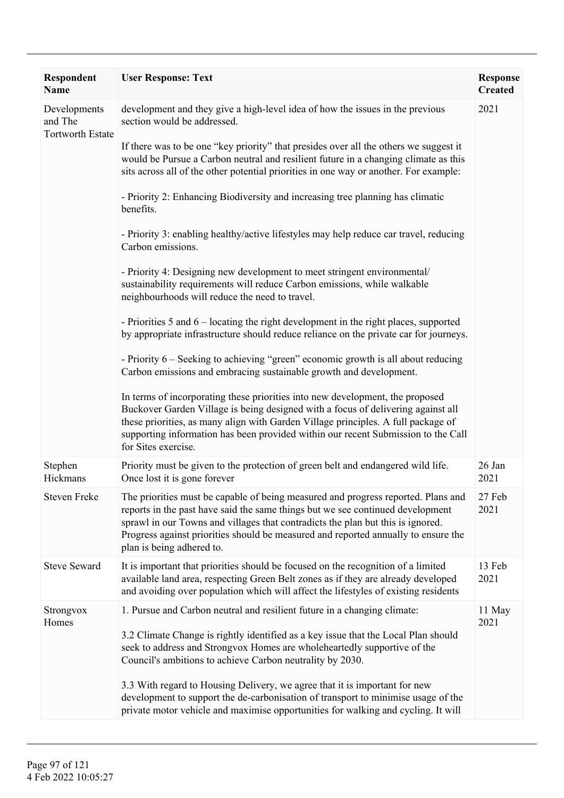| Respondent<br><b>Name</b>                          | <b>User Response: Text</b>                                                                                                                                                                                                                                                                                                                                                | <b>Response</b><br><b>Created</b> |
|----------------------------------------------------|---------------------------------------------------------------------------------------------------------------------------------------------------------------------------------------------------------------------------------------------------------------------------------------------------------------------------------------------------------------------------|-----------------------------------|
| Developments<br>and The<br><b>Tortworth Estate</b> | development and they give a high-level idea of how the issues in the previous<br>section would be addressed.                                                                                                                                                                                                                                                              | 2021                              |
|                                                    | If there was to be one "key priority" that presides over all the others we suggest it<br>would be Pursue a Carbon neutral and resilient future in a changing climate as this<br>sits across all of the other potential priorities in one way or another. For example:                                                                                                     |                                   |
|                                                    | - Priority 2: Enhancing Biodiversity and increasing tree planning has climatic<br>benefits.                                                                                                                                                                                                                                                                               |                                   |
|                                                    | - Priority 3: enabling healthy/active lifestyles may help reduce car travel, reducing<br>Carbon emissions.                                                                                                                                                                                                                                                                |                                   |
|                                                    | - Priority 4: Designing new development to meet stringent environmental/<br>sustainability requirements will reduce Carbon emissions, while walkable<br>neighbourhoods will reduce the need to travel.                                                                                                                                                                    |                                   |
|                                                    | - Priorities 5 and 6 – locating the right development in the right places, supported<br>by appropriate infrastructure should reduce reliance on the private car for journeys.                                                                                                                                                                                             |                                   |
|                                                    | - Priority 6 – Seeking to achieving "green" economic growth is all about reducing<br>Carbon emissions and embracing sustainable growth and development.                                                                                                                                                                                                                   |                                   |
|                                                    | In terms of incorporating these priorities into new development, the proposed<br>Buckover Garden Village is being designed with a focus of delivering against all<br>these priorities, as many align with Garden Village principles. A full package of<br>supporting information has been provided within our recent Submission to the Call<br>for Sites exercise.        |                                   |
| Stephen<br>Hickmans                                | Priority must be given to the protection of green belt and endangered wild life.<br>Once lost it is gone forever                                                                                                                                                                                                                                                          | 26 Jan<br>2021                    |
| <b>Steven Freke</b>                                | The priorities must be capable of being measured and progress reported. Plans and<br>reports in the past have said the same things but we see continued development<br>sprawl in our Towns and villages that contradicts the plan but this is ignored.<br>Progress against priorities should be measured and reported annually to ensure the<br>plan is being adhered to. | 27 Feb<br>2021                    |
| <b>Steve Seward</b>                                | It is important that priorities should be focused on the recognition of a limited<br>available land area, respecting Green Belt zones as if they are already developed<br>and avoiding over population which will affect the lifestyles of existing residents                                                                                                             | 13 Feb<br>2021                    |
| Strongvox<br>Homes                                 | 1. Pursue and Carbon neutral and resilient future in a changing climate:<br>3.2 Climate Change is rightly identified as a key issue that the Local Plan should<br>seek to address and Strongvox Homes are wholeheartedly supportive of the<br>Council's ambitions to achieve Carbon neutrality by 2030.                                                                   | 11 May<br>2021                    |
|                                                    | 3.3 With regard to Housing Delivery, we agree that it is important for new<br>development to support the de-carbonisation of transport to minimise usage of the<br>private motor vehicle and maximise opportunities for walking and cycling. It will                                                                                                                      |                                   |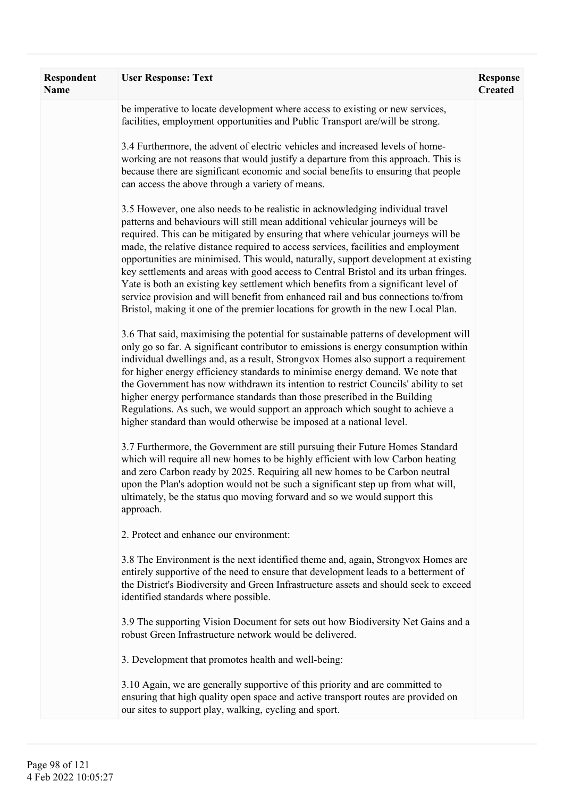| Respondent<br><b>Name</b> | <b>User Response: Text</b>                                                                                                                                                                                                                                                                                                                                                                                                                                                                                                                                                                                                                                                                                                                                                                | <b>Response</b><br><b>Created</b> |
|---------------------------|-------------------------------------------------------------------------------------------------------------------------------------------------------------------------------------------------------------------------------------------------------------------------------------------------------------------------------------------------------------------------------------------------------------------------------------------------------------------------------------------------------------------------------------------------------------------------------------------------------------------------------------------------------------------------------------------------------------------------------------------------------------------------------------------|-----------------------------------|
|                           | be imperative to locate development where access to existing or new services,<br>facilities, employment opportunities and Public Transport are/will be strong.                                                                                                                                                                                                                                                                                                                                                                                                                                                                                                                                                                                                                            |                                   |
|                           | 3.4 Furthermore, the advent of electric vehicles and increased levels of home-<br>working are not reasons that would justify a departure from this approach. This is<br>because there are significant economic and social benefits to ensuring that people<br>can access the above through a variety of means.                                                                                                                                                                                                                                                                                                                                                                                                                                                                            |                                   |
|                           | 3.5 However, one also needs to be realistic in acknowledging individual travel<br>patterns and behaviours will still mean additional vehicular journeys will be<br>required. This can be mitigated by ensuring that where vehicular journeys will be<br>made, the relative distance required to access services, facilities and employment<br>opportunities are minimised. This would, naturally, support development at existing<br>key settlements and areas with good access to Central Bristol and its urban fringes.<br>Yate is both an existing key settlement which benefits from a significant level of<br>service provision and will benefit from enhanced rail and bus connections to/from<br>Bristol, making it one of the premier locations for growth in the new Local Plan. |                                   |
|                           | 3.6 That said, maximising the potential for sustainable patterns of development will<br>only go so far. A significant contributor to emissions is energy consumption within<br>individual dwellings and, as a result, Strongvox Homes also support a requirement<br>for higher energy efficiency standards to minimise energy demand. We note that<br>the Government has now withdrawn its intention to restrict Councils' ability to set<br>higher energy performance standards than those prescribed in the Building<br>Regulations. As such, we would support an approach which sought to achieve a<br>higher standard than would otherwise be imposed at a national level.                                                                                                            |                                   |
|                           | 3.7 Furthermore, the Government are still pursuing their Future Homes Standard<br>which will require all new homes to be highly efficient with low Carbon heating<br>and zero Carbon ready by 2025. Requiring all new homes to be Carbon neutral<br>upon the Plan's adoption would not be such a significant step up from what will,<br>ultimately, be the status quo moving forward and so we would support this<br>approach.                                                                                                                                                                                                                                                                                                                                                            |                                   |
|                           | 2. Protect and enhance our environment:                                                                                                                                                                                                                                                                                                                                                                                                                                                                                                                                                                                                                                                                                                                                                   |                                   |
|                           | 3.8 The Environment is the next identified theme and, again, Strongvox Homes are<br>entirely supportive of the need to ensure that development leads to a betterment of<br>the District's Biodiversity and Green Infrastructure assets and should seek to exceed<br>identified standards where possible.                                                                                                                                                                                                                                                                                                                                                                                                                                                                                  |                                   |
|                           | 3.9 The supporting Vision Document for sets out how Biodiversity Net Gains and a<br>robust Green Infrastructure network would be delivered.                                                                                                                                                                                                                                                                                                                                                                                                                                                                                                                                                                                                                                               |                                   |
|                           | 3. Development that promotes health and well-being:                                                                                                                                                                                                                                                                                                                                                                                                                                                                                                                                                                                                                                                                                                                                       |                                   |
|                           | 3.10 Again, we are generally supportive of this priority and are committed to<br>ensuring that high quality open space and active transport routes are provided on<br>our sites to support play, walking, cycling and sport.                                                                                                                                                                                                                                                                                                                                                                                                                                                                                                                                                              |                                   |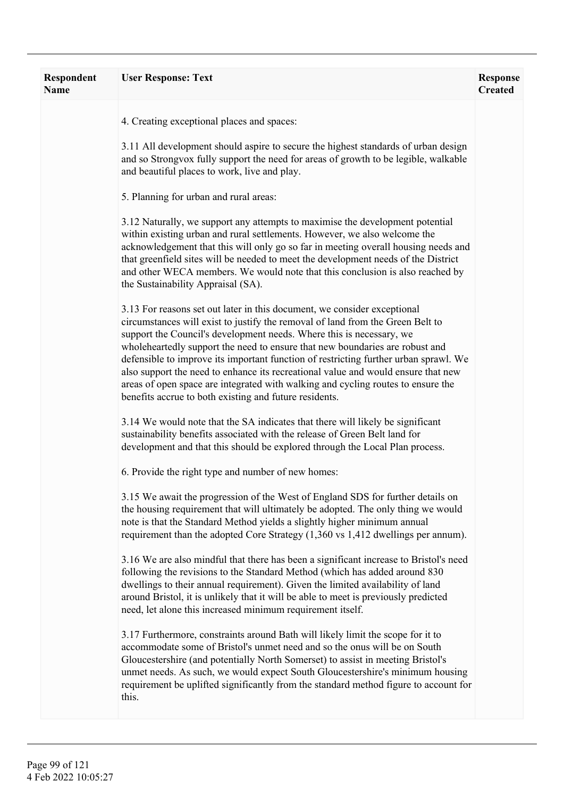| Respondent<br><b>Name</b> | <b>User Response: Text</b>                                                                                                                                                                                                                                                                                                                                                                                                                                                                                                                                                                                                                    | <b>Response</b><br><b>Created</b> |
|---------------------------|-----------------------------------------------------------------------------------------------------------------------------------------------------------------------------------------------------------------------------------------------------------------------------------------------------------------------------------------------------------------------------------------------------------------------------------------------------------------------------------------------------------------------------------------------------------------------------------------------------------------------------------------------|-----------------------------------|
|                           | 4. Creating exceptional places and spaces:                                                                                                                                                                                                                                                                                                                                                                                                                                                                                                                                                                                                    |                                   |
|                           | 3.11 All development should aspire to secure the highest standards of urban design<br>and so Strongvox fully support the need for areas of growth to be legible, walkable<br>and beautiful places to work, live and play.                                                                                                                                                                                                                                                                                                                                                                                                                     |                                   |
|                           | 5. Planning for urban and rural areas:                                                                                                                                                                                                                                                                                                                                                                                                                                                                                                                                                                                                        |                                   |
|                           | 3.12 Naturally, we support any attempts to maximise the development potential<br>within existing urban and rural settlements. However, we also welcome the<br>acknowledgement that this will only go so far in meeting overall housing needs and<br>that greenfield sites will be needed to meet the development needs of the District<br>and other WECA members. We would note that this conclusion is also reached by<br>the Sustainability Appraisal (SA).                                                                                                                                                                                 |                                   |
|                           | 3.13 For reasons set out later in this document, we consider exceptional<br>circumstances will exist to justify the removal of land from the Green Belt to<br>support the Council's development needs. Where this is necessary, we<br>wholeheartedly support the need to ensure that new boundaries are robust and<br>defensible to improve its important function of restricting further urban sprawl. We<br>also support the need to enhance its recreational value and would ensure that new<br>areas of open space are integrated with walking and cycling routes to ensure the<br>benefits accrue to both existing and future residents. |                                   |
|                           | 3.14 We would note that the SA indicates that there will likely be significant<br>sustainability benefits associated with the release of Green Belt land for<br>development and that this should be explored through the Local Plan process.                                                                                                                                                                                                                                                                                                                                                                                                  |                                   |
|                           | 6. Provide the right type and number of new homes:                                                                                                                                                                                                                                                                                                                                                                                                                                                                                                                                                                                            |                                   |
|                           | 3.15 We await the progression of the West of England SDS for further details on<br>the housing requirement that will ultimately be adopted. The only thing we would<br>note is that the Standard Method yields a slightly higher minimum annual<br>requirement than the adopted Core Strategy (1,360 vs 1,412 dwellings per annum).                                                                                                                                                                                                                                                                                                           |                                   |
|                           | 3.16 We are also mindful that there has been a significant increase to Bristol's need<br>following the revisions to the Standard Method (which has added around 830<br>dwellings to their annual requirement). Given the limited availability of land<br>around Bristol, it is unlikely that it will be able to meet is previously predicted<br>need, let alone this increased minimum requirement itself.                                                                                                                                                                                                                                    |                                   |
|                           | 3.17 Furthermore, constraints around Bath will likely limit the scope for it to<br>accommodate some of Bristol's unmet need and so the onus will be on South<br>Gloucestershire (and potentially North Somerset) to assist in meeting Bristol's<br>unmet needs. As such, we would expect South Gloucestershire's minimum housing<br>requirement be uplifted significantly from the standard method figure to account for<br>this.                                                                                                                                                                                                             |                                   |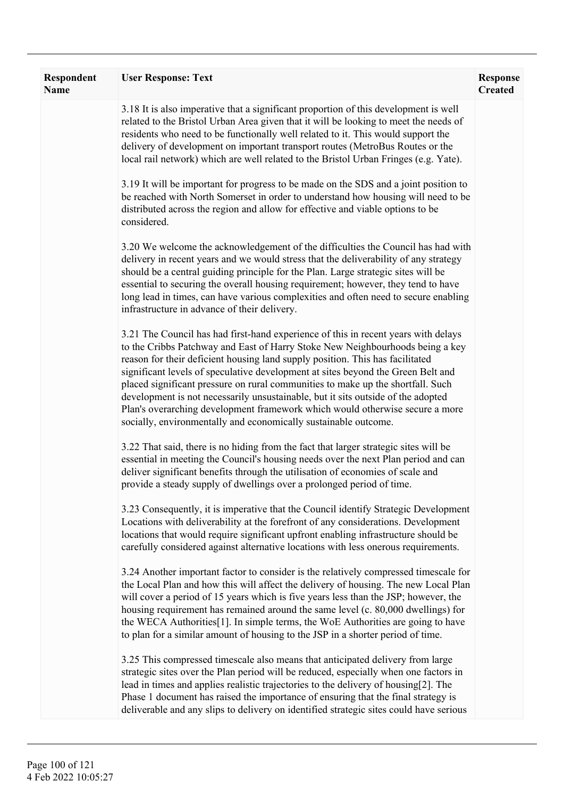| <b>Respondent</b><br><b>Name</b> | <b>User Response: Text</b>                                                                                                                                                                                                                                                                                                                                                                                                                                                                                                                                                                                                                                         | <b>Response</b><br><b>Created</b> |
|----------------------------------|--------------------------------------------------------------------------------------------------------------------------------------------------------------------------------------------------------------------------------------------------------------------------------------------------------------------------------------------------------------------------------------------------------------------------------------------------------------------------------------------------------------------------------------------------------------------------------------------------------------------------------------------------------------------|-----------------------------------|
|                                  | 3.18 It is also imperative that a significant proportion of this development is well<br>related to the Bristol Urban Area given that it will be looking to meet the needs of<br>residents who need to be functionally well related to it. This would support the<br>delivery of development on important transport routes (MetroBus Routes or the<br>local rail network) which are well related to the Bristol Urban Fringes (e.g. Yate).                                                                                                                                                                                                                          |                                   |
|                                  | 3.19 It will be important for progress to be made on the SDS and a joint position to<br>be reached with North Somerset in order to understand how housing will need to be<br>distributed across the region and allow for effective and viable options to be<br>considered.                                                                                                                                                                                                                                                                                                                                                                                         |                                   |
|                                  | 3.20 We welcome the acknowledgement of the difficulties the Council has had with<br>delivery in recent years and we would stress that the deliverability of any strategy<br>should be a central guiding principle for the Plan. Large strategic sites will be<br>essential to securing the overall housing requirement; however, they tend to have<br>long lead in times, can have various complexities and often need to secure enabling<br>infrastructure in advance of their delivery.                                                                                                                                                                          |                                   |
|                                  | 3.21 The Council has had first-hand experience of this in recent years with delays<br>to the Cribbs Patchway and East of Harry Stoke New Neighbourhoods being a key<br>reason for their deficient housing land supply position. This has facilitated<br>significant levels of speculative development at sites beyond the Green Belt and<br>placed significant pressure on rural communities to make up the shortfall. Such<br>development is not necessarily unsustainable, but it sits outside of the adopted<br>Plan's overarching development framework which would otherwise secure a more<br>socially, environmentally and economically sustainable outcome. |                                   |
|                                  | 3.22 That said, there is no hiding from the fact that larger strategic sites will be<br>essential in meeting the Council's housing needs over the next Plan period and can<br>deliver significant benefits through the utilisation of economies of scale and<br>provide a steady supply of dwellings over a prolonged period of time.                                                                                                                                                                                                                                                                                                                              |                                   |
|                                  | 3.23 Consequently, it is imperative that the Council identify Strategic Development<br>Locations with deliverability at the forefront of any considerations. Development<br>locations that would require significant upfront enabling infrastructure should be<br>carefully considered against alternative locations with less onerous requirements.                                                                                                                                                                                                                                                                                                               |                                   |
|                                  | 3.24 Another important factor to consider is the relatively compressed timescale for<br>the Local Plan and how this will affect the delivery of housing. The new Local Plan<br>will cover a period of 15 years which is five years less than the JSP; however, the<br>housing requirement has remained around the same level (c. 80,000 dwellings) for<br>the WECA Authorities[1]. In simple terms, the WoE Authorities are going to have<br>to plan for a similar amount of housing to the JSP in a shorter period of time.                                                                                                                                       |                                   |
|                                  | 3.25 This compressed timescale also means that anticipated delivery from large<br>strategic sites over the Plan period will be reduced, especially when one factors in<br>lead in times and applies realistic trajectories to the delivery of housing[2]. The<br>Phase 1 document has raised the importance of ensuring that the final strategy is<br>deliverable and any slips to delivery on identified strategic sites could have serious                                                                                                                                                                                                                       |                                   |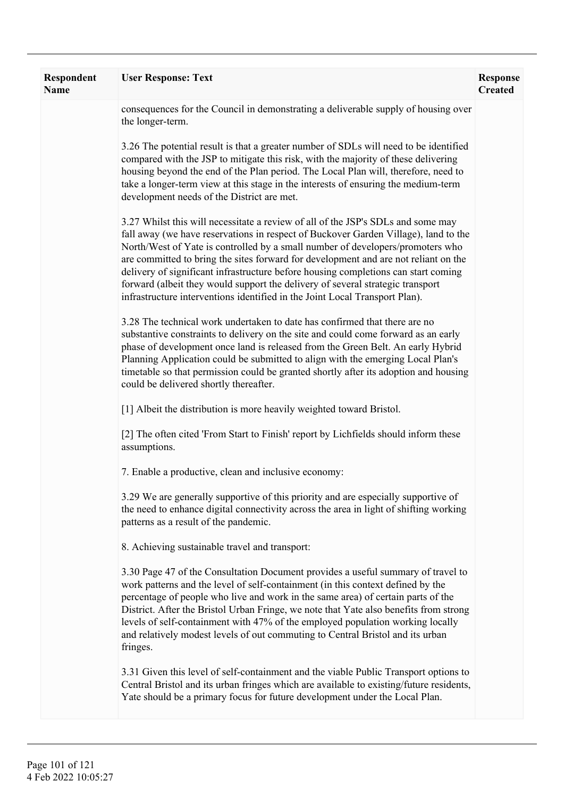| Respondent<br><b>Name</b> | <b>User Response: Text</b>                                                                                                                                                                                                                                                                                                                                                                                                                                                                                                                                                                              | <b>Response</b><br><b>Created</b> |
|---------------------------|---------------------------------------------------------------------------------------------------------------------------------------------------------------------------------------------------------------------------------------------------------------------------------------------------------------------------------------------------------------------------------------------------------------------------------------------------------------------------------------------------------------------------------------------------------------------------------------------------------|-----------------------------------|
|                           | consequences for the Council in demonstrating a deliverable supply of housing over<br>the longer-term.                                                                                                                                                                                                                                                                                                                                                                                                                                                                                                  |                                   |
|                           | 3.26 The potential result is that a greater number of SDLs will need to be identified<br>compared with the JSP to mitigate this risk, with the majority of these delivering<br>housing beyond the end of the Plan period. The Local Plan will, therefore, need to<br>take a longer-term view at this stage in the interests of ensuring the medium-term<br>development needs of the District are met.                                                                                                                                                                                                   |                                   |
|                           | 3.27 Whilst this will necessitate a review of all of the JSP's SDLs and some may<br>fall away (we have reservations in respect of Buckover Garden Village), land to the<br>North/West of Yate is controlled by a small number of developers/promoters who<br>are committed to bring the sites forward for development and are not reliant on the<br>delivery of significant infrastructure before housing completions can start coming<br>forward (albeit they would support the delivery of several strategic transport<br>infrastructure interventions identified in the Joint Local Transport Plan). |                                   |
|                           | 3.28 The technical work undertaken to date has confirmed that there are no<br>substantive constraints to delivery on the site and could come forward as an early<br>phase of development once land is released from the Green Belt. An early Hybrid<br>Planning Application could be submitted to align with the emerging Local Plan's<br>timetable so that permission could be granted shortly after its adoption and housing<br>could be delivered shortly thereafter.                                                                                                                                |                                   |
|                           | [1] Albeit the distribution is more heavily weighted toward Bristol.                                                                                                                                                                                                                                                                                                                                                                                                                                                                                                                                    |                                   |
|                           | [2] The often cited 'From Start to Finish' report by Lichfields should inform these<br>assumptions.                                                                                                                                                                                                                                                                                                                                                                                                                                                                                                     |                                   |
|                           | 7. Enable a productive, clean and inclusive economy:                                                                                                                                                                                                                                                                                                                                                                                                                                                                                                                                                    |                                   |
|                           | 3.29 We are generally supportive of this priority and are especially supportive of<br>the need to enhance digital connectivity across the area in light of shifting working<br>patterns as a result of the pandemic.                                                                                                                                                                                                                                                                                                                                                                                    |                                   |
|                           | 8. Achieving sustainable travel and transport:                                                                                                                                                                                                                                                                                                                                                                                                                                                                                                                                                          |                                   |
|                           | 3.30 Page 47 of the Consultation Document provides a useful summary of travel to<br>work patterns and the level of self-containment (in this context defined by the<br>percentage of people who live and work in the same area) of certain parts of the<br>District. After the Bristol Urban Fringe, we note that Yate also benefits from strong<br>levels of self-containment with 47% of the employed population working locally<br>and relatively modest levels of out commuting to Central Bristol and its urban<br>fringes.                                                                        |                                   |
|                           | 3.31 Given this level of self-containment and the viable Public Transport options to<br>Central Bristol and its urban fringes which are available to existing/future residents,<br>Yate should be a primary focus for future development under the Local Plan.                                                                                                                                                                                                                                                                                                                                          |                                   |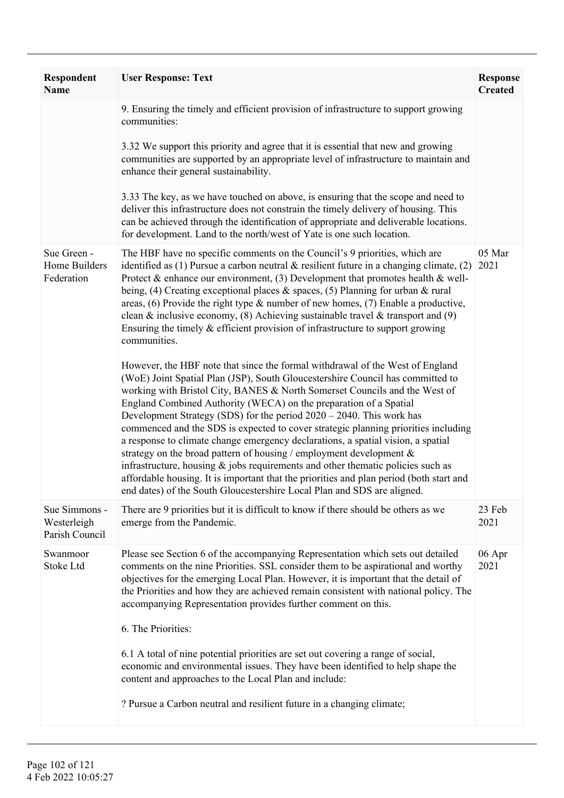| Respondent<br><b>Name</b>                      | <b>User Response: Text</b>                                                                                                                                                                                                                                                                                                                                                                                                                                                                                                                                                                                                                                                                                                                                                                                                                                                                                                                                                                                                                                                                                                                                                                                                                                                                                                                                                                                                                                                                                                                     | <b>Response</b><br><b>Created</b> |
|------------------------------------------------|------------------------------------------------------------------------------------------------------------------------------------------------------------------------------------------------------------------------------------------------------------------------------------------------------------------------------------------------------------------------------------------------------------------------------------------------------------------------------------------------------------------------------------------------------------------------------------------------------------------------------------------------------------------------------------------------------------------------------------------------------------------------------------------------------------------------------------------------------------------------------------------------------------------------------------------------------------------------------------------------------------------------------------------------------------------------------------------------------------------------------------------------------------------------------------------------------------------------------------------------------------------------------------------------------------------------------------------------------------------------------------------------------------------------------------------------------------------------------------------------------------------------------------------------|-----------------------------------|
|                                                | 9. Ensuring the timely and efficient provision of infrastructure to support growing<br>communities:<br>3.32 We support this priority and agree that it is essential that new and growing<br>communities are supported by an appropriate level of infrastructure to maintain and<br>enhance their general sustainability.<br>3.33 The key, as we have touched on above, is ensuring that the scope and need to<br>deliver this infrastructure does not constrain the timely delivery of housing. This<br>can be achieved through the identification of appropriate and deliverable locations.<br>for development. Land to the north/west of Yate is one such location.                                                                                                                                                                                                                                                                                                                                                                                                                                                                                                                                                                                                                                                                                                                                                                                                                                                                          |                                   |
| Sue Green -<br>Home Builders<br>Federation     | The HBF have no specific comments on the Council's 9 priorities, which are<br>identified as (1) Pursue a carbon neutral $\&$ resilient future in a changing climate, (2)<br>Protect & enhance our environment, (3) Development that promotes health & well-<br>being, (4) Creating exceptional places & spaces, (5) Planning for urban & rural<br>areas, (6) Provide the right type $\&$ number of new homes, (7) Enable a productive,<br>clean & inclusive economy, (8) Achieving sustainable travel & transport and (9)<br>Ensuring the timely $&$ efficient provision of infrastructure to support growing<br>communities.<br>However, the HBF note that since the formal withdrawal of the West of England<br>(WoE) Joint Spatial Plan (JSP), South Gloucestershire Council has committed to<br>working with Bristol City, BANES & North Somerset Councils and the West of<br>England Combined Authority (WECA) on the preparation of a Spatial<br>Development Strategy (SDS) for the period $2020 - 2040$ . This work has<br>commenced and the SDS is expected to cover strategic planning priorities including<br>a response to climate change emergency declarations, a spatial vision, a spatial<br>strategy on the broad pattern of housing / employment development $\&$<br>infrastructure, housing $\&$ jobs requirements and other thematic policies such as<br>affordable housing. It is important that the priorities and plan period (both start and<br>end dates) of the South Gloucestershire Local Plan and SDS are aligned. | 05 Mar<br>2021                    |
| Sue Simmons -<br>Westerleigh<br>Parish Council | There are 9 priorities but it is difficult to know if there should be others as we<br>emerge from the Pandemic.                                                                                                                                                                                                                                                                                                                                                                                                                                                                                                                                                                                                                                                                                                                                                                                                                                                                                                                                                                                                                                                                                                                                                                                                                                                                                                                                                                                                                                | 23 Feb<br>2021                    |
| Swanmoor<br>Stoke Ltd                          | Please see Section 6 of the accompanying Representation which sets out detailed<br>comments on the nine Priorities. SSL consider them to be aspirational and worthy<br>objectives for the emerging Local Plan. However, it is important that the detail of<br>the Priorities and how they are achieved remain consistent with national policy. The<br>accompanying Representation provides further comment on this.<br>6. The Priorities:<br>6.1 A total of nine potential priorities are set out covering a range of social,<br>economic and environmental issues. They have been identified to help shape the<br>content and approaches to the Local Plan and include:<br>? Pursue a Carbon neutral and resilient future in a changing climate;                                                                                                                                                                                                                                                                                                                                                                                                                                                                                                                                                                                                                                                                                                                                                                                              | 06 Apr<br>2021                    |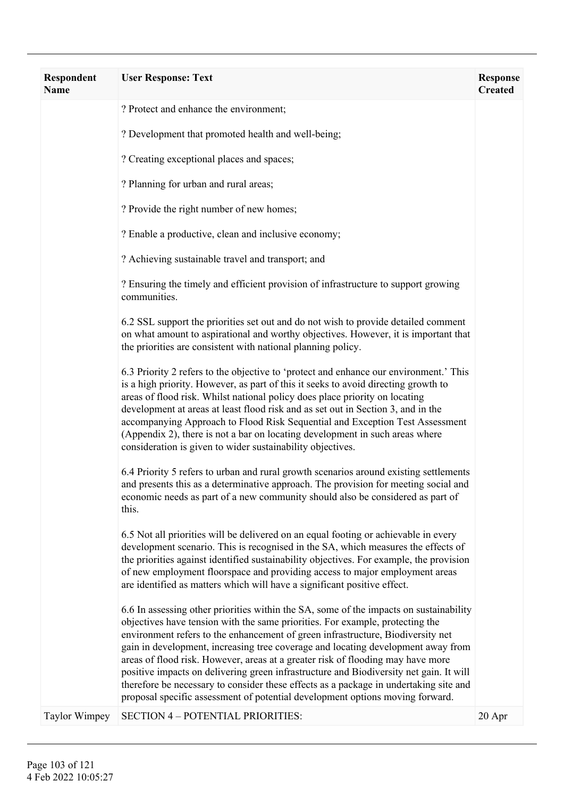| Respondent<br><b>Name</b> | <b>User Response: Text</b>                                                                                                                                                                                                                                                                                                                                                                                                                                                                                                                                                                                                                                                                            | <b>Response</b><br><b>Created</b> |
|---------------------------|-------------------------------------------------------------------------------------------------------------------------------------------------------------------------------------------------------------------------------------------------------------------------------------------------------------------------------------------------------------------------------------------------------------------------------------------------------------------------------------------------------------------------------------------------------------------------------------------------------------------------------------------------------------------------------------------------------|-----------------------------------|
|                           | ? Protect and enhance the environment;                                                                                                                                                                                                                                                                                                                                                                                                                                                                                                                                                                                                                                                                |                                   |
|                           | ? Development that promoted health and well-being;                                                                                                                                                                                                                                                                                                                                                                                                                                                                                                                                                                                                                                                    |                                   |
|                           | ? Creating exceptional places and spaces;                                                                                                                                                                                                                                                                                                                                                                                                                                                                                                                                                                                                                                                             |                                   |
|                           | ? Planning for urban and rural areas;                                                                                                                                                                                                                                                                                                                                                                                                                                                                                                                                                                                                                                                                 |                                   |
|                           | ? Provide the right number of new homes;                                                                                                                                                                                                                                                                                                                                                                                                                                                                                                                                                                                                                                                              |                                   |
|                           | ? Enable a productive, clean and inclusive economy;                                                                                                                                                                                                                                                                                                                                                                                                                                                                                                                                                                                                                                                   |                                   |
|                           | ? Achieving sustainable travel and transport; and                                                                                                                                                                                                                                                                                                                                                                                                                                                                                                                                                                                                                                                     |                                   |
|                           | ? Ensuring the timely and efficient provision of infrastructure to support growing<br>communities.                                                                                                                                                                                                                                                                                                                                                                                                                                                                                                                                                                                                    |                                   |
|                           | 6.2 SSL support the priorities set out and do not wish to provide detailed comment<br>on what amount to aspirational and worthy objectives. However, it is important that<br>the priorities are consistent with national planning policy.                                                                                                                                                                                                                                                                                                                                                                                                                                                             |                                   |
|                           | 6.3 Priority 2 refers to the objective to 'protect and enhance our environment.' This<br>is a high priority. However, as part of this it seeks to avoid directing growth to<br>areas of flood risk. Whilst national policy does place priority on locating<br>development at areas at least flood risk and as set out in Section 3, and in the<br>accompanying Approach to Flood Risk Sequential and Exception Test Assessment<br>(Appendix 2), there is not a bar on locating development in such areas where<br>consideration is given to wider sustainability objectives.                                                                                                                          |                                   |
|                           | 6.4 Priority 5 refers to urban and rural growth scenarios around existing settlements<br>and presents this as a determinative approach. The provision for meeting social and<br>economic needs as part of a new community should also be considered as part of<br>this.                                                                                                                                                                                                                                                                                                                                                                                                                               |                                   |
|                           | 6.5 Not all priorities will be delivered on an equal footing or achievable in every<br>development scenario. This is recognised in the SA, which measures the effects of<br>the priorities against identified sustainability objectives. For example, the provision<br>of new employment floorspace and providing access to major employment areas<br>are identified as matters which will have a significant positive effect.                                                                                                                                                                                                                                                                        |                                   |
|                           | 6.6 In assessing other priorities within the SA, some of the impacts on sustainability<br>objectives have tension with the same priorities. For example, protecting the<br>environment refers to the enhancement of green infrastructure, Biodiversity net<br>gain in development, increasing tree coverage and locating development away from<br>areas of flood risk. However, areas at a greater risk of flooding may have more<br>positive impacts on delivering green infrastructure and Biodiversity net gain. It will<br>therefore be necessary to consider these effects as a package in undertaking site and<br>proposal specific assessment of potential development options moving forward. |                                   |
| <b>Taylor Wimpey</b>      | <b>SECTION 4 - POTENTIAL PRIORITIES:</b>                                                                                                                                                                                                                                                                                                                                                                                                                                                                                                                                                                                                                                                              | 20 Apr                            |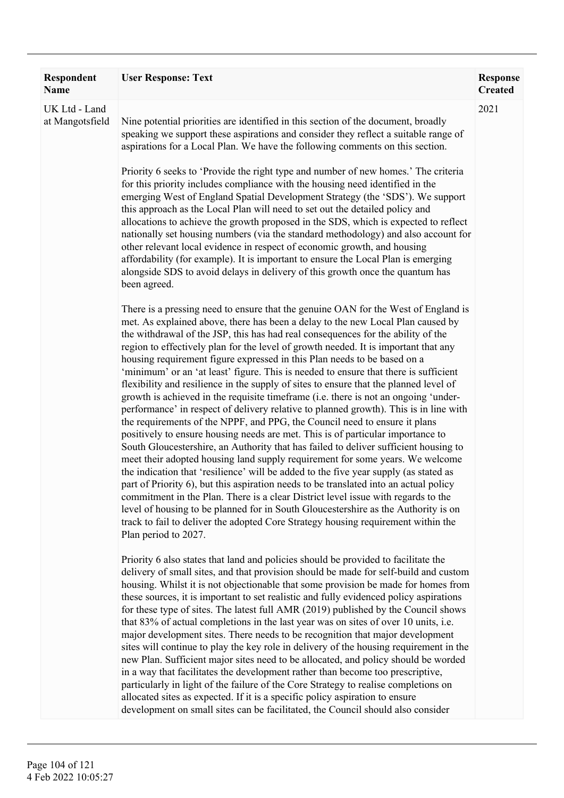| <b>Respondent</b><br><b>Name</b> | <b>User Response: Text</b>                                                                                                                                                                                                                                                                                                                                                                                                                                                                                                                                                                                                                                                                                                                                                                                                                                                                                                                                                                                                                                                                                                                                                                                                                                                                                                                                                                                                                                                                                                                                                                                       | <b>Response</b><br><b>Created</b> |
|----------------------------------|------------------------------------------------------------------------------------------------------------------------------------------------------------------------------------------------------------------------------------------------------------------------------------------------------------------------------------------------------------------------------------------------------------------------------------------------------------------------------------------------------------------------------------------------------------------------------------------------------------------------------------------------------------------------------------------------------------------------------------------------------------------------------------------------------------------------------------------------------------------------------------------------------------------------------------------------------------------------------------------------------------------------------------------------------------------------------------------------------------------------------------------------------------------------------------------------------------------------------------------------------------------------------------------------------------------------------------------------------------------------------------------------------------------------------------------------------------------------------------------------------------------------------------------------------------------------------------------------------------------|-----------------------------------|
| UK Ltd - Land<br>at Mangotsfield | Nine potential priorities are identified in this section of the document, broadly<br>speaking we support these aspirations and consider they reflect a suitable range of<br>aspirations for a Local Plan. We have the following comments on this section.                                                                                                                                                                                                                                                                                                                                                                                                                                                                                                                                                                                                                                                                                                                                                                                                                                                                                                                                                                                                                                                                                                                                                                                                                                                                                                                                                        | 2021                              |
|                                  | Priority 6 seeks to 'Provide the right type and number of new homes.' The criteria<br>for this priority includes compliance with the housing need identified in the<br>emerging West of England Spatial Development Strategy (the 'SDS'). We support<br>this approach as the Local Plan will need to set out the detailed policy and<br>allocations to achieve the growth proposed in the SDS, which is expected to reflect<br>nationally set housing numbers (via the standard methodology) and also account for<br>other relevant local evidence in respect of economic growth, and housing<br>affordability (for example). It is important to ensure the Local Plan is emerging<br>alongside SDS to avoid delays in delivery of this growth once the quantum has<br>been agreed.                                                                                                                                                                                                                                                                                                                                                                                                                                                                                                                                                                                                                                                                                                                                                                                                                              |                                   |
|                                  | There is a pressing need to ensure that the genuine OAN for the West of England is<br>met. As explained above, there has been a delay to the new Local Plan caused by<br>the withdrawal of the JSP, this has had real consequences for the ability of the<br>region to effectively plan for the level of growth needed. It is important that any<br>housing requirement figure expressed in this Plan needs to be based on a<br>'minimum' or an 'at least' figure. This is needed to ensure that there is sufficient<br>flexibility and resilience in the supply of sites to ensure that the planned level of<br>growth is achieved in the requisite timeframe (i.e. there is not an ongoing 'under-<br>performance' in respect of delivery relative to planned growth). This is in line with<br>the requirements of the NPPF, and PPG, the Council need to ensure it plans<br>positively to ensure housing needs are met. This is of particular importance to<br>South Gloucestershire, an Authority that has failed to deliver sufficient housing to<br>meet their adopted housing land supply requirement for some years. We welcome<br>the indication that 'resilience' will be added to the five year supply (as stated as<br>part of Priority 6), but this aspiration needs to be translated into an actual policy<br>commitment in the Plan. There is a clear District level issue with regards to the<br>level of housing to be planned for in South Gloucestershire as the Authority is on<br>track to fail to deliver the adopted Core Strategy housing requirement within the<br>Plan period to 2027. |                                   |
|                                  | Priority 6 also states that land and policies should be provided to facilitate the<br>delivery of small sites, and that provision should be made for self-build and custom<br>housing. Whilst it is not objectionable that some provision be made for homes from<br>these sources, it is important to set realistic and fully evidenced policy aspirations<br>for these type of sites. The latest full AMR (2019) published by the Council shows<br>that 83% of actual completions in the last year was on sites of over 10 units, i.e.<br>major development sites. There needs to be recognition that major development<br>sites will continue to play the key role in delivery of the housing requirement in the<br>new Plan. Sufficient major sites need to be allocated, and policy should be worded<br>in a way that facilitates the development rather than become too prescriptive,<br>particularly in light of the failure of the Core Strategy to realise completions on<br>allocated sites as expected. If it is a specific policy aspiration to ensure<br>development on small sites can be facilitated, the Council should also consider                                                                                                                                                                                                                                                                                                                                                                                                                                                             |                                   |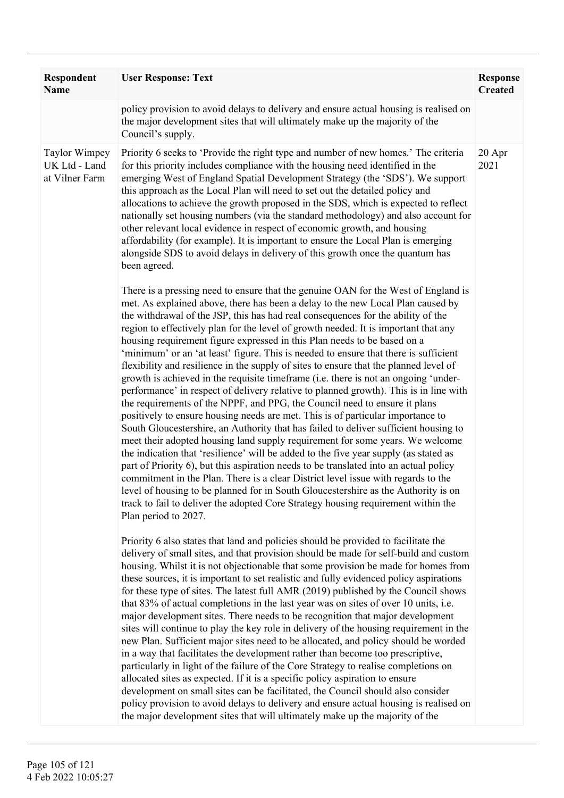| <b>Respondent</b><br><b>Name</b>                        | <b>User Response: Text</b>                                                                                                                                                                                                                                                                                                                                                                                                                                                                                                                                                                                                                                                                                                                                                                                                                                                                                                                                                                                                                                                                                                                                                                                                                                                                                                                                                                                                                                                                                                                                                                                       | <b>Response</b><br><b>Created</b> |
|---------------------------------------------------------|------------------------------------------------------------------------------------------------------------------------------------------------------------------------------------------------------------------------------------------------------------------------------------------------------------------------------------------------------------------------------------------------------------------------------------------------------------------------------------------------------------------------------------------------------------------------------------------------------------------------------------------------------------------------------------------------------------------------------------------------------------------------------------------------------------------------------------------------------------------------------------------------------------------------------------------------------------------------------------------------------------------------------------------------------------------------------------------------------------------------------------------------------------------------------------------------------------------------------------------------------------------------------------------------------------------------------------------------------------------------------------------------------------------------------------------------------------------------------------------------------------------------------------------------------------------------------------------------------------------|-----------------------------------|
|                                                         | policy provision to avoid delays to delivery and ensure actual housing is realised on<br>the major development sites that will ultimately make up the majority of the<br>Council's supply.                                                                                                                                                                                                                                                                                                                                                                                                                                                                                                                                                                                                                                                                                                                                                                                                                                                                                                                                                                                                                                                                                                                                                                                                                                                                                                                                                                                                                       |                                   |
| <b>Taylor Wimpey</b><br>UK Ltd - Land<br>at Vilner Farm | Priority 6 seeks to 'Provide the right type and number of new homes.' The criteria<br>for this priority includes compliance with the housing need identified in the<br>emerging West of England Spatial Development Strategy (the 'SDS'). We support<br>this approach as the Local Plan will need to set out the detailed policy and<br>allocations to achieve the growth proposed in the SDS, which is expected to reflect<br>nationally set housing numbers (via the standard methodology) and also account for<br>other relevant local evidence in respect of economic growth, and housing<br>affordability (for example). It is important to ensure the Local Plan is emerging<br>alongside SDS to avoid delays in delivery of this growth once the quantum has<br>been agreed.                                                                                                                                                                                                                                                                                                                                                                                                                                                                                                                                                                                                                                                                                                                                                                                                                              | 20 Apr<br>2021                    |
|                                                         | There is a pressing need to ensure that the genuine OAN for the West of England is<br>met. As explained above, there has been a delay to the new Local Plan caused by<br>the withdrawal of the JSP, this has had real consequences for the ability of the<br>region to effectively plan for the level of growth needed. It is important that any<br>housing requirement figure expressed in this Plan needs to be based on a<br>'minimum' or an 'at least' figure. This is needed to ensure that there is sufficient<br>flexibility and resilience in the supply of sites to ensure that the planned level of<br>growth is achieved in the requisite timeframe (i.e. there is not an ongoing 'under-<br>performance' in respect of delivery relative to planned growth). This is in line with<br>the requirements of the NPPF, and PPG, the Council need to ensure it plans<br>positively to ensure housing needs are met. This is of particular importance to<br>South Gloucestershire, an Authority that has failed to deliver sufficient housing to<br>meet their adopted housing land supply requirement for some years. We welcome<br>the indication that 'resilience' will be added to the five year supply (as stated as<br>part of Priority 6), but this aspiration needs to be translated into an actual policy<br>commitment in the Plan. There is a clear District level issue with regards to the<br>level of housing to be planned for in South Gloucestershire as the Authority is on<br>track to fail to deliver the adopted Core Strategy housing requirement within the<br>Plan period to 2027. |                                   |
|                                                         | Priority 6 also states that land and policies should be provided to facilitate the<br>delivery of small sites, and that provision should be made for self-build and custom<br>housing. Whilst it is not objectionable that some provision be made for homes from<br>these sources, it is important to set realistic and fully evidenced policy aspirations<br>for these type of sites. The latest full AMR (2019) published by the Council shows<br>that 83% of actual completions in the last year was on sites of over 10 units, i.e.<br>major development sites. There needs to be recognition that major development<br>sites will continue to play the key role in delivery of the housing requirement in the<br>new Plan. Sufficient major sites need to be allocated, and policy should be worded<br>in a way that facilitates the development rather than become too prescriptive,<br>particularly in light of the failure of the Core Strategy to realise completions on<br>allocated sites as expected. If it is a specific policy aspiration to ensure<br>development on small sites can be facilitated, the Council should also consider<br>policy provision to avoid delays to delivery and ensure actual housing is realised on<br>the major development sites that will ultimately make up the majority of the                                                                                                                                                                                                                                                                                    |                                   |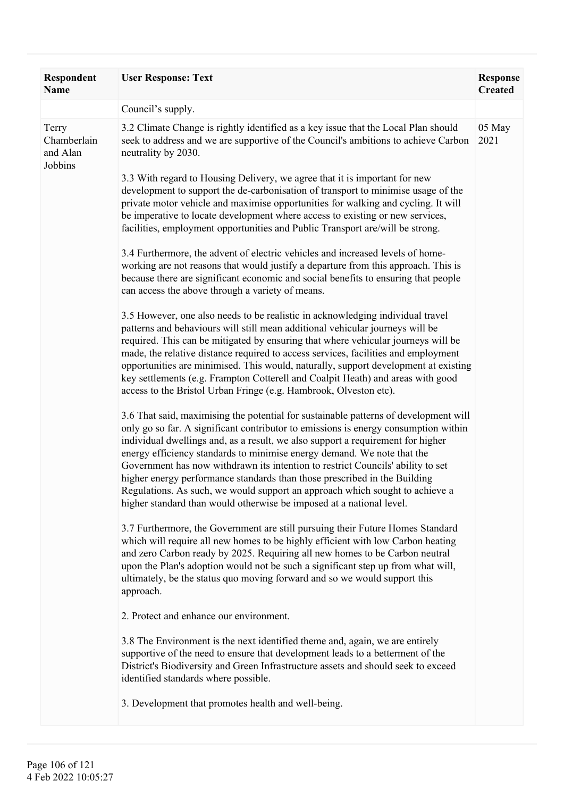| <b>Respondent</b><br><b>Name</b>            | <b>User Response: Text</b>                                                                                                                                                                                                                                                                                                                                                                                                                                                                                                                                                                                                                                        | <b>Response</b><br><b>Created</b> |
|---------------------------------------------|-------------------------------------------------------------------------------------------------------------------------------------------------------------------------------------------------------------------------------------------------------------------------------------------------------------------------------------------------------------------------------------------------------------------------------------------------------------------------------------------------------------------------------------------------------------------------------------------------------------------------------------------------------------------|-----------------------------------|
|                                             | Council's supply.                                                                                                                                                                                                                                                                                                                                                                                                                                                                                                                                                                                                                                                 |                                   |
| Terry<br>Chamberlain<br>and Alan<br>Jobbins | 3.2 Climate Change is rightly identified as a key issue that the Local Plan should<br>seek to address and we are supportive of the Council's ambitions to achieve Carbon<br>neutrality by 2030.                                                                                                                                                                                                                                                                                                                                                                                                                                                                   | 05 May<br>2021                    |
|                                             | 3.3 With regard to Housing Delivery, we agree that it is important for new<br>development to support the de-carbonisation of transport to minimise usage of the<br>private motor vehicle and maximise opportunities for walking and cycling. It will<br>be imperative to locate development where access to existing or new services,<br>facilities, employment opportunities and Public Transport are/will be strong.                                                                                                                                                                                                                                            |                                   |
|                                             | 3.4 Furthermore, the advent of electric vehicles and increased levels of home-<br>working are not reasons that would justify a departure from this approach. This is<br>because there are significant economic and social benefits to ensuring that people<br>can access the above through a variety of means.                                                                                                                                                                                                                                                                                                                                                    |                                   |
|                                             | 3.5 However, one also needs to be realistic in acknowledging individual travel<br>patterns and behaviours will still mean additional vehicular journeys will be<br>required. This can be mitigated by ensuring that where vehicular journeys will be<br>made, the relative distance required to access services, facilities and employment<br>opportunities are minimised. This would, naturally, support development at existing<br>key settlements (e.g. Frampton Cotterell and Coalpit Heath) and areas with good<br>access to the Bristol Urban Fringe (e.g. Hambrook, Olveston etc).                                                                         |                                   |
|                                             | 3.6 That said, maximising the potential for sustainable patterns of development will<br>only go so far. A significant contributor to emissions is energy consumption within<br>individual dwellings and, as a result, we also support a requirement for higher<br>energy efficiency standards to minimise energy demand. We note that the<br>Government has now withdrawn its intention to restrict Councils' ability to set<br>higher energy performance standards than those prescribed in the Building<br>Regulations. As such, we would support an approach which sought to achieve a<br>higher standard than would otherwise be imposed at a national level. |                                   |
|                                             | 3.7 Furthermore, the Government are still pursuing their Future Homes Standard<br>which will require all new homes to be highly efficient with low Carbon heating<br>and zero Carbon ready by 2025. Requiring all new homes to be Carbon neutral<br>upon the Plan's adoption would not be such a significant step up from what will,<br>ultimately, be the status quo moving forward and so we would support this<br>approach.                                                                                                                                                                                                                                    |                                   |
|                                             | 2. Protect and enhance our environment.                                                                                                                                                                                                                                                                                                                                                                                                                                                                                                                                                                                                                           |                                   |
|                                             | 3.8 The Environment is the next identified theme and, again, we are entirely<br>supportive of the need to ensure that development leads to a betterment of the<br>District's Biodiversity and Green Infrastructure assets and should seek to exceed<br>identified standards where possible.                                                                                                                                                                                                                                                                                                                                                                       |                                   |
|                                             | 3. Development that promotes health and well-being.                                                                                                                                                                                                                                                                                                                                                                                                                                                                                                                                                                                                               |                                   |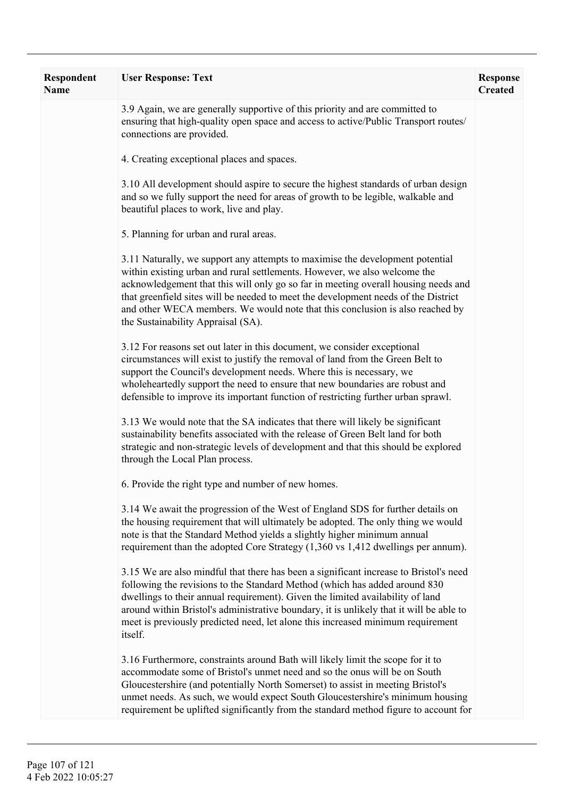| Respondent<br>Name | <b>User Response: Text</b>                                                                                                                                                                                                                                                                                                                                                                                                                                    | <b>Response</b><br><b>Created</b> |
|--------------------|---------------------------------------------------------------------------------------------------------------------------------------------------------------------------------------------------------------------------------------------------------------------------------------------------------------------------------------------------------------------------------------------------------------------------------------------------------------|-----------------------------------|
|                    | 3.9 Again, we are generally supportive of this priority and are committed to<br>ensuring that high-quality open space and access to active/Public Transport routes/<br>connections are provided.                                                                                                                                                                                                                                                              |                                   |
|                    | 4. Creating exceptional places and spaces.                                                                                                                                                                                                                                                                                                                                                                                                                    |                                   |
|                    | 3.10 All development should aspire to secure the highest standards of urban design<br>and so we fully support the need for areas of growth to be legible, walkable and<br>beautiful places to work, live and play.                                                                                                                                                                                                                                            |                                   |
|                    | 5. Planning for urban and rural areas.                                                                                                                                                                                                                                                                                                                                                                                                                        |                                   |
|                    | 3.11 Naturally, we support any attempts to maximise the development potential<br>within existing urban and rural settlements. However, we also welcome the<br>acknowledgement that this will only go so far in meeting overall housing needs and<br>that greenfield sites will be needed to meet the development needs of the District<br>and other WECA members. We would note that this conclusion is also reached by<br>the Sustainability Appraisal (SA). |                                   |
|                    | 3.12 For reasons set out later in this document, we consider exceptional<br>circumstances will exist to justify the removal of land from the Green Belt to<br>support the Council's development needs. Where this is necessary, we<br>wholeheartedly support the need to ensure that new boundaries are robust and<br>defensible to improve its important function of restricting further urban sprawl.                                                       |                                   |
|                    | 3.13 We would note that the SA indicates that there will likely be significant<br>sustainability benefits associated with the release of Green Belt land for both<br>strategic and non-strategic levels of development and that this should be explored<br>through the Local Plan process.                                                                                                                                                                    |                                   |
|                    | 6. Provide the right type and number of new homes.                                                                                                                                                                                                                                                                                                                                                                                                            |                                   |
|                    | 3.14 We await the progression of the West of England SDS for further details on<br>the housing requirement that will ultimately be adopted. The only thing we would<br>note is that the Standard Method yields a slightly higher minimum annual<br>requirement than the adopted Core Strategy (1,360 vs 1,412 dwellings per annum).                                                                                                                           |                                   |
|                    | 3.15 We are also mindful that there has been a significant increase to Bristol's need<br>following the revisions to the Standard Method (which has added around 830<br>dwellings to their annual requirement). Given the limited availability of land<br>around within Bristol's administrative boundary, it is unlikely that it will be able to<br>meet is previously predicted need, let alone this increased minimum requirement<br>itself.                |                                   |
|                    | 3.16 Furthermore, constraints around Bath will likely limit the scope for it to<br>accommodate some of Bristol's unmet need and so the onus will be on South<br>Gloucestershire (and potentially North Somerset) to assist in meeting Bristol's<br>unmet needs. As such, we would expect South Gloucestershire's minimum housing<br>requirement be uplifted significantly from the standard method figure to account for                                      |                                   |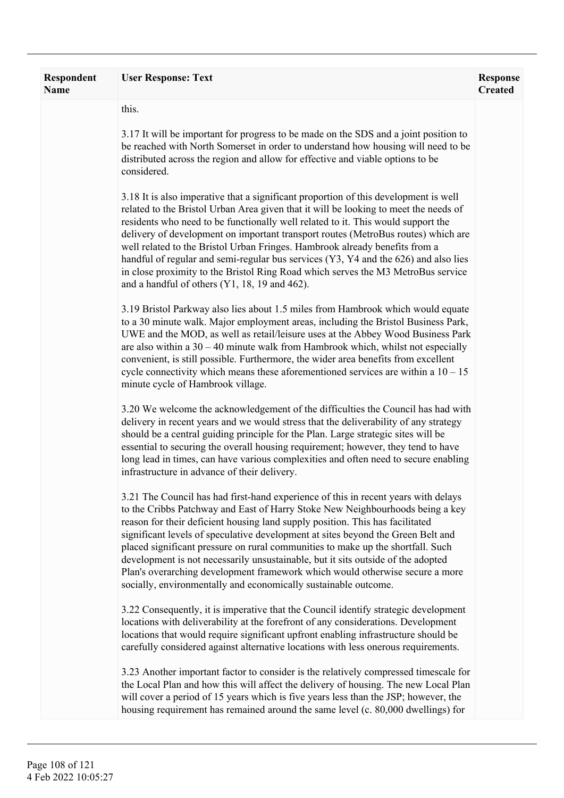| <b>Respondent</b><br><b>Name</b> | <b>User Response: Text</b>                                                                                                                                                                                                                                                                                                                                                                                                                                                                                                                                                                                                                                         | <b>Response</b><br><b>Created</b> |
|----------------------------------|--------------------------------------------------------------------------------------------------------------------------------------------------------------------------------------------------------------------------------------------------------------------------------------------------------------------------------------------------------------------------------------------------------------------------------------------------------------------------------------------------------------------------------------------------------------------------------------------------------------------------------------------------------------------|-----------------------------------|
|                                  | this.                                                                                                                                                                                                                                                                                                                                                                                                                                                                                                                                                                                                                                                              |                                   |
|                                  | 3.17 It will be important for progress to be made on the SDS and a joint position to<br>be reached with North Somerset in order to understand how housing will need to be<br>distributed across the region and allow for effective and viable options to be<br>considered.                                                                                                                                                                                                                                                                                                                                                                                         |                                   |
|                                  | 3.18 It is also imperative that a significant proportion of this development is well<br>related to the Bristol Urban Area given that it will be looking to meet the needs of<br>residents who need to be functionally well related to it. This would support the<br>delivery of development on important transport routes (MetroBus routes) which are<br>well related to the Bristol Urban Fringes. Hambrook already benefits from a<br>handful of regular and semi-regular bus services (Y3, Y4 and the 626) and also lies<br>in close proximity to the Bristol Ring Road which serves the M3 MetroBus service<br>and a handful of others $(Y1, 18, 19, 462)$ .   |                                   |
|                                  | 3.19 Bristol Parkway also lies about 1.5 miles from Hambrook which would equate<br>to a 30 minute walk. Major employment areas, including the Bristol Business Park,<br>UWE and the MOD, as well as retail/leisure uses at the Abbey Wood Business Park<br>are also within a $30 - 40$ minute walk from Hambrook which, whilst not especially<br>convenient, is still possible. Furthermore, the wider area benefits from excellent<br>cycle connectivity which means these aforementioned services are within a $10 - 15$<br>minute cycle of Hambrook village.                                                                                                    |                                   |
|                                  | 3.20 We welcome the acknowledgement of the difficulties the Council has had with<br>delivery in recent years and we would stress that the deliverability of any strategy<br>should be a central guiding principle for the Plan. Large strategic sites will be<br>essential to securing the overall housing requirement; however, they tend to have<br>long lead in times, can have various complexities and often need to secure enabling<br>infrastructure in advance of their delivery.                                                                                                                                                                          |                                   |
|                                  | 3.21 The Council has had first-hand experience of this in recent years with delays<br>to the Cribbs Patchway and East of Harry Stoke New Neighbourhoods being a key<br>reason for their deficient housing land supply position. This has facilitated<br>significant levels of speculative development at sites beyond the Green Belt and<br>placed significant pressure on rural communities to make up the shortfall. Such<br>development is not necessarily unsustainable, but it sits outside of the adopted<br>Plan's overarching development framework which would otherwise secure a more<br>socially, environmentally and economically sustainable outcome. |                                   |
|                                  | 3.22 Consequently, it is imperative that the Council identify strategic development<br>locations with deliverability at the forefront of any considerations. Development<br>locations that would require significant upfront enabling infrastructure should be<br>carefully considered against alternative locations with less onerous requirements.                                                                                                                                                                                                                                                                                                               |                                   |
|                                  | 3.23 Another important factor to consider is the relatively compressed timescale for<br>the Local Plan and how this will affect the delivery of housing. The new Local Plan<br>will cover a period of 15 years which is five years less than the JSP; however, the<br>housing requirement has remained around the same level (c. 80,000 dwellings) for                                                                                                                                                                                                                                                                                                             |                                   |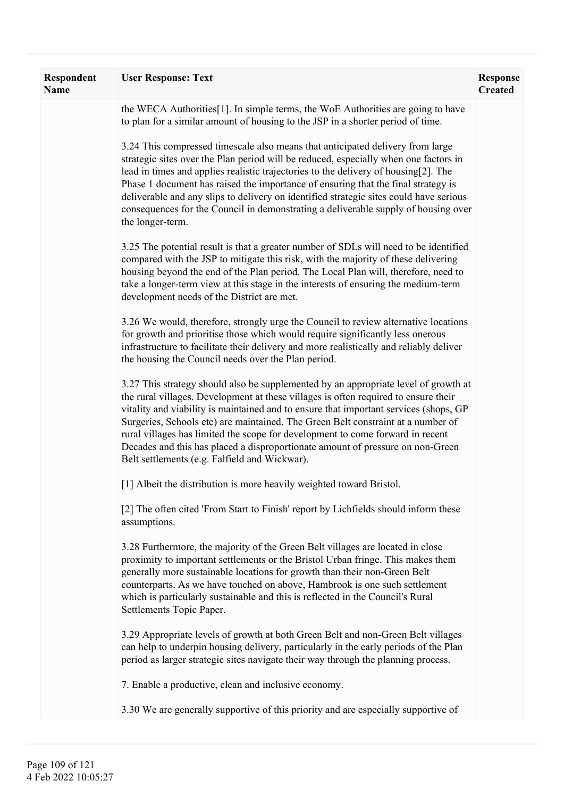| Respondent<br><b>Name</b> | <b>User Response: Text</b>                                                                                                                                                                                                                                                                                                                                                                                                                                                                                                                                                   | <b>Response</b><br><b>Created</b> |
|---------------------------|------------------------------------------------------------------------------------------------------------------------------------------------------------------------------------------------------------------------------------------------------------------------------------------------------------------------------------------------------------------------------------------------------------------------------------------------------------------------------------------------------------------------------------------------------------------------------|-----------------------------------|
|                           | the WECA Authorities <sup>[1]</sup> . In simple terms, the WoE Authorities are going to have<br>to plan for a similar amount of housing to the JSP in a shorter period of time.                                                                                                                                                                                                                                                                                                                                                                                              |                                   |
|                           | 3.24 This compressed timescale also means that anticipated delivery from large<br>strategic sites over the Plan period will be reduced, especially when one factors in<br>lead in times and applies realistic trajectories to the delivery of housing[2]. The<br>Phase 1 document has raised the importance of ensuring that the final strategy is<br>deliverable and any slips to delivery on identified strategic sites could have serious<br>consequences for the Council in demonstrating a deliverable supply of housing over<br>the longer-term.                       |                                   |
|                           | 3.25 The potential result is that a greater number of SDLs will need to be identified<br>compared with the JSP to mitigate this risk, with the majority of these delivering<br>housing beyond the end of the Plan period. The Local Plan will, therefore, need to<br>take a longer-term view at this stage in the interests of ensuring the medium-term<br>development needs of the District are met.                                                                                                                                                                        |                                   |
|                           | 3.26 We would, therefore, strongly urge the Council to review alternative locations<br>for growth and prioritise those which would require significantly less onerous<br>infrastructure to facilitate their delivery and more realistically and reliably deliver<br>the housing the Council needs over the Plan period.                                                                                                                                                                                                                                                      |                                   |
|                           | 3.27 This strategy should also be supplemented by an appropriate level of growth at<br>the rural villages. Development at these villages is often required to ensure their<br>vitality and viability is maintained and to ensure that important services (shops, GP<br>Surgeries, Schools etc) are maintained. The Green Belt constraint at a number of<br>rural villages has limited the scope for development to come forward in recent<br>Decades and this has placed a disproportionate amount of pressure on non-Green<br>Belt settlements (e.g. Falfield and Wickwar). |                                   |
|                           | [1] Albeit the distribution is more heavily weighted toward Bristol.                                                                                                                                                                                                                                                                                                                                                                                                                                                                                                         |                                   |
|                           | [2] The often cited 'From Start to Finish' report by Lichfields should inform these<br>assumptions.                                                                                                                                                                                                                                                                                                                                                                                                                                                                          |                                   |
|                           | 3.28 Furthermore, the majority of the Green Belt villages are located in close<br>proximity to important settlements or the Bristol Urban fringe. This makes them<br>generally more sustainable locations for growth than their non-Green Belt<br>counterparts. As we have touched on above, Hambrook is one such settlement<br>which is particularly sustainable and this is reflected in the Council's Rural<br>Settlements Topic Paper.                                                                                                                                   |                                   |
|                           | 3.29 Appropriate levels of growth at both Green Belt and non-Green Belt villages<br>can help to underpin housing delivery, particularly in the early periods of the Plan<br>period as larger strategic sites navigate their way through the planning process.                                                                                                                                                                                                                                                                                                                |                                   |
|                           | 7. Enable a productive, clean and inclusive economy.                                                                                                                                                                                                                                                                                                                                                                                                                                                                                                                         |                                   |
|                           | 3.30 We are generally supportive of this priority and are especially supportive of                                                                                                                                                                                                                                                                                                                                                                                                                                                                                           |                                   |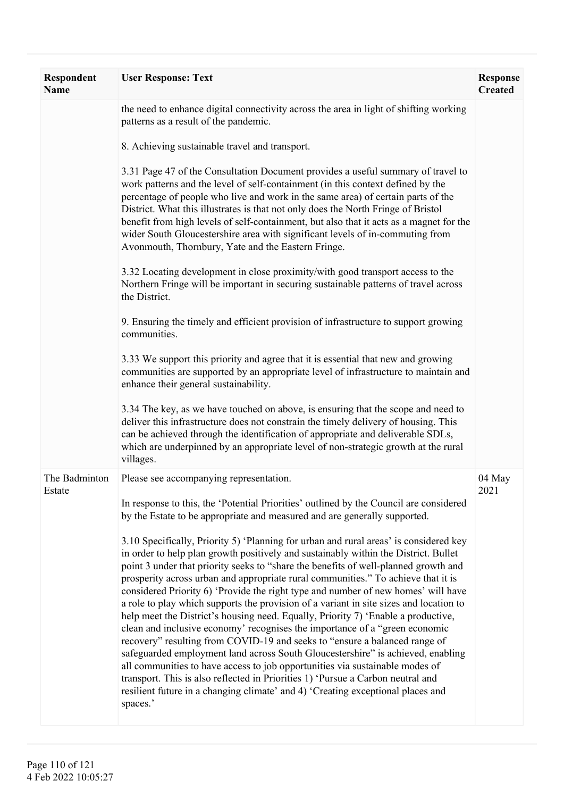| Respondent<br><b>Name</b> | <b>User Response: Text</b>                                                                                                                                                                                                                                                                                                                                                                                                                                                                                                                                                                                                                                                                                                                                                                                                                                                                                                                                                                                                                                                                                                                     | <b>Response</b><br><b>Created</b> |
|---------------------------|------------------------------------------------------------------------------------------------------------------------------------------------------------------------------------------------------------------------------------------------------------------------------------------------------------------------------------------------------------------------------------------------------------------------------------------------------------------------------------------------------------------------------------------------------------------------------------------------------------------------------------------------------------------------------------------------------------------------------------------------------------------------------------------------------------------------------------------------------------------------------------------------------------------------------------------------------------------------------------------------------------------------------------------------------------------------------------------------------------------------------------------------|-----------------------------------|
|                           | the need to enhance digital connectivity across the area in light of shifting working<br>patterns as a result of the pandemic.<br>8. Achieving sustainable travel and transport.                                                                                                                                                                                                                                                                                                                                                                                                                                                                                                                                                                                                                                                                                                                                                                                                                                                                                                                                                               |                                   |
|                           | 3.31 Page 47 of the Consultation Document provides a useful summary of travel to<br>work patterns and the level of self-containment (in this context defined by the<br>percentage of people who live and work in the same area) of certain parts of the<br>District. What this illustrates is that not only does the North Fringe of Bristol<br>benefit from high levels of self-containment, but also that it acts as a magnet for the<br>wider South Gloucestershire area with significant levels of in-commuting from<br>Avonmouth, Thornbury, Yate and the Eastern Fringe.                                                                                                                                                                                                                                                                                                                                                                                                                                                                                                                                                                 |                                   |
|                           | 3.32 Locating development in close proximity/with good transport access to the<br>Northern Fringe will be important in securing sustainable patterns of travel across<br>the District.                                                                                                                                                                                                                                                                                                                                                                                                                                                                                                                                                                                                                                                                                                                                                                                                                                                                                                                                                         |                                   |
|                           | 9. Ensuring the timely and efficient provision of infrastructure to support growing<br>communities.                                                                                                                                                                                                                                                                                                                                                                                                                                                                                                                                                                                                                                                                                                                                                                                                                                                                                                                                                                                                                                            |                                   |
|                           | 3.33 We support this priority and agree that it is essential that new and growing<br>communities are supported by an appropriate level of infrastructure to maintain and<br>enhance their general sustainability.                                                                                                                                                                                                                                                                                                                                                                                                                                                                                                                                                                                                                                                                                                                                                                                                                                                                                                                              |                                   |
|                           | 3.34 The key, as we have touched on above, is ensuring that the scope and need to<br>deliver this infrastructure does not constrain the timely delivery of housing. This<br>can be achieved through the identification of appropriate and deliverable SDLs,<br>which are underpinned by an appropriate level of non-strategic growth at the rural<br>villages.                                                                                                                                                                                                                                                                                                                                                                                                                                                                                                                                                                                                                                                                                                                                                                                 |                                   |
| The Badminton<br>Estate   | Please see accompanying representation.<br>In response to this, the 'Potential Priorities' outlined by the Council are considered                                                                                                                                                                                                                                                                                                                                                                                                                                                                                                                                                                                                                                                                                                                                                                                                                                                                                                                                                                                                              | 04 May<br>2021                    |
|                           | by the Estate to be appropriate and measured and are generally supported.                                                                                                                                                                                                                                                                                                                                                                                                                                                                                                                                                                                                                                                                                                                                                                                                                                                                                                                                                                                                                                                                      |                                   |
|                           | 3.10 Specifically, Priority 5) 'Planning for urban and rural areas' is considered key<br>in order to help plan growth positively and sustainably within the District. Bullet<br>point 3 under that priority seeks to "share the benefits of well-planned growth and<br>prosperity across urban and appropriate rural communities." To achieve that it is<br>considered Priority 6) 'Provide the right type and number of new homes' will have<br>a role to play which supports the provision of a variant in site sizes and location to<br>help meet the District's housing need. Equally, Priority 7) 'Enable a productive,<br>clean and inclusive economy' recognises the importance of a "green economic<br>recovery" resulting from COVID-19 and seeks to "ensure a balanced range of<br>safeguarded employment land across South Gloucestershire" is achieved, enabling<br>all communities to have access to job opportunities via sustainable modes of<br>transport. This is also reflected in Priorities 1) 'Pursue a Carbon neutral and<br>resilient future in a changing climate' and 4) 'Creating exceptional places and<br>spaces.' |                                   |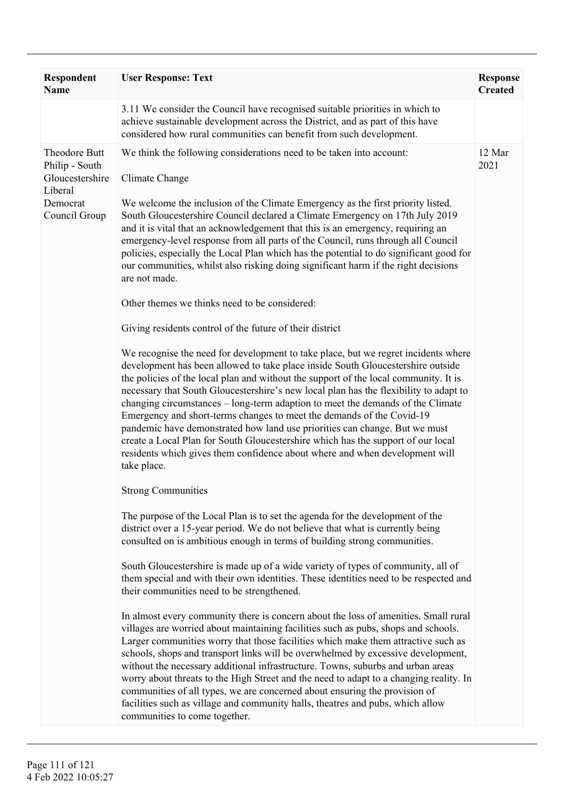| <b>Respondent</b><br><b>Name</b>                                                           | <b>User Response: Text</b>                                                                                                                                                                                                                                                                                                                                                                                                                                                                                                                                                                                                                                                                                                                                                                                                                                                                                                                                                                                                                                                                                                                                                                                                                                                                                                                                                                                                                                                                                                          | <b>Response</b><br><b>Created</b> |
|--------------------------------------------------------------------------------------------|-------------------------------------------------------------------------------------------------------------------------------------------------------------------------------------------------------------------------------------------------------------------------------------------------------------------------------------------------------------------------------------------------------------------------------------------------------------------------------------------------------------------------------------------------------------------------------------------------------------------------------------------------------------------------------------------------------------------------------------------------------------------------------------------------------------------------------------------------------------------------------------------------------------------------------------------------------------------------------------------------------------------------------------------------------------------------------------------------------------------------------------------------------------------------------------------------------------------------------------------------------------------------------------------------------------------------------------------------------------------------------------------------------------------------------------------------------------------------------------------------------------------------------------|-----------------------------------|
|                                                                                            | 3.11 We consider the Council have recognised suitable priorities in which to<br>achieve sustainable development across the District, and as part of this have<br>considered how rural communities can benefit from such development.                                                                                                                                                                                                                                                                                                                                                                                                                                                                                                                                                                                                                                                                                                                                                                                                                                                                                                                                                                                                                                                                                                                                                                                                                                                                                                |                                   |
| Theodore Butt<br>Philip - South<br>Gloucestershire<br>Liberal<br>Democrat<br>Council Group | We think the following considerations need to be taken into account:<br>Climate Change<br>We welcome the inclusion of the Climate Emergency as the first priority listed.<br>South Gloucestershire Council declared a Climate Emergency on 17th July 2019<br>and it is vital that an acknowledgement that this is an emergency, requiring an<br>emergency-level response from all parts of the Council, runs through all Council<br>policies, especially the Local Plan which has the potential to do significant good for<br>our communities, whilst also risking doing significant harm if the right decisions<br>are not made.<br>Other themes we thinks need to be considered:<br>Giving residents control of the future of their district<br>We recognise the need for development to take place, but we regret incidents where<br>development has been allowed to take place inside South Gloucestershire outside<br>the policies of the local plan and without the support of the local community. It is<br>necessary that South Gloucestershire's new local plan has the flexibility to adapt to<br>changing circumstances – long-term adaption to meet the demands of the Climate<br>Emergency and short-terms changes to meet the demands of the Covid-19<br>pandemic have demonstrated how land use priorities can change. But we must<br>create a Local Plan for South Gloucestershire which has the support of our local<br>residents which gives them confidence about where and when development will<br>take place. | 12 Mar<br>2021                    |
|                                                                                            | <b>Strong Communities</b>                                                                                                                                                                                                                                                                                                                                                                                                                                                                                                                                                                                                                                                                                                                                                                                                                                                                                                                                                                                                                                                                                                                                                                                                                                                                                                                                                                                                                                                                                                           |                                   |
|                                                                                            | The purpose of the Local Plan is to set the agenda for the development of the<br>district over a 15-year period. We do not believe that what is currently being<br>consulted on is ambitious enough in terms of building strong communities.<br>South Gloucestershire is made up of a wide variety of types of community, all of<br>them special and with their own identities. These identities need to be respected and<br>their communities need to be strengthened.<br>In almost every community there is concern about the loss of amenities. Small rural                                                                                                                                                                                                                                                                                                                                                                                                                                                                                                                                                                                                                                                                                                                                                                                                                                                                                                                                                                      |                                   |
|                                                                                            | villages are worried about maintaining facilities such as pubs, shops and schools.<br>Larger communities worry that those facilities which make them attractive such as<br>schools, shops and transport links will be overwhelmed by excessive development,<br>without the necessary additional infrastructure. Towns, suburbs and urban areas<br>worry about threats to the High Street and the need to adapt to a changing reality. In<br>communities of all types, we are concerned about ensuring the provision of<br>facilities such as village and community halls, theatres and pubs, which allow<br>communities to come together.                                                                                                                                                                                                                                                                                                                                                                                                                                                                                                                                                                                                                                                                                                                                                                                                                                                                                           |                                   |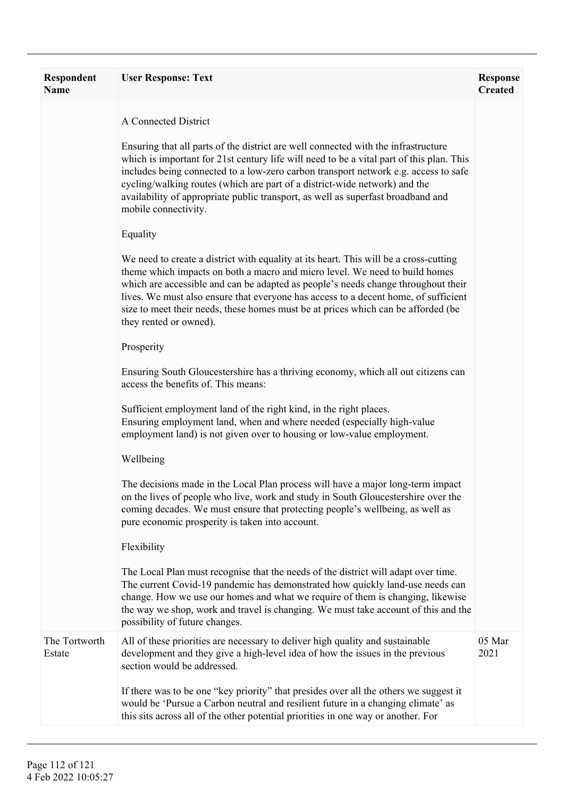| Respondent<br><b>Name</b> | <b>User Response: Text</b>                                                                                                                                                                                                                                                                                                                                                                                                                                      | <b>Response</b><br><b>Created</b> |
|---------------------------|-----------------------------------------------------------------------------------------------------------------------------------------------------------------------------------------------------------------------------------------------------------------------------------------------------------------------------------------------------------------------------------------------------------------------------------------------------------------|-----------------------------------|
|                           | A Connected District                                                                                                                                                                                                                                                                                                                                                                                                                                            |                                   |
|                           | Ensuring that all parts of the district are well connected with the infrastructure<br>which is important for 21st century life will need to be a vital part of this plan. This<br>includes being connected to a low-zero carbon transport network e.g. access to safe<br>cycling/walking routes (which are part of a district-wide network) and the<br>availability of appropriate public transport, as well as superfast broadband and<br>mobile connectivity. |                                   |
|                           | Equality                                                                                                                                                                                                                                                                                                                                                                                                                                                        |                                   |
|                           | We need to create a district with equality at its heart. This will be a cross-cutting<br>theme which impacts on both a macro and micro level. We need to build homes<br>which are accessible and can be adapted as people's needs change throughout their<br>lives. We must also ensure that everyone has access to a decent home, of sufficient<br>size to meet their needs, these homes must be at prices which can be afforded (be<br>they rented or owned). |                                   |
|                           | Prosperity                                                                                                                                                                                                                                                                                                                                                                                                                                                      |                                   |
|                           | Ensuring South Gloucestershire has a thriving economy, which all out citizens can<br>access the benefits of. This means:                                                                                                                                                                                                                                                                                                                                        |                                   |
|                           | Sufficient employment land of the right kind, in the right places.<br>Ensuring employment land, when and where needed (especially high-value<br>employment land) is not given over to housing or low-value employment.                                                                                                                                                                                                                                          |                                   |
|                           | Wellbeing                                                                                                                                                                                                                                                                                                                                                                                                                                                       |                                   |
|                           | The decisions made in the Local Plan process will have a major long-term impact<br>on the lives of people who live, work and study in South Gloucestershire over the<br>coming decades. We must ensure that protecting people's wellbeing, as well as<br>pure economic prosperity is taken into account.                                                                                                                                                        |                                   |
|                           | Flexibility                                                                                                                                                                                                                                                                                                                                                                                                                                                     |                                   |
|                           | The Local Plan must recognise that the needs of the district will adapt over time.<br>The current Covid-19 pandemic has demonstrated how quickly land-use needs can<br>change. How we use our homes and what we require of them is changing, likewise<br>the way we shop, work and travel is changing. We must take account of this and the<br>possibility of future changes.                                                                                   |                                   |
| The Tortworth<br>Estate   | All of these priorities are necessary to deliver high quality and sustainable<br>development and they give a high-level idea of how the issues in the previous<br>section would be addressed.                                                                                                                                                                                                                                                                   | 05 Mar<br>2021                    |
|                           | If there was to be one "key priority" that presides over all the others we suggest it<br>would be 'Pursue a Carbon neutral and resilient future in a changing climate' as<br>this sits across all of the other potential priorities in one way or another. For                                                                                                                                                                                                  |                                   |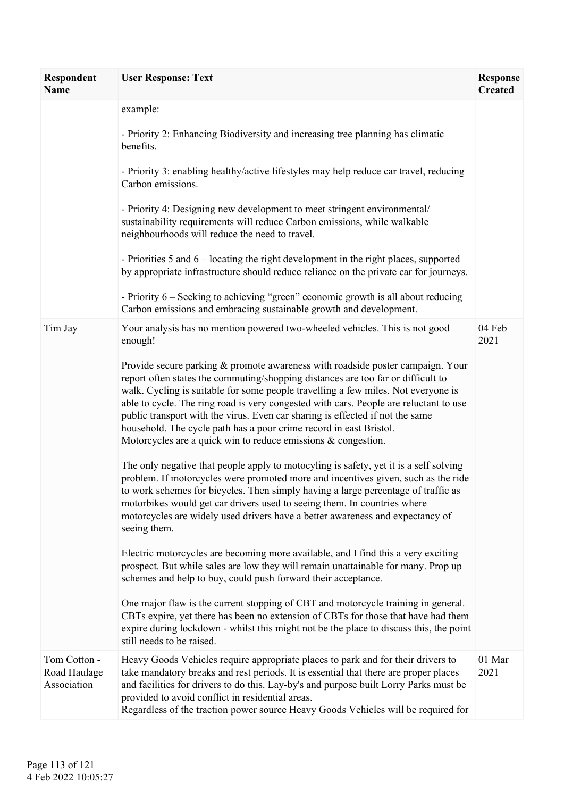| Respondent<br>Name                          | <b>User Response: Text</b>                                                                                                                                                                                                                                                                                                                                                                                                                                                                                                                                                                                                                                                                                                                                                                                                                                                                                                                                                                                                                                                                                                                                                                                                                                                                                                                                                                                                                                                                                                                                                                                                                                        | <b>Response</b><br><b>Created</b> |
|---------------------------------------------|-------------------------------------------------------------------------------------------------------------------------------------------------------------------------------------------------------------------------------------------------------------------------------------------------------------------------------------------------------------------------------------------------------------------------------------------------------------------------------------------------------------------------------------------------------------------------------------------------------------------------------------------------------------------------------------------------------------------------------------------------------------------------------------------------------------------------------------------------------------------------------------------------------------------------------------------------------------------------------------------------------------------------------------------------------------------------------------------------------------------------------------------------------------------------------------------------------------------------------------------------------------------------------------------------------------------------------------------------------------------------------------------------------------------------------------------------------------------------------------------------------------------------------------------------------------------------------------------------------------------------------------------------------------------|-----------------------------------|
|                                             | example:<br>- Priority 2: Enhancing Biodiversity and increasing tree planning has climatic<br>benefits.<br>- Priority 3: enabling healthy/active lifestyles may help reduce car travel, reducing<br>Carbon emissions.<br>- Priority 4: Designing new development to meet stringent environmental/<br>sustainability requirements will reduce Carbon emissions, while walkable<br>neighbourhoods will reduce the need to travel.<br>- Priorities 5 and 6 – locating the right development in the right places, supported<br>by appropriate infrastructure should reduce reliance on the private car for journeys.<br>- Priority 6 – Seeking to achieving "green" economic growth is all about reducing<br>Carbon emissions and embracing sustainable growth and development.                                                                                                                                                                                                                                                                                                                                                                                                                                                                                                                                                                                                                                                                                                                                                                                                                                                                                       |                                   |
| Tim Jay                                     | Your analysis has no mention powered two-wheeled vehicles. This is not good<br>enough!<br>Provide secure parking & promote awareness with roadside poster campaign. Your<br>report often states the commuting/shopping distances are too far or difficult to<br>walk. Cycling is suitable for some people travelling a few miles. Not everyone is<br>able to cycle. The ring road is very congested with cars. People are reluctant to use<br>public transport with the virus. Even car sharing is effected if not the same<br>household. The cycle path has a poor crime record in east Bristol.<br>Motorcycles are a quick win to reduce emissions $\&$ congestion.<br>The only negative that people apply to motocyling is safety, yet it is a self solving<br>problem. If motorcycles were promoted more and incentives given, such as the ride<br>to work schemes for bicycles. Then simply having a large percentage of traffic as<br>motorbikes would get car drivers used to seeing them. In countries where<br>motorcycles are widely used drivers have a better awareness and expectancy of<br>seeing them.<br>Electric motorcycles are becoming more available, and I find this a very exciting<br>prospect. But while sales are low they will remain unattainable for many. Prop up<br>schemes and help to buy, could push forward their acceptance.<br>One major flaw is the current stopping of CBT and motorcycle training in general.<br>CBTs expire, yet there has been no extension of CBTs for those that have had them<br>expire during lockdown - whilst this might not be the place to discuss this, the point<br>still needs to be raised. | 04 Feb<br>2021                    |
| Tom Cotton -<br>Road Haulage<br>Association | Heavy Goods Vehicles require appropriate places to park and for their drivers to<br>take mandatory breaks and rest periods. It is essential that there are proper places<br>and facilities for drivers to do this. Lay-by's and purpose built Lorry Parks must be<br>provided to avoid conflict in residential areas.<br>Regardless of the traction power source Heavy Goods Vehicles will be required for                                                                                                                                                                                                                                                                                                                                                                                                                                                                                                                                                                                                                                                                                                                                                                                                                                                                                                                                                                                                                                                                                                                                                                                                                                                        | 01 Mar<br>2021                    |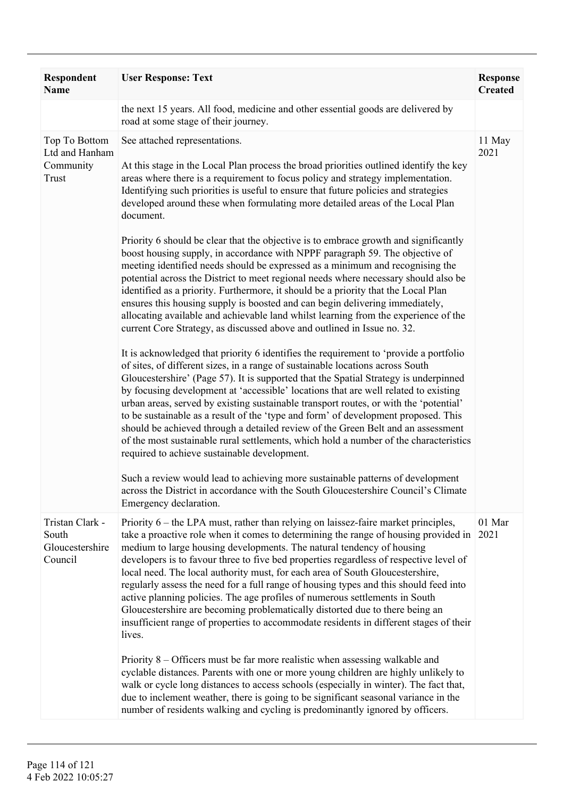| Respondent<br><b>Name</b>                              | <b>User Response: Text</b>                                                                                                                                                                                                                                                                                                                                                                                                                                                                                                                                                                                                                                                                                                                                                                | <b>Response</b><br><b>Created</b> |
|--------------------------------------------------------|-------------------------------------------------------------------------------------------------------------------------------------------------------------------------------------------------------------------------------------------------------------------------------------------------------------------------------------------------------------------------------------------------------------------------------------------------------------------------------------------------------------------------------------------------------------------------------------------------------------------------------------------------------------------------------------------------------------------------------------------------------------------------------------------|-----------------------------------|
|                                                        | the next 15 years. All food, medicine and other essential goods are delivered by<br>road at some stage of their journey.                                                                                                                                                                                                                                                                                                                                                                                                                                                                                                                                                                                                                                                                  |                                   |
| Top To Bottom<br>Ltd and Hanham<br>Community<br>Trust  | See attached representations.<br>At this stage in the Local Plan process the broad priorities outlined identify the key<br>areas where there is a requirement to focus policy and strategy implementation.<br>Identifying such priorities is useful to ensure that future policies and strategies<br>developed around these when formulating more detailed areas of the Local Plan<br>document.                                                                                                                                                                                                                                                                                                                                                                                           | 11 May<br>2021                    |
|                                                        | Priority 6 should be clear that the objective is to embrace growth and significantly<br>boost housing supply, in accordance with NPPF paragraph 59. The objective of<br>meeting identified needs should be expressed as a minimum and recognising the<br>potential across the District to meet regional needs where necessary should also be<br>identified as a priority. Furthermore, it should be a priority that the Local Plan<br>ensures this housing supply is boosted and can begin delivering immediately,<br>allocating available and achievable land whilst learning from the experience of the<br>current Core Strategy, as discussed above and outlined in Issue no. 32.                                                                                                      |                                   |
|                                                        | It is acknowledged that priority 6 identifies the requirement to 'provide a portfolio<br>of sites, of different sizes, in a range of sustainable locations across South<br>Gloucestershire' (Page 57). It is supported that the Spatial Strategy is underpinned<br>by focusing development at 'accessible' locations that are well related to existing<br>urban areas, served by existing sustainable transport routes, or with the 'potential'<br>to be sustainable as a result of the 'type and form' of development proposed. This<br>should be achieved through a detailed review of the Green Belt and an assessment<br>of the most sustainable rural settlements, which hold a number of the characteristics<br>required to achieve sustainable development.                        |                                   |
|                                                        | Such a review would lead to achieving more sustainable patterns of development<br>across the District in accordance with the South Gloucestershire Council's Climate<br>Emergency declaration.                                                                                                                                                                                                                                                                                                                                                                                                                                                                                                                                                                                            |                                   |
| Tristan Clark -<br>South<br>Gloucestershire<br>Council | Priority 6 – the LPA must, rather than relying on laissez-faire market principles,<br>take a proactive role when it comes to determining the range of housing provided in<br>medium to large housing developments. The natural tendency of housing<br>developers is to favour three to five bed properties regardless of respective level of<br>local need. The local authority must, for each area of South Gloucestershire,<br>regularly assess the need for a full range of housing types and this should feed into<br>active planning policies. The age profiles of numerous settlements in South<br>Gloucestershire are becoming problematically distorted due to there being an<br>insufficient range of properties to accommodate residents in different stages of their<br>lives. | 01 Mar<br>2021                    |
|                                                        | Priority 8 – Officers must be far more realistic when assessing walkable and<br>cyclable distances. Parents with one or more young children are highly unlikely to<br>walk or cycle long distances to access schools (especially in winter). The fact that,<br>due to inclement weather, there is going to be significant seasonal variance in the<br>number of residents walking and cycling is predominantly ignored by officers.                                                                                                                                                                                                                                                                                                                                                       |                                   |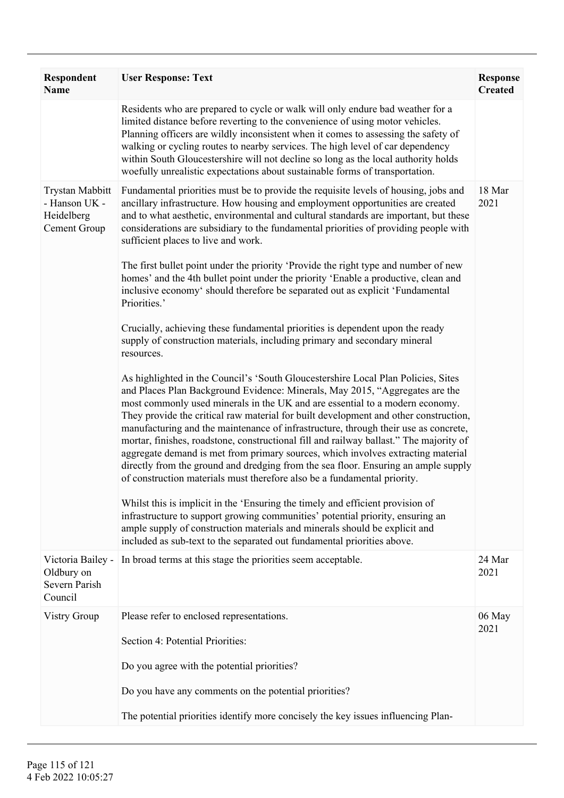| Respondent<br><b>Name</b>                                             | <b>User Response: Text</b>                                                                                                                                                                                                                                                                                                                                                                                                                                                                                                                                                                                                                                                                                                                                                                                                                                                                                                                                                                                                                                                                                                                                                                                                                                                                                                                                                                                                                                                                                                                                                                                                                                                                                                                                                                                                                                                                                                                                              | <b>Response</b><br><b>Created</b> |
|-----------------------------------------------------------------------|-------------------------------------------------------------------------------------------------------------------------------------------------------------------------------------------------------------------------------------------------------------------------------------------------------------------------------------------------------------------------------------------------------------------------------------------------------------------------------------------------------------------------------------------------------------------------------------------------------------------------------------------------------------------------------------------------------------------------------------------------------------------------------------------------------------------------------------------------------------------------------------------------------------------------------------------------------------------------------------------------------------------------------------------------------------------------------------------------------------------------------------------------------------------------------------------------------------------------------------------------------------------------------------------------------------------------------------------------------------------------------------------------------------------------------------------------------------------------------------------------------------------------------------------------------------------------------------------------------------------------------------------------------------------------------------------------------------------------------------------------------------------------------------------------------------------------------------------------------------------------------------------------------------------------------------------------------------------------|-----------------------------------|
|                                                                       | Residents who are prepared to cycle or walk will only endure bad weather for a<br>limited distance before reverting to the convenience of using motor vehicles.<br>Planning officers are wildly inconsistent when it comes to assessing the safety of<br>walking or cycling routes to nearby services. The high level of car dependency<br>within South Gloucestershire will not decline so long as the local authority holds<br>woefully unrealistic expectations about sustainable forms of transportation.                                                                                                                                                                                                                                                                                                                                                                                                                                                                                                                                                                                                                                                                                                                                                                                                                                                                                                                                                                                                                                                                                                                                                                                                                                                                                                                                                                                                                                                           |                                   |
| <b>Trystan Mabbitt</b><br>- Hanson UK -<br>Heidelberg<br>Cement Group | Fundamental priorities must be to provide the requisite levels of housing, jobs and<br>ancillary infrastructure. How housing and employment opportunities are created<br>and to what aesthetic, environmental and cultural standards are important, but these<br>considerations are subsidiary to the fundamental priorities of providing people with<br>sufficient places to live and work.<br>The first bullet point under the priority 'Provide the right type and number of new<br>homes' and the 4th bullet point under the priority 'Enable a productive, clean and<br>inclusive economy' should therefore be separated out as explicit 'Fundamental<br>Priorities.'<br>Crucially, achieving these fundamental priorities is dependent upon the ready<br>supply of construction materials, including primary and secondary mineral<br>resources.<br>As highlighted in the Council's 'South Gloucestershire Local Plan Policies, Sites<br>and Places Plan Background Evidence: Minerals, May 2015, "Aggregates are the<br>most commonly used minerals in the UK and are essential to a modern economy.<br>They provide the critical raw material for built development and other construction,<br>manufacturing and the maintenance of infrastructure, through their use as concrete,<br>mortar, finishes, roadstone, constructional fill and railway ballast." The majority of<br>aggregate demand is met from primary sources, which involves extracting material<br>directly from the ground and dredging from the sea floor. Ensuring an ample supply<br>of construction materials must therefore also be a fundamental priority.<br>Whilst this is implicit in the 'Ensuring the timely and efficient provision of<br>infrastructure to support growing communities' potential priority, ensuring an<br>ample supply of construction materials and minerals should be explicit and<br>included as sub-text to the separated out fundamental priorities above. | 18 Mar<br>2021                    |
| Victoria Bailey -<br>Oldbury on<br>Severn Parish<br>Council           | In broad terms at this stage the priorities seem acceptable.                                                                                                                                                                                                                                                                                                                                                                                                                                                                                                                                                                                                                                                                                                                                                                                                                                                                                                                                                                                                                                                                                                                                                                                                                                                                                                                                                                                                                                                                                                                                                                                                                                                                                                                                                                                                                                                                                                            | 24 Mar<br>2021                    |
| <b>Vistry Group</b>                                                   | Please refer to enclosed representations.<br>Section 4: Potential Priorities:<br>Do you agree with the potential priorities?<br>Do you have any comments on the potential priorities?<br>The potential priorities identify more concisely the key issues influencing Plan-                                                                                                                                                                                                                                                                                                                                                                                                                                                                                                                                                                                                                                                                                                                                                                                                                                                                                                                                                                                                                                                                                                                                                                                                                                                                                                                                                                                                                                                                                                                                                                                                                                                                                              | 06 May<br>2021                    |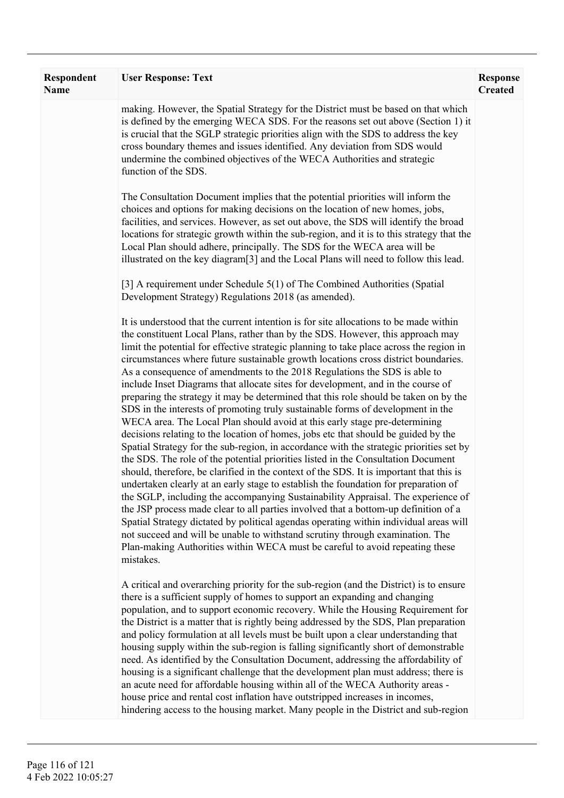| <b>Respondent</b><br><b>Name</b> | <b>User Response: Text</b>                                                                                                                                                                                                                                                                                                                                                                                                                                                                                                                                                                                                                                                                                                                                                                                                                                                                                                                                                                                                                                                                                                                                                                                                                                                                                                                                                                                                                                                                                                                                                                                                                                                                    | <b>Response</b><br><b>Created</b> |
|----------------------------------|-----------------------------------------------------------------------------------------------------------------------------------------------------------------------------------------------------------------------------------------------------------------------------------------------------------------------------------------------------------------------------------------------------------------------------------------------------------------------------------------------------------------------------------------------------------------------------------------------------------------------------------------------------------------------------------------------------------------------------------------------------------------------------------------------------------------------------------------------------------------------------------------------------------------------------------------------------------------------------------------------------------------------------------------------------------------------------------------------------------------------------------------------------------------------------------------------------------------------------------------------------------------------------------------------------------------------------------------------------------------------------------------------------------------------------------------------------------------------------------------------------------------------------------------------------------------------------------------------------------------------------------------------------------------------------------------------|-----------------------------------|
|                                  | making. However, the Spatial Strategy for the District must be based on that which<br>is defined by the emerging WECA SDS. For the reasons set out above (Section 1) it<br>is crucial that the SGLP strategic priorities align with the SDS to address the key<br>cross boundary themes and issues identified. Any deviation from SDS would<br>undermine the combined objectives of the WECA Authorities and strategic<br>function of the SDS.                                                                                                                                                                                                                                                                                                                                                                                                                                                                                                                                                                                                                                                                                                                                                                                                                                                                                                                                                                                                                                                                                                                                                                                                                                                |                                   |
|                                  | The Consultation Document implies that the potential priorities will inform the<br>choices and options for making decisions on the location of new homes, jobs,<br>facilities, and services. However, as set out above, the SDS will identify the broad<br>locations for strategic growth within the sub-region, and it is to this strategy that the<br>Local Plan should adhere, principally. The SDS for the WECA area will be<br>illustrated on the key diagram <sup>[3]</sup> and the Local Plans will need to follow this lead.                                                                                                                                                                                                                                                                                                                                                                                                                                                                                                                                                                                                                                                                                                                                                                                                                                                                                                                                                                                                                                                                                                                                                          |                                   |
|                                  | [3] A requirement under Schedule 5(1) of The Combined Authorities (Spatial<br>Development Strategy) Regulations 2018 (as amended).                                                                                                                                                                                                                                                                                                                                                                                                                                                                                                                                                                                                                                                                                                                                                                                                                                                                                                                                                                                                                                                                                                                                                                                                                                                                                                                                                                                                                                                                                                                                                            |                                   |
|                                  | It is understood that the current intention is for site allocations to be made within<br>the constituent Local Plans, rather than by the SDS. However, this approach may<br>limit the potential for effective strategic planning to take place across the region in<br>circumstances where future sustainable growth locations cross district boundaries.<br>As a consequence of amendments to the 2018 Regulations the SDS is able to<br>include Inset Diagrams that allocate sites for development, and in the course of<br>preparing the strategy it may be determined that this role should be taken on by the<br>SDS in the interests of promoting truly sustainable forms of development in the<br>WECA area. The Local Plan should avoid at this early stage pre-determining<br>decisions relating to the location of homes, jobs etc that should be guided by the<br>Spatial Strategy for the sub-region, in accordance with the strategic priorities set by<br>the SDS. The role of the potential priorities listed in the Consultation Document<br>should, therefore, be clarified in the context of the SDS. It is important that this is<br>undertaken clearly at an early stage to establish the foundation for preparation of<br>the SGLP, including the accompanying Sustainability Appraisal. The experience of<br>the JSP process made clear to all parties involved that a bottom-up definition of a<br>Spatial Strategy dictated by political agendas operating within individual areas will<br>not succeed and will be unable to withstand scrutiny through examination. The<br>Plan-making Authorities within WECA must be careful to avoid repeating these<br>mistakes. |                                   |
|                                  | A critical and overarching priority for the sub-region (and the District) is to ensure<br>there is a sufficient supply of homes to support an expanding and changing<br>population, and to support economic recovery. While the Housing Requirement for<br>the District is a matter that is rightly being addressed by the SDS, Plan preparation<br>and policy formulation at all levels must be built upon a clear understanding that<br>housing supply within the sub-region is falling significantly short of demonstrable<br>need. As identified by the Consultation Document, addressing the affordability of<br>housing is a significant challenge that the development plan must address; there is<br>an acute need for affordable housing within all of the WECA Authority areas -<br>house price and rental cost inflation have outstripped increases in incomes,<br>hindering access to the housing market. Many people in the District and sub-region                                                                                                                                                                                                                                                                                                                                                                                                                                                                                                                                                                                                                                                                                                                              |                                   |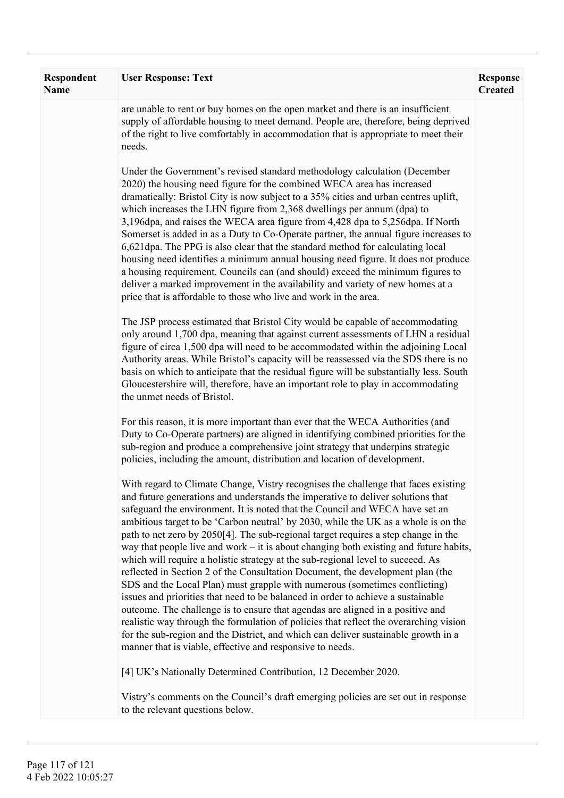| Respondent<br><b>Name</b> | <b>User Response: Text</b>                                                                                                                                                                                                                                                                                                                                                                                                                                                                                                                                                                                                                                                                                                                                                                                                                                                                                                                                                                                                                                                                                                                                                                        | <b>Response</b><br><b>Created</b> |
|---------------------------|---------------------------------------------------------------------------------------------------------------------------------------------------------------------------------------------------------------------------------------------------------------------------------------------------------------------------------------------------------------------------------------------------------------------------------------------------------------------------------------------------------------------------------------------------------------------------------------------------------------------------------------------------------------------------------------------------------------------------------------------------------------------------------------------------------------------------------------------------------------------------------------------------------------------------------------------------------------------------------------------------------------------------------------------------------------------------------------------------------------------------------------------------------------------------------------------------|-----------------------------------|
|                           | are unable to rent or buy homes on the open market and there is an insufficient<br>supply of affordable housing to meet demand. People are, therefore, being deprived<br>of the right to live comfortably in accommodation that is appropriate to meet their<br>needs.                                                                                                                                                                                                                                                                                                                                                                                                                                                                                                                                                                                                                                                                                                                                                                                                                                                                                                                            |                                   |
|                           | Under the Government's revised standard methodology calculation (December<br>2020) the housing need figure for the combined WECA area has increased<br>dramatically: Bristol City is now subject to a 35% cities and urban centres uplift,<br>which increases the LHN figure from 2,368 dwellings per annum (dpa) to<br>3,196dpa, and raises the WECA area figure from 4,428 dpa to 5,256dpa. If North<br>Somerset is added in as a Duty to Co-Operate partner, the annual figure increases to<br>6,621 dpa. The PPG is also clear that the standard method for calculating local<br>housing need identifies a minimum annual housing need figure. It does not produce<br>a housing requirement. Councils can (and should) exceed the minimum figures to<br>deliver a marked improvement in the availability and variety of new homes at a<br>price that is affordable to those who live and work in the area.                                                                                                                                                                                                                                                                                    |                                   |
|                           | The JSP process estimated that Bristol City would be capable of accommodating<br>only around 1,700 dpa, meaning that against current assessments of LHN a residual<br>figure of circa 1,500 dpa will need to be accommodated within the adjoining Local<br>Authority areas. While Bristol's capacity will be reassessed via the SDS there is no<br>basis on which to anticipate that the residual figure will be substantially less. South<br>Gloucestershire will, therefore, have an important role to play in accommodating<br>the unmet needs of Bristol.                                                                                                                                                                                                                                                                                                                                                                                                                                                                                                                                                                                                                                     |                                   |
|                           | For this reason, it is more important than ever that the WECA Authorities (and<br>Duty to Co-Operate partners) are aligned in identifying combined priorities for the<br>sub-region and produce a comprehensive joint strategy that underpins strategic<br>policies, including the amount, distribution and location of development.                                                                                                                                                                                                                                                                                                                                                                                                                                                                                                                                                                                                                                                                                                                                                                                                                                                              |                                   |
|                           | With regard to Climate Change, Vistry recognises the challenge that faces existing<br>and future generations and understands the imperative to deliver solutions that<br>safeguard the environment. It is noted that the Council and WECA have set an<br>ambitious target to be 'Carbon neutral' by 2030, while the UK as a whole is on the<br>path to net zero by 2050[4]. The sub-regional target requires a step change in the<br>way that people live and work $-$ it is about changing both existing and future habits,<br>which will require a holistic strategy at the sub-regional level to succeed. As<br>reflected in Section 2 of the Consultation Document, the development plan (the<br>SDS and the Local Plan) must grapple with numerous (sometimes conflicting)<br>issues and priorities that need to be balanced in order to achieve a sustainable<br>outcome. The challenge is to ensure that agendas are aligned in a positive and<br>realistic way through the formulation of policies that reflect the overarching vision<br>for the sub-region and the District, and which can deliver sustainable growth in a<br>manner that is viable, effective and responsive to needs. |                                   |
|                           | [4] UK's Nationally Determined Contribution, 12 December 2020.                                                                                                                                                                                                                                                                                                                                                                                                                                                                                                                                                                                                                                                                                                                                                                                                                                                                                                                                                                                                                                                                                                                                    |                                   |
|                           | Vistry's comments on the Council's draft emerging policies are set out in response<br>to the relevant questions below.                                                                                                                                                                                                                                                                                                                                                                                                                                                                                                                                                                                                                                                                                                                                                                                                                                                                                                                                                                                                                                                                            |                                   |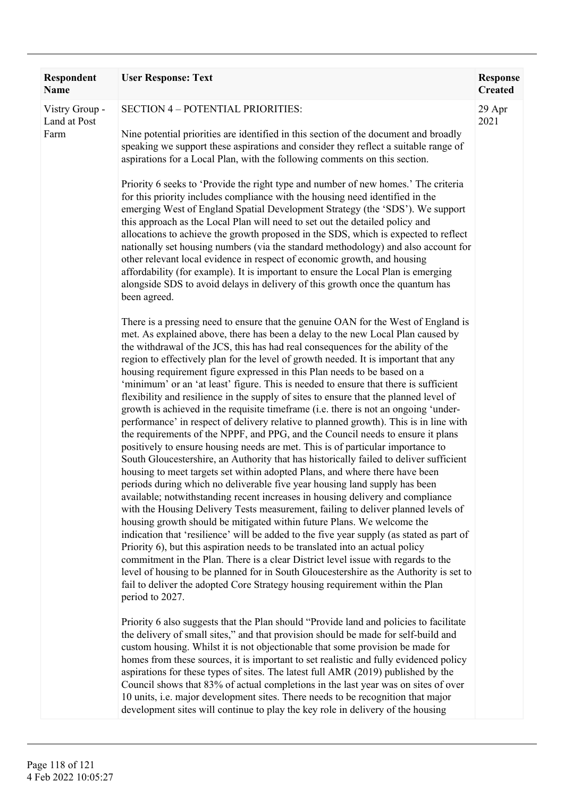| <b>Respondent</b><br>Name              | <b>User Response: Text</b>                                                                                                                                                                                                                                                                                                                                                                                                                                                                                                                                                                                                                                                                                                                                                                                                                                                                                                                                                                                                                                                                                                                                                                                                                                                                                                                                                                                                                                                                                                                                                                                                                                                                                                                                                                                                                                                                                                                  | <b>Response</b><br><b>Created</b> |
|----------------------------------------|---------------------------------------------------------------------------------------------------------------------------------------------------------------------------------------------------------------------------------------------------------------------------------------------------------------------------------------------------------------------------------------------------------------------------------------------------------------------------------------------------------------------------------------------------------------------------------------------------------------------------------------------------------------------------------------------------------------------------------------------------------------------------------------------------------------------------------------------------------------------------------------------------------------------------------------------------------------------------------------------------------------------------------------------------------------------------------------------------------------------------------------------------------------------------------------------------------------------------------------------------------------------------------------------------------------------------------------------------------------------------------------------------------------------------------------------------------------------------------------------------------------------------------------------------------------------------------------------------------------------------------------------------------------------------------------------------------------------------------------------------------------------------------------------------------------------------------------------------------------------------------------------------------------------------------------------|-----------------------------------|
| Vistry Group -<br>Land at Post<br>Farm | <b>SECTION 4 - POTENTIAL PRIORITIES:</b><br>Nine potential priorities are identified in this section of the document and broadly<br>speaking we support these aspirations and consider they reflect a suitable range of<br>aspirations for a Local Plan, with the following comments on this section.<br>Priority 6 seeks to 'Provide the right type and number of new homes.' The criteria                                                                                                                                                                                                                                                                                                                                                                                                                                                                                                                                                                                                                                                                                                                                                                                                                                                                                                                                                                                                                                                                                                                                                                                                                                                                                                                                                                                                                                                                                                                                                 | 29 Apr<br>2021                    |
|                                        | for this priority includes compliance with the housing need identified in the<br>emerging West of England Spatial Development Strategy (the 'SDS'). We support<br>this approach as the Local Plan will need to set out the detailed policy and<br>allocations to achieve the growth proposed in the SDS, which is expected to reflect<br>nationally set housing numbers (via the standard methodology) and also account for<br>other relevant local evidence in respect of economic growth, and housing<br>affordability (for example). It is important to ensure the Local Plan is emerging<br>alongside SDS to avoid delays in delivery of this growth once the quantum has<br>been agreed.                                                                                                                                                                                                                                                                                                                                                                                                                                                                                                                                                                                                                                                                                                                                                                                                                                                                                                                                                                                                                                                                                                                                                                                                                                               |                                   |
|                                        | There is a pressing need to ensure that the genuine OAN for the West of England is<br>met. As explained above, there has been a delay to the new Local Plan caused by<br>the withdrawal of the JCS, this has had real consequences for the ability of the<br>region to effectively plan for the level of growth needed. It is important that any<br>housing requirement figure expressed in this Plan needs to be based on a<br>'minimum' or an 'at least' figure. This is needed to ensure that there is sufficient<br>flexibility and resilience in the supply of sites to ensure that the planned level of<br>growth is achieved in the requisite timeframe (i.e. there is not an ongoing 'under-<br>performance' in respect of delivery relative to planned growth). This is in line with<br>the requirements of the NPPF, and PPG, and the Council needs to ensure it plans<br>positively to ensure housing needs are met. This is of particular importance to<br>South Gloucestershire, an Authority that has historically failed to deliver sufficient<br>housing to meet targets set within adopted Plans, and where there have been<br>periods during which no deliverable five year housing land supply has been<br>available; notwithstanding recent increases in housing delivery and compliance<br>with the Housing Delivery Tests measurement, failing to deliver planned levels of<br>housing growth should be mitigated within future Plans. We welcome the<br>indication that 'resilience' will be added to the five year supply (as stated as part of<br>Priority 6), but this aspiration needs to be translated into an actual policy<br>commitment in the Plan. There is a clear District level issue with regards to the<br>level of housing to be planned for in South Gloucestershire as the Authority is set to<br>fail to deliver the adopted Core Strategy housing requirement within the Plan<br>period to 2027. |                                   |
|                                        | Priority 6 also suggests that the Plan should "Provide land and policies to facilitate"<br>the delivery of small sites," and that provision should be made for self-build and<br>custom housing. Whilst it is not objectionable that some provision be made for<br>homes from these sources, it is important to set realistic and fully evidenced policy<br>aspirations for these types of sites. The latest full AMR (2019) published by the<br>Council shows that 83% of actual completions in the last year was on sites of over<br>10 units, i.e. major development sites. There needs to be recognition that major<br>development sites will continue to play the key role in delivery of the housing                                                                                                                                                                                                                                                                                                                                                                                                                                                                                                                                                                                                                                                                                                                                                                                                                                                                                                                                                                                                                                                                                                                                                                                                                                  |                                   |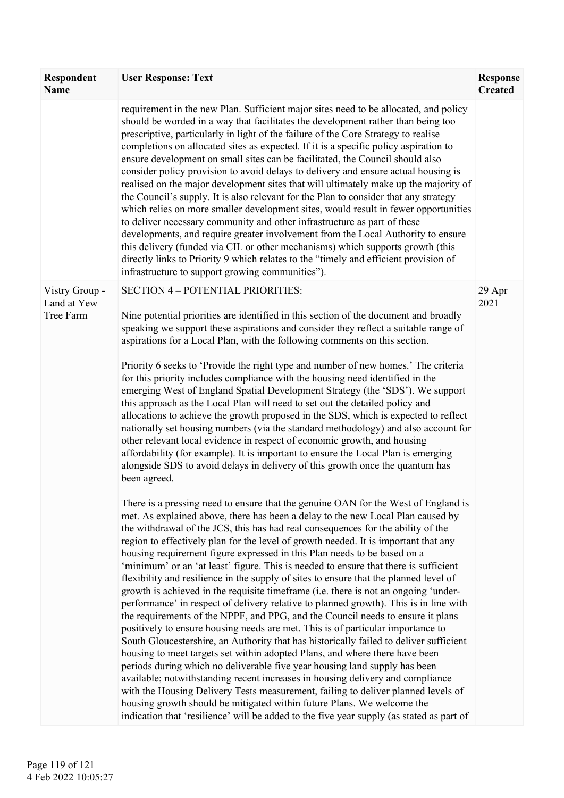| <b>Respondent</b><br><b>Name</b>           | <b>User Response: Text</b>                                                                                                                                                                                                                                                                                                                                                                                                                                                                                                                                                                                                                                                                                                                                                                                                                                                                                                                                                                                                                                                                                                                                                                                                                                                                                                                                                                                                                                                                                                                                                                                                                                                                                                                                                                                                                                                                                                                                                                                                                                                                                                                                                                                                                                                                                                 | <b>Response</b><br><b>Created</b> |
|--------------------------------------------|----------------------------------------------------------------------------------------------------------------------------------------------------------------------------------------------------------------------------------------------------------------------------------------------------------------------------------------------------------------------------------------------------------------------------------------------------------------------------------------------------------------------------------------------------------------------------------------------------------------------------------------------------------------------------------------------------------------------------------------------------------------------------------------------------------------------------------------------------------------------------------------------------------------------------------------------------------------------------------------------------------------------------------------------------------------------------------------------------------------------------------------------------------------------------------------------------------------------------------------------------------------------------------------------------------------------------------------------------------------------------------------------------------------------------------------------------------------------------------------------------------------------------------------------------------------------------------------------------------------------------------------------------------------------------------------------------------------------------------------------------------------------------------------------------------------------------------------------------------------------------------------------------------------------------------------------------------------------------------------------------------------------------------------------------------------------------------------------------------------------------------------------------------------------------------------------------------------------------------------------------------------------------------------------------------------------------|-----------------------------------|
|                                            | requirement in the new Plan. Sufficient major sites need to be allocated, and policy<br>should be worded in a way that facilitates the development rather than being too<br>prescriptive, particularly in light of the failure of the Core Strategy to realise<br>completions on allocated sites as expected. If it is a specific policy aspiration to<br>ensure development on small sites can be facilitated, the Council should also<br>consider policy provision to avoid delays to delivery and ensure actual housing is<br>realised on the major development sites that will ultimately make up the majority of<br>the Council's supply. It is also relevant for the Plan to consider that any strategy<br>which relies on more smaller development sites, would result in fewer opportunities<br>to deliver necessary community and other infrastructure as part of these<br>developments, and require greater involvement from the Local Authority to ensure<br>this delivery (funded via CIL or other mechanisms) which supports growth (this<br>directly links to Priority 9 which relates to the "timely and efficient provision of<br>infrastructure to support growing communities").                                                                                                                                                                                                                                                                                                                                                                                                                                                                                                                                                                                                                                                                                                                                                                                                                                                                                                                                                                                                                                                                                                                         |                                   |
| Vistry Group -<br>Land at Yew<br>Tree Farm | <b>SECTION 4 - POTENTIAL PRIORITIES:</b><br>Nine potential priorities are identified in this section of the document and broadly<br>speaking we support these aspirations and consider they reflect a suitable range of<br>aspirations for a Local Plan, with the following comments on this section.<br>Priority 6 seeks to 'Provide the right type and number of new homes.' The criteria<br>for this priority includes compliance with the housing need identified in the<br>emerging West of England Spatial Development Strategy (the 'SDS'). We support<br>this approach as the Local Plan will need to set out the detailed policy and<br>allocations to achieve the growth proposed in the SDS, which is expected to reflect<br>nationally set housing numbers (via the standard methodology) and also account for<br>other relevant local evidence in respect of economic growth, and housing<br>affordability (for example). It is important to ensure the Local Plan is emerging<br>alongside SDS to avoid delays in delivery of this growth once the quantum has<br>been agreed.<br>There is a pressing need to ensure that the genuine OAN for the West of England is<br>met. As explained above, there has been a delay to the new Local Plan caused by<br>the withdrawal of the JCS, this has had real consequences for the ability of the<br>region to effectively plan for the level of growth needed. It is important that any<br>housing requirement figure expressed in this Plan needs to be based on a<br>'minimum' or an 'at least' figure. This is needed to ensure that there is sufficient<br>flexibility and resilience in the supply of sites to ensure that the planned level of<br>growth is achieved in the requisite timeframe (i.e. there is not an ongoing 'under-<br>performance' in respect of delivery relative to planned growth). This is in line with<br>the requirements of the NPPF, and PPG, and the Council needs to ensure it plans<br>positively to ensure housing needs are met. This is of particular importance to<br>South Gloucestershire, an Authority that has historically failed to deliver sufficient<br>housing to meet targets set within adopted Plans, and where there have been<br>periods during which no deliverable five year housing land supply has been | 29 Apr<br>2021                    |
|                                            | available; notwithstanding recent increases in housing delivery and compliance<br>with the Housing Delivery Tests measurement, failing to deliver planned levels of<br>housing growth should be mitigated within future Plans. We welcome the<br>indication that 'resilience' will be added to the five year supply (as stated as part of                                                                                                                                                                                                                                                                                                                                                                                                                                                                                                                                                                                                                                                                                                                                                                                                                                                                                                                                                                                                                                                                                                                                                                                                                                                                                                                                                                                                                                                                                                                                                                                                                                                                                                                                                                                                                                                                                                                                                                                  |                                   |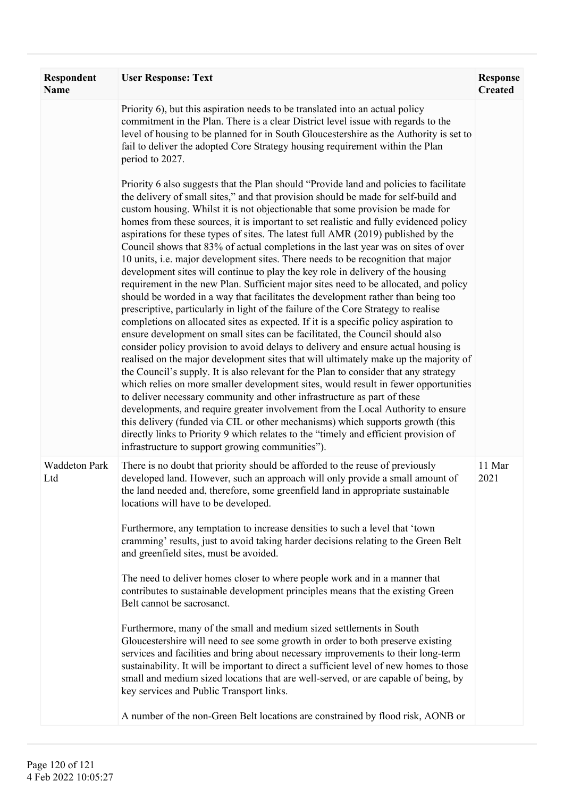| <b>Respondent</b><br><b>Name</b> | <b>User Response: Text</b>                                                                                                                                                                                                                                                                                                                                                                                                                                                                                                                                                                                                                                                                                                                                                                                                                                                                                                                                                                                                                                                                                                                                                                                                                                                                                                                                                                                                                                                                                                                                                                                                                                                                                                                                                                                                                                                                                       | <b>Response</b><br><b>Created</b> |
|----------------------------------|------------------------------------------------------------------------------------------------------------------------------------------------------------------------------------------------------------------------------------------------------------------------------------------------------------------------------------------------------------------------------------------------------------------------------------------------------------------------------------------------------------------------------------------------------------------------------------------------------------------------------------------------------------------------------------------------------------------------------------------------------------------------------------------------------------------------------------------------------------------------------------------------------------------------------------------------------------------------------------------------------------------------------------------------------------------------------------------------------------------------------------------------------------------------------------------------------------------------------------------------------------------------------------------------------------------------------------------------------------------------------------------------------------------------------------------------------------------------------------------------------------------------------------------------------------------------------------------------------------------------------------------------------------------------------------------------------------------------------------------------------------------------------------------------------------------------------------------------------------------------------------------------------------------|-----------------------------------|
|                                  | Priority 6), but this aspiration needs to be translated into an actual policy<br>commitment in the Plan. There is a clear District level issue with regards to the<br>level of housing to be planned for in South Gloucestershire as the Authority is set to<br>fail to deliver the adopted Core Strategy housing requirement within the Plan<br>period to 2027.                                                                                                                                                                                                                                                                                                                                                                                                                                                                                                                                                                                                                                                                                                                                                                                                                                                                                                                                                                                                                                                                                                                                                                                                                                                                                                                                                                                                                                                                                                                                                 |                                   |
|                                  | Priority 6 also suggests that the Plan should "Provide land and policies to facilitate"<br>the delivery of small sites," and that provision should be made for self-build and<br>custom housing. Whilst it is not objectionable that some provision be made for<br>homes from these sources, it is important to set realistic and fully evidenced policy<br>aspirations for these types of sites. The latest full AMR (2019) published by the<br>Council shows that 83% of actual completions in the last year was on sites of over<br>10 units, i.e. major development sites. There needs to be recognition that major<br>development sites will continue to play the key role in delivery of the housing<br>requirement in the new Plan. Sufficient major sites need to be allocated, and policy<br>should be worded in a way that facilitates the development rather than being too<br>prescriptive, particularly in light of the failure of the Core Strategy to realise<br>completions on allocated sites as expected. If it is a specific policy aspiration to<br>ensure development on small sites can be facilitated, the Council should also<br>consider policy provision to avoid delays to delivery and ensure actual housing is<br>realised on the major development sites that will ultimately make up the majority of<br>the Council's supply. It is also relevant for the Plan to consider that any strategy<br>which relies on more smaller development sites, would result in fewer opportunities<br>to deliver necessary community and other infrastructure as part of these<br>developments, and require greater involvement from the Local Authority to ensure<br>this delivery (funded via CIL or other mechanisms) which supports growth (this<br>directly links to Priority 9 which relates to the "timely and efficient provision of<br>infrastructure to support growing communities"). |                                   |
| <b>Waddeton Park</b><br>Ltd      | There is no doubt that priority should be afforded to the reuse of previously<br>developed land. However, such an approach will only provide a small amount of<br>the land needed and, therefore, some greenfield land in appropriate sustainable<br>locations will have to be developed.<br>Furthermore, any temptation to increase densities to such a level that 'town<br>cramming' results, just to avoid taking harder decisions relating to the Green Belt<br>and greenfield sites, must be avoided.<br>The need to deliver homes closer to where people work and in a manner that<br>contributes to sustainable development principles means that the existing Green<br>Belt cannot be sacrosanct.<br>Furthermore, many of the small and medium sized settlements in South<br>Gloucestershire will need to see some growth in order to both preserve existing<br>services and facilities and bring about necessary improvements to their long-term<br>sustainability. It will be important to direct a sufficient level of new homes to those<br>small and medium sized locations that are well-served, or are capable of being, by<br>key services and Public Transport links.                                                                                                                                                                                                                                                                                                                                                                                                                                                                                                                                                                                                                                                                                                                           | 11 Mar<br>2021                    |
|                                  | A number of the non-Green Belt locations are constrained by flood risk, AONB or                                                                                                                                                                                                                                                                                                                                                                                                                                                                                                                                                                                                                                                                                                                                                                                                                                                                                                                                                                                                                                                                                                                                                                                                                                                                                                                                                                                                                                                                                                                                                                                                                                                                                                                                                                                                                                  |                                   |